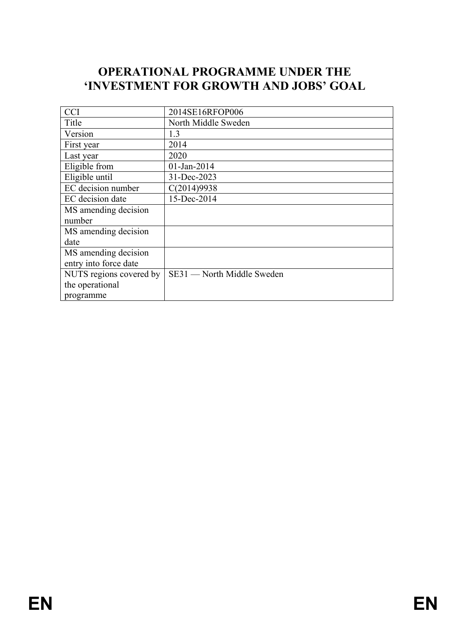# **OPERATIONAL PROGRAMME UNDER THE 'INVESTMENT FOR GROWTH AND JOBS' GOAL**

| <b>CCI</b>              | 2014SE16RFOP006            |
|-------------------------|----------------------------|
| Title                   | North Middle Sweden        |
| Version                 | 1.3                        |
| First year              | 2014                       |
| Last year               | 2020                       |
| Eligible from           | $01$ -Jan-2014             |
| Eligible until          | 31-Dec-2023                |
| EC decision number      | C(2014)9938                |
| EC decision date        | 15-Dec-2014                |
| MS amending decision    |                            |
| number                  |                            |
| MS amending decision    |                            |
| date                    |                            |
| MS amending decision    |                            |
| entry into force date   |                            |
| NUTS regions covered by | SE31 — North Middle Sweden |
| the operational         |                            |
| programme               |                            |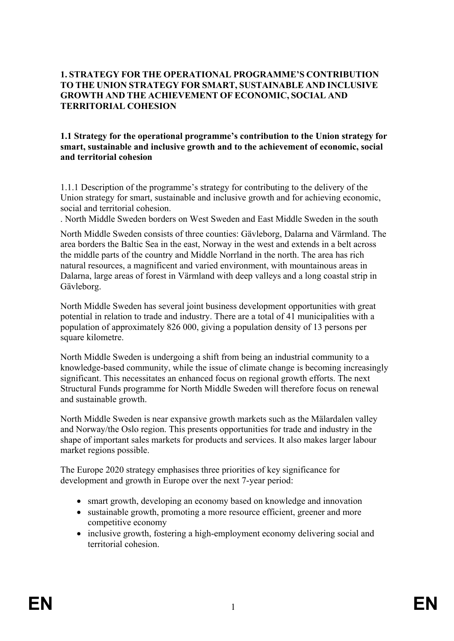## **1. STRATEGY FOR THE OPERATIONAL PROGRAMME'S CONTRIBUTION TO THE UNION STRATEGY FOR SMART, SUSTAINABLE AND INCLUSIVE GROWTH AND THE ACHIEVEMENT OF ECONOMIC, SOCIAL AND TERRITORIAL COHESION**

#### **1.1 Strategy for the operational programme's contribution to the Union strategy for smart, sustainable and inclusive growth and to the achievement of economic, social and territorial cohesion**

1.1.1 Description of the programme's strategy for contributing to the delivery of the Union strategy for smart, sustainable and inclusive growth and for achieving economic, social and territorial cohesion.

. North Middle Sweden borders on West Sweden and East Middle Sweden in the south

North Middle Sweden consists of three counties: Gävleborg, Dalarna and Värmland. The area borders the Baltic Sea in the east, Norway in the west and extends in a belt across the middle parts of the country and Middle Norrland in the north. The area has rich natural resources, a magnificent and varied environment, with mountainous areas in Dalarna, large areas of forest in Värmland with deep valleys and a long coastal strip in Gävleborg.

North Middle Sweden has several joint business development opportunities with great potential in relation to trade and industry. There are a total of 41 municipalities with a population of approximately 826 000, giving a population density of 13 persons per square kilometre.

North Middle Sweden is undergoing a shift from being an industrial community to a knowledge-based community, while the issue of climate change is becoming increasingly significant. This necessitates an enhanced focus on regional growth efforts. The next Structural Funds programme for North Middle Sweden will therefore focus on renewal and sustainable growth.

North Middle Sweden is near expansive growth markets such as the Mälardalen valley and Norway/the Oslo region. This presents opportunities for trade and industry in the shape of important sales markets for products and services. It also makes larger labour market regions possible.

The Europe 2020 strategy emphasises three priorities of key significance for development and growth in Europe over the next 7-year period:

- smart growth, developing an economy based on knowledge and innovation
- sustainable growth, promoting a more resource efficient, greener and more competitive economy
- inclusive growth, fostering a high-employment economy delivering social and territorial cohesion.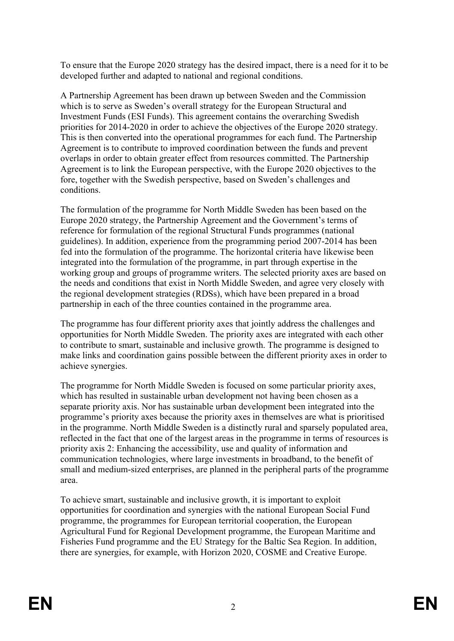To ensure that the Europe 2020 strategy has the desired impact, there is a need for it to be developed further and adapted to national and regional conditions.

A Partnership Agreement has been drawn up between Sweden and the Commission which is to serve as Sweden's overall strategy for the European Structural and Investment Funds (ESI Funds). This agreement contains the overarching Swedish priorities for 2014-2020 in order to achieve the objectives of the Europe 2020 strategy. This is then converted into the operational programmes for each fund. The Partnership Agreement is to contribute to improved coordination between the funds and prevent overlaps in order to obtain greater effect from resources committed. The Partnership Agreement is to link the European perspective, with the Europe 2020 objectives to the fore, together with the Swedish perspective, based on Sweden's challenges and conditions.

The formulation of the programme for North Middle Sweden has been based on the Europe 2020 strategy, the Partnership Agreement and the Government's terms of reference for formulation of the regional Structural Funds programmes (national guidelines). In addition, experience from the programming period 2007-2014 has been fed into the formulation of the programme. The horizontal criteria have likewise been integrated into the formulation of the programme, in part through expertise in the working group and groups of programme writers. The selected priority axes are based on the needs and conditions that exist in North Middle Sweden, and agree very closely with the regional development strategies (RDSs), which have been prepared in a broad partnership in each of the three counties contained in the programme area.

The programme has four different priority axes that jointly address the challenges and opportunities for North Middle Sweden. The priority axes are integrated with each other to contribute to smart, sustainable and inclusive growth. The programme is designed to make links and coordination gains possible between the different priority axes in order to achieve synergies.

The programme for North Middle Sweden is focused on some particular priority axes, which has resulted in sustainable urban development not having been chosen as a separate priority axis. Nor has sustainable urban development been integrated into the programme's priority axes because the priority axes in themselves are what is prioritised in the programme. North Middle Sweden is a distinctly rural and sparsely populated area, reflected in the fact that one of the largest areas in the programme in terms of resources is priority axis 2: Enhancing the accessibility, use and quality of information and communication technologies, where large investments in broadband, to the benefit of small and medium-sized enterprises, are planned in the peripheral parts of the programme area.

To achieve smart, sustainable and inclusive growth, it is important to exploit opportunities for coordination and synergies with the national European Social Fund programme, the programmes for European territorial cooperation, the European Agricultural Fund for Regional Development programme, the European Maritime and Fisheries Fund programme and the EU Strategy for the Baltic Sea Region. In addition, there are synergies, for example, with Horizon 2020, COSME and Creative Europe.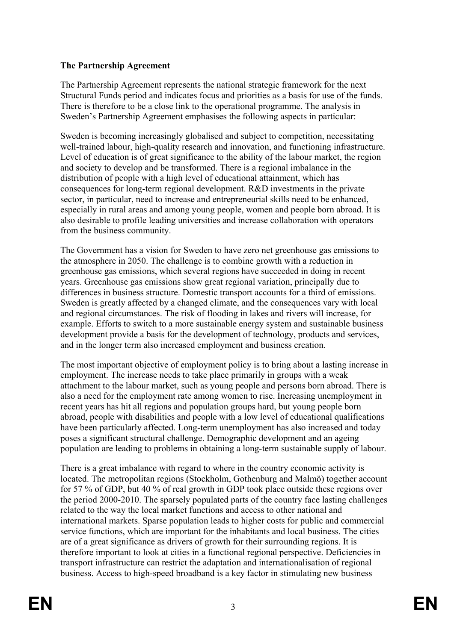## **The Partnership Agreement**

The Partnership Agreement represents the national strategic framework for the next Structural Funds period and indicates focus and priorities as a basis for use of the funds. There is therefore to be a close link to the operational programme. The analysis in Sweden's Partnership Agreement emphasises the following aspects in particular:

Sweden is becoming increasingly globalised and subject to competition, necessitating well-trained labour, high-quality research and innovation, and functioning infrastructure. Level of education is of great significance to the ability of the labour market, the region and society to develop and be transformed. There is a regional imbalance in the distribution of people with a high level of educational attainment, which has consequences for long-term regional development. R&D investments in the private sector, in particular, need to increase and entrepreneurial skills need to be enhanced, especially in rural areas and among young people, women and people born abroad. It is also desirable to profile leading universities and increase collaboration with operators from the business community.

The Government has a vision for Sweden to have zero net greenhouse gas emissions to the atmosphere in 2050. The challenge is to combine growth with a reduction in greenhouse gas emissions, which several regions have succeeded in doing in recent years. Greenhouse gas emissions show great regional variation, principally due to differences in business structure. Domestic transport accounts for a third of emissions. Sweden is greatly affected by a changed climate, and the consequences vary with local and regional circumstances. The risk of flooding in lakes and rivers will increase, for example. Efforts to switch to a more sustainable energy system and sustainable business development provide a basis for the development of technology, products and services, and in the longer term also increased employment and business creation.

The most important objective of employment policy is to bring about a lasting increase in employment. The increase needs to take place primarily in groups with a weak attachment to the labour market, such as young people and persons born abroad. There is also a need for the employment rate among women to rise. Increasing unemployment in recent years has hit all regions and population groups hard, but young people born abroad, people with disabilities and people with a low level of educational qualifications have been particularly affected. Long-term unemployment has also increased and today poses a significant structural challenge. Demographic development and an ageing population are leading to problems in obtaining a long-term sustainable supply of labour.

There is a great imbalance with regard to where in the country economic activity is located. The metropolitan regions (Stockholm, Gothenburg and Malmö) together account for 57 % of GDP, but 40 % of real growth in GDP took place outside these regions over the period 2000-2010. The sparsely populated parts of the country face lasting challenges related to the way the local market functions and access to other national and international markets. Sparse population leads to higher costs for public and commercial service functions, which are important for the inhabitants and local business. The cities are of a great significance as drivers of growth for their surrounding regions. It is therefore important to look at cities in a functional regional perspective. Deficiencies in transport infrastructure can restrict the adaptation and internationalisation of regional business. Access to high-speed broadband is a key factor in stimulating new business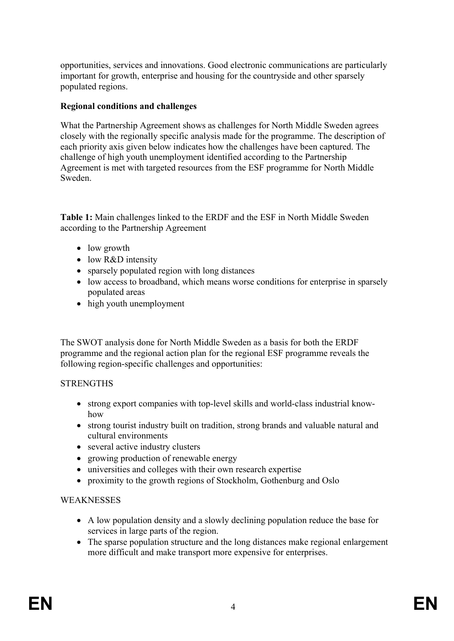opportunities, services and innovations. Good electronic communications are particularly important for growth, enterprise and housing for the countryside and other sparsely populated regions.

## **Regional conditions and challenges**

What the Partnership Agreement shows as challenges for North Middle Sweden agrees closely with the regionally specific analysis made for the programme. The description of each priority axis given below indicates how the challenges have been captured. The challenge of high youth unemployment identified according to the Partnership Agreement is met with targeted resources from the ESF programme for North Middle Sweden.

**Table 1:** Main challenges linked to the ERDF and the ESF in North Middle Sweden according to the Partnership Agreement

- low growth
- low R&D intensity
- sparsely populated region with long distances
- low access to broadband, which means worse conditions for enterprise in sparsely populated areas
- high youth unemployment

The SWOT analysis done for North Middle Sweden as a basis for both the ERDF programme and the regional action plan for the regional ESF programme reveals the following region-specific challenges and opportunities:

# **STRENGTHS**

- strong export companies with top-level skills and world-class industrial knowhow
- strong tourist industry built on tradition, strong brands and valuable natural and cultural environments
- several active industry clusters
- growing production of renewable energy
- universities and colleges with their own research expertise
- proximity to the growth regions of Stockholm, Gothenburg and Oslo

# **WEAKNESSES**

- A low population density and a slowly declining population reduce the base for services in large parts of the region.
- The sparse population structure and the long distances make regional enlargement more difficult and make transport more expensive for enterprises.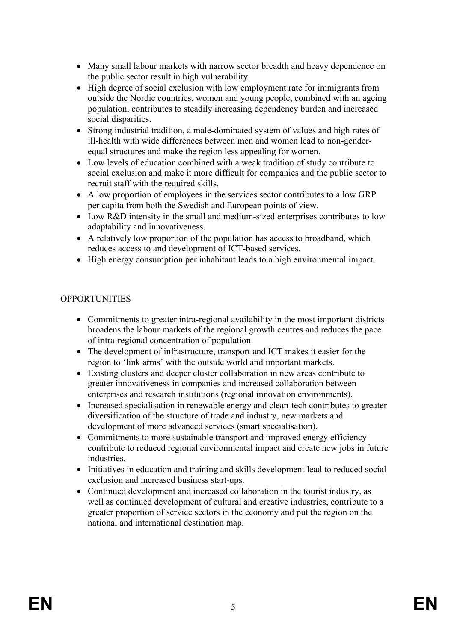- Many small labour markets with narrow sector breadth and heavy dependence on the public sector result in high vulnerability.
- High degree of social exclusion with low employment rate for immigrants from outside the Nordic countries, women and young people, combined with an ageing population, contributes to steadily increasing dependency burden and increased social disparities.
- Strong industrial tradition, a male-dominated system of values and high rates of ill-health with wide differences between men and women lead to non-genderequal structures and make the region less appealing for women.
- Low levels of education combined with a weak tradition of study contribute to social exclusion and make it more difficult for companies and the public sector to recruit staff with the required skills.
- A low proportion of employees in the services sector contributes to a low GRP per capita from both the Swedish and European points of view.
- Low R&D intensity in the small and medium-sized enterprises contributes to low adaptability and innovativeness.
- A relatively low proportion of the population has access to broadband, which reduces access to and development of ICT-based services.
- High energy consumption per inhabitant leads to a high environmental impact.

## **OPPORTUNITIES**

- Commitments to greater intra-regional availability in the most important districts broadens the labour markets of the regional growth centres and reduces the pace of intra-regional concentration of population.
- The development of infrastructure, transport and ICT makes it easier for the region to 'link arms' with the outside world and important markets.
- Existing clusters and deeper cluster collaboration in new areas contribute to greater innovativeness in companies and increased collaboration between enterprises and research institutions (regional innovation environments).
- Increased specialisation in renewable energy and clean-tech contributes to greater diversification of the structure of trade and industry, new markets and development of more advanced services (smart specialisation).
- Commitments to more sustainable transport and improved energy efficiency contribute to reduced regional environmental impact and create new jobs in future industries.
- Initiatives in education and training and skills development lead to reduced social exclusion and increased business start-ups.
- Continued development and increased collaboration in the tourist industry, as well as continued development of cultural and creative industries, contribute to a greater proportion of service sectors in the economy and put the region on the national and international destination map.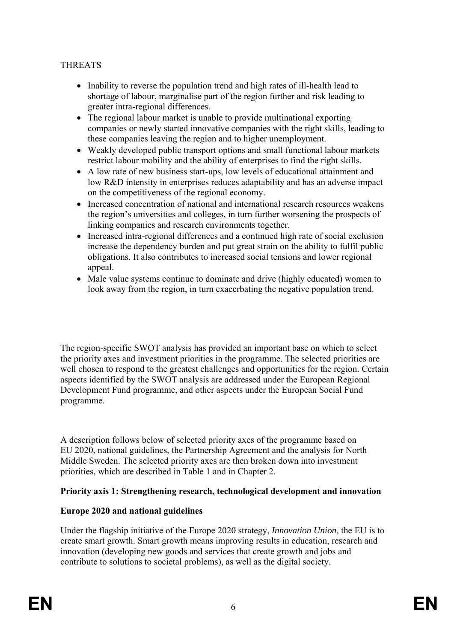## THREATS

- Inability to reverse the population trend and high rates of ill-health lead to shortage of labour, marginalise part of the region further and risk leading to greater intra-regional differences.
- The regional labour market is unable to provide multinational exporting companies or newly started innovative companies with the right skills, leading to these companies leaving the region and to higher unemployment.
- Weakly developed public transport options and small functional labour markets restrict labour mobility and the ability of enterprises to find the right skills.
- A low rate of new business start-ups, low levels of educational attainment and low R&D intensity in enterprises reduces adaptability and has an adverse impact on the competitiveness of the regional economy.
- Increased concentration of national and international research resources weakens the region's universities and colleges, in turn further worsening the prospects of linking companies and research environments together.
- Increased intra-regional differences and a continued high rate of social exclusion increase the dependency burden and put great strain on the ability to fulfil public obligations. It also contributes to increased social tensions and lower regional appeal.
- Male value systems continue to dominate and drive (highly educated) women to look away from the region, in turn exacerbating the negative population trend.

The region-specific SWOT analysis has provided an important base on which to select the priority axes and investment priorities in the programme. The selected priorities are well chosen to respond to the greatest challenges and opportunities for the region. Certain aspects identified by the SWOT analysis are addressed under the European Regional Development Fund programme, and other aspects under the European Social Fund programme.

A description follows below of selected priority axes of the programme based on EU 2020, national guidelines, the Partnership Agreement and the analysis for North Middle Sweden. The selected priority axes are then broken down into investment priorities, which are described in Table 1 and in Chapter 2.

#### **Priority axis 1: Strengthening research, technological development and innovation**

## **Europe 2020 and national guidelines**

Under the flagship initiative of the Europe 2020 strategy, *Innovation Union*, the EU is to create smart growth. Smart growth means improving results in education, research and innovation (developing new goods and services that create growth and jobs and contribute to solutions to societal problems), as well as the digital society.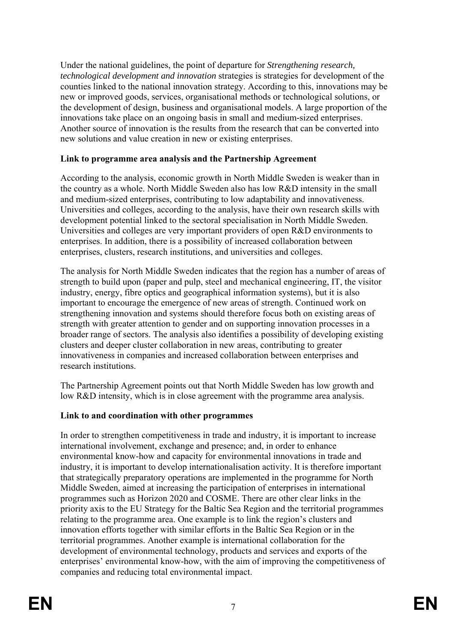Under the national guidelines, the point of departure for *Strengthening research, technological development and innovation* strategies is strategies for development of the counties linked to the national innovation strategy. According to this, innovations may be new or improved goods, services, organisational methods or technological solutions, or the development of design, business and organisational models. A large proportion of the innovations take place on an ongoing basis in small and medium-sized enterprises. Another source of innovation is the results from the research that can be converted into new solutions and value creation in new or existing enterprises.

## **Link to programme area analysis and the Partnership Agreement**

According to the analysis, economic growth in North Middle Sweden is weaker than in the country as a whole. North Middle Sweden also has low R&D intensity in the small and medium-sized enterprises, contributing to low adaptability and innovativeness. Universities and colleges, according to the analysis, have their own research skills with development potential linked to the sectoral specialisation in North Middle Sweden. Universities and colleges are very important providers of open R&D environments to enterprises. In addition, there is a possibility of increased collaboration between enterprises, clusters, research institutions, and universities and colleges.

The analysis for North Middle Sweden indicates that the region has a number of areas of strength to build upon (paper and pulp, steel and mechanical engineering, IT, the visitor industry, energy, fibre optics and geographical information systems), but it is also important to encourage the emergence of new areas of strength. Continued work on strengthening innovation and systems should therefore focus both on existing areas of strength with greater attention to gender and on supporting innovation processes in a broader range of sectors. The analysis also identifies a possibility of developing existing clusters and deeper cluster collaboration in new areas, contributing to greater innovativeness in companies and increased collaboration between enterprises and research institutions.

The Partnership Agreement points out that North Middle Sweden has low growth and low R&D intensity, which is in close agreement with the programme area analysis.

# **Link to and coordination with other programmes**

In order to strengthen competitiveness in trade and industry, it is important to increase international involvement, exchange and presence; and, in order to enhance environmental know-how and capacity for environmental innovations in trade and industry, it is important to develop internationalisation activity. It is therefore important that strategically preparatory operations are implemented in the programme for North Middle Sweden, aimed at increasing the participation of enterprises in international programmes such as Horizon 2020 and COSME. There are other clear links in the priority axis to the EU Strategy for the Baltic Sea Region and the territorial programmes relating to the programme area. One example is to link the region's clusters and innovation efforts together with similar efforts in the Baltic Sea Region or in the territorial programmes. Another example is international collaboration for the development of environmental technology, products and services and exports of the enterprises' environmental know-how, with the aim of improving the competitiveness of companies and reducing total environmental impact.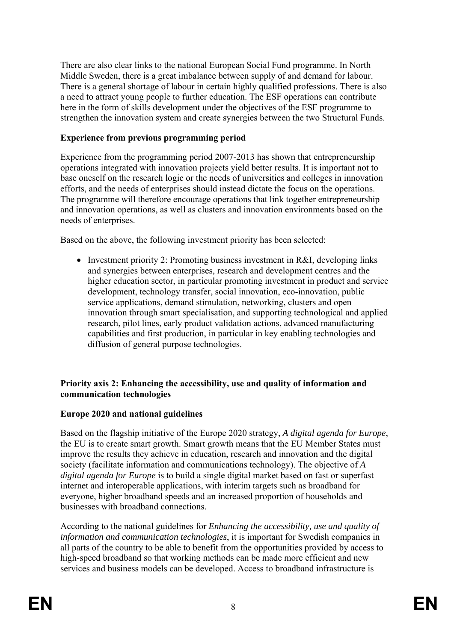There are also clear links to the national European Social Fund programme. In North Middle Sweden, there is a great imbalance between supply of and demand for labour. There is a general shortage of labour in certain highly qualified professions. There is also a need to attract young people to further education. The ESF operations can contribute here in the form of skills development under the objectives of the ESF programme to strengthen the innovation system and create synergies between the two Structural Funds.

## **Experience from previous programming period**

Experience from the programming period 2007-2013 has shown that entrepreneurship operations integrated with innovation projects yield better results. It is important not to base oneself on the research logic or the needs of universities and colleges in innovation efforts, and the needs of enterprises should instead dictate the focus on the operations. The programme will therefore encourage operations that link together entrepreneurship and innovation operations, as well as clusters and innovation environments based on the needs of enterprises.

Based on the above, the following investment priority has been selected:

• Investment priority 2: Promoting business investment in R&I, developing links and synergies between enterprises, research and development centres and the higher education sector, in particular promoting investment in product and service development, technology transfer, social innovation, eco-innovation, public service applications, demand stimulation, networking, clusters and open innovation through smart specialisation, and supporting technological and applied research, pilot lines, early product validation actions, advanced manufacturing capabilities and first production, in particular in key enabling technologies and diffusion of general purpose technologies.

## **Priority axis 2: Enhancing the accessibility, use and quality of information and communication technologies**

## **Europe 2020 and national guidelines**

Based on the flagship initiative of the Europe 2020 strategy, *A digital agenda for Europe*, the EU is to create smart growth. Smart growth means that the EU Member States must improve the results they achieve in education, research and innovation and the digital society (facilitate information and communications technology). The objective of *A digital agenda for Europe* is to build a single digital market based on fast or superfast internet and interoperable applications, with interim targets such as broadband for everyone, higher broadband speeds and an increased proportion of households and businesses with broadband connections.

According to the national guidelines for *Enhancing the accessibility, use and quality of information and communication technologies*, it is important for Swedish companies in all parts of the country to be able to benefit from the opportunities provided by access to high-speed broadband so that working methods can be made more efficient and new services and business models can be developed. Access to broadband infrastructure is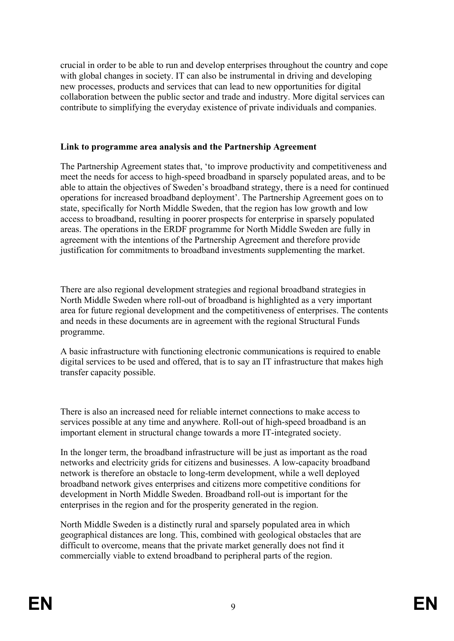crucial in order to be able to run and develop enterprises throughout the country and cope with global changes in society. IT can also be instrumental in driving and developing new processes, products and services that can lead to new opportunities for digital collaboration between the public sector and trade and industry. More digital services can contribute to simplifying the everyday existence of private individuals and companies.

#### **Link to programme area analysis and the Partnership Agreement**

The Partnership Agreement states that, 'to improve productivity and competitiveness and meet the needs for access to high-speed broadband in sparsely populated areas, and to be able to attain the objectives of Sweden's broadband strategy, there is a need for continued operations for increased broadband deployment'. The Partnership Agreement goes on to state, specifically for North Middle Sweden, that the region has low growth and low access to broadband, resulting in poorer prospects for enterprise in sparsely populated areas. The operations in the ERDF programme for North Middle Sweden are fully in agreement with the intentions of the Partnership Agreement and therefore provide justification for commitments to broadband investments supplementing the market.

There are also regional development strategies and regional broadband strategies in North Middle Sweden where roll-out of broadband is highlighted as a very important area for future regional development and the competitiveness of enterprises. The contents and needs in these documents are in agreement with the regional Structural Funds programme.

A basic infrastructure with functioning electronic communications is required to enable digital services to be used and offered, that is to say an IT infrastructure that makes high transfer capacity possible.

There is also an increased need for reliable internet connections to make access to services possible at any time and anywhere. Roll-out of high-speed broadband is an important element in structural change towards a more IT-integrated society.

In the longer term, the broadband infrastructure will be just as important as the road networks and electricity grids for citizens and businesses. A low-capacity broadband network is therefore an obstacle to long-term development, while a well deployed broadband network gives enterprises and citizens more competitive conditions for development in North Middle Sweden. Broadband roll-out is important for the enterprises in the region and for the prosperity generated in the region.

North Middle Sweden is a distinctly rural and sparsely populated area in which geographical distances are long. This, combined with geological obstacles that are difficult to overcome, means that the private market generally does not find it commercially viable to extend broadband to peripheral parts of the region.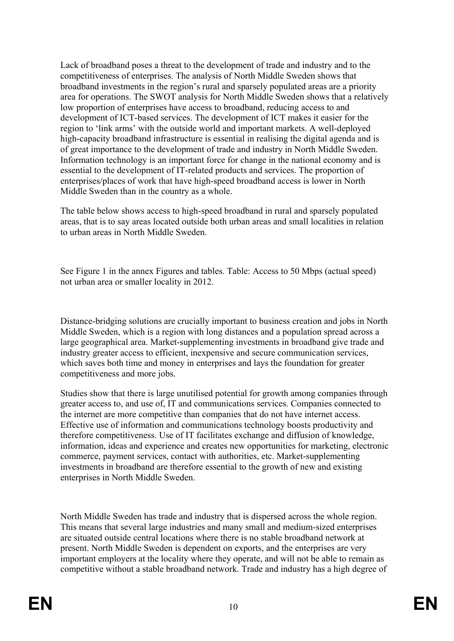Lack of broadband poses a threat to the development of trade and industry and to the competitiveness of enterprises. The analysis of North Middle Sweden shows that broadband investments in the region's rural and sparsely populated areas are a priority area for operations. The SWOT analysis for North Middle Sweden shows that a relatively low proportion of enterprises have access to broadband, reducing access to and development of ICT-based services. The development of ICT makes it easier for the region to 'link arms' with the outside world and important markets. A well-deployed high-capacity broadband infrastructure is essential in realising the digital agenda and is of great importance to the development of trade and industry in North Middle Sweden. Information technology is an important force for change in the national economy and is essential to the development of IT-related products and services. The proportion of enterprises/places of work that have high-speed broadband access is lower in North Middle Sweden than in the country as a whole.

The table below shows access to high-speed broadband in rural and sparsely populated areas, that is to say areas located outside both urban areas and small localities in relation to urban areas in North Middle Sweden.

See Figure 1 in the annex Figures and tables. Table: Access to 50 Mbps (actual speed) not urban area or smaller locality in 2012.

Distance-bridging solutions are crucially important to business creation and jobs in North Middle Sweden, which is a region with long distances and a population spread across a large geographical area. Market-supplementing investments in broadband give trade and industry greater access to efficient, inexpensive and secure communication services, which saves both time and money in enterprises and lays the foundation for greater competitiveness and more jobs.

Studies show that there is large unutilised potential for growth among companies through greater access to, and use of, IT and communications services. Companies connected to the internet are more competitive than companies that do not have internet access. Effective use of information and communications technology boosts productivity and therefore competitiveness. Use of IT facilitates exchange and diffusion of knowledge, information, ideas and experience and creates new opportunities for marketing, electronic commerce, payment services, contact with authorities, etc. Market-supplementing investments in broadband are therefore essential to the growth of new and existing enterprises in North Middle Sweden.

North Middle Sweden has trade and industry that is dispersed across the whole region. This means that several large industries and many small and medium-sized enterprises are situated outside central locations where there is no stable broadband network at present. North Middle Sweden is dependent on exports, and the enterprises are very important employers at the locality where they operate, and will not be able to remain as competitive without a stable broadband network. Trade and industry has a high degree of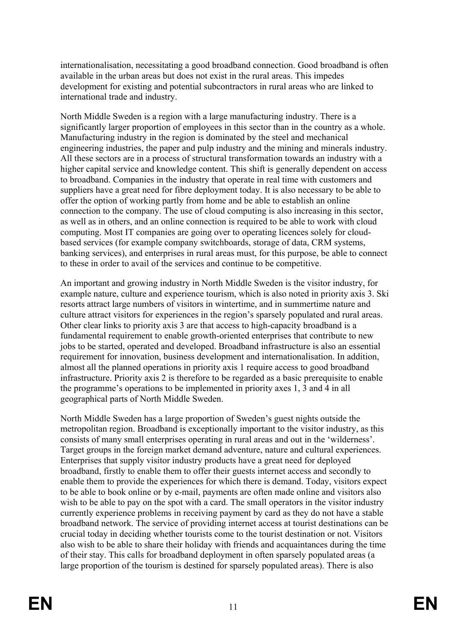internationalisation, necessitating a good broadband connection. Good broadband is often available in the urban areas but does not exist in the rural areas. This impedes development for existing and potential subcontractors in rural areas who are linked to international trade and industry.

North Middle Sweden is a region with a large manufacturing industry. There is a significantly larger proportion of employees in this sector than in the country as a whole. Manufacturing industry in the region is dominated by the steel and mechanical engineering industries, the paper and pulp industry and the mining and minerals industry. All these sectors are in a process of structural transformation towards an industry with a higher capital service and knowledge content. This shift is generally dependent on access to broadband. Companies in the industry that operate in real time with customers and suppliers have a great need for fibre deployment today. It is also necessary to be able to offer the option of working partly from home and be able to establish an online connection to the company. The use of cloud computing is also increasing in this sector, as well as in others, and an online connection is required to be able to work with cloud computing. Most IT companies are going over to operating licences solely for cloudbased services (for example company switchboards, storage of data, CRM systems, banking services), and enterprises in rural areas must, for this purpose, be able to connect to these in order to avail of the services and continue to be competitive.

An important and growing industry in North Middle Sweden is the visitor industry, for example nature, culture and experience tourism, which is also noted in priority axis 3. Ski resorts attract large numbers of visitors in wintertime, and in summertime nature and culture attract visitors for experiences in the region's sparsely populated and rural areas. Other clear links to priority axis 3 are that access to high-capacity broadband is a fundamental requirement to enable growth-oriented enterprises that contribute to new jobs to be started, operated and developed. Broadband infrastructure is also an essential requirement for innovation, business development and internationalisation. In addition, almost all the planned operations in priority axis 1 require access to good broadband infrastructure. Priority axis 2 is therefore to be regarded as a basic prerequisite to enable the programme's operations to be implemented in priority axes 1, 3 and 4 in all geographical parts of North Middle Sweden.

North Middle Sweden has a large proportion of Sweden's guest nights outside the metropolitan region. Broadband is exceptionally important to the visitor industry, as this consists of many small enterprises operating in rural areas and out in the 'wilderness'. Target groups in the foreign market demand adventure, nature and cultural experiences. Enterprises that supply visitor industry products have a great need for deployed broadband, firstly to enable them to offer their guests internet access and secondly to enable them to provide the experiences for which there is demand. Today, visitors expect to be able to book online or by e-mail, payments are often made online and visitors also wish to be able to pay on the spot with a card. The small operators in the visitor industry currently experience problems in receiving payment by card as they do not have a stable broadband network. The service of providing internet access at tourist destinations can be crucial today in deciding whether tourists come to the tourist destination or not. Visitors also wish to be able to share their holiday with friends and acquaintances during the time of their stay. This calls for broadband deployment in often sparsely populated areas (a large proportion of the tourism is destined for sparsely populated areas). There is also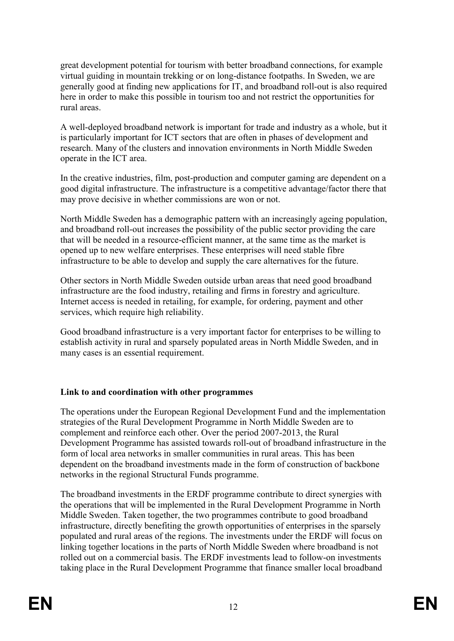great development potential for tourism with better broadband connections, for example virtual guiding in mountain trekking or on long-distance footpaths. In Sweden, we are generally good at finding new applications for IT, and broadband roll-out is also required here in order to make this possible in tourism too and not restrict the opportunities for rural areas.

A well-deployed broadband network is important for trade and industry as a whole, but it is particularly important for ICT sectors that are often in phases of development and research. Many of the clusters and innovation environments in North Middle Sweden operate in the ICT area.

In the creative industries, film, post-production and computer gaming are dependent on a good digital infrastructure. The infrastructure is a competitive advantage/factor there that may prove decisive in whether commissions are won or not.

North Middle Sweden has a demographic pattern with an increasingly ageing population, and broadband roll-out increases the possibility of the public sector providing the care that will be needed in a resource-efficient manner, at the same time as the market is opened up to new welfare enterprises. These enterprises will need stable fibre infrastructure to be able to develop and supply the care alternatives for the future.

Other sectors in North Middle Sweden outside urban areas that need good broadband infrastructure are the food industry, retailing and firms in forestry and agriculture. Internet access is needed in retailing, for example, for ordering, payment and other services, which require high reliability.

Good broadband infrastructure is a very important factor for enterprises to be willing to establish activity in rural and sparsely populated areas in North Middle Sweden, and in many cases is an essential requirement.

## **Link to and coordination with other programmes**

The operations under the European Regional Development Fund and the implementation strategies of the Rural Development Programme in North Middle Sweden are to complement and reinforce each other. Over the period 2007-2013, the Rural Development Programme has assisted towards roll-out of broadband infrastructure in the form of local area networks in smaller communities in rural areas. This has been dependent on the broadband investments made in the form of construction of backbone networks in the regional Structural Funds programme.

The broadband investments in the ERDF programme contribute to direct synergies with the operations that will be implemented in the Rural Development Programme in North Middle Sweden. Taken together, the two programmes contribute to good broadband infrastructure, directly benefiting the growth opportunities of enterprises in the sparsely populated and rural areas of the regions. The investments under the ERDF will focus on linking together locations in the parts of North Middle Sweden where broadband is not rolled out on a commercial basis. The ERDF investments lead to follow-on investments taking place in the Rural Development Programme that finance smaller local broadband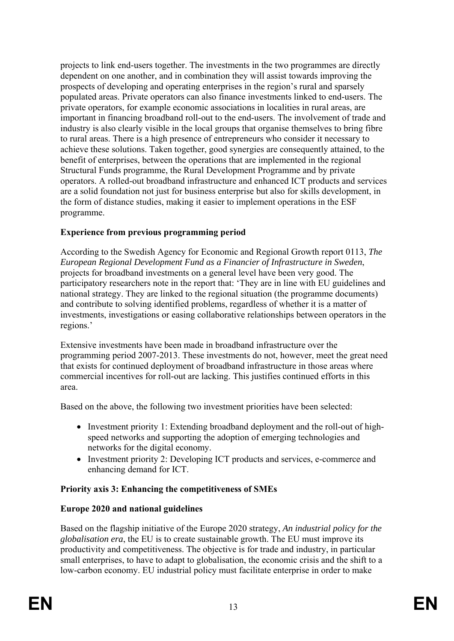projects to link end-users together. The investments in the two programmes are directly dependent on one another, and in combination they will assist towards improving the prospects of developing and operating enterprises in the region's rural and sparsely populated areas. Private operators can also finance investments linked to end-users. The private operators, for example economic associations in localities in rural areas, are important in financing broadband roll-out to the end-users. The involvement of trade and industry is also clearly visible in the local groups that organise themselves to bring fibre to rural areas. There is a high presence of entrepreneurs who consider it necessary to achieve these solutions. Taken together, good synergies are consequently attained, to the benefit of enterprises, between the operations that are implemented in the regional Structural Funds programme, the Rural Development Programme and by private operators. A rolled-out broadband infrastructure and enhanced ICT products and services are a solid foundation not just for business enterprise but also for skills development, in the form of distance studies, making it easier to implement operations in the ESF programme.

# **Experience from previous programming period**

According to the Swedish Agency for Economic and Regional Growth report 0113, *The European Regional Development Fund as a Financier of Infrastructure in Sweden*, projects for broadband investments on a general level have been very good. The participatory researchers note in the report that: 'They are in line with EU guidelines and national strategy. They are linked to the regional situation (the programme documents) and contribute to solving identified problems, regardless of whether it is a matter of investments, investigations or easing collaborative relationships between operators in the regions.'

Extensive investments have been made in broadband infrastructure over the programming period 2007-2013. These investments do not, however, meet the great need that exists for continued deployment of broadband infrastructure in those areas where commercial incentives for roll-out are lacking. This justifies continued efforts in this area.

Based on the above, the following two investment priorities have been selected:

- Investment priority 1: Extending broadband deployment and the roll-out of highspeed networks and supporting the adoption of emerging technologies and networks for the digital economy.
- Investment priority 2: Developing ICT products and services, e-commerce and enhancing demand for ICT.

# **Priority axis 3: Enhancing the competitiveness of SMEs**

# **Europe 2020 and national guidelines**

Based on the flagship initiative of the Europe 2020 strategy, *An industrial policy for the globalisation era*, the EU is to create sustainable growth. The EU must improve its productivity and competitiveness. The objective is for trade and industry, in particular small enterprises, to have to adapt to globalisation, the economic crisis and the shift to a low-carbon economy. EU industrial policy must facilitate enterprise in order to make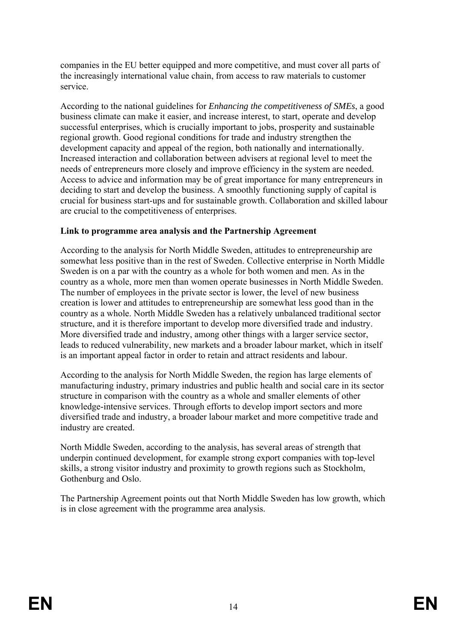companies in the EU better equipped and more competitive, and must cover all parts of the increasingly international value chain, from access to raw materials to customer service.

According to the national guidelines for *Enhancing the competitiveness of SMEs*, a good business climate can make it easier, and increase interest, to start, operate and develop successful enterprises, which is crucially important to jobs, prosperity and sustainable regional growth. Good regional conditions for trade and industry strengthen the development capacity and appeal of the region, both nationally and internationally. Increased interaction and collaboration between advisers at regional level to meet the needs of entrepreneurs more closely and improve efficiency in the system are needed. Access to advice and information may be of great importance for many entrepreneurs in deciding to start and develop the business. A smoothly functioning supply of capital is crucial for business start-ups and for sustainable growth. Collaboration and skilled labour are crucial to the competitiveness of enterprises.

#### **Link to programme area analysis and the Partnership Agreement**

According to the analysis for North Middle Sweden, attitudes to entrepreneurship are somewhat less positive than in the rest of Sweden. Collective enterprise in North Middle Sweden is on a par with the country as a whole for both women and men. As in the country as a whole, more men than women operate businesses in North Middle Sweden. The number of employees in the private sector is lower, the level of new business creation is lower and attitudes to entrepreneurship are somewhat less good than in the country as a whole. North Middle Sweden has a relatively unbalanced traditional sector structure, and it is therefore important to develop more diversified trade and industry. More diversified trade and industry, among other things with a larger service sector, leads to reduced vulnerability, new markets and a broader labour market, which in itself is an important appeal factor in order to retain and attract residents and labour.

According to the analysis for North Middle Sweden, the region has large elements of manufacturing industry, primary industries and public health and social care in its sector structure in comparison with the country as a whole and smaller elements of other knowledge-intensive services. Through efforts to develop import sectors and more diversified trade and industry, a broader labour market and more competitive trade and industry are created.

North Middle Sweden, according to the analysis, has several areas of strength that underpin continued development, for example strong export companies with top-level skills, a strong visitor industry and proximity to growth regions such as Stockholm, Gothenburg and Oslo.

The Partnership Agreement points out that North Middle Sweden has low growth, which is in close agreement with the programme area analysis.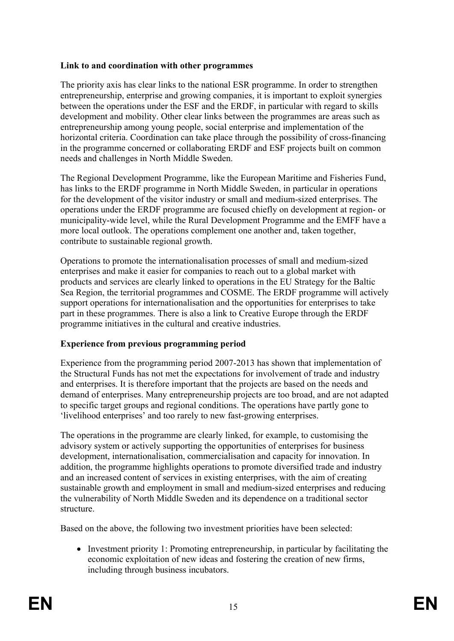## **Link to and coordination with other programmes**

The priority axis has clear links to the national ESR programme. In order to strengthen entrepreneurship, enterprise and growing companies, it is important to exploit synergies between the operations under the ESF and the ERDF, in particular with regard to skills development and mobility. Other clear links between the programmes are areas such as entrepreneurship among young people, social enterprise and implementation of the horizontal criteria. Coordination can take place through the possibility of cross-financing in the programme concerned or collaborating ERDF and ESF projects built on common needs and challenges in North Middle Sweden.

The Regional Development Programme, like the European Maritime and Fisheries Fund, has links to the ERDF programme in North Middle Sweden, in particular in operations for the development of the visitor industry or small and medium-sized enterprises. The operations under the ERDF programme are focused chiefly on development at region- or municipality-wide level, while the Rural Development Programme and the EMFF have a more local outlook. The operations complement one another and, taken together, contribute to sustainable regional growth.

Operations to promote the internationalisation processes of small and medium-sized enterprises and make it easier for companies to reach out to a global market with products and services are clearly linked to operations in the EU Strategy for the Baltic Sea Region, the territorial programmes and COSME. The ERDF programme will actively support operations for internationalisation and the opportunities for enterprises to take part in these programmes. There is also a link to Creative Europe through the ERDF programme initiatives in the cultural and creative industries.

## **Experience from previous programming period**

Experience from the programming period 2007-2013 has shown that implementation of the Structural Funds has not met the expectations for involvement of trade and industry and enterprises. It is therefore important that the projects are based on the needs and demand of enterprises. Many entrepreneurship projects are too broad, and are not adapted to specific target groups and regional conditions. The operations have partly gone to 'livelihood enterprises' and too rarely to new fast-growing enterprises.

The operations in the programme are clearly linked, for example, to customising the advisory system or actively supporting the opportunities of enterprises for business development, internationalisation, commercialisation and capacity for innovation. In addition, the programme highlights operations to promote diversified trade and industry and an increased content of services in existing enterprises, with the aim of creating sustainable growth and employment in small and medium-sized enterprises and reducing the vulnerability of North Middle Sweden and its dependence on a traditional sector structure.

Based on the above, the following two investment priorities have been selected:

• Investment priority 1: Promoting entrepreneurship, in particular by facilitating the economic exploitation of new ideas and fostering the creation of new firms, including through business incubators.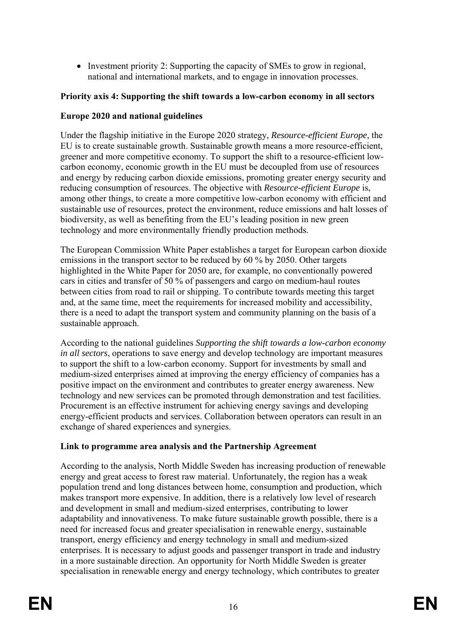• Investment priority 2: Supporting the capacity of SMEs to grow in regional, national and international markets, and to engage in innovation processes.

## **Priority axis 4: Supporting the shift towards a low-carbon economy in all sectors**

## **Europe 2020 and national guidelines**

Under the flagship initiative in the Europe 2020 strategy, *Resource-efficient Europe*, the EU is to create sustainable growth. Sustainable growth means a more resource-efficient, greener and more competitive economy. To support the shift to a resource-efficient lowcarbon economy, economic growth in the EU must be decoupled from use of resources and energy by reducing carbon dioxide emissions, promoting greater energy security and reducing consumption of resources. The objective with *Resource-efficient Europe* is, among other things, to create a more competitive low-carbon economy with efficient and sustainable use of resources, protect the environment, reduce emissions and halt losses of biodiversity, as well as benefiting from the EU's leading position in new green technology and more environmentally friendly production methods.

The European Commission White Paper establishes a target for European carbon dioxide emissions in the transport sector to be reduced by 60 % by 2050. Other targets highlighted in the White Paper for 2050 are, for example, no conventionally powered cars in cities and transfer of 50 % of passengers and cargo on medium-haul routes between cities from road to rail or shipping. To contribute towards meeting this target and, at the same time, meet the requirements for increased mobility and accessibility, there is a need to adapt the transport system and community planning on the basis of a sustainable approach.

According to the national guidelines *Supporting the shift towards a low-carbon economy in all sectors*, operations to save energy and develop technology are important measures to support the shift to a low-carbon economy. Support for investments by small and medium-sized enterprises aimed at improving the energy efficiency of companies has a positive impact on the environment and contributes to greater energy awareness. New technology and new services can be promoted through demonstration and test facilities. Procurement is an effective instrument for achieving energy savings and developing energy-efficient products and services. Collaboration between operators can result in an exchange of shared experiences and synergies.

## **Link to programme area analysis and the Partnership Agreement**

According to the analysis, North Middle Sweden has increasing production of renewable energy and great access to forest raw material. Unfortunately, the region has a weak population trend and long distances between home, consumption and production, which makes transport more expensive. In addition, there is a relatively low level of research and development in small and medium-sized enterprises, contributing to lower adaptability and innovativeness. To make future sustainable growth possible, there is a need for increased focus and greater specialisation in renewable energy, sustainable transport, energy efficiency and energy technology in small and medium-sized enterprises. It is necessary to adjust goods and passenger transport in trade and industry in a more sustainable direction. An opportunity for North Middle Sweden is greater specialisation in renewable energy and energy technology, which contributes to greater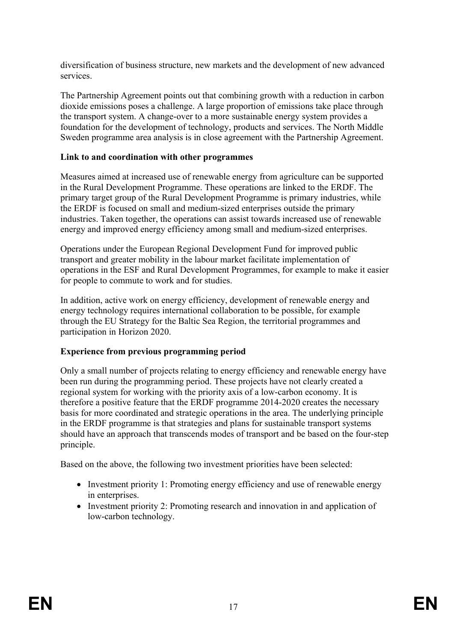diversification of business structure, new markets and the development of new advanced services.

The Partnership Agreement points out that combining growth with a reduction in carbon dioxide emissions poses a challenge. A large proportion of emissions take place through the transport system. A change-over to a more sustainable energy system provides a foundation for the development of technology, products and services. The North Middle Sweden programme area analysis is in close agreement with the Partnership Agreement.

## **Link to and coordination with other programmes**

Measures aimed at increased use of renewable energy from agriculture can be supported in the Rural Development Programme. These operations are linked to the ERDF. The primary target group of the Rural Development Programme is primary industries, while the ERDF is focused on small and medium-sized enterprises outside the primary industries. Taken together, the operations can assist towards increased use of renewable energy and improved energy efficiency among small and medium-sized enterprises.

Operations under the European Regional Development Fund for improved public transport and greater mobility in the labour market facilitate implementation of operations in the ESF and Rural Development Programmes, for example to make it easier for people to commute to work and for studies.

In addition, active work on energy efficiency, development of renewable energy and energy technology requires international collaboration to be possible, for example through the EU Strategy for the Baltic Sea Region, the territorial programmes and participation in Horizon 2020.

## **Experience from previous programming period**

Only a small number of projects relating to energy efficiency and renewable energy have been run during the programming period. These projects have not clearly created a regional system for working with the priority axis of a low-carbon economy. It is therefore a positive feature that the ERDF programme 2014-2020 creates the necessary basis for more coordinated and strategic operations in the area. The underlying principle in the ERDF programme is that strategies and plans for sustainable transport systems should have an approach that transcends modes of transport and be based on the four-step principle.

Based on the above, the following two investment priorities have been selected:

- Investment priority 1: Promoting energy efficiency and use of renewable energy in enterprises.
- Investment priority 2: Promoting research and innovation in and application of low-carbon technology.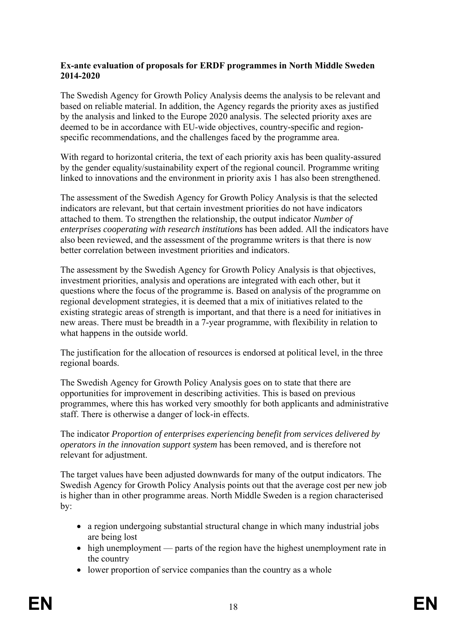#### **Ex-ante evaluation of proposals for ERDF programmes in North Middle Sweden 2014-2020**

The Swedish Agency for Growth Policy Analysis deems the analysis to be relevant and based on reliable material. In addition, the Agency regards the priority axes as justified by the analysis and linked to the Europe 2020 analysis. The selected priority axes are deemed to be in accordance with EU-wide objectives, country-specific and regionspecific recommendations, and the challenges faced by the programme area.

With regard to horizontal criteria, the text of each priority axis has been quality-assured by the gender equality/sustainability expert of the regional council. Programme writing linked to innovations and the environment in priority axis 1 has also been strengthened.

The assessment of the Swedish Agency for Growth Policy Analysis is that the selected indicators are relevant, but that certain investment priorities do not have indicators attached to them. To strengthen the relationship, the output indicator *Number of enterprises cooperating with research institutions* has been added. All the indicators have also been reviewed, and the assessment of the programme writers is that there is now better correlation between investment priorities and indicators.

The assessment by the Swedish Agency for Growth Policy Analysis is that objectives, investment priorities, analysis and operations are integrated with each other, but it questions where the focus of the programme is. Based on analysis of the programme on regional development strategies, it is deemed that a mix of initiatives related to the existing strategic areas of strength is important, and that there is a need for initiatives in new areas. There must be breadth in a 7-year programme, with flexibility in relation to what happens in the outside world.

The justification for the allocation of resources is endorsed at political level, in the three regional boards.

The Swedish Agency for Growth Policy Analysis goes on to state that there are opportunities for improvement in describing activities. This is based on previous programmes, where this has worked very smoothly for both applicants and administrative staff. There is otherwise a danger of lock-in effects.

The indicator *Proportion of enterprises experiencing benefit from services delivered by operators in the innovation support system* has been removed, and is therefore not relevant for adjustment.

The target values have been adjusted downwards for many of the output indicators. The Swedish Agency for Growth Policy Analysis points out that the average cost per new job is higher than in other programme areas. North Middle Sweden is a region characterised by:

- a region undergoing substantial structural change in which many industrial jobs are being lost
- high unemployment parts of the region have the highest unemployment rate in the country
- lower proportion of service companies than the country as a whole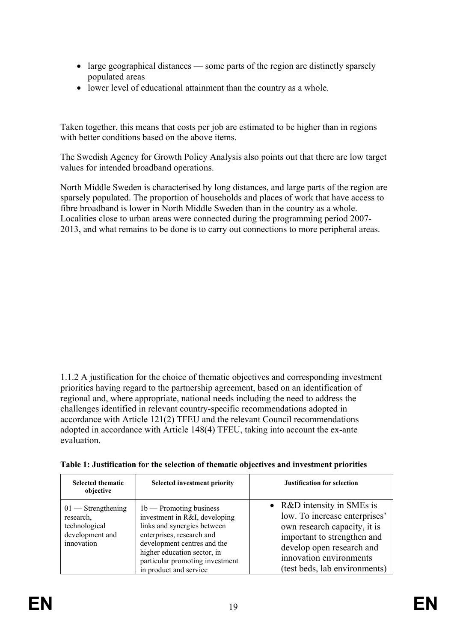- large geographical distances some parts of the region are distinctly sparsely populated areas
- lower level of educational attainment than the country as a whole.

Taken together, this means that costs per job are estimated to be higher than in regions with better conditions based on the above items.

The Swedish Agency for Growth Policy Analysis also points out that there are low target values for intended broadband operations.

North Middle Sweden is characterised by long distances, and large parts of the region are sparsely populated. The proportion of households and places of work that have access to fibre broadband is lower in North Middle Sweden than in the country as a whole. Localities close to urban areas were connected during the programming period 2007- 2013, and what remains to be done is to carry out connections to more peripheral areas.

1.1.2 A justification for the choice of thematic objectives and corresponding investment priorities having regard to the partnership agreement, based on an identification of regional and, where appropriate, national needs including the need to address the challenges identified in relevant country-specific recommendations adopted in accordance with Article 121(2) TFEU and the relevant Council recommendations adopted in accordance with Article 148(4) TFEU, taking into account the ex-ante evaluation.

| Table 1: Justification for the selection of thematic objectives and investment priorities |  |  |  |
|-------------------------------------------------------------------------------------------|--|--|--|
|-------------------------------------------------------------------------------------------|--|--|--|

| <b>Selected thematic</b><br>objective                                               | <b>Selected investment priority</b>                                                                                                                                                                                                               | <b>Justification for selection</b>                                                                                                                                                                                  |
|-------------------------------------------------------------------------------------|---------------------------------------------------------------------------------------------------------------------------------------------------------------------------------------------------------------------------------------------------|---------------------------------------------------------------------------------------------------------------------------------------------------------------------------------------------------------------------|
| $01$ — Strengthening<br>research,<br>technological<br>development and<br>innovation | $1b$ – Promoting business<br>investment in R&I, developing<br>links and synergies between<br>enterprises, research and<br>development centres and the<br>higher education sector, in<br>particular promoting investment<br>in product and service | • R&D intensity in SMEs is<br>low. To increase enterprises'<br>own research capacity, it is<br>important to strengthen and<br>develop open research and<br>innovation environments<br>(test beds, lab environments) |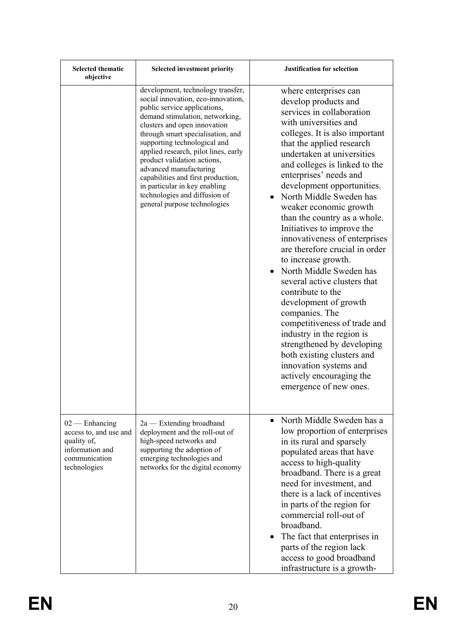| <b>Selected thematic</b><br>objective                                                                         | Selected investment priority                                                                                                                                                                                                                                                                                                                                                                                                                                                             | <b>Justification for selection</b>                                                                                                                                                                                                                                                                                                                                                                                                                                                                                                                                                                                                                                                                                                                                                                                                           |
|---------------------------------------------------------------------------------------------------------------|------------------------------------------------------------------------------------------------------------------------------------------------------------------------------------------------------------------------------------------------------------------------------------------------------------------------------------------------------------------------------------------------------------------------------------------------------------------------------------------|----------------------------------------------------------------------------------------------------------------------------------------------------------------------------------------------------------------------------------------------------------------------------------------------------------------------------------------------------------------------------------------------------------------------------------------------------------------------------------------------------------------------------------------------------------------------------------------------------------------------------------------------------------------------------------------------------------------------------------------------------------------------------------------------------------------------------------------------|
|                                                                                                               | development, technology transfer,<br>social innovation, eco-innovation,<br>public service applications,<br>demand stimulation, networking,<br>clusters and open innovation<br>through smart specialisation, and<br>supporting technological and<br>applied research, pilot lines, early<br>product validation actions,<br>advanced manufacturing<br>capabilities and first production,<br>in particular in key enabling<br>technologies and diffusion of<br>general purpose technologies | where enterprises can<br>develop products and<br>services in collaboration<br>with universities and<br>colleges. It is also important<br>that the applied research<br>undertaken at universities<br>and colleges is linked to the<br>enterprises' needs and<br>development opportunities.<br>North Middle Sweden has<br>weaker economic growth<br>than the country as a whole.<br>Initiatives to improve the<br>innovativeness of enterprises<br>are therefore crucial in order<br>to increase growth.<br>• North Middle Sweden has<br>several active clusters that<br>contribute to the<br>development of growth<br>companies. The<br>competitiveness of trade and<br>industry in the region is<br>strengthened by developing<br>both existing clusters and<br>innovation systems and<br>actively encouraging the<br>emergence of new ones. |
| $02$ — Enhancing<br>access to, and use and<br>quality of,<br>information and<br>communication<br>technologies | $2a$ - Extending broadband<br>deployment and the roll-out of<br>high-speed networks and<br>supporting the adoption of<br>emerging technologies and<br>networks for the digital economy                                                                                                                                                                                                                                                                                                   | North Middle Sweden has a<br>low proportion of enterprises<br>in its rural and sparsely<br>populated areas that have<br>access to high-quality<br>broadband. There is a great<br>need for investment, and<br>there is a lack of incentives<br>in parts of the region for<br>commercial roll-out of<br>broadband.<br>The fact that enterprises in<br>$\bullet$<br>parts of the region lack<br>access to good broadband<br>infrastructure is a growth-                                                                                                                                                                                                                                                                                                                                                                                         |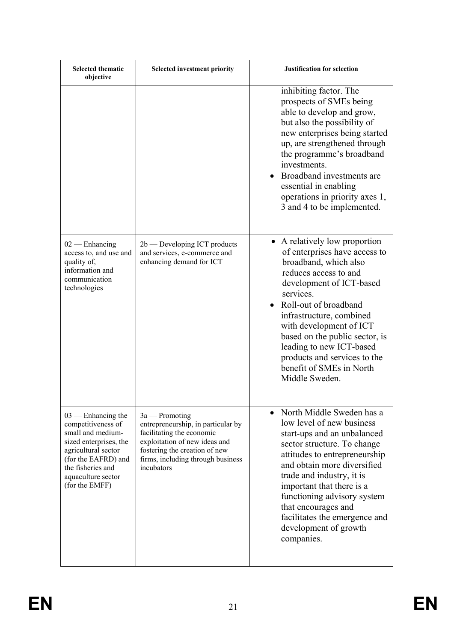| <b>Selected thematic</b><br>objective                                                                                                                                                                | <b>Selected investment priority</b>                                                                                                                                                                      | <b>Justification for selection</b>                                                                                                                                                                                                                                                                                                                                                    |
|------------------------------------------------------------------------------------------------------------------------------------------------------------------------------------------------------|----------------------------------------------------------------------------------------------------------------------------------------------------------------------------------------------------------|---------------------------------------------------------------------------------------------------------------------------------------------------------------------------------------------------------------------------------------------------------------------------------------------------------------------------------------------------------------------------------------|
|                                                                                                                                                                                                      |                                                                                                                                                                                                          | inhibiting factor. The<br>prospects of SMEs being<br>able to develop and grow,<br>but also the possibility of<br>new enterprises being started<br>up, are strengthened through<br>the programme's broadband<br>investments.<br>• Broadband investments are<br>essential in enabling<br>operations in priority axes 1,<br>3 and 4 to be implemented.                                   |
| $02$ — Enhancing<br>access to, and use and<br>quality of,<br>information and<br>communication<br>technologies                                                                                        | $2b$ — Developing ICT products<br>and services, e-commerce and<br>enhancing demand for ICT                                                                                                               | • A relatively low proportion<br>of enterprises have access to<br>broadband, which also<br>reduces access to and<br>development of ICT-based<br>services.<br>Roll-out of broadband<br>infrastructure, combined<br>with development of ICT<br>based on the public sector, is<br>leading to new ICT-based<br>products and services to the<br>benefit of SMEs in North<br>Middle Sweden. |
| $03$ — Enhancing the<br>competitiveness of<br>small and medium-<br>sized enterprises, the<br>agricultural sector<br>(for the EAFRD) and<br>the fisheries and<br>aquaculture sector<br>(for the EMFF) | $3a$ — Promoting<br>entrepreneurship, in particular by<br>facilitating the economic<br>exploitation of new ideas and<br>fostering the creation of new<br>firms, including through business<br>incubators | • North Middle Sweden has a<br>low level of new business<br>start-ups and an unbalanced<br>sector structure. To change<br>attitudes to entrepreneurship<br>and obtain more diversified<br>trade and industry, it is<br>important that there is a<br>functioning advisory system<br>that encourages and<br>facilitates the emergence and<br>development of growth<br>companies.        |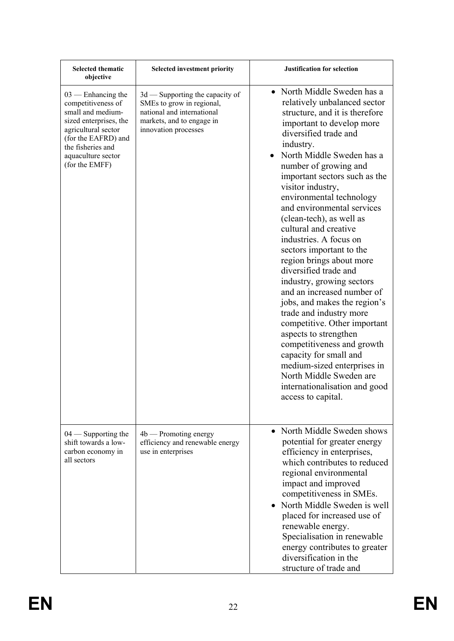| <b>Selected thematic</b><br>objective                                                                                                                                                                | <b>Selected investment priority</b>                                                                                                             | <b>Justification for selection</b>                                                                                                                                                                                                                                                                                                                                                                                                                                                                                                                                                                                                                                                                                                                                                                                                                             |
|------------------------------------------------------------------------------------------------------------------------------------------------------------------------------------------------------|-------------------------------------------------------------------------------------------------------------------------------------------------|----------------------------------------------------------------------------------------------------------------------------------------------------------------------------------------------------------------------------------------------------------------------------------------------------------------------------------------------------------------------------------------------------------------------------------------------------------------------------------------------------------------------------------------------------------------------------------------------------------------------------------------------------------------------------------------------------------------------------------------------------------------------------------------------------------------------------------------------------------------|
| $03$ — Enhancing the<br>competitiveness of<br>small and medium-<br>sized enterprises, the<br>agricultural sector<br>(for the EAFRD) and<br>the fisheries and<br>aquaculture sector<br>(for the EMFF) | 3d — Supporting the capacity of<br>SMEs to grow in regional,<br>national and international<br>markets, and to engage in<br>innovation processes | • North Middle Sweden has a<br>relatively unbalanced sector<br>structure, and it is therefore<br>important to develop more<br>diversified trade and<br>industry.<br>North Middle Sweden has a<br>number of growing and<br>important sectors such as the<br>visitor industry,<br>environmental technology<br>and environmental services<br>(clean-tech), as well as<br>cultural and creative<br>industries. A focus on<br>sectors important to the<br>region brings about more<br>diversified trade and<br>industry, growing sectors<br>and an increased number of<br>jobs, and makes the region's<br>trade and industry more<br>competitive. Other important<br>aspects to strengthen<br>competitiveness and growth<br>capacity for small and<br>medium-sized enterprises in<br>North Middle Sweden are<br>internationalisation and good<br>access to capital. |
| $04$ — Supporting the<br>shift towards a low-<br>carbon economy in<br>all sectors                                                                                                                    | $4b$ — Promoting energy<br>efficiency and renewable energy<br>use in enterprises                                                                | • North Middle Sweden shows<br>potential for greater energy<br>efficiency in enterprises,<br>which contributes to reduced<br>regional environmental<br>impact and improved<br>competitiveness in SMEs.<br>• North Middle Sweden is well<br>placed for increased use of<br>renewable energy.<br>Specialisation in renewable<br>energy contributes to greater<br>diversification in the<br>structure of trade and                                                                                                                                                                                                                                                                                                                                                                                                                                                |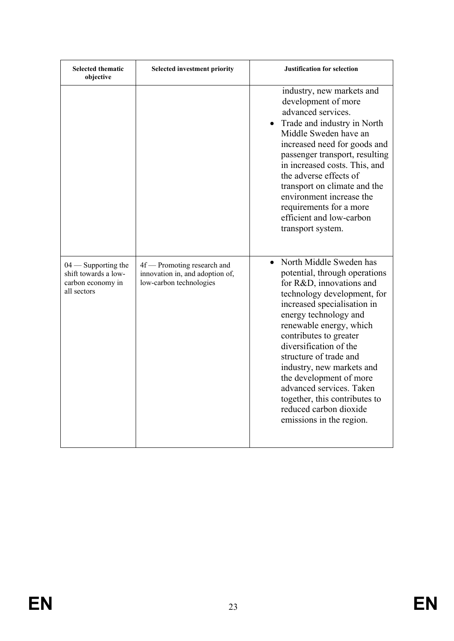| <b>Selected thematic</b><br>objective                                             | <b>Selected investment priority</b>                                                       | <b>Justification for selection</b>                                                                                                                                                                                                                                                                                                                                                                                                                                           |
|-----------------------------------------------------------------------------------|-------------------------------------------------------------------------------------------|------------------------------------------------------------------------------------------------------------------------------------------------------------------------------------------------------------------------------------------------------------------------------------------------------------------------------------------------------------------------------------------------------------------------------------------------------------------------------|
|                                                                                   |                                                                                           | industry, new markets and<br>development of more<br>advanced services.<br>Trade and industry in North<br>Middle Sweden have an<br>increased need for goods and<br>passenger transport, resulting<br>in increased costs. This, and<br>the adverse effects of<br>transport on climate and the<br>environment increase the<br>requirements for a more<br>efficient and low-carbon<br>transport system.                                                                          |
| $04$ — Supporting the<br>shift towards a low-<br>carbon economy in<br>all sectors | 4f — Promoting research and<br>innovation in, and adoption of,<br>low-carbon technologies | North Middle Sweden has<br>$\bullet$<br>potential, through operations<br>for R&D, innovations and<br>technology development, for<br>increased specialisation in<br>energy technology and<br>renewable energy, which<br>contributes to greater<br>diversification of the<br>structure of trade and<br>industry, new markets and<br>the development of more<br>advanced services. Taken<br>together, this contributes to<br>reduced carbon dioxide<br>emissions in the region. |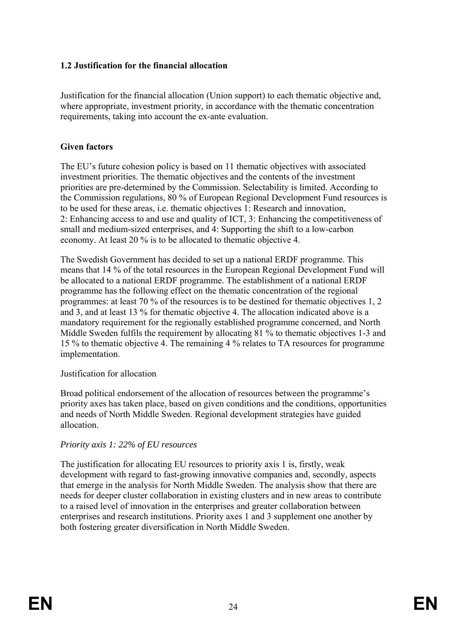## **1.2 Justification for the financial allocation**

Justification for the financial allocation (Union support) to each thematic objective and, where appropriate, investment priority, in accordance with the thematic concentration requirements, taking into account the ex-ante evaluation.

## **Given factors**

The EU's future cohesion policy is based on 11 thematic objectives with associated investment priorities. The thematic objectives and the contents of the investment priorities are pre-determined by the Commission. Selectability is limited. According to the Commission regulations, 80 % of European Regional Development Fund resources is to be used for these areas, i.e. thematic objectives 1: Research and innovation, 2: Enhancing access to and use and quality of ICT, 3: Enhancing the competitiveness of small and medium-sized enterprises, and 4: Supporting the shift to a low-carbon economy. At least 20 % is to be allocated to thematic objective 4.

The Swedish Government has decided to set up a national ERDF programme. This means that 14 % of the total resources in the European Regional Development Fund will be allocated to a national ERDF programme. The establishment of a national ERDF programme has the following effect on the thematic concentration of the regional programmes: at least 70 % of the resources is to be destined for thematic objectives 1, 2 and 3, and at least 13 % for thematic objective 4. The allocation indicated above is a mandatory requirement for the regionally established programme concerned, and North Middle Sweden fulfils the requirement by allocating 81 % to thematic objectives 1-3 and 15 % to thematic objective 4. The remaining 4 % relates to TA resources for programme implementation.

#### Justification for allocation

Broad political endorsement of the allocation of resources between the programme's priority axes has taken place, based on given conditions and the conditions, opportunities and needs of North Middle Sweden. Regional development strategies have guided allocation.

## *Priority axis 1: 22% of EU resources*

The justification for allocating EU resources to priority axis 1 is, firstly, weak development with regard to fast-growing innovative companies and, secondly, aspects that emerge in the analysis for North Middle Sweden. The analysis show that there are needs for deeper cluster collaboration in existing clusters and in new areas to contribute to a raised level of innovation in the enterprises and greater collaboration between enterprises and research institutions. Priority axes 1 and 3 supplement one another by both fostering greater diversification in North Middle Sweden.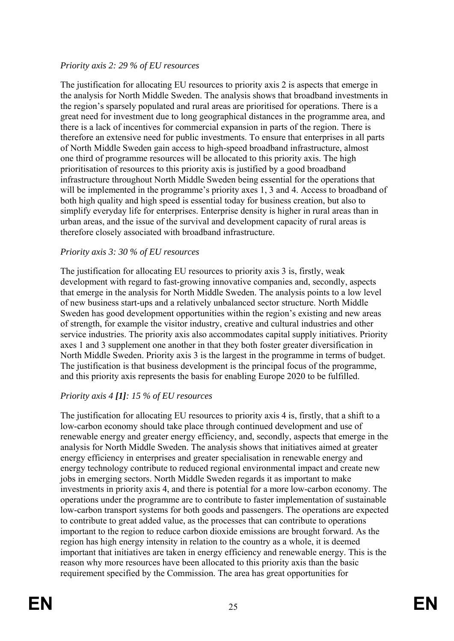## *Priority axis 2: 29 % of EU resources*

The justification for allocating EU resources to priority axis 2 is aspects that emerge in the analysis for North Middle Sweden. The analysis shows that broadband investments in the region's sparsely populated and rural areas are prioritised for operations. There is a great need for investment due to long geographical distances in the programme area, and there is a lack of incentives for commercial expansion in parts of the region. There is therefore an extensive need for public investments. To ensure that enterprises in all parts of North Middle Sweden gain access to high-speed broadband infrastructure, almost one third of programme resources will be allocated to this priority axis. The high prioritisation of resources to this priority axis is justified by a good broadband infrastructure throughout North Middle Sweden being essential for the operations that will be implemented in the programme's priority axes 1, 3 and 4. Access to broadband of both high quality and high speed is essential today for business creation, but also to simplify everyday life for enterprises. Enterprise density is higher in rural areas than in urban areas, and the issue of the survival and development capacity of rural areas is therefore closely associated with broadband infrastructure.

## *Priority axis 3: 30 % of EU resources*

The justification for allocating EU resources to priority axis 3 is, firstly, weak development with regard to fast-growing innovative companies and, secondly, aspects that emerge in the analysis for North Middle Sweden. The analysis points to a low level of new business start-ups and a relatively unbalanced sector structure. North Middle Sweden has good development opportunities within the region's existing and new areas of strength, for example the visitor industry, creative and cultural industries and other service industries. The priority axis also accommodates capital supply initiatives. Priority axes 1 and 3 supplement one another in that they both foster greater diversification in North Middle Sweden. Priority axis 3 is the largest in the programme in terms of budget. The justification is that business development is the principal focus of the programme, and this priority axis represents the basis for enabling Europe 2020 to be fulfilled.

## *Priority axis 4 [1]: 15 % of EU resources*

The justification for allocating EU resources to priority axis 4 is, firstly, that a shift to a low-carbon economy should take place through continued development and use of renewable energy and greater energy efficiency, and, secondly, aspects that emerge in the analysis for North Middle Sweden. The analysis shows that initiatives aimed at greater energy efficiency in enterprises and greater specialisation in renewable energy and energy technology contribute to reduced regional environmental impact and create new jobs in emerging sectors. North Middle Sweden regards it as important to make investments in priority axis 4, and there is potential for a more low-carbon economy. The operations under the programme are to contribute to faster implementation of sustainable low-carbon transport systems for both goods and passengers. The operations are expected to contribute to great added value, as the processes that can contribute to operations important to the region to reduce carbon dioxide emissions are brought forward. As the region has high energy intensity in relation to the country as a whole, it is deemed important that initiatives are taken in energy efficiency and renewable energy. This is the reason why more resources have been allocated to this priority axis than the basic requirement specified by the Commission. The area has great opportunities for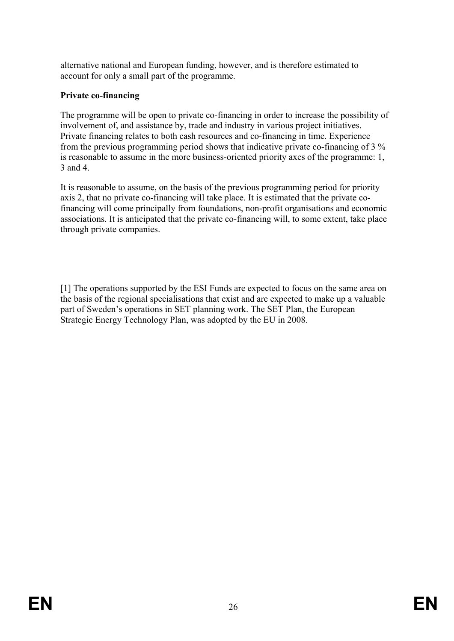alternative national and European funding, however, and is therefore estimated to account for only a small part of the programme.

## **Private co-financing**

The programme will be open to private co-financing in order to increase the possibility of involvement of, and assistance by, trade and industry in various project initiatives. Private financing relates to both cash resources and co-financing in time. Experience from the previous programming period shows that indicative private co-financing of 3 % is reasonable to assume in the more business-oriented priority axes of the programme: 1, 3 and 4.

It is reasonable to assume, on the basis of the previous programming period for priority axis 2, that no private co-financing will take place. It is estimated that the private cofinancing will come principally from foundations, non-profit organisations and economic associations. It is anticipated that the private co-financing will, to some extent, take place through private companies.

[1] The operations supported by the ESI Funds are expected to focus on the same area on the basis of the regional specialisations that exist and are expected to make up a valuable part of Sweden's operations in SET planning work. The SET Plan, the European Strategic Energy Technology Plan, was adopted by the EU in 2008.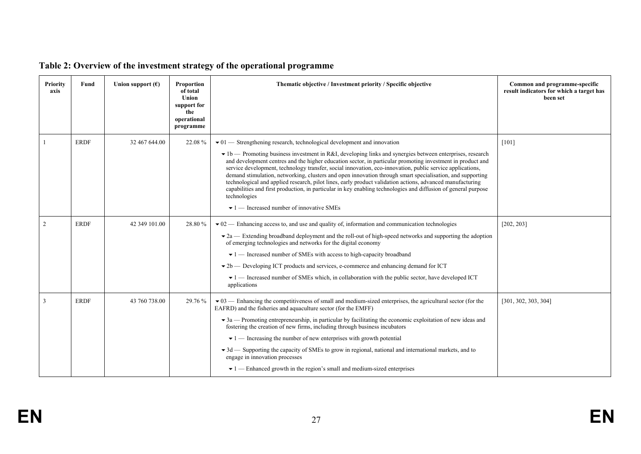| Priority<br>axis | Fund        | Union support $(\epsilon)$ | Proportion<br>of total<br>Union<br>support for<br>the<br>operational<br>programme | Thematic objective / Investment priority / Specific objective                                                                                                                                                                                                                                                                                                                                                                                                                                                                                                                                                                                                                                                                                                                                                                                                | Common and programme-specific<br>result indicators for which a target has<br>been set |
|------------------|-------------|----------------------------|-----------------------------------------------------------------------------------|--------------------------------------------------------------------------------------------------------------------------------------------------------------------------------------------------------------------------------------------------------------------------------------------------------------------------------------------------------------------------------------------------------------------------------------------------------------------------------------------------------------------------------------------------------------------------------------------------------------------------------------------------------------------------------------------------------------------------------------------------------------------------------------------------------------------------------------------------------------|---------------------------------------------------------------------------------------|
|                  | <b>ERDF</b> | 32 467 644.00              | 22.08%                                                                            | $\bullet$ 01 — Strengthening research, technological development and innovation<br>$\bullet$ 1b — Promoting business investment in R&I, developing links and synergies between enterprises, research<br>and development centres and the higher education sector, in particular promoting investment in product and<br>service development, technology transfer, social innovation, eco-innovation, public service applications,<br>demand stimulation, networking, clusters and open innovation through smart specialisation, and supporting<br>technological and applied research, pilot lines, early product validation actions, advanced manufacturing<br>capabilities and first production, in particular in key enabling technologies and diffusion of general purpose<br>technologies<br>$\blacktriangleright$ 1 — Increased number of innovative SMEs | $[101]$                                                                               |
| 2                | <b>ERDF</b> | 42 349 101.00              | 28.80%                                                                            | $\bullet$ 02 — Enhancing access to, and use and quality of, information and communication technologies<br>$\blacktriangleright$ 2a — Extending broadband deployment and the roll-out of high-speed networks and supporting the adoption<br>of emerging technologies and networks for the digital economy<br>$\blacktriangleright$ 1 — Increased number of SMEs with access to high-capacity broadband<br>$\blacktriangleright$ 2b — Developing ICT products and services, e-commerce and enhancing demand for ICT<br>$\bullet$ 1 — Increased number of SMEs which, in collaboration with the public sector, have developed ICT<br>applications                                                                                                                                                                                                               | [202, 203]                                                                            |
| 3                | <b>ERDF</b> | 43 760 738.00              | 29.76 %                                                                           | $\bullet$ 03 — Enhancing the competitiveness of small and medium-sized enterprises, the agricultural sector (for the<br>EAFRD) and the fisheries and aquaculture sector (for the EMFF)<br>$\bullet$ 3a — Promoting entrepreneurship, in particular by facilitating the economic exploitation of new ideas and<br>fostering the creation of new firms, including through business incubators<br>$\blacktriangleright$ 1 — Increasing the number of new enterprises with growth potential<br>$\blacktriangleright$ 3d — Supporting the capacity of SMEs to grow in regional, national and international markets, and to<br>engage in innovation processes<br>$\blacktriangleright$ 1 — Enhanced growth in the region's small and medium-sized enterprises                                                                                                      | [301, 302, 303, 304]                                                                  |

# **Table 2: Overview of the investment strategy of the operational programme**

**EN**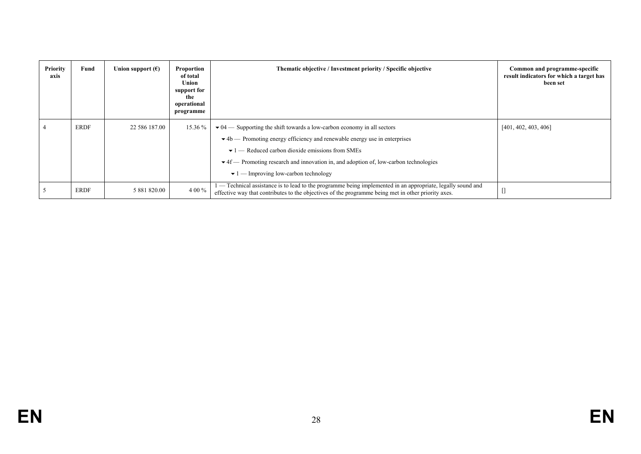| Priority<br>axis | Fund        | Union support $(\epsilon)$ | Proportion<br>of total<br>Union<br>support for<br>the<br>operational<br>programme | Thematic objective / Investment priority / Specific objective                                                                                                                                                                                                                                                                                                                                                                                   | Common and programme-specific<br>result indicators for which a target has<br>been set |
|------------------|-------------|----------------------------|-----------------------------------------------------------------------------------|-------------------------------------------------------------------------------------------------------------------------------------------------------------------------------------------------------------------------------------------------------------------------------------------------------------------------------------------------------------------------------------------------------------------------------------------------|---------------------------------------------------------------------------------------|
|                  | <b>ERDF</b> | 22 586 187.00              | 15.36 %                                                                           | $\blacktriangleright$ 04 — Supporting the shift towards a low-carbon economy in all sectors<br>$\blacktriangleright$ 4b — Promoting energy efficiency and renewable energy use in enterprises<br>$\blacktriangleright$ 1 — Reduced carbon dioxide emissions from SMEs<br>$\blacktriangleright$ 4f — Promoting research and innovation in, and adoption of, low-carbon technologies<br>$\blacktriangleright$ 1 — Improving low-carbon technology | [401, 402, 403, 406]                                                                  |
|                  | <b>ERDF</b> | 5 881 820.00               | 4 00 %                                                                            | - Technical assistance is to lead to the programme being implemented in an appropriate, legally sound and<br>effective way that contributes to the objectives of the programme being met in other priority axes.                                                                                                                                                                                                                                | L.                                                                                    |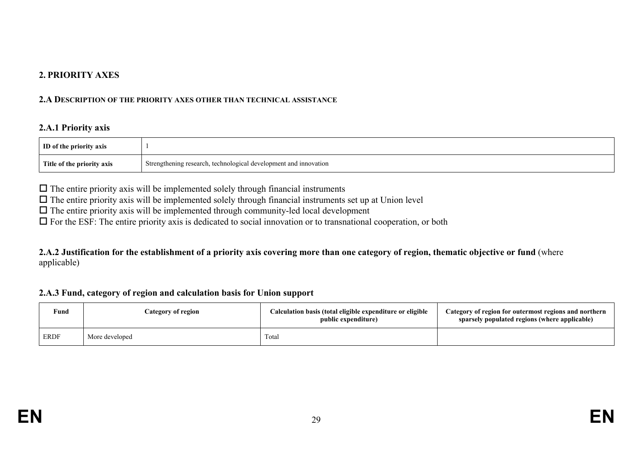## **2. PRIORITY AXES**

#### **2.A DESCRIPTION OF THE PRIORITY AXES OTHER THAN TECHNICAL ASSISTANCE**

#### **2.A.1 Priority axis**

| ID of the priority axis    |                                                                  |
|----------------------------|------------------------------------------------------------------|
| Title of the priority axis | Strengthening research, technological development and innovation |

 $\Box$  The entire priority axis will be implemented solely through financial instruments

 $\Box$  The entire priority axis will be implemented solely through financial instruments set up at Union level

 $\Box$  The entire priority axis will be implemented through community-led local development

For the ESF: The entire priority axis is dedicated to social innovation or to transnational cooperation, or both

**2.A.2 Justification for the establishment of a priority axis covering more than one category of region, thematic objective or fund** (where applicable)

#### **2.A.3 Fund, category of region and calculation basis for Union support**

| Fund        | Category of region | Calculation basis (total eligible expenditure or eligible<br>public expenditure) | Category of region for outermost regions and northern<br>sparsely populated regions (where applicable) |
|-------------|--------------------|----------------------------------------------------------------------------------|--------------------------------------------------------------------------------------------------------|
| <b>ERDF</b> | More developed     | Total                                                                            |                                                                                                        |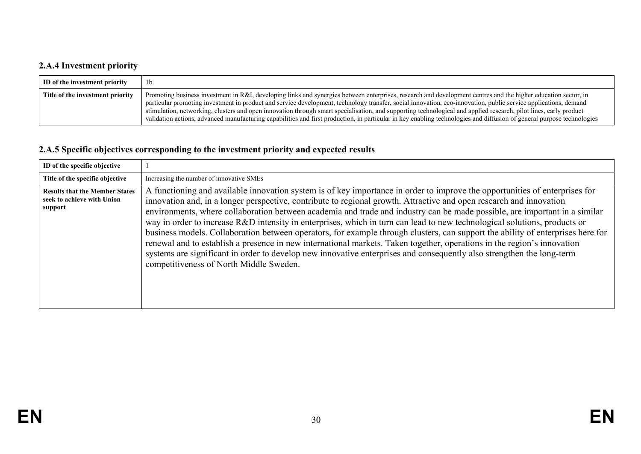# **2.A.4 Investment priority**

| ID of the investment priority    | 1 <sub>b</sub>                                                                                                                                                                                                                                                                                                                                                                                                                                                                                                                                                                                                                                                                   |
|----------------------------------|----------------------------------------------------------------------------------------------------------------------------------------------------------------------------------------------------------------------------------------------------------------------------------------------------------------------------------------------------------------------------------------------------------------------------------------------------------------------------------------------------------------------------------------------------------------------------------------------------------------------------------------------------------------------------------|
| Title of the investment priority | Promoting business investment in R&I, developing links and synergies between enterprises, research and development centres and the higher education sector, in<br>particular promoting investment in product and service development, technology transfer, social innovation, eco-innovation, public service applications, demand<br>stimulation, networking, clusters and open innovation through smart specialisation, and supporting technological and applied research, pilot lines, early product<br>validation actions, advanced manufacturing capabilities and first production, in particular in key enabling technologies and diffusion of general purpose technologies |

# **2.A.5 Specific objectives corresponding to the investment priority and expected results**

| ID of the specific objective                                                   |                                                                                                                                                                                                                                                                                                                                                                                                                                                                                                                                                                                                                                                                                                                                                                                                                                                                                                                                                 |
|--------------------------------------------------------------------------------|-------------------------------------------------------------------------------------------------------------------------------------------------------------------------------------------------------------------------------------------------------------------------------------------------------------------------------------------------------------------------------------------------------------------------------------------------------------------------------------------------------------------------------------------------------------------------------------------------------------------------------------------------------------------------------------------------------------------------------------------------------------------------------------------------------------------------------------------------------------------------------------------------------------------------------------------------|
| Title of the specific objective                                                | Increasing the number of innovative SMEs                                                                                                                                                                                                                                                                                                                                                                                                                                                                                                                                                                                                                                                                                                                                                                                                                                                                                                        |
| <b>Results that the Member States</b><br>seek to achieve with Union<br>support | A functioning and available innovation system is of key importance in order to improve the opportunities of enterprises for<br>innovation and, in a longer perspective, contribute to regional growth. Attractive and open research and innovation<br>environments, where collaboration between academia and trade and industry can be made possible, are important in a similar<br>way in order to increase R&D intensity in enterprises, which in turn can lead to new technological solutions, products or<br>business models. Collaboration between operators, for example through clusters, can support the ability of enterprises here for<br>renewal and to establish a presence in new international markets. Taken together, operations in the region's innovation<br>systems are significant in order to develop new innovative enterprises and consequently also strengthen the long-term<br>competitiveness of North Middle Sweden. |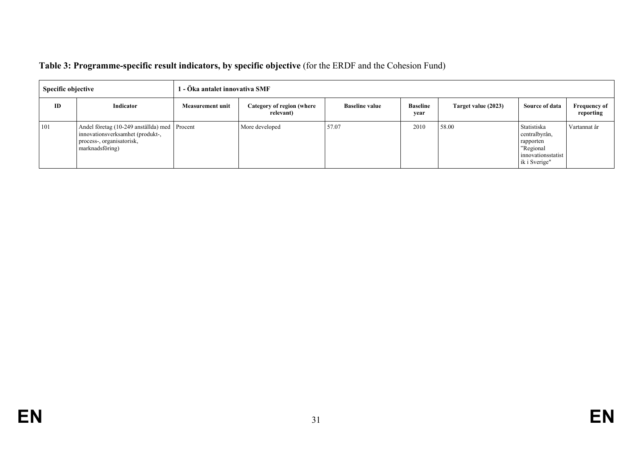| <b>Specific objective</b> |                                                                                                                                  | l - Öka antalet innovativa SMF |                                        |                       |                         |                     |                                                                                               |                                  |  |
|---------------------------|----------------------------------------------------------------------------------------------------------------------------------|--------------------------------|----------------------------------------|-----------------------|-------------------------|---------------------|-----------------------------------------------------------------------------------------------|----------------------------------|--|
| ID                        | Indicator                                                                                                                        | <b>Measurement unit</b>        | Category of region (where<br>relevant) | <b>Baseline value</b> | <b>Baseline</b><br>year | Target value (2023) | Source of data                                                                                | <b>Frequency of</b><br>reporting |  |
| 101                       | Andel företag (10-249 anställda) med Procent<br>innovationsverksamhet (produkt-,<br>process-, organisatorisk,<br>marknadsföring) |                                | More developed                         | 57.07                 | 2010                    | 58.00               | Statistiska<br>centralbyrån,<br>rapporten<br>"Regional<br>innovationsstatist<br>ik i Sverige" | Vartannat år                     |  |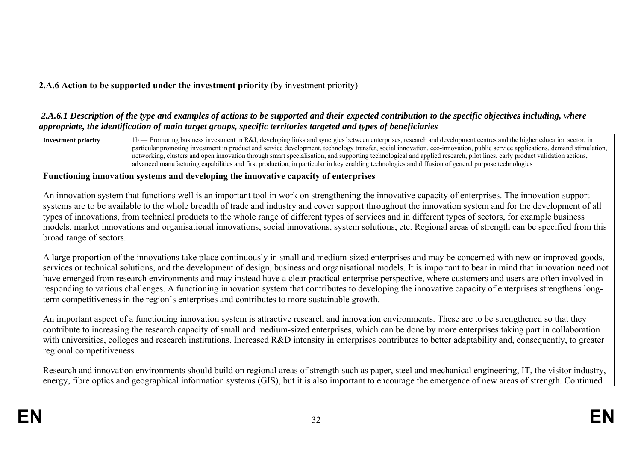# **2.A.6 Action to be supported under the investment priority** (by investment priority)

#### *2.A.6.1 Description of the type and examples of actions to be supported and their expected contribution to the specific objectives including, where appropriate, the identification of main target groups, specific territories targeted and types of beneficiaries*



systems are to be available to the whole breadth of trade and industry and cover support throughout the innovation system and for the development of all types of innovations, from technical products to the whole range of different types of services and in different types of sectors, for example business models, market innovations and organisational innovations, social innovations, system solutions, etc. Regional areas of strength can be specified from this broad range of sectors.

A large proportion of the innovations take place continuously in small and medium-sized enterprises and may be concerned with new or improved goods, services or technical solutions, and the development of design, business and organisational models. It is important to bear in mind that innovation need not have emerged from research environments and may instead have a clear practical enterprise perspective, where customers and users are often involved in responding to various challenges. A functioning innovation system that contributes to developing the innovative capacity of enterprises strengthens longterm competitiveness in the region's enterprises and contributes to more sustainable growth.

An important aspect of a functioning innovation system is attractive research and innovation environments. These are to be strengthened so that they contribute to increasing the research capacity of small and medium-sized enterprises, which can be done by more enterprises taking part in collaboration with universities, colleges and research institutions. Increased R&D intensity in enterprises contributes to better adaptability and, consequently, to greater regional competitiveness.

Research and innovation environments should build on regional areas of strength such as paper, steel and mechanical engineering, IT, the visitor industry, energy, fibre optics and geographical information systems (GIS), but it is also important to encourage the emergence of new areas of strength. Continued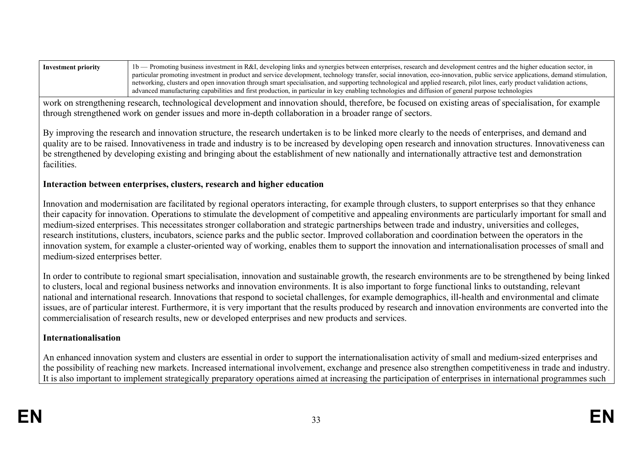| Investment priority | 1b — Promoting business investment in R&I, developing links and synergies between enterprises, research and development centres and the higher education sector, in          |
|---------------------|------------------------------------------------------------------------------------------------------------------------------------------------------------------------------|
|                     | particular promoting investment in product and service development, technology transfer, social innovation, eco-innovation, public service applications, demand stimulation, |
|                     | networking, clusters and open innovation through smart specialisation, and supporting technological and applied research, pilot lines, early product validation actions,     |
|                     | advanced manufacturing capabilities and first production, in particular in key enabling technologies and diffusion of general purpose technologies                           |

work on strengthening research, technological development and innovation should, therefore, be focused on existing areas of specialisation, for example through strengthened work on gender issues and more in-depth collaboration in a broader range of sectors.

By improving the research and innovation structure, the research undertaken is to be linked more clearly to the needs of enterprises, and demand and quality are to be raised. Innovativeness in trade and industry is to be increased by developing open research and innovation structures. Innovativeness can be strengthened by developing existing and bringing about the establishment of new nationally and internationally attractive test and demonstration facilities.

## **Interaction between enterprises, clusters, research and higher education**

Innovation and modernisation are facilitated by regional operators interacting, for example through clusters, to support enterprises so that they enhance their capacity for innovation. Operations to stimulate the development of competitive and appealing environments are particularly important for small and medium-sized enterprises. This necessitates stronger collaboration and strategic partnerships between trade and industry, universities and colleges, research institutions, clusters, incubators, science parks and the public sector. Improved collaboration and coordination between the operators in the innovation system, for example a cluster-oriented way of working, enables them to support the innovation and internationalisation processes of small and medium-sized enterprises better.

In order to contribute to regional smart specialisation, innovation and sustainable growth, the research environments are to be strengthened by being linked to clusters, local and regional business networks and innovation environments. It is also important to forge functional links to outstanding, relevant national and international research. Innovations that respond to societal challenges, for example demographics, ill-health and environmental and climate issues, are of particular interest. Furthermore, it is very important that the results produced by research and innovation environments are converted into the commercialisation of research results, new or developed enterprises and new products and services.

## **Internationalisation**

An enhanced innovation system and clusters are essential in order to support the internationalisation activity of small and medium-sized enterprises and the possibility of reaching new markets. Increased international involvement, exchange and presence also strengthen competitiveness in trade and industry. It is also important to implement strategically preparatory operations aimed at increasing the participation of enterprises in international programmes such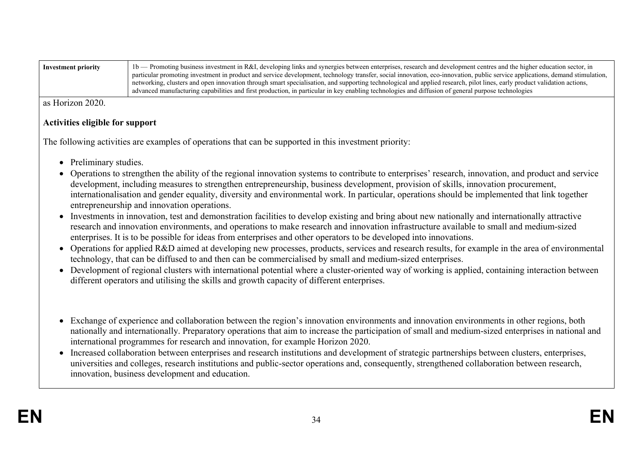| Investment priority | 1b — Promoting business investment in R&I, developing links and synergies between enterprises, research and development centres and the higher education sector, in          |
|---------------------|------------------------------------------------------------------------------------------------------------------------------------------------------------------------------|
|                     | particular promoting investment in product and service development, technology transfer, social innovation, eco-innovation, public service applications, demand stimulation, |
|                     | networking, clusters and open innovation through smart specialisation, and supporting technological and applied research, pilot lines, early product validation actions,     |
|                     | advanced manufacturing capabilities and first production, in particular in key enabling technologies and diffusion of general purpose technologies                           |

as Horizon 2020.

## **Activities eligible for support**

The following activities are examples of operations that can be supported in this investment priority:

- Preliminary studies.
- Operations to strengthen the ability of the regional innovation systems to contribute to enterprises' research, innovation, and product and service development, including measures to strengthen entrepreneurship, business development, provision of skills, innovation procurement, internationalisation and gender equality, diversity and environmental work. In particular, operations should be implemented that link together entrepreneurship and innovation operations.
- Investments in innovation, test and demonstration facilities to develop existing and bring about new nationally and internationally attractive research and innovation environments, and operations to make research and innovation infrastructure available to small and medium-sized enterprises. It is to be possible for ideas from enterprises and other operators to be developed into innovations.
- Operations for applied R&D aimed at developing new processes, products, services and research results, for example in the area of environmental technology, that can be diffused to and then can be commercialised by small and medium-sized enterprises.
- Development of regional clusters with international potential where a cluster-oriented way of working is applied, containing interaction between different operators and utilising the skills and growth capacity of different enterprises.
- Exchange of experience and collaboration between the region's innovation environments and innovation environments in other regions, both nationally and internationally. Preparatory operations that aim to increase the participation of small and medium-sized enterprises in national and international programmes for research and innovation, for example Horizon 2020.
- Increased collaboration between enterprises and research institutions and development of strategic partnerships between clusters, enterprises, universities and colleges, research institutions and public-sector operations and, consequently, strengthened collaboration between research, innovation, business development and education.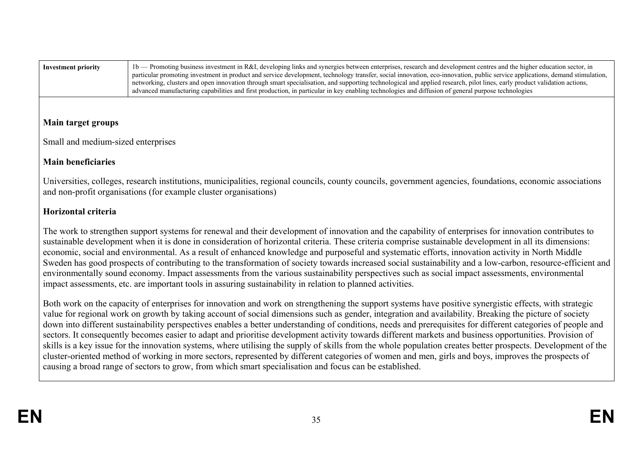| Investment priority | 1b — Promoting business investment in R&I, developing links and synergies between enterprises, research and development centres and the higher education sector, in          |
|---------------------|------------------------------------------------------------------------------------------------------------------------------------------------------------------------------|
|                     | particular promoting investment in product and service development, technology transfer, social innovation, eco-innovation, public service applications, demand stimulation, |
|                     | networking, clusters and open innovation through smart specialisation, and supporting technological and applied research, pilot lines, early product validation actions,     |
|                     | advanced manufacturing capabilities and first production, in particular in key enabling technologies and diffusion of general purpose technologies                           |

## **Main target groups**

Small and medium-sized enterprises

## **Main beneficiaries**

Universities, colleges, research institutions, municipalities, regional councils, county councils, government agencies, foundations, economic associations and non-profit organisations (for example cluster organisations)

## **Horizontal criteria**

The work to strengthen support systems for renewal and their development of innovation and the capability of enterprises for innovation contributes to sustainable development when it is done in consideration of horizontal criteria. These criteria comprise sustainable development in all its dimensions: economic, social and environmental. As a result of enhanced knowledge and purposeful and systematic efforts, innovation activity in North Middle Sweden has good prospects of contributing to the transformation of society towards increased social sustainability and a low-carbon, resource-efficient and environmentally sound economy. Impact assessments from the various sustainability perspectives such as social impact assessments, environmental impact assessments, etc. are important tools in assuring sustainability in relation to planned activities.

Both work on the capacity of enterprises for innovation and work on strengthening the support systems have positive synergistic effects, with strategic value for regional work on growth by taking account of social dimensions such as gender, integration and availability. Breaking the picture of society down into different sustainability perspectives enables a better understanding of conditions, needs and prerequisites for different categories of people and sectors. It consequently becomes easier to adapt and prioritise development activity towards different markets and business opportunities. Provision of skills is a key issue for the innovation systems, where utilising the supply of skills from the whole population creates better prospects. Development of the cluster-oriented method of working in more sectors, represented by different categories of women and men, girls and boys, improves the prospects of causing a broad range of sectors to grow, from which smart specialisation and focus can be established.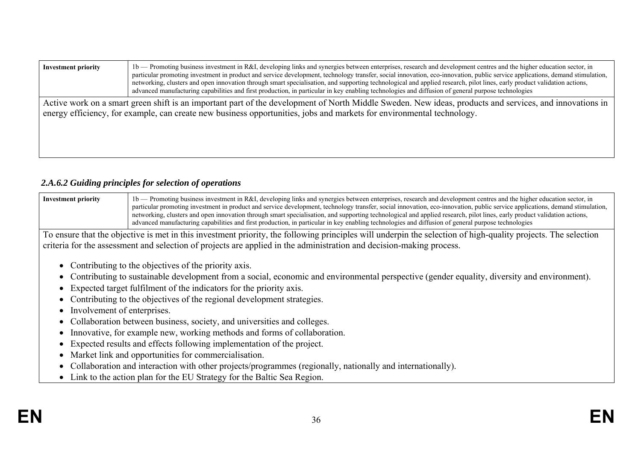| 1b — Promoting business investment in R&I, developing links and synergies between enterprises, research and development centres and the higher education sector, in<br><b>Investment priority</b><br>particular promoting investment in product and service development, technology transfer, social innovation, eco-innovation, public service applications, demand stimulation,<br>networking, clusters and open innovation through smart specialisation, and supporting technological and applied research, pilot lines, early product validation actions,<br>advanced manufacturing capabilities and first production, in particular in key enabling technologies and diffusion of general purpose technologies |  |  |  |  |  |  |
|---------------------------------------------------------------------------------------------------------------------------------------------------------------------------------------------------------------------------------------------------------------------------------------------------------------------------------------------------------------------------------------------------------------------------------------------------------------------------------------------------------------------------------------------------------------------------------------------------------------------------------------------------------------------------------------------------------------------|--|--|--|--|--|--|
| Active work on a smart green shift is an important part of the development of North Middle Sweden. New ideas, products and services, and innovations in<br>energy efficiency, for example, can create new business opportunities, jobs and markets for environmental technology.                                                                                                                                                                                                                                                                                                                                                                                                                                    |  |  |  |  |  |  |

# *2.A.6.2 Guiding principles for selection of operations*

| <b>Investment priority</b> | 1 b — Promoting business investment in R&I, developing links and synergies between enterprises, research and development centres and the higher education sector, in         |
|----------------------------|------------------------------------------------------------------------------------------------------------------------------------------------------------------------------|
|                            | particular promoting investment in product and service development, technology transfer, social innovation, eco-innovation, public service applications, demand stimulation, |
|                            | networking, clusters and open innovation through smart specialisation, and supporting technological and applied research, pilot lines, early product validation actions,     |
|                            | advanced manufacturing capabilities and first production, in particular in key enabling technologies and diffusion of general purpose technologies                           |

To ensure that the objective is met in this investment priority, the following principles will underpin the selection of high-quality projects. The selection criteria for the assessment and selection of projects are applied in the administration and decision-making process.

- Contributing to the objectives of the priority axis.
- Contributing to sustainable development from a social, economic and environmental perspective (gender equality, diversity and environment).
- Expected target fulfilment of the indicators for the priority axis.
- Contributing to the objectives of the regional development strategies.
- Involvement of enterprises.
- Collaboration between business, society, and universities and colleges.
- Innovative, for example new, working methods and forms of collaboration.
- Expected results and effects following implementation of the project.
- Market link and opportunities for commercialisation.
- Collaboration and interaction with other projects/programmes (regionally, nationally and internationally).
- Link to the action plan for the EU Strategy for the Baltic Sea Region.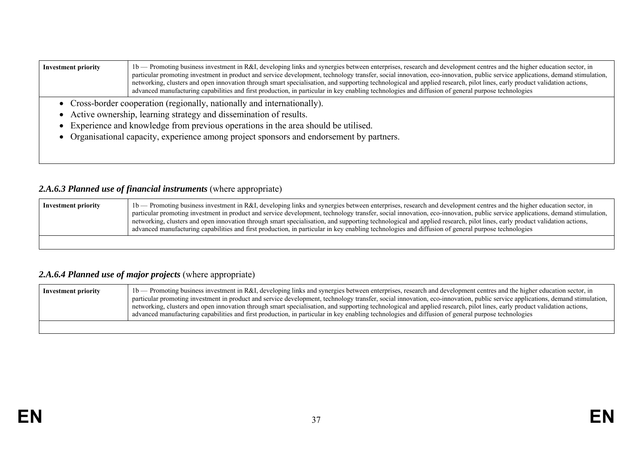| <b>Investment priority</b> | 1b — Promoting business investment in R&I, developing links and synergies between enterprises, research and development centres and the higher education sector, in<br>particular promoting investment in product and service development, technology transfer, social innovation, eco-innovation, public service applications, demand stimulation,<br>networking, clusters and open innovation through smart specialisation, and supporting technological and applied research, pilot lines, early product validation actions,<br>advanced manufacturing capabilities and first production, in particular in key enabling technologies and diffusion of general purpose technologies |  |  |  |  |  |  |  |
|----------------------------|---------------------------------------------------------------------------------------------------------------------------------------------------------------------------------------------------------------------------------------------------------------------------------------------------------------------------------------------------------------------------------------------------------------------------------------------------------------------------------------------------------------------------------------------------------------------------------------------------------------------------------------------------------------------------------------|--|--|--|--|--|--|--|
|                            | • Cross-border cooperation (regionally, nationally and internationally).                                                                                                                                                                                                                                                                                                                                                                                                                                                                                                                                                                                                              |  |  |  |  |  |  |  |
|                            | • Active ownership, learning strategy and dissemination of results.                                                                                                                                                                                                                                                                                                                                                                                                                                                                                                                                                                                                                   |  |  |  |  |  |  |  |
|                            | Experience and knowledge from previous operations in the area should be utilised.                                                                                                                                                                                                                                                                                                                                                                                                                                                                                                                                                                                                     |  |  |  |  |  |  |  |
|                            |                                                                                                                                                                                                                                                                                                                                                                                                                                                                                                                                                                                                                                                                                       |  |  |  |  |  |  |  |

Organisational capacity, experience among project sponsors and endorsement by partners.

# 2.A.6.3 Planned use of financial instruments (where appropriate)

| <b>Investment priority</b> | 1b — Promoting business investment in R&I, developing links and synergies between enterprises, research and development centres and the higher education sector, in<br>particular promoting investment in product and service development, technology transfer, social innovation, eco-innovation, public service applications, demand stimulation,<br>networking, clusters and open innovation through smart specialisation, and supporting technological and applied research, pilot lines, early product validation actions,<br>advanced manufacturing capabilities and first production, in particular in key enabling technologies and diffusion of general purpose technologies |
|----------------------------|---------------------------------------------------------------------------------------------------------------------------------------------------------------------------------------------------------------------------------------------------------------------------------------------------------------------------------------------------------------------------------------------------------------------------------------------------------------------------------------------------------------------------------------------------------------------------------------------------------------------------------------------------------------------------------------|
|                            |                                                                                                                                                                                                                                                                                                                                                                                                                                                                                                                                                                                                                                                                                       |

# *2.A.6.4 Planned use of major projects* (where appropriate)

| <b>Investment priority</b> | 1 b — Promoting business investment in R&I, developing links and synergies between enterprises, research and development centres and the higher education sector, in<br>particular promoting investment in product and service development, technology transfer, social innovation, eco-innovation, public service applications, demand stimulation,<br>networking, clusters and open innovation through smart specialisation, and supporting technological and applied research, pilot lines, early product validation actions,<br>advanced manufacturing capabilities and first production, in particular in key enabling technologies and diffusion of general purpose technologies |
|----------------------------|----------------------------------------------------------------------------------------------------------------------------------------------------------------------------------------------------------------------------------------------------------------------------------------------------------------------------------------------------------------------------------------------------------------------------------------------------------------------------------------------------------------------------------------------------------------------------------------------------------------------------------------------------------------------------------------|
|                            |                                                                                                                                                                                                                                                                                                                                                                                                                                                                                                                                                                                                                                                                                        |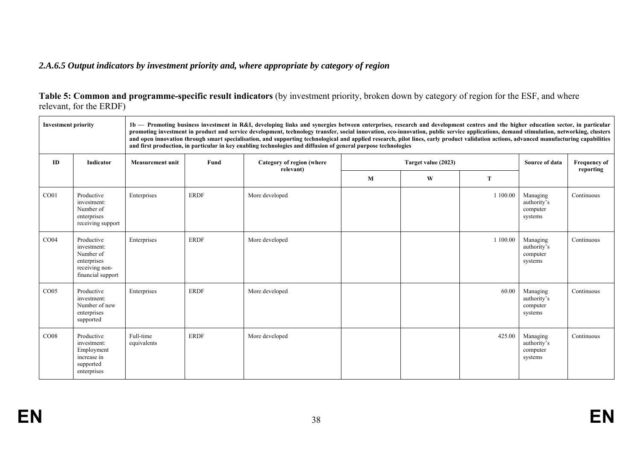# *2.A.6.5 Output indicators by investment priority and, where appropriate by category of region*

| Table 5: Common and programme-specific result indicators (by investment priority, broken down by category of region for the ESF, and where |  |  |
|--------------------------------------------------------------------------------------------------------------------------------------------|--|--|
| relevant, for the ERDF)                                                                                                                    |  |  |

| <b>Investment priority</b> |                                                                                              |                          |             | 1b — Promoting business investment in R&I, developing links and synergies between enterprises, research and development centres and the higher education sector, in particular<br>promoting investment in product and service development, technology transfer, social innovation, eco-innovation, public service applications, demand stimulation, networking, clusters<br>and open innovation through smart specialisation, and supporting technological and applied research, pilot lines, early product validation actions, advanced manufacturing capabilities<br>and first production, in particular in key enabling technologies and diffusion of general purpose technologies |   |                     |          |                                                |                                  |
|----------------------------|----------------------------------------------------------------------------------------------|--------------------------|-------------|---------------------------------------------------------------------------------------------------------------------------------------------------------------------------------------------------------------------------------------------------------------------------------------------------------------------------------------------------------------------------------------------------------------------------------------------------------------------------------------------------------------------------------------------------------------------------------------------------------------------------------------------------------------------------------------|---|---------------------|----------|------------------------------------------------|----------------------------------|
| ID                         | Indicator                                                                                    | <b>Measurement unit</b>  | Fund        | Category of region (where<br>relevant)                                                                                                                                                                                                                                                                                                                                                                                                                                                                                                                                                                                                                                                |   | Target value (2023) |          | Source of data                                 | <b>Frequency of</b><br>reporting |
|                            |                                                                                              |                          |             |                                                                                                                                                                                                                                                                                                                                                                                                                                                                                                                                                                                                                                                                                       | M | W                   | T        |                                                |                                  |
| CO <sub>01</sub>           | Productive<br>investment:<br>Number of<br>enterprises<br>receiving support                   | Enterprises              | <b>ERDF</b> | More developed                                                                                                                                                                                                                                                                                                                                                                                                                                                                                                                                                                                                                                                                        |   |                     | 1 100.00 | Managing<br>authority's<br>computer<br>systems | Continuous                       |
| CO <sub>04</sub>           | Productive<br>investment:<br>Number of<br>enterprises<br>receiving non-<br>financial support | Enterprises              | <b>ERDF</b> | More developed                                                                                                                                                                                                                                                                                                                                                                                                                                                                                                                                                                                                                                                                        |   |                     | 1 100.00 | Managing<br>authority's<br>computer<br>systems | Continuous                       |
| CO <sub>05</sub>           | Productive<br>investment:<br>Number of new<br>enterprises<br>supported                       | Enterprises              | <b>ERDF</b> | More developed                                                                                                                                                                                                                                                                                                                                                                                                                                                                                                                                                                                                                                                                        |   |                     | 60.00    | Managing<br>authority's<br>computer<br>systems | Continuous                       |
| CO <sub>08</sub>           | Productive<br>investment:<br>Employment<br>increase in<br>supported<br>enterprises           | Full-time<br>equivalents | <b>ERDF</b> | More developed                                                                                                                                                                                                                                                                                                                                                                                                                                                                                                                                                                                                                                                                        |   |                     | 425.00   | Managing<br>authority's<br>computer<br>systems | Continuous                       |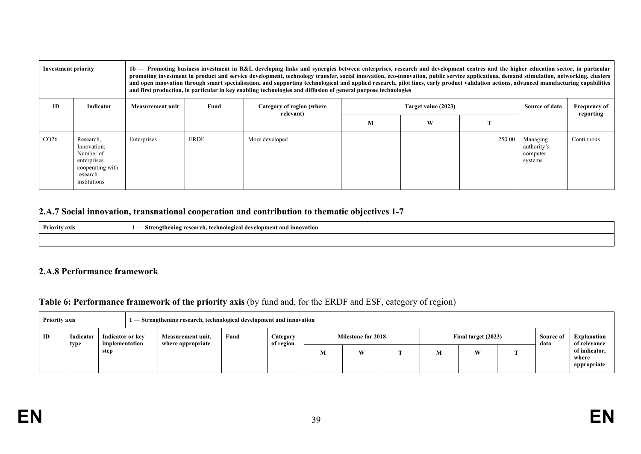| <b>Investment priority</b> |                                                                                                      |                         |             | 1b — Promoting business investment in R&I, developing links and synergies between enterprises, research and development centres and the higher education sector, in particular<br>promoting investment in product and service development, technology transfer, social innovation, eco-innovation, public service applications, demand stimulation, networking, clusters<br>and open innovation through smart specialisation, and supporting technological and applied research, pilot lines, early product validation actions, advanced manufacturing capabilities<br>and first production, in particular in key enabling technologies and diffusion of general purpose technologies |   |                     |        |                                                |                                  |
|----------------------------|------------------------------------------------------------------------------------------------------|-------------------------|-------------|---------------------------------------------------------------------------------------------------------------------------------------------------------------------------------------------------------------------------------------------------------------------------------------------------------------------------------------------------------------------------------------------------------------------------------------------------------------------------------------------------------------------------------------------------------------------------------------------------------------------------------------------------------------------------------------|---|---------------------|--------|------------------------------------------------|----------------------------------|
| ID                         | Indicator                                                                                            | <b>Measurement unit</b> | Fund        | Category of region (where<br>relevant)                                                                                                                                                                                                                                                                                                                                                                                                                                                                                                                                                                                                                                                |   | Target value (2023) |        |                                                | <b>Frequency of</b><br>reporting |
|                            |                                                                                                      |                         |             |                                                                                                                                                                                                                                                                                                                                                                                                                                                                                                                                                                                                                                                                                       | М | W                   |        |                                                |                                  |
| CO <sub>26</sub>           | Research,<br>Innovation:<br>Number of<br>enterprises<br>cooperating with<br>research<br>institutions | Enterprises             | <b>ERDF</b> | More developed                                                                                                                                                                                                                                                                                                                                                                                                                                                                                                                                                                                                                                                                        |   |                     | 250.00 | Managing<br>authority's<br>computer<br>systems | Continuous                       |

### **2.A.7 Social innovation, transnational cooperation and contribution to thematic objectives 1-7**

| <b>Priority axis</b> | Strei<br>technological development and innovation .<br>research.<br>onin.<br>l2the<br>. . |
|----------------------|-------------------------------------------------------------------------------------------|
|                      |                                                                                           |

#### **2.A.8 Performance framework**

## **Table 6: Performance framework of the priority axis** (by fund and, for the ERDF and ESF, category of region)

| <b>Priority axis</b><br>— Strengthening research, technological development and innovation |                                                         |      |                                        |  |                  |                                        |     |                     |  |   |                   |                                    |  |                                       |
|--------------------------------------------------------------------------------------------|---------------------------------------------------------|------|----------------------------------------|--|------------------|----------------------------------------|-----|---------------------|--|---|-------------------|------------------------------------|--|---------------------------------------|
| ID                                                                                         | Indicator<br>Indicator or key<br>implementation<br>type |      | Measurement unit,<br>where appropriate |  | Fund<br>Category | <b>Milestone for 2018</b><br>of region |     | Final target (2023) |  |   | Source of<br>data | <b>Explanation</b><br>of relevance |  |                                       |
|                                                                                            |                                                         | step |                                        |  |                  |                                        | IV. | W                   |  | M | W                 | <b>CONTINUES</b>                   |  | of indicator,<br>where<br>appropriate |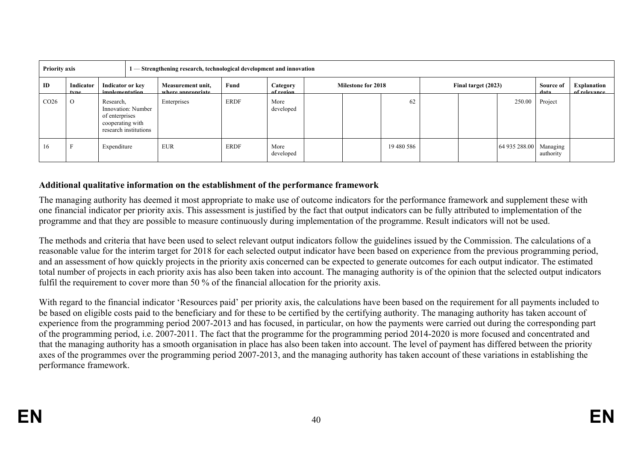|                  | <b>Priority axis</b><br>1 — Strengthening research, technological development and innovation |                                                                                                |  |                                        |             |                       |                           |  |            |  |  |                        |           |  |  |  |  |  |  |  |                     |  |  |                   |                             |
|------------------|----------------------------------------------------------------------------------------------|------------------------------------------------------------------------------------------------|--|----------------------------------------|-------------|-----------------------|---------------------------|--|------------|--|--|------------------------|-----------|--|--|--|--|--|--|--|---------------------|--|--|-------------------|-----------------------------|
| ID               | Indicator<br>tyne                                                                            | Indicator or key<br><i>implementation</i>                                                      |  | Measurement unit,<br>where annronriate | Fund        | Category<br>of region | <b>Milestone for 2018</b> |  |            |  |  |                        |           |  |  |  |  |  |  |  | Final target (2023) |  |  | Source of<br>data | Explanation<br>of relevance |
| CO <sub>26</sub> | $\circ$                                                                                      | Research,<br>Innovation: Number<br>of enterprises<br>cooperating with<br>research institutions |  | Enterprises                            | <b>ERDF</b> | More<br>developed     |                           |  | 62         |  |  | 250.00                 | Project   |  |  |  |  |  |  |  |                     |  |  |                   |                             |
| 16               |                                                                                              | Expenditure                                                                                    |  | <b>EUR</b>                             | <b>ERDF</b> | More<br>developed     |                           |  | 19 480 586 |  |  | 64 935 288.00 Managing | authority |  |  |  |  |  |  |  |                     |  |  |                   |                             |

#### **Additional qualitative information on the establishment of the performance framework**

The managing authority has deemed it most appropriate to make use of outcome indicators for the performance framework and supplement these with one financial indicator per priority axis. This assessment is justified by the fact that output indicators can be fully attributed to implementation of the programme and that they are possible to measure continuously during implementation of the programme. Result indicators will not be used.

The methods and criteria that have been used to select relevant output indicators follow the guidelines issued by the Commission. The calculations of a reasonable value for the interim target for 2018 for each selected output indicator have been based on experience from the previous programming period, and an assessment of how quickly projects in the priority axis concerned can be expected to generate outcomes for each output indicator. The estimated total number of projects in each priority axis has also been taken into account. The managing authority is of the opinion that the selected output indicators fulfil the requirement to cover more than 50 % of the financial allocation for the priority axis.

With regard to the financial indicator 'Resources paid' per priority axis, the calculations have been based on the requirement for all payments included to be based on eligible costs paid to the beneficiary and for these to be certified by the certifying authority. The managing authority has taken account of experience from the programming period 2007-2013 and has focused, in particular, on how the payments were carried out during the corresponding part of the programming period, i.e. 2007-2011. The fact that the programme for the programming period 2014-2020 is more focused and concentrated and that the managing authority has a smooth organisation in place has also been taken into account. The level of payment has differed between the priority axes of the programmes over the programming period 2007-2013, and the managing authority has taken account of these variations in establishing the performance framework.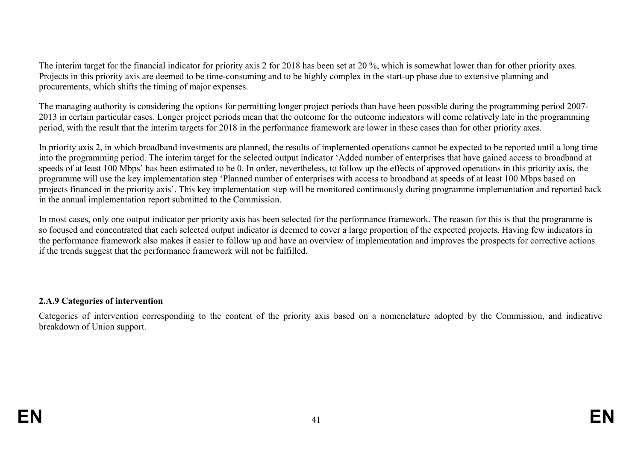The interim target for the financial indicator for priority axis 2 for 2018 has been set at 20 %, which is somewhat lower than for other priority axes. Projects in this priority axis are deemed to be time-consuming and to be highly complex in the start-up phase due to extensive planning and procurements, which shifts the timing of major expenses.

The managing authority is considering the options for permitting longer project periods than have been possible during the programming period 2007- 2013 in certain particular cases. Longer project periods mean that the outcome for the outcome indicators will come relatively late in the programming period, with the result that the interim targets for 2018 in the performance framework are lower in these cases than for other priority axes.

In priority axis 2, in which broadband investments are planned, the results of implemented operations cannot be expected to be reported until a long time into the programming period. The interim target for the selected output indicator 'Added number of enterprises that have gained access to broadband at speeds of at least 100 Mbps' has been estimated to be 0. In order, nevertheless, to follow up the effects of approved operations in this priority axis, the programme will use the key implementation step 'Planned number of enterprises with access to broadband at speeds of at least 100 Mbps based on projects financed in the priority axis'. This key implementation step will be monitored continuously during programme implementation and reported back in the annual implementation report submitted to the Commission.

In most cases, only one output indicator per priority axis has been selected for the performance framework. The reason for this is that the programme is so focused and concentrated that each selected output indicator is deemed to cover a large proportion of the expected projects. Having few indicators in the performance framework also makes it easier to follow up and have an overview of implementation and improves the prospects for corrective actions if the trends suggest that the performance framework will not be fulfilled.

### **2.A.9 Categories of intervention**

Categories of intervention corresponding to the content of the priority axis based on a nomenclature adopted by the Commission, and indicative breakdown of Union support.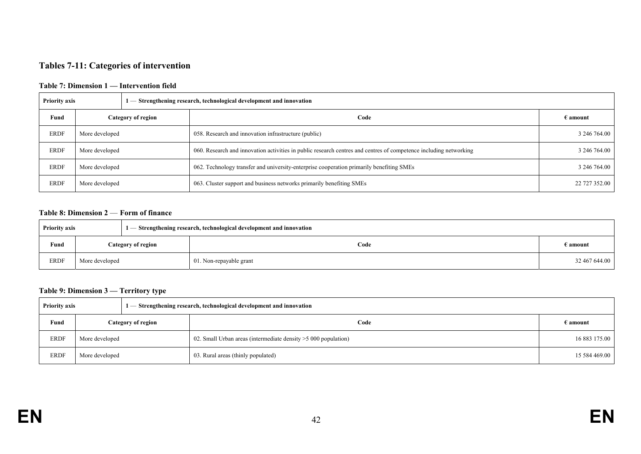#### **Tables 7-11: Categories of intervention**

#### **Table 7: Dimension 1 — Intervention field**

| <b>Priority axis</b> |                    |  | 1 — Strengthening research, technological development and innovation                                              |                   |
|----------------------|--------------------|--|-------------------------------------------------------------------------------------------------------------------|-------------------|
| Fund                 | Category of region |  | Code                                                                                                              | $\epsilon$ amount |
| ERDF                 | More developed     |  | 058. Research and innovation infrastructure (public)                                                              | 3 246 764.00      |
| <b>ERDF</b>          | More developed     |  | 060. Research and innovation activities in public research centres and centres of competence including networking | 3 246 764.00      |
| <b>ERDF</b>          | More developed     |  | 062. Technology transfer and university-enterprise cooperation primarily benefiting SMEs                          | 3 246 764.00      |
| ERDF                 | More developed     |  | 063. Cluster support and business networks primarily benefiting SMEs                                              | 22 727 352.00     |

#### **Table 8: Dimension 2** — **Form of finance**

| <b>Priority axis</b>              |                |  | 1 — Strengthening research, technological development and innovation |                   |
|-----------------------------------|----------------|--|----------------------------------------------------------------------|-------------------|
| Fund<br><b>Category of region</b> |                |  | Code                                                                 | $\epsilon$ amount |
| <b>ERDF</b>                       | More developed |  | 01. Non-repayable grant                                              | 32 467 644.00     |

#### **Table 9: Dimension 3 — Territory type**

| <b>Priority axis</b> |                    |  | 1 — Strengthening research, technological development and innovation |                   |
|----------------------|--------------------|--|----------------------------------------------------------------------|-------------------|
| Fund                 | Category of region |  | Code                                                                 | $\epsilon$ amount |
| <b>ERDF</b>          | More developed     |  | 02. Small Urban areas (intermediate density $>5000$ population)      | 16 883 175.00     |
| ERDF                 | More developed     |  | 03. Rural areas (thinly populated)                                   | 15 584 469.00     |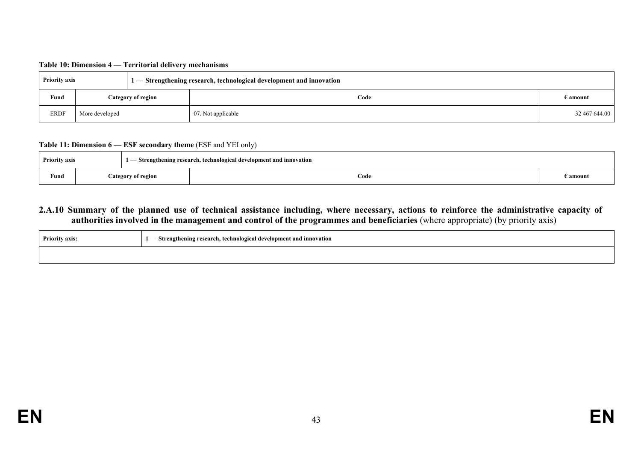| <b>Priority axis</b> |                           |  | $1$ $-$ Strengthening research, technological development and innovation |                   |
|----------------------|---------------------------|--|--------------------------------------------------------------------------|-------------------|
| Fund                 | <b>Category of region</b> |  | Code                                                                     | $\epsilon$ amount |
| <b>ERDF</b>          | More developed            |  | 07. Not applicable                                                       | 32 467 644.00     |

#### **Table 11: Dimension 6 — ESF secondary theme** (ESF and YEI only)

| <b>Priority axis</b> |  |                           | - Strengthening research, technological development and innovation |          |
|----------------------|--|---------------------------|--------------------------------------------------------------------|----------|
| Fund                 |  | <b>Category of region</b> | Code                                                               | E amount |

#### **2.A.10 Summary of the planned use of technical assistance including, where necessary, actions to reinforce the administrative capacity of authorities involved in the management and control of the programmes and beneficiaries** (where appropriate) (by priority axis)

| <b>Priority axis:</b> | – Strengthening research, technological development and innovation |
|-----------------------|--------------------------------------------------------------------|
|                       |                                                                    |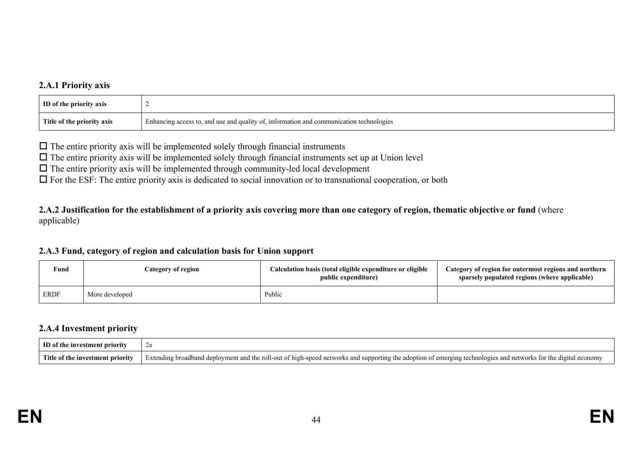### **2.A.1 Priority axis**

| <b>ID</b> of the priority axis |                                                                                         |
|--------------------------------|-----------------------------------------------------------------------------------------|
| Title of the priority axis     | Enhancing access to, and use and quality of, information and communication technologies |

 $\Box$  The entire priority axis will be implemented solely through financial instruments

 $\Box$  The entire priority axis will be implemented solely through financial instruments set up at Union level

 $\Box$  The entire priority axis will be implemented through community-led local development

 $\Box$  For the ESF: The entire priority axis is dedicated to social innovation or to transnational cooperation, or both

**2.A.2 Justification for the establishment of a priority axis covering more than one category of region, thematic objective or fund** (where applicable)

#### **2.A.3 Fund, category of region and calculation basis for Union support**

| Fund        | Category of region | Calculation basis (total eligible expenditure or eligible<br>public expenditure) | Category of region for outermost regions and northern<br>sparsely populated regions (where applicable) |
|-------------|--------------------|----------------------------------------------------------------------------------|--------------------------------------------------------------------------------------------------------|
| <b>ERDF</b> | More developed     | Public                                                                           |                                                                                                        |

#### **2.A.4 Investment priority**

| ID of the investment priority    | $\overline{\phantom{a}}$                                                                                                                                         |
|----------------------------------|------------------------------------------------------------------------------------------------------------------------------------------------------------------|
| Title of the investment priority | Extending broadband deployment and the roll-out of high-speed networks and supporting the adoption of emerging technologies and networks for the digital economy |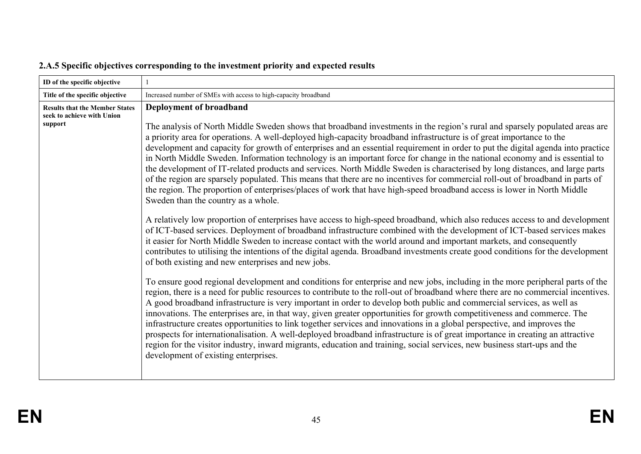| ID of the specific objective                                                   |                                                                                                                                                                                                                                                                                                                                                                                                                                                                                                                                                                                                                                                                                                                                                                                                                                                                                                                                                                                                                                                                                                                                                                                                                                                                                                                                                                                                                                                                                                                                                                                                                                                                                                                                                                                                                                                                                                                                                                                                                                                                                                                                                                                                                                                                                                                                                                                                                                                                                                                              |
|--------------------------------------------------------------------------------|------------------------------------------------------------------------------------------------------------------------------------------------------------------------------------------------------------------------------------------------------------------------------------------------------------------------------------------------------------------------------------------------------------------------------------------------------------------------------------------------------------------------------------------------------------------------------------------------------------------------------------------------------------------------------------------------------------------------------------------------------------------------------------------------------------------------------------------------------------------------------------------------------------------------------------------------------------------------------------------------------------------------------------------------------------------------------------------------------------------------------------------------------------------------------------------------------------------------------------------------------------------------------------------------------------------------------------------------------------------------------------------------------------------------------------------------------------------------------------------------------------------------------------------------------------------------------------------------------------------------------------------------------------------------------------------------------------------------------------------------------------------------------------------------------------------------------------------------------------------------------------------------------------------------------------------------------------------------------------------------------------------------------------------------------------------------------------------------------------------------------------------------------------------------------------------------------------------------------------------------------------------------------------------------------------------------------------------------------------------------------------------------------------------------------------------------------------------------------------------------------------------------------|
| Title of the specific objective                                                | Increased number of SMEs with access to high-capacity broadband                                                                                                                                                                                                                                                                                                                                                                                                                                                                                                                                                                                                                                                                                                                                                                                                                                                                                                                                                                                                                                                                                                                                                                                                                                                                                                                                                                                                                                                                                                                                                                                                                                                                                                                                                                                                                                                                                                                                                                                                                                                                                                                                                                                                                                                                                                                                                                                                                                                              |
| <b>Results that the Member States</b><br>seek to achieve with Union<br>support | Deployment of broadband<br>The analysis of North Middle Sweden shows that broadband investments in the region's rural and sparsely populated areas are<br>a priority area for operations. A well-deployed high-capacity broadband infrastructure is of great importance to the<br>development and capacity for growth of enterprises and an essential requirement in order to put the digital agenda into practice<br>in North Middle Sweden. Information technology is an important force for change in the national economy and is essential to<br>the development of IT-related products and services. North Middle Sweden is characterised by long distances, and large parts<br>of the region are sparsely populated. This means that there are no incentives for commercial roll-out of broadband in parts of<br>the region. The proportion of enterprises/places of work that have high-speed broadband access is lower in North Middle<br>Sweden than the country as a whole.<br>A relatively low proportion of enterprises have access to high-speed broadband, which also reduces access to and development<br>of ICT-based services. Deployment of broadband infrastructure combined with the development of ICT-based services makes<br>it easier for North Middle Sweden to increase contact with the world around and important markets, and consequently<br>contributes to utilising the intentions of the digital agenda. Broadband investments create good conditions for the development<br>of both existing and new enterprises and new jobs.<br>To ensure good regional development and conditions for enterprise and new jobs, including in the more peripheral parts of the<br>region, there is a need for public resources to contribute to the roll-out of broadband where there are no commercial incentives.<br>A good broadband infrastructure is very important in order to develop both public and commercial services, as well as<br>innovations. The enterprises are, in that way, given greater opportunities for growth competitiveness and commerce. The<br>infrastructure creates opportunities to link together services and innovations in a global perspective, and improves the<br>prospects for internationalisation. A well-deployed broadband infrastructure is of great importance in creating an attractive<br>region for the visitor industry, inward migrants, education and training, social services, new business start-ups and the<br>development of existing enterprises. |

# **2.A.5 Specific objectives corresponding to the investment priority and expected results**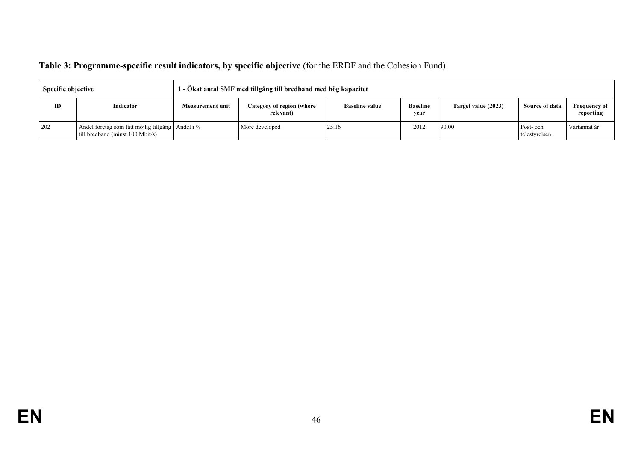| Table 3: Programme-specific result indicators, by specific objective (for the ERDF and the Cohesion Fund) |  |  |
|-----------------------------------------------------------------------------------------------------------|--|--|
|                                                                                                           |  |  |

| <b>Specific objective</b> |                                                                                      | 1 - Ökat antal SMF med tillgång till bredband med hög kapacitet |                                        |                       |                         |                     |                            |                                  |
|---------------------------|--------------------------------------------------------------------------------------|-----------------------------------------------------------------|----------------------------------------|-----------------------|-------------------------|---------------------|----------------------------|----------------------------------|
| ID                        | Indicator                                                                            | <b>Measurement unit</b>                                         | Category of region (where<br>relevant) | <b>Baseline value</b> | <b>Baseline</b><br>year | Target value (2023) | Source of data             | <b>Frequency of</b><br>reporting |
| 202                       | Andel företag som fått möjlig tillgång Andel i %<br>till bredband (minst 100 Mbit/s) |                                                                 | More developed                         | 25.16                 | 2012                    | 90.00               | Post- och<br>telestyrelsen | Vartannat år                     |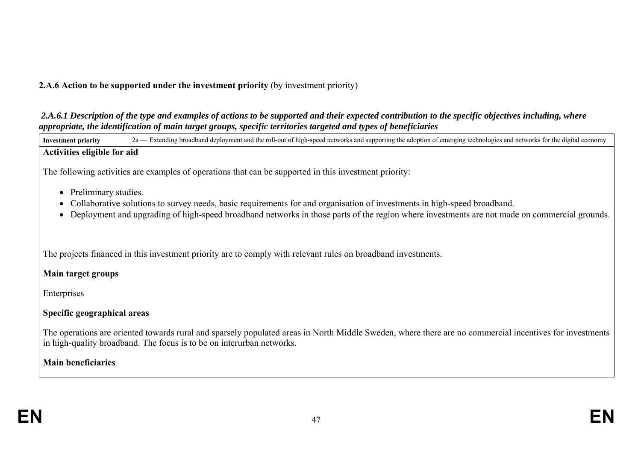# **2.A.6 Action to be supported under the investment priority** (by investment priority)

 *2.A.6.1 Description of the type and examples of actions to be supported and their expected contribution to the specific objectives including, where appropriate, the identification of main target groups, specific territories targeted and types of beneficiaries* 

Investment priority 2a — Extending broadband deployment and the roll-out of high-speed networks and supporting the adoption of emerging technologies and networks for the digital economy **Activities eligible for aid** The following activities are examples of operations that can be supported in this investment priority: • Preliminary studies. Collaborative solutions to survey needs, basic requirements for and organisation of investments in high-speed broadband. Deployment and upgrading of high-speed broadband networks in those parts of the region where investments are not made on commercial grounds. The projects financed in this investment priority are to comply with relevant rules on broadband investments. **Main target groups** Enterprises **Specific geographical areas** The operations are oriented towards rural and sparsely populated areas in North Middle Sweden, where there are no commercial incentives for investments in high-quality broadband. The focus is to be on interurban networks. **Main beneficiaries**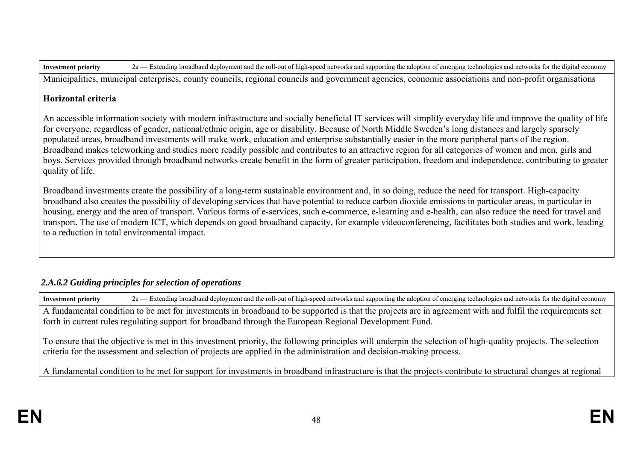Municipalities, municipal enterprises, county councils, regional councils and government agencies, economic associations and non-profit organisations

### **Horizontal criteria**

An accessible information society with modern infrastructure and socially beneficial IT services will simplify everyday life and improve the quality of life for everyone, regardless of gender, national/ethnic origin, age or disability. Because of North Middle Sweden's long distances and largely sparsely populated areas, broadband investments will make work, education and enterprise substantially easier in the more peripheral parts of the region. Broadband makes teleworking and studies more readily possible and contributes to an attractive region for all categories of women and men, girls and boys. Services provided through broadband networks create benefit in the form of greater participation, freedom and independence, contributing to greater quality of life.

Broadband investments create the possibility of a long-term sustainable environment and, in so doing, reduce the need for transport. High-capacity broadband also creates the possibility of developing services that have potential to reduce carbon dioxide emissions in particular areas, in particular in housing, energy and the area of transport. Various forms of e-services, such e-commerce, e-learning and e-health, can also reduce the need for travel and transport. The use of modern ICT, which depends on good broadband capacity, for example videoconferencing, facilitates both studies and work, leading to a reduction in total environmental impact.

# *2.A.6.2 Guiding principles for selection of operations*

**Investment priority** 2a — Extending broadband deployment and the roll-out of high-speed networks and supporting the adoption of emerging technologies and networks for the digital economy A fundamental condition to be met for investments in broadband to be supported is that the projects are in agreement with and fulfil the requirements set forth in current rules regulating support for broadband through the European Regional Development Fund. To ensure that the objective is met in this investment priority, the following principles will underpin the selection of high-quality projects. The selection criteria for the assessment and selection of projects are applied in the administration and decision-making process. A fundamental condition to be met for support for investments in broadband infrastructure is that the projects contribute to structural changes at regional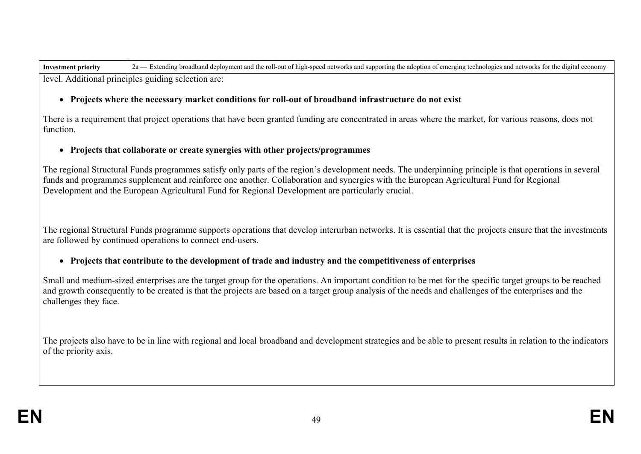| <b>Investment priority</b> | 2a — Extending broadband deployment and the roll-out of high-speed networks and supporting the adoption of emerging technologies and networks for the digital economy |
|----------------------------|-----------------------------------------------------------------------------------------------------------------------------------------------------------------------|
|                            | level. Additional principles guiding selection are:                                                                                                                   |

#### **Projects where the necessary market conditions for roll-out of broadband infrastructure do not exist**

There is a requirement that project operations that have been granted funding are concentrated in areas where the market, for various reasons, does not function.

#### **Projects that collaborate or create synergies with other projects/programmes**

The regional Structural Funds programmes satisfy only parts of the region's development needs. The underpinning principle is that operations in several funds and programmes supplement and reinforce one another. Collaboration and synergies with the European Agricultural Fund for Regional Development and the European Agricultural Fund for Regional Development are particularly crucial.

The regional Structural Funds programme supports operations that develop interurban networks. It is essential that the projects ensure that the investments are followed by continued operations to connect end-users.

#### **Projects that contribute to the development of trade and industry and the competitiveness of enterprises**

Small and medium-sized enterprises are the target group for the operations. An important condition to be met for the specific target groups to be reached and growth consequently to be created is that the projects are based on a target group analysis of the needs and challenges of the enterprises and the challenges they face.

The projects also have to be in line with regional and local broadband and development strategies and be able to present results in relation to the indicators of the priority axis.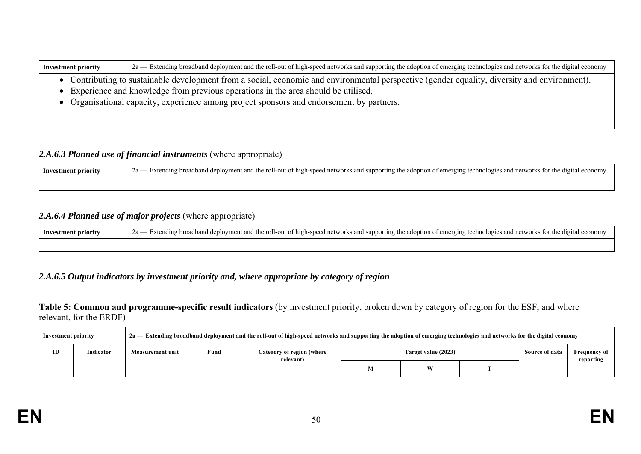| <b>Investment priority</b> | 2a — Extending broadband deployment and the roll-out of high-speed networks and supporting the adoption of emerging technologies and networks for the digital economy |
|----------------------------|-----------------------------------------------------------------------------------------------------------------------------------------------------------------------|
|                            | • Contributing to sustainable development from a social, economic and environmental perspective (gender equality, diversity and environment).                         |
|                            | • Experience and knowledge from previous operations in the area should be utilised.                                                                                   |
|                            | • Organisational capacity, experience among project sponsors and endorsement by partners.                                                                             |
|                            |                                                                                                                                                                       |

,我们也不会有什么。""我们的人,我们也不会有什么?""我们的人,我们也不会有什么?""我们的人,我们也不会有什么?""我们的人,我们也不会有什么?""我们的人

# 2.A.6.3 Planned use of financial instruments (where appropriate)

| - Investment priority | ; for the digita<br>the adoption of (<br>11gh-speed networks<br>networks<br>the ro<br>economy<br>tovmei<br>oll-out of hi<br>$-1.57 + 1.5$<br>. supporting<br>mergini<br>dıng<br>1band<br>; and<br>-brog<br>hnol<br>der<br>$\lambda$<br>.<br>--<br>. . |
|-----------------------|-------------------------------------------------------------------------------------------------------------------------------------------------------------------------------------------------------------------------------------------------------|
|                       |                                                                                                                                                                                                                                                       |

# *2.A.6.4 Planned use of major projects* (where appropriate)

| Investment priority | Extending broadband deployment and the roll-out of high-speed networks and supporting the adoption of emerging technologies and networks for the digital economy |
|---------------------|------------------------------------------------------------------------------------------------------------------------------------------------------------------|
|                     |                                                                                                                                                                  |

## *2.A.6.5 Output indicators by investment priority and, where appropriate by category of region*

**Table 5: Common and programme-specific result indicators** (by investment priority, broken down by category of region for the ESF, and where relevant, for the ERDF)

| Investment priority |           | 2a — Extending broadband deployment and the roll-out of high-speed networks and supporting the adoption of emerging technologies and networks for the digital economy |      |                                        |                     |           |  |                |                           |
|---------------------|-----------|-----------------------------------------------------------------------------------------------------------------------------------------------------------------------|------|----------------------------------------|---------------------|-----------|--|----------------|---------------------------|
| ID                  | Indicator | <b>Measurement unit</b>                                                                                                                                               | Fund | Category of region (where<br>relevant) | Target value (2023) |           |  | Source of data | Frequency of<br>reporting |
|                     |           |                                                                                                                                                                       |      |                                        | v.                  | <b>VX</b> |  |                |                           |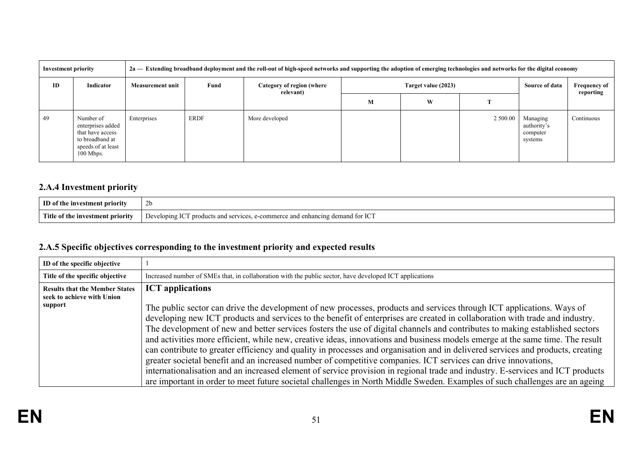| <b>Investment priority</b> |                                                                                                            | 2a — Extending broadband deployment and the roll-out of high-speed networks and supporting the adoption of emerging technologies and networks for the digital economy |             |                                                  |   |   |          |                                                |                |                                  |
|----------------------------|------------------------------------------------------------------------------------------------------------|-----------------------------------------------------------------------------------------------------------------------------------------------------------------------|-------------|--------------------------------------------------|---|---|----------|------------------------------------------------|----------------|----------------------------------|
| ID                         | Indicator                                                                                                  | <b>Measurement unit</b>                                                                                                                                               | Fund        | Category of region (where<br>Target value (2023) |   |   |          | relevant)                                      | Source of data | <b>Frequency of</b><br>reporting |
|                            |                                                                                                            |                                                                                                                                                                       |             |                                                  | М | W |          |                                                |                |                                  |
| 49                         | Number of<br>enterprises added<br>that have access<br>to broadband at<br>speeds of at least<br>$100$ Mbps. | Enterprises                                                                                                                                                           | <b>ERDF</b> | More developed                                   |   |   | 2 500.00 | Managing<br>authority's<br>computer<br>systems | Continuous     |                                  |

# **2.A.4 Investment priority**

| ID                                    | 2 <sub>b</sub>                                                                                                                                                          |
|---------------------------------------|-------------------------------------------------------------------------------------------------------------------------------------------------------------------------|
| of the investment priority            |                                                                                                                                                                         |
| Title<br>e of the investment priority | ----<br>$T \cap T$<br>eloping IC<br>produc.<br>Devel<br>vr IC<br>nts and .<br>CPT11<br>and<br>$\ldots$ nerce $\sim$<br>:1ng<br><sup>ാല</sup> mand പ<br>nhar<br>$\cdots$ |

# **2.A.5 Specific objectives corresponding to the investment priority and expected results**

| ID of the specific objective                                                   |                                                                                                                                                                                                                                                                                                                                                                                                                                                                                                                                                                                                                                                                                                                                                                                                                                                                                                                                                                                                                                                                         |
|--------------------------------------------------------------------------------|-------------------------------------------------------------------------------------------------------------------------------------------------------------------------------------------------------------------------------------------------------------------------------------------------------------------------------------------------------------------------------------------------------------------------------------------------------------------------------------------------------------------------------------------------------------------------------------------------------------------------------------------------------------------------------------------------------------------------------------------------------------------------------------------------------------------------------------------------------------------------------------------------------------------------------------------------------------------------------------------------------------------------------------------------------------------------|
| Title of the specific objective                                                | Increased number of SMEs that, in collaboration with the public sector, have developed ICT applications                                                                                                                                                                                                                                                                                                                                                                                                                                                                                                                                                                                                                                                                                                                                                                                                                                                                                                                                                                 |
| <b>Results that the Member States</b><br>seek to achieve with Union<br>support | <b>ICT</b> applications<br>The public sector can drive the development of new processes, products and services through ICT applications. Ways of<br>developing new ICT products and services to the benefit of enterprises are created in collaboration with trade and industry.<br>The development of new and better services fosters the use of digital channels and contributes to making established sectors<br>and activities more efficient, while new, creative ideas, innovations and business models emerge at the same time. The result<br>can contribute to greater efficiency and quality in processes and organisation and in delivered services and products, creating<br>greater societal benefit and an increased number of competitive companies. ICT services can drive innovations,<br>internationalisation and an increased element of service provision in regional trade and industry. E-services and ICT products<br>are important in order to meet future societal challenges in North Middle Sweden. Examples of such challenges are an ageing |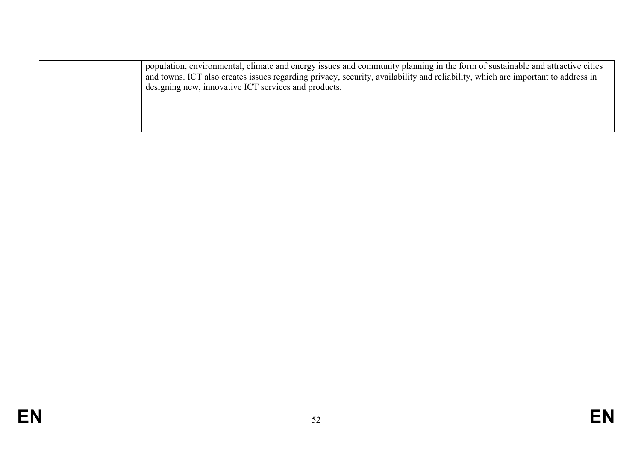| population, environmental, climate and energy issues and community planning in the form of sustainable and attractive cities<br>and towns. ICT also creates issues regarding privacy, security, availability and reliability, which are important to address in |
|-----------------------------------------------------------------------------------------------------------------------------------------------------------------------------------------------------------------------------------------------------------------|
| designing new, innovative ICT services and products.                                                                                                                                                                                                            |
|                                                                                                                                                                                                                                                                 |
|                                                                                                                                                                                                                                                                 |
|                                                                                                                                                                                                                                                                 |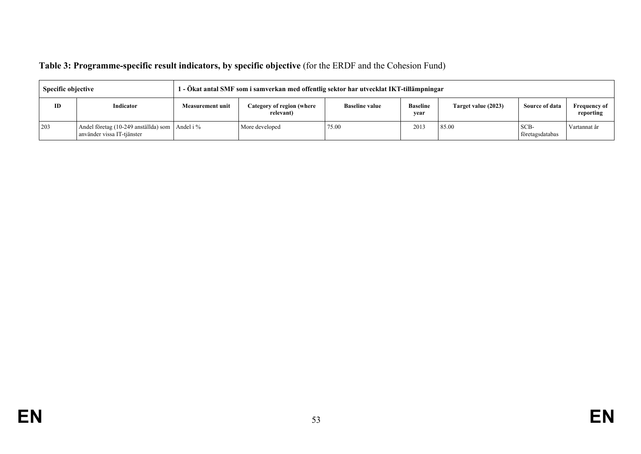| Table 3: Programme-specific result indicators, by specific objective (for the ERDF and the Cohesion Fund) |  |  |
|-----------------------------------------------------------------------------------------------------------|--|--|
|                                                                                                           |  |  |

| <b>Specific objective</b> |                                                                              | 1 - Ökat antal SMF som i samverkan med offentlig sektor har utvecklat IKT-tillämpningar |                                        |                       |                         |                     |                         |                                  |
|---------------------------|------------------------------------------------------------------------------|-----------------------------------------------------------------------------------------|----------------------------------------|-----------------------|-------------------------|---------------------|-------------------------|----------------------------------|
| ID                        | Indicator                                                                    | Measurement unit                                                                        | Category of region (where<br>relevant) | <b>Baseline value</b> | <b>Baseline</b><br>year | Target value (2023) | Source of data          | <b>Frequency of</b><br>reporting |
| 203                       | Andel företag (10-249 anställda) som Andel i %<br>använder vissa IT-tjänster |                                                                                         | More developed                         | 75.00                 | 2013                    | 85.00               | SCB-<br>företagsdatabas | Vartannat år                     |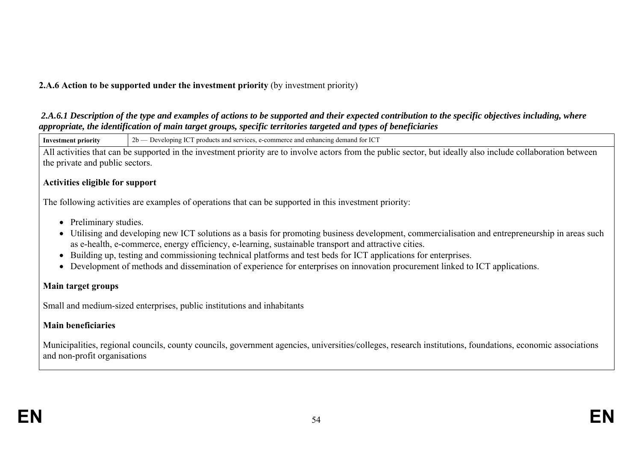# **2.A.6 Action to be supported under the investment priority** (by investment priority)

 *2.A.6.1 Description of the type and examples of actions to be supported and their expected contribution to the specific objectives including, where appropriate, the identification of main target groups, specific territories targeted and types of beneficiaries* 

**Investment priority** 2b — Developing ICT products and services, e-commerce and enhancing demand for ICT All activities that can be supported in the investment priority are to involve actors from the public sector, but ideally also include collaboration between the private and public sectors. **Activities eligible for support** The following activities are examples of operations that can be supported in this investment priority: • Preliminary studies. Utilising and developing new ICT solutions as a basis for promoting business development, commercialisation and entrepreneurship in areas such as e-health, e-commerce, energy efficiency, e-learning, sustainable transport and attractive cities. Building up, testing and commissioning technical platforms and test beds for ICT applications for enterprises. Development of methods and dissemination of experience for enterprises on innovation procurement linked to ICT applications. **Main target groups**

Small and medium-sized enterprises, public institutions and inhabitants

## **Main beneficiaries**

Municipalities, regional councils, county councils, government agencies, universities/colleges, research institutions, foundations, economic associations and non-profit organisations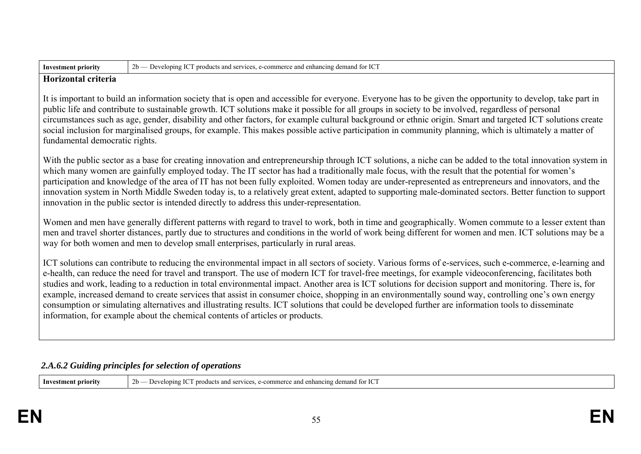| Inv<br>. 10rit<br>8111 | $\Lambda$ for ICT<br>.<br>-10<br>$\overline{\phantom{a}}$<br>$\sim$<br>product<br>۱me.<br>12.0112<br>anc<br>enna<br>16 M<br>.<br>anu<br><br>. |
|------------------------|-----------------------------------------------------------------------------------------------------------------------------------------------|

#### **Horizontal criteria**

It is important to build an information society that is open and accessible for everyone. Everyone has to be given the opportunity to develop, take part in public life and contribute to sustainable growth. ICT solutions make it possible for all groups in society to be involved, regardless of personal circumstances such as age, gender, disability and other factors, for example cultural background or ethnic origin. Smart and targeted ICT solutions create social inclusion for marginalised groups, for example. This makes possible active participation in community planning, which is ultimately a matter of fundamental democratic rights.

With the public sector as a base for creating innovation and entrepreneurship through ICT solutions, a niche can be added to the total innovation system in which many women are gainfully employed today. The IT sector has had a traditionally male focus, with the result that the potential for women's participation and knowledge of the area of IT has not been fully exploited. Women today are under-represented as entrepreneurs and innovators, and the innovation system in North Middle Sweden today is, to a relatively great extent, adapted to supporting male-dominated sectors. Better function to support innovation in the public sector is intended directly to address this under-representation.

Women and men have generally different patterns with regard to travel to work, both in time and geographically. Women commute to a lesser extent than men and travel shorter distances, partly due to structures and conditions in the world of work being different for women and men. ICT solutions may be a way for both women and men to develop small enterprises, particularly in rural areas.

ICT solutions can contribute to reducing the environmental impact in all sectors of society. Various forms of e-services, such e-commerce, e-learning and e-health, can reduce the need for travel and transport. The use of modern ICT for travel-free meetings, for example videoconferencing, facilitates both studies and work, leading to a reduction in total environmental impact. Another area is ICT solutions for decision support and monitoring. There is, for example, increased demand to create services that assist in consumer choice, shopping in an environmentally sound way, controlling one's own energy consumption or simulating alternatives and illustrating results. ICT solutions that could be developed further are information tools to disseminate information, for example about the chemical contents of articles or products.

### *2.A.6.2 Guiding principles for selection of operations*

| $\rm IC^{7}$<br>$-$<br>2 <sub>h</sub><br>-Inv<br>. for<br>demər<br>rıorıtv<br>lopin:<br>ancı<br>and<br>ang<br>$\sim$ $\sim$<br>- |
|----------------------------------------------------------------------------------------------------------------------------------|
|----------------------------------------------------------------------------------------------------------------------------------|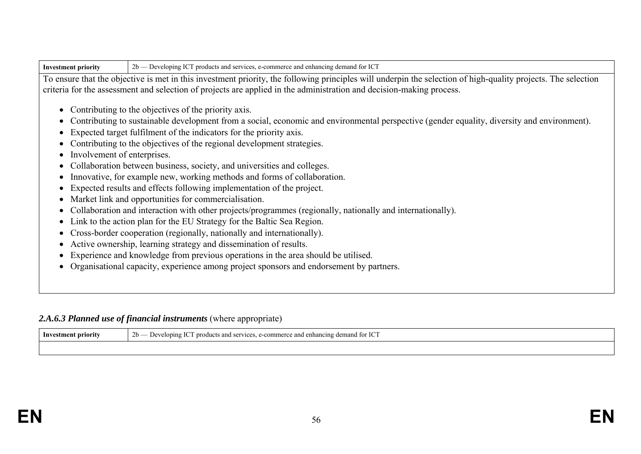|  | Investment priority | 2b — Developing ICT products and services, e-commerce and enhancing demand for ICT |  |
|--|---------------------|------------------------------------------------------------------------------------|--|
|--|---------------------|------------------------------------------------------------------------------------|--|

To ensure that the objective is met in this investment priority, the following principles will underpin the selection of high-quality projects. The selection criteria for the assessment and selection of projects are applied in the administration and decision-making process.

- Contributing to the objectives of the priority axis.
- Contributing to sustainable development from a social, economic and environmental perspective (gender equality, diversity and environment).
- Expected target fulfilment of the indicators for the priority axis.
- Contributing to the objectives of the regional development strategies.
- Involvement of enterprises.
- Collaboration between business, society, and universities and colleges.
- Innovative, for example new, working methods and forms of collaboration.
- Expected results and effects following implementation of the project.
- Market link and opportunities for commercialisation.
- Collaboration and interaction with other projects/programmes (regionally, nationally and internationally).
- Link to the action plan for the EU Strategy for the Baltic Sea Region.
- Cross-border cooperation (regionally, nationally and internationally).
- Active ownership, learning strategy and dissemination of results.
- Experience and knowledge from previous operations in the area should be utilised.
- Organisational capacity, experience among project sponsors and endorsement by partners.

### 2.A.6.3 Planned use of financial instruments (where appropriate)

| ° priority<br>™°stm.<br>ım<br>m | r ICT<br>---<br><b>01-</b><br>prod<br>$\gamma$ nng,<br>$\mathbf{A}$<br>enhancing demand for<br>nomme.<br>iucts and<br>2400<br>services<br>e and<br>$\angle U$ |
|---------------------------------|---------------------------------------------------------------------------------------------------------------------------------------------------------------|
|                                 |                                                                                                                                                               |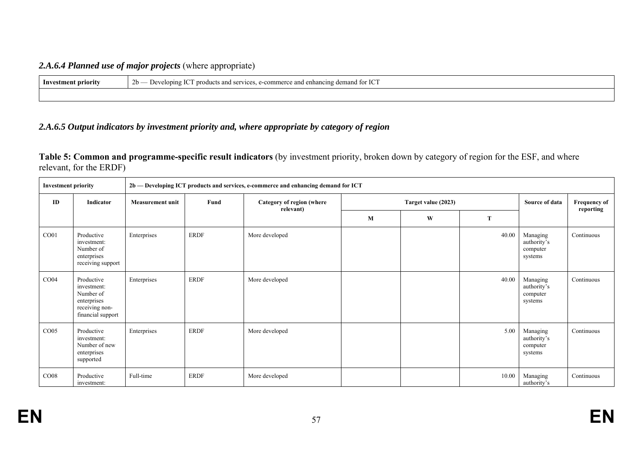## *2.A.6.4 Planned use of major projects* (where appropriate)

| Investment priority | $2b -$<br>$T \cap T$<br>I enhancing demand for ICT<br><b>Developing</b><br>⊸and<br>CATU1CAC<br>nroduct<br>:-comm<br>and.<br>erce<br>∍ بر پ<br>$\sim$ and $\sim$ |
|---------------------|-----------------------------------------------------------------------------------------------------------------------------------------------------------------|
|                     |                                                                                                                                                                 |

### *2.A.6.5 Output indicators by investment priority and, where appropriate by category of region*

**Table 5: Common and programme-specific result indicators** (by investment priority, broken down by category of region for the ESF, and where relevant, for the ERDF)

| <b>Investment priority</b> |                                                                                              | 2b — Developing ICT products and services, e-commerce and enhancing demand for ICT |             |                                        |         |                     |                |                                                |            |
|----------------------------|----------------------------------------------------------------------------------------------|------------------------------------------------------------------------------------|-------------|----------------------------------------|---------|---------------------|----------------|------------------------------------------------|------------|
| ID                         | Indicator                                                                                    | <b>Measurement unit</b>                                                            | Fund        | Category of region (where<br>relevant) |         | Target value (2023) | Source of data | <b>Frequency of</b><br>reporting               |            |
|                            |                                                                                              |                                                                                    |             |                                        | $\bf M$ | W                   | $\mathbf T$    |                                                |            |
| CO <sub>01</sub>           | Productive<br>investment:<br>Number of<br>enterprises<br>receiving support                   | Enterprises                                                                        | ERDF        | More developed                         |         |                     | 40.00          | Managing<br>authority's<br>computer<br>systems | Continuous |
| CO <sub>04</sub>           | Productive<br>investment:<br>Number of<br>enterprises<br>receiving non-<br>financial support | Enterprises                                                                        | ERDF        | More developed                         |         |                     | 40.00          | Managing<br>authority's<br>computer<br>systems | Continuous |
| CO <sub>05</sub>           | Productive<br>investment:<br>Number of new<br>enterprises<br>supported                       | Enterprises                                                                        | <b>ERDF</b> | More developed                         |         |                     | 5.00           | Managing<br>authority's<br>computer<br>systems | Continuous |
| CO <sub>08</sub>           | Productive<br>investment:                                                                    | Full-time                                                                          | ERDF        | More developed                         |         |                     | 10.00          | Managing<br>authority's                        | Continuous |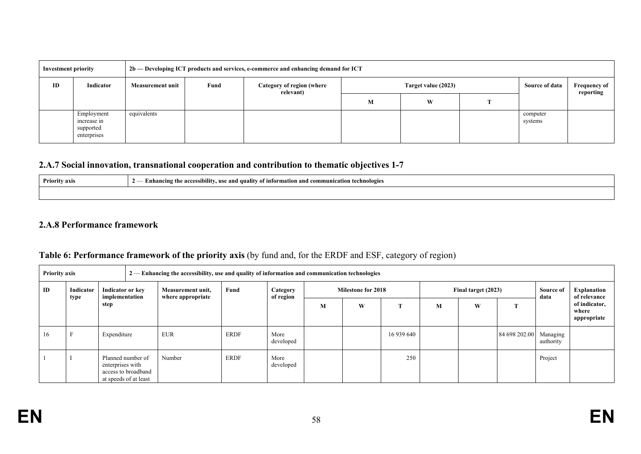| Investment priority |                                                       |                         |      | 2b — Developing ICT products and services, e-commerce and enhancing demand for ICT |                     |   |  |                     |                                  |
|---------------------|-------------------------------------------------------|-------------------------|------|------------------------------------------------------------------------------------|---------------------|---|--|---------------------|----------------------------------|
| ID                  | Indicator                                             | <b>Measurement unit</b> | Fund | Category of region (where<br>relevant)                                             | Target value (2023) |   |  | Source of data      | <b>Frequency of</b><br>reporting |
|                     |                                                       |                         |      |                                                                                    | М                   | W |  |                     |                                  |
|                     | Employment<br>increase in<br>supported<br>enterprises | equivalents             |      |                                                                                    |                     |   |  | computer<br>systems |                                  |

### **2.A.7 Social innovation, transnational cooperation and contribution to thematic objectives 1-7**

| <b>Priority axis</b> | <br>ı technologies<br>i'nhanaing th<br>.munication<br>e accessib<br>., and com<br>auality of information:<br>use anc<br>untw<br>$\prime$ $-$ |
|----------------------|----------------------------------------------------------------------------------------------------------------------------------------------|
|                      |                                                                                                                                              |

#### **2.A.8 Performance framework**

| <b>Priority axis</b> |           |                                                                                       |                   | $2$ — Enhancing the accessibility, use and quality of information and communication technologies |             |                       |                           |   |            |                     |   |                        |                          |                                       |
|----------------------|-----------|---------------------------------------------------------------------------------------|-------------------|--------------------------------------------------------------------------------------------------|-------------|-----------------------|---------------------------|---|------------|---------------------|---|------------------------|--------------------------|---------------------------------------|
| ID                   | Indicator | <b>Indicator or key</b><br>implementation                                             | Measurement unit, |                                                                                                  | Fund        | Category<br>of region | <b>Milestone for 2018</b> |   |            | Final target (2023) |   |                        | <b>Source of</b><br>data | Explanation<br>of relevance           |
|                      | type      | step                                                                                  |                   | where appropriate                                                                                |             |                       | М                         | W |            | M                   | W | <b>CEN</b>             |                          | of indicator,<br>where<br>appropriate |
| 16                   |           | Expenditure                                                                           |                   | <b>EUR</b>                                                                                       | <b>ERDF</b> | More<br>developed     |                           |   | 16 939 640 |                     |   | 84 698 202.00 Managing | authority                |                                       |
|                      |           | Planned number of<br>enterprises with<br>access to broadband<br>at speeds of at least |                   | Number                                                                                           | <b>ERDF</b> | More<br>developed     |                           |   | 250        |                     |   |                        | Project                  |                                       |

# **Table 6: Performance framework of the priority axis** (by fund and, for the ERDF and ESF, category of region)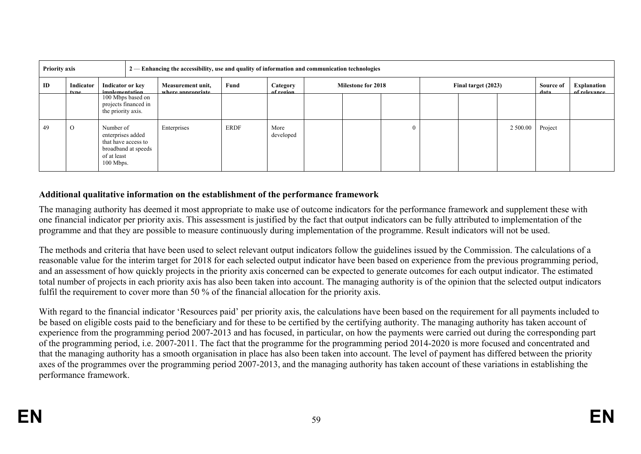| <b>Priority axis</b> |                          |                                                                                                            | 2 — Enhancing the accessibility, use and quality of information and communication technologies |                                        |             |                       |  |                           |  |                     |  |                    |                             |  |
|----------------------|--------------------------|------------------------------------------------------------------------------------------------------------|------------------------------------------------------------------------------------------------|----------------------------------------|-------------|-----------------------|--|---------------------------|--|---------------------|--|--------------------|-----------------------------|--|
| ID                   | <b>Indicator</b><br>tyne | Indicator or key<br>implementation                                                                         |                                                                                                | Measurement unit,<br>where annronriate | Fund        | Category<br>of region |  | <b>Milestone for 2018</b> |  | Final target (2023) |  | Source of<br>data. | Explanation<br>of relevance |  |
|                      |                          | 100 Mbps based on<br>projects financed in<br>the priority axis.                                            |                                                                                                |                                        |             |                       |  |                           |  |                     |  |                    |                             |  |
| 49                   | $\circ$                  | Number of<br>enterprises added<br>that have access to<br>broadband at speeds<br>of at least<br>$100$ Mbps. |                                                                                                | Enterprises                            | <b>ERDF</b> | More<br>developed     |  |                           |  |                     |  | 2 500.00           | Project                     |  |

#### **Additional qualitative information on the establishment of the performance framework**

The managing authority has deemed it most appropriate to make use of outcome indicators for the performance framework and supplement these with one financial indicator per priority axis. This assessment is justified by the fact that output indicators can be fully attributed to implementation of the programme and that they are possible to measure continuously during implementation of the programme. Result indicators will not be used.

The methods and criteria that have been used to select relevant output indicators follow the guidelines issued by the Commission. The calculations of a reasonable value for the interim target for 2018 for each selected output indicator have been based on experience from the previous programming period, and an assessment of how quickly projects in the priority axis concerned can be expected to generate outcomes for each output indicator. The estimated total number of projects in each priority axis has also been taken into account. The managing authority is of the opinion that the selected output indicators fulfil the requirement to cover more than 50 % of the financial allocation for the priority axis.

With regard to the financial indicator 'Resources paid' per priority axis, the calculations have been based on the requirement for all payments included to be based on eligible costs paid to the beneficiary and for these to be certified by the certifying authority. The managing authority has taken account of experience from the programming period 2007-2013 and has focused, in particular, on how the payments were carried out during the corresponding part of the programming period, i.e. 2007-2011. The fact that the programme for the programming period 2014-2020 is more focused and concentrated and that the managing authority has a smooth organisation in place has also been taken into account. The level of payment has differed between the priority axes of the programmes over the programming period 2007-2013, and the managing authority has taken account of these variations in establishing the performance framework.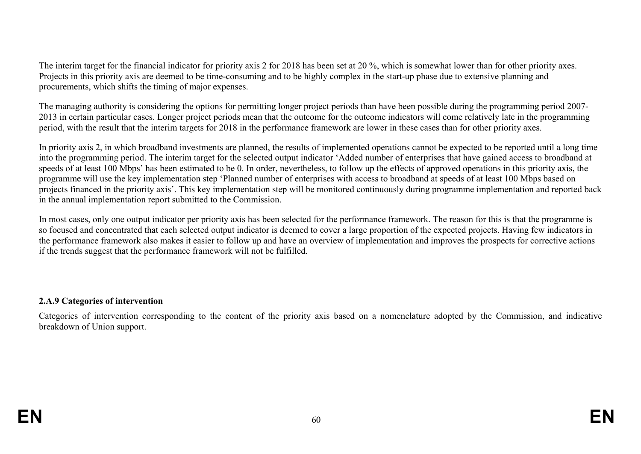The interim target for the financial indicator for priority axis 2 for 2018 has been set at 20 %, which is somewhat lower than for other priority axes. Projects in this priority axis are deemed to be time-consuming and to be highly complex in the start-up phase due to extensive planning and procurements, which shifts the timing of major expenses.

The managing authority is considering the options for permitting longer project periods than have been possible during the programming period 2007- 2013 in certain particular cases. Longer project periods mean that the outcome for the outcome indicators will come relatively late in the programming period, with the result that the interim targets for 2018 in the performance framework are lower in these cases than for other priority axes.

In priority axis 2, in which broadband investments are planned, the results of implemented operations cannot be expected to be reported until a long time into the programming period. The interim target for the selected output indicator 'Added number of enterprises that have gained access to broadband at speeds of at least 100 Mbps' has been estimated to be 0. In order, nevertheless, to follow up the effects of approved operations in this priority axis, the programme will use the key implementation step 'Planned number of enterprises with access to broadband at speeds of at least 100 Mbps based on projects financed in the priority axis'. This key implementation step will be monitored continuously during programme implementation and reported back in the annual implementation report submitted to the Commission.

In most cases, only one output indicator per priority axis has been selected for the performance framework. The reason for this is that the programme is so focused and concentrated that each selected output indicator is deemed to cover a large proportion of the expected projects. Having few indicators in the performance framework also makes it easier to follow up and have an overview of implementation and improves the prospects for corrective actions if the trends suggest that the performance framework will not be fulfilled.

### **2.A.9 Categories of intervention**

Categories of intervention corresponding to the content of the priority axis based on a nomenclature adopted by the Commission, and indicative breakdown of Union support.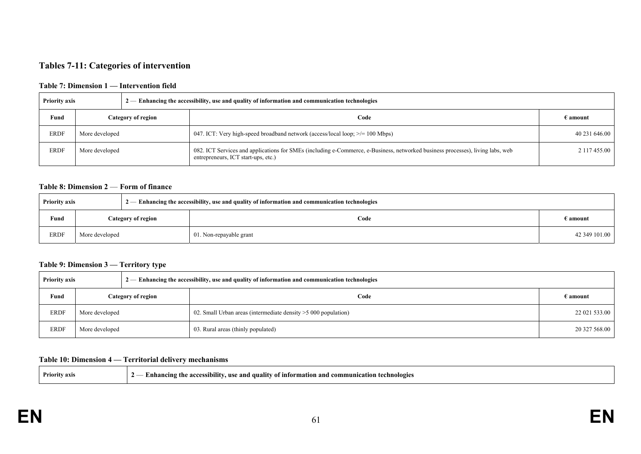#### **Tables 7-11: Categories of intervention**

#### **Table 7: Dimension 1 — Intervention field**

| <b>Priority axis</b> |                    | $2-$ Enhancing the accessibility, use and quality of information and communication technologies                                                                       |                   |
|----------------------|--------------------|-----------------------------------------------------------------------------------------------------------------------------------------------------------------------|-------------------|
| Fund                 | Category of region | Code                                                                                                                                                                  | $\epsilon$ amount |
| <b>ERDF</b>          | More developed     | 047. ICT: Very high-speed broadband network (access/local loop; $\ge$ /= 100 Mbps)                                                                                    | 40 231 646.00     |
| <b>ERDF</b>          | More developed     | 082. ICT Services and applications for SMEs (including e-Commerce, e-Business, networked business processes), living labs, web<br>entrepreneurs, ICT start-ups, etc.) | 2 117 455.00      |

#### **Table 8: Dimension 2** — **Form of finance**

| <b>Priority axis</b> |                |                    | $2$ — Enhancing the accessibility, use and quality of information and communication technologies |                   |
|----------------------|----------------|--------------------|--------------------------------------------------------------------------------------------------|-------------------|
| Fund                 |                | Category of region | Code                                                                                             | $\epsilon$ amount |
| <b>ERDF</b>          | More developed |                    | 01. Non-repayable grant                                                                          | 42 349 101.00     |

#### **Table 9: Dimension 3 — Territory type**

| <b>Priority axis</b> |                |                           | $2$ — Enhancing the accessibility, use and quality of information and communication technologies |                   |
|----------------------|----------------|---------------------------|--------------------------------------------------------------------------------------------------|-------------------|
| Fund                 |                | <b>Category of region</b> | Code                                                                                             | $\epsilon$ amount |
| <b>ERDF</b>          | More developed |                           | 02. Small Urban areas (intermediate density > 5000 population)                                   | 22 021 533.00     |
| <b>ERDF</b>          | More developed |                           | 03. Rural areas (thinly populated)                                                               | 20 327 568.00     |

#### **Table 10: Dimension 4 — Territorial delivery mechanisms**

| - Enhancing the accessibility, use and quality of information and communication technologies |
|----------------------------------------------------------------------------------------------|
|                                                                                              |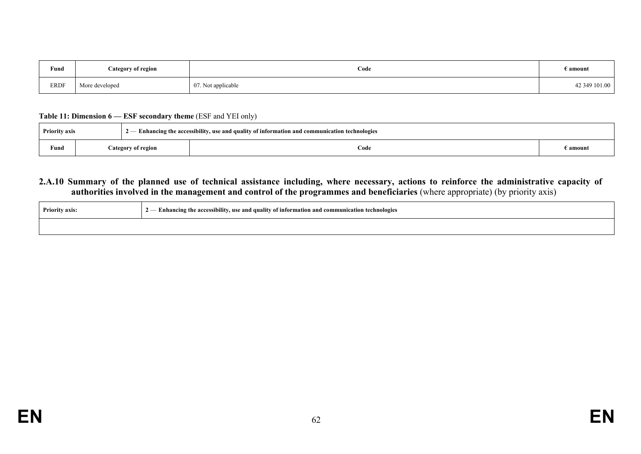| Fund        | Category of region | Code               | $\epsilon$ amount |
|-------------|--------------------|--------------------|-------------------|
| <b>ERDF</b> | More developed     | 07. Not applicable | 42 349 101.00     |

#### **Table 11: Dimension 6 — ESF secondary theme** (ESF and YEI only)

| <b>Priority axis</b> |  |                    | $2-$ Enhancing the accessibility, use and quality of information and communication technologies |                   |
|----------------------|--|--------------------|-------------------------------------------------------------------------------------------------|-------------------|
| Fund                 |  | Category of region | Code                                                                                            | $\epsilon$ amount |

#### **2.A.10 Summary of the planned use of technical assistance including, where necessary, actions to reinforce the administrative capacity of authorities involved in the management and control of the programmes and beneficiaries** (where appropriate) (by priority axis)

| <b>Priority axis:</b> | $2-$ Enhancing the accessibility, use and quality of information and communication technologies |
|-----------------------|-------------------------------------------------------------------------------------------------|
|                       |                                                                                                 |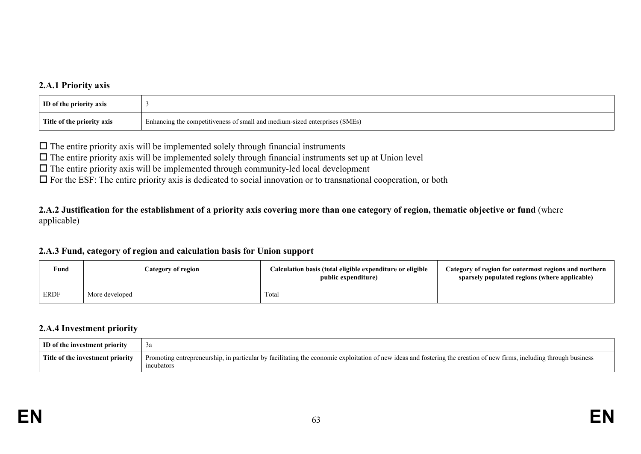### **2.A.1 Priority axis**

| <b>ID</b> of the priority axis |                                                                            |
|--------------------------------|----------------------------------------------------------------------------|
| Title of the priority axis     | Enhancing the competitiveness of small and medium-sized enterprises (SMEs) |

 $\Box$  The entire priority axis will be implemented solely through financial instruments

 $\Box$  The entire priority axis will be implemented solely through financial instruments set up at Union level

 $\Box$  The entire priority axis will be implemented through community-led local development

 $\Box$  For the ESF: The entire priority axis is dedicated to social innovation or to transnational cooperation, or both

**2.A.2 Justification for the establishment of a priority axis covering more than one category of region, thematic objective or fund** (where applicable)

#### **2.A.3 Fund, category of region and calculation basis for Union support**

| Fund        | Category of region | Calculation basis (total eligible expenditure or eligible<br>public expenditure) | Category of region for outermost regions and northern<br>sparsely populated regions (where applicable) |
|-------------|--------------------|----------------------------------------------------------------------------------|--------------------------------------------------------------------------------------------------------|
| <b>ERDF</b> | More developed     | Total                                                                            |                                                                                                        |

#### **2.A.4 Investment priority**

| ID of the investment priority    | эа                                                                                                                                                                                 |
|----------------------------------|------------------------------------------------------------------------------------------------------------------------------------------------------------------------------------|
| Title of the investment priority | Promoting entrepreneurship, in particular by facilitating the economic exploitation of new ideas and fostering the creation of new firms, including through business<br>ıncubators |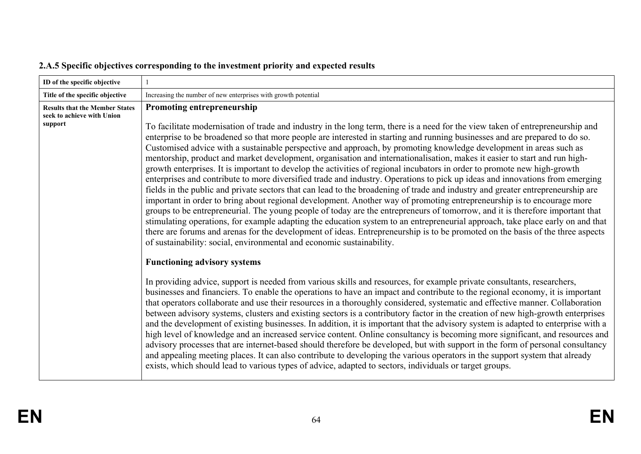| Increasing the number of new enterprises with growth potential<br>Title of the specific objective<br>Promoting entrepreneurship<br><b>Results that the Member States</b><br>seek to achieve with Union<br>support<br>Customised advice with a sustainable perspective and approach, by promoting knowledge development in areas such as                                                                                                                                        | ID of the specific objective |                                                                                                                                                                                                                                                                                                                                                                                                                                                                                                                                                                                                                                                                                                                                                                                                                                                                                                                                                                                                                                                                                                                                                                                                                                                                                                                                                                                                                                                                                                                                                                                                                                                                                                                                                                                                                                                                                                                                                                                                                                                                                                                                         |
|--------------------------------------------------------------------------------------------------------------------------------------------------------------------------------------------------------------------------------------------------------------------------------------------------------------------------------------------------------------------------------------------------------------------------------------------------------------------------------|------------------------------|-----------------------------------------------------------------------------------------------------------------------------------------------------------------------------------------------------------------------------------------------------------------------------------------------------------------------------------------------------------------------------------------------------------------------------------------------------------------------------------------------------------------------------------------------------------------------------------------------------------------------------------------------------------------------------------------------------------------------------------------------------------------------------------------------------------------------------------------------------------------------------------------------------------------------------------------------------------------------------------------------------------------------------------------------------------------------------------------------------------------------------------------------------------------------------------------------------------------------------------------------------------------------------------------------------------------------------------------------------------------------------------------------------------------------------------------------------------------------------------------------------------------------------------------------------------------------------------------------------------------------------------------------------------------------------------------------------------------------------------------------------------------------------------------------------------------------------------------------------------------------------------------------------------------------------------------------------------------------------------------------------------------------------------------------------------------------------------------------------------------------------------------|
|                                                                                                                                                                                                                                                                                                                                                                                                                                                                                |                              |                                                                                                                                                                                                                                                                                                                                                                                                                                                                                                                                                                                                                                                                                                                                                                                                                                                                                                                                                                                                                                                                                                                                                                                                                                                                                                                                                                                                                                                                                                                                                                                                                                                                                                                                                                                                                                                                                                                                                                                                                                                                                                                                         |
| growth enterprises. It is important to develop the activities of regional incubators in order to promote new high-growth<br>of sustainability: social, environmental and economic sustainability.<br><b>Functioning advisory systems</b><br>In providing advice, support is needed from various skills and resources, for example private consultants, researchers,<br>exists, which should lead to various types of advice, adapted to sectors, individuals or target groups. |                              | To facilitate modernisation of trade and industry in the long term, there is a need for the view taken of entrepreneurship and<br>enterprise to be broadened so that more people are interested in starting and running businesses and are prepared to do so.<br>mentorship, product and market development, organisation and internationalisation, makes it easier to start and run high-<br>enterprises and contribute to more diversified trade and industry. Operations to pick up ideas and innovations from emerging<br>fields in the public and private sectors that can lead to the broadening of trade and industry and greater entrepreneurship are<br>important in order to bring about regional development. Another way of promoting entrepreneurship is to encourage more<br>groups to be entrepreneurial. The young people of today are the entrepreneurs of tomorrow, and it is therefore important that<br>stimulating operations, for example adapting the education system to an entrepreneurial approach, take place early on and that<br>there are forums and arenas for the development of ideas. Entrepreneurship is to be promoted on the basis of the three aspects<br>businesses and financiers. To enable the operations to have an impact and contribute to the regional economy, it is important<br>that operators collaborate and use their resources in a thoroughly considered, systematic and effective manner. Collaboration<br>between advisory systems, clusters and existing sectors is a contributory factor in the creation of new high-growth enterprises<br>and the development of existing businesses. In addition, it is important that the advisory system is adapted to enterprise with a<br>high level of knowledge and an increased service content. Online consultancy is becoming more significant, and resources and<br>advisory processes that are internet-based should therefore be developed, but with support in the form of personal consultancy<br>and appealing meeting places. It can also contribute to developing the various operators in the support system that already |

# **2.A.5 Specific objectives corresponding to the investment priority and expected results**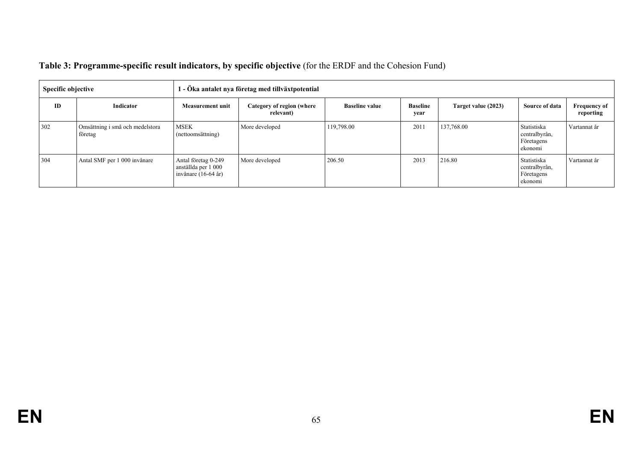| <b>Specific objective</b> |                                            | l - Öka antalet nya företag med tillväxtpotential                   |                                        |                       |                         |                     |                                                       |                                  |
|---------------------------|--------------------------------------------|---------------------------------------------------------------------|----------------------------------------|-----------------------|-------------------------|---------------------|-------------------------------------------------------|----------------------------------|
| ID                        | Indicator                                  | <b>Measurement unit</b>                                             | Category of region (where<br>relevant) | <b>Baseline value</b> | <b>Baseline</b><br>year | Target value (2023) | Source of data                                        | <b>Frequency of</b><br>reporting |
| 302                       | Omsättning i små och medelstora<br>företag | <b>MSEK</b><br>(nettoomsättning)                                    | More developed                         | 119,798.00            | 2011                    | 137,768.00          | Statistiska<br>centralbyrån,<br>Företagens<br>ekonomi | Vartannat år                     |
| 304                       | Antal SMF per 1 000 invånare               | Antal företag 0-249<br>anställda per 1 000<br>invånare $(16-64$ år) | More developed                         | 206.50                | 2013                    | 216.80              | Statistiska<br>centralbyrån,<br>Företagens<br>ekonomi | Vartannat år                     |

# **Table 3: Programme-specific result indicators, by specific objective** (for the ERDF and the Cohesion Fund)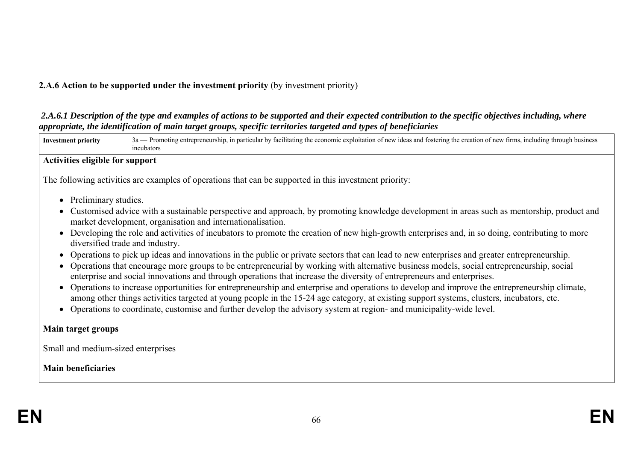# **2.A.6 Action to be supported under the investment priority** (by investment priority)

# *2.A.6.1 Description of the type and examples of actions to be supported and their expected contribution to the specific objectives including, where appropriate, the identification of main target groups, specific territories targeted and types of beneficiaries*

| <b>Investment priority</b>             | 3a — Promoting entrepreneurship, in particular by facilitating the economic exploitation of new ideas and fostering the creation of new firms, including through business<br>incubators                                                                                                                                                                                                                                                                                                                                                                                                                                                                                                                                                                                                                                               |  |  |  |
|----------------------------------------|---------------------------------------------------------------------------------------------------------------------------------------------------------------------------------------------------------------------------------------------------------------------------------------------------------------------------------------------------------------------------------------------------------------------------------------------------------------------------------------------------------------------------------------------------------------------------------------------------------------------------------------------------------------------------------------------------------------------------------------------------------------------------------------------------------------------------------------|--|--|--|
| <b>Activities eligible for support</b> |                                                                                                                                                                                                                                                                                                                                                                                                                                                                                                                                                                                                                                                                                                                                                                                                                                       |  |  |  |
|                                        | The following activities are examples of operations that can be supported in this investment priority:                                                                                                                                                                                                                                                                                                                                                                                                                                                                                                                                                                                                                                                                                                                                |  |  |  |
| Preliminary studies.                   | Customised advice with a sustainable perspective and approach, by promoting knowledge development in areas such as mentorship, product and<br>market development, organisation and internationalisation.                                                                                                                                                                                                                                                                                                                                                                                                                                                                                                                                                                                                                              |  |  |  |
|                                        | Developing the role and activities of incubators to promote the creation of new high-growth enterprises and, in so doing, contributing to more<br>diversified trade and industry.                                                                                                                                                                                                                                                                                                                                                                                                                                                                                                                                                                                                                                                     |  |  |  |
|                                        | Operations to pick up ideas and innovations in the public or private sectors that can lead to new enterprises and greater entrepreneurship.<br>Operations that encourage more groups to be entrepreneurial by working with alternative business models, social entrepreneurship, social<br>enterprise and social innovations and through operations that increase the diversity of entrepreneurs and enterprises.<br>Operations to increase opportunities for entrepreneurship and enterprise and operations to develop and improve the entrepreneurship climate,<br>among other things activities targeted at young people in the 15-24 age category, at existing support systems, clusters, incubators, etc.<br>Operations to coordinate, customise and further develop the advisory system at region- and municipality-wide level. |  |  |  |
| Main target groups                     |                                                                                                                                                                                                                                                                                                                                                                                                                                                                                                                                                                                                                                                                                                                                                                                                                                       |  |  |  |
| Small and medium-sized enterprises     |                                                                                                                                                                                                                                                                                                                                                                                                                                                                                                                                                                                                                                                                                                                                                                                                                                       |  |  |  |
| <b>Main beneficiaries</b>              |                                                                                                                                                                                                                                                                                                                                                                                                                                                                                                                                                                                                                                                                                                                                                                                                                                       |  |  |  |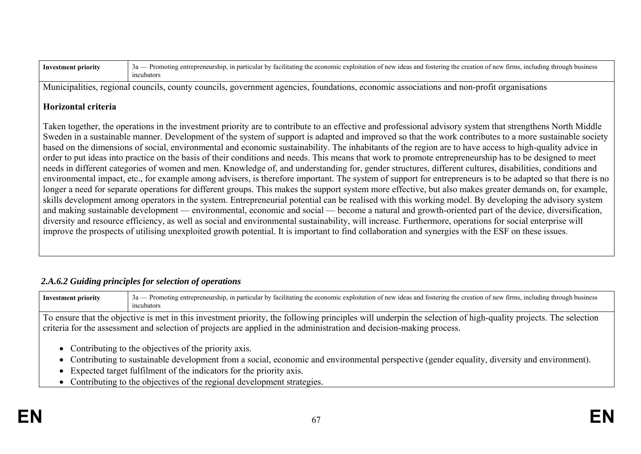| -Investme<br>ent | tırms<br>busines<br>r new<br>throus<br>the<br>1nclud<br>$'$ tostering<br>; and<br>ng the creative<br>-in-nar<br>$n_{\ell}$<br>atıng :<br>idea.<br>Promou<br>eneurshu<br>exploitatio<br>mom<br>ла<br>таспи<br>.<br>meubators |
|------------------|-----------------------------------------------------------------------------------------------------------------------------------------------------------------------------------------------------------------------------|
|------------------|-----------------------------------------------------------------------------------------------------------------------------------------------------------------------------------------------------------------------------|

Municipalities, regional councils, county councils, government agencies, foundations, economic associations and non-profit organisations

### **Horizontal criteria**

Taken together, the operations in the investment priority are to contribute to an effective and professional advisory system that strengthens North Middle Sweden in a sustainable manner. Development of the system of support is adapted and improved so that the work contributes to a more sustainable society based on the dimensions of social, environmental and economic sustainability. The inhabitants of the region are to have access to high-quality advice in order to put ideas into practice on the basis of their conditions and needs. This means that work to promote entrepreneurship has to be designed to meet needs in different categories of women and men. Knowledge of, and understanding for, gender structures, different cultures, disabilities, conditions and environmental impact, etc., for example among advisers, is therefore important. The system of support for entrepreneurs is to be adapted so that there is no longer a need for separate operations for different groups. This makes the support system more effective, but also makes greater demands on, for example, skills development among operators in the system. Entrepreneurial potential can be realised with this working model. By developing the advisory system and making sustainable development — environmental, economic and social — become a natural and growth-oriented part of the device, diversification, diversity and resource efficiency, as well as social and environmental sustainability, will increase. Furthermore, operations for social enterprise will improve the prospects of utilising unexploited growth potential. It is important to find collaboration and synergies with the ESF on these issues.

## *2.A.6.2 Guiding principles for selection of operations*

Investment priority 3a — Promoting entrepreneurship, in particular by facilitating the economic exploitation of new ideas and fostering the creation of new firms, including through business incubators

To ensure that the objective is met in this investment priority, the following principles will underpin the selection of high-quality projects. The selection criteria for the assessment and selection of projects are applied in the administration and decision-making process.

- Contributing to the objectives of the priority axis.
- Contributing to sustainable development from a social, economic and environmental perspective (gender equality, diversity and environment).
- Expected target fulfilment of the indicators for the priority axis.
- Contributing to the objectives of the regional development strategies.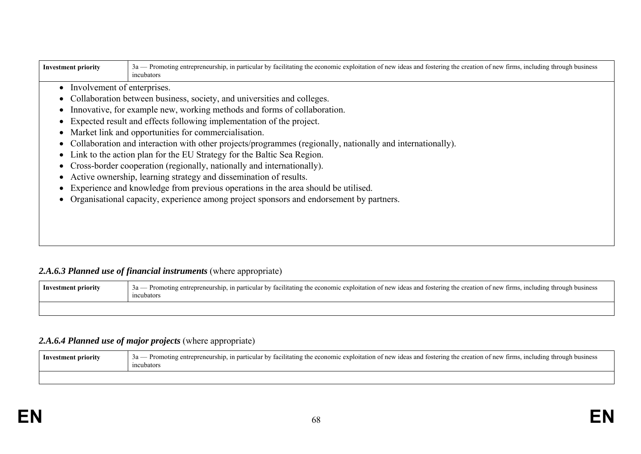| <b>Investment priority</b>                                                              | 3a — Promoting entrepreneurship, in particular by facilitating the economic exploitation of new ideas and fostering the creation of new firms, including through business<br>incubators |  |  |  |  |  |
|-----------------------------------------------------------------------------------------|-----------------------------------------------------------------------------------------------------------------------------------------------------------------------------------------|--|--|--|--|--|
| Involvement of enterprises.<br>$\bullet$                                                |                                                                                                                                                                                         |  |  |  |  |  |
|                                                                                         | Collaboration between business, society, and universities and colleges.                                                                                                                 |  |  |  |  |  |
|                                                                                         | Innovative, for example new, working methods and forms of collaboration.                                                                                                                |  |  |  |  |  |
| $\bullet$                                                                               | Expected result and effects following implementation of the project.                                                                                                                    |  |  |  |  |  |
|                                                                                         | Market link and opportunities for commercialisation.                                                                                                                                    |  |  |  |  |  |
|                                                                                         | Collaboration and interaction with other projects/programmes (regionally, nationally and internationally).                                                                              |  |  |  |  |  |
| Link to the action plan for the EU Strategy for the Baltic Sea Region.                  |                                                                                                                                                                                         |  |  |  |  |  |
| Cross-border cooperation (regionally, nationally and internationally).                  |                                                                                                                                                                                         |  |  |  |  |  |
| Active ownership, learning strategy and dissemination of results.<br>$\bullet$          |                                                                                                                                                                                         |  |  |  |  |  |
| Experience and knowledge from previous operations in the area should be utilised.       |                                                                                                                                                                                         |  |  |  |  |  |
| Organisational capacity, experience among project sponsors and endorsement by partners. |                                                                                                                                                                                         |  |  |  |  |  |
|                                                                                         |                                                                                                                                                                                         |  |  |  |  |  |
|                                                                                         |                                                                                                                                                                                         |  |  |  |  |  |
|                                                                                         |                                                                                                                                                                                         |  |  |  |  |  |

# 2.A.6.3 Planned use of financial instruments (where appropriate)

| Investment priority | 3a — Promoting entrepreneurship, in particular by facilitating the economic exploitation of new ideas and fostering the creation of new firms, including through business<br>incubators |
|---------------------|-----------------------------------------------------------------------------------------------------------------------------------------------------------------------------------------|
|                     |                                                                                                                                                                                         |

## *2.A.6.4 Planned use of major projects* (where appropriate)

| Investment priority | - Promoting entrepreneurship, in particular by facilitating the economic exploitation of new ideas and fostering the creation of new firms, including through business<br>$3a -$<br>ncubators |
|---------------------|-----------------------------------------------------------------------------------------------------------------------------------------------------------------------------------------------|
|                     |                                                                                                                                                                                               |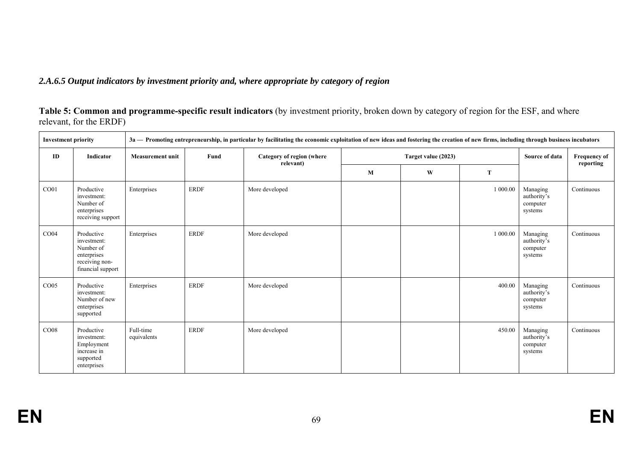# *2.A.6.5 Output indicators by investment priority and, where appropriate by category of region*

| <b>Investment priority</b><br>3a — Promoting entrepreneurship, in particular by facilitating the economic exploitation of new ideas and fostering the creation of new firms, including through business incubators |                                                                                              |                          |             |                                        |   |                     |          |                                                |                                  |
|--------------------------------------------------------------------------------------------------------------------------------------------------------------------------------------------------------------------|----------------------------------------------------------------------------------------------|--------------------------|-------------|----------------------------------------|---|---------------------|----------|------------------------------------------------|----------------------------------|
| ID                                                                                                                                                                                                                 | Indicator                                                                                    | <b>Measurement unit</b>  | Fund        | Category of region (where<br>relevant) |   | Target value (2023) |          | Source of data                                 | <b>Frequency of</b><br>reporting |
|                                                                                                                                                                                                                    |                                                                                              |                          |             |                                        | M | W                   | T        |                                                |                                  |
| CO <sub>01</sub>                                                                                                                                                                                                   | Productive<br>investment:<br>Number of<br>enterprises<br>receiving support                   | Enterprises              | <b>ERDF</b> | More developed                         |   |                     | 1 000.00 | Managing<br>authority's<br>computer<br>systems | Continuous                       |
| CO04                                                                                                                                                                                                               | Productive<br>investment:<br>Number of<br>enterprises<br>receiving non-<br>financial support | Enterprises              | <b>ERDF</b> | More developed                         |   |                     | 1 000.00 | Managing<br>authority's<br>computer<br>systems | Continuous                       |
| CO <sub>05</sub>                                                                                                                                                                                                   | Productive<br>investment:<br>Number of new<br>enterprises<br>supported                       | Enterprises              | <b>ERDF</b> | More developed                         |   |                     | 400.00   | Managing<br>authority's<br>computer<br>systems | Continuous                       |
| CO08                                                                                                                                                                                                               | Productive<br>investment:<br>Employment<br>increase in<br>supported<br>enterprises           | Full-time<br>equivalents | <b>ERDF</b> | More developed                         |   |                     | 450.00   | Managing<br>authority's<br>computer<br>systems | Continuous                       |

**Table 5: Common and programme-specific result indicators** (by investment priority, broken down by category of region for the ESF, and where relevant, for the ERDF)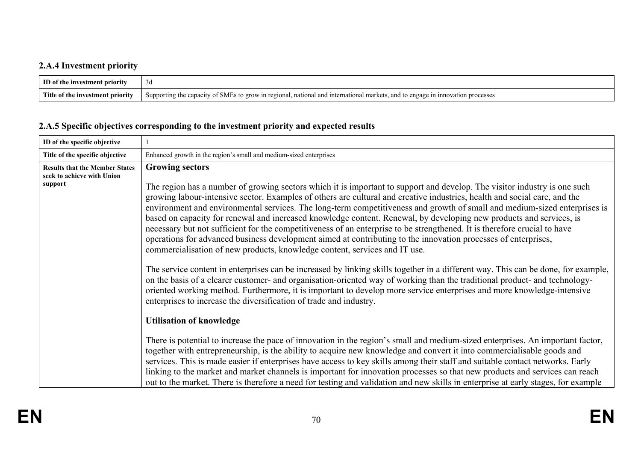# **2.A.4 Investment priority**

| ID of the investment priority    | - 3 a                                                                                                                                                        |
|----------------------------------|--------------------------------------------------------------------------------------------------------------------------------------------------------------|
| Title of the investment priority | <sup>,</sup> of SMEs<br>grow in regional, national and international markets<br>unnovation<br>Supporting<br>processes<br>engage in<br>the capacity<br>and to |

# **2.A.5 Specific objectives corresponding to the investment priority and expected results**

| ID of the specific objective                                                   |                                                                                                                                                                                                                                                                                                                                                                                                                                                                                                                                                                                                                                                                                                                                                                                                                                                                                                                                                                                                                                                                                                                                                                                                                                                                                                                                                                                                                                                                                                                                                                                                                                                                                                                                                                                                                                                                                                                                                                                                                                          |
|--------------------------------------------------------------------------------|------------------------------------------------------------------------------------------------------------------------------------------------------------------------------------------------------------------------------------------------------------------------------------------------------------------------------------------------------------------------------------------------------------------------------------------------------------------------------------------------------------------------------------------------------------------------------------------------------------------------------------------------------------------------------------------------------------------------------------------------------------------------------------------------------------------------------------------------------------------------------------------------------------------------------------------------------------------------------------------------------------------------------------------------------------------------------------------------------------------------------------------------------------------------------------------------------------------------------------------------------------------------------------------------------------------------------------------------------------------------------------------------------------------------------------------------------------------------------------------------------------------------------------------------------------------------------------------------------------------------------------------------------------------------------------------------------------------------------------------------------------------------------------------------------------------------------------------------------------------------------------------------------------------------------------------------------------------------------------------------------------------------------------------|
| Title of the specific objective                                                | Enhanced growth in the region's small and medium-sized enterprises                                                                                                                                                                                                                                                                                                                                                                                                                                                                                                                                                                                                                                                                                                                                                                                                                                                                                                                                                                                                                                                                                                                                                                                                                                                                                                                                                                                                                                                                                                                                                                                                                                                                                                                                                                                                                                                                                                                                                                       |
| <b>Results that the Member States</b><br>seek to achieve with Union<br>support | <b>Growing sectors</b><br>The region has a number of growing sectors which it is important to support and develop. The visitor industry is one such<br>growing labour-intensive sector. Examples of others are cultural and creative industries, health and social care, and the<br>environment and environmental services. The long-term competitiveness and growth of small and medium-sized enterprises is<br>based on capacity for renewal and increased knowledge content. Renewal, by developing new products and services, is<br>necessary but not sufficient for the competitiveness of an enterprise to be strengthened. It is therefore crucial to have<br>operations for advanced business development aimed at contributing to the innovation processes of enterprises,<br>commercialisation of new products, knowledge content, services and IT use.<br>The service content in enterprises can be increased by linking skills together in a different way. This can be done, for example,<br>on the basis of a clearer customer- and organisation-oriented way of working than the traditional product- and technology-<br>oriented working method. Furthermore, it is important to develop more service enterprises and more knowledge-intensive<br>enterprises to increase the diversification of trade and industry.<br><b>Utilisation of knowledge</b><br>There is potential to increase the pace of innovation in the region's small and medium-sized enterprises. An important factor,<br>together with entrepreneurship, is the ability to acquire new knowledge and convert it into commercialisable goods and<br>services. This is made easier if enterprises have access to key skills among their staff and suitable contact networks. Early<br>linking to the market and market channels is important for innovation processes so that new products and services can reach<br>out to the market. There is therefore a need for testing and validation and new skills in enterprise at early stages, for example |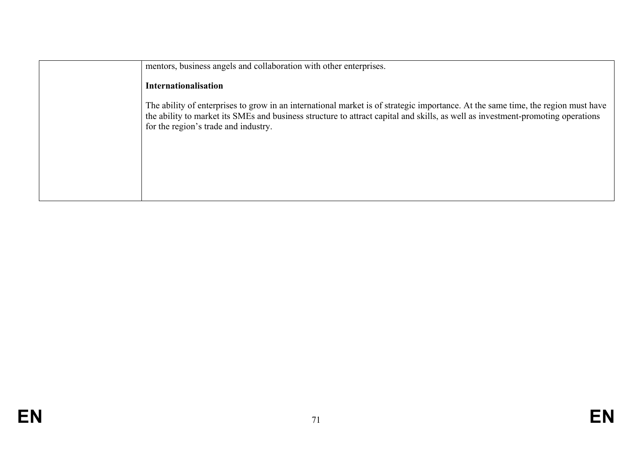| mentors, business angels and collaboration with other enterprises.                                                                                                                                                                                                                                          |
|-------------------------------------------------------------------------------------------------------------------------------------------------------------------------------------------------------------------------------------------------------------------------------------------------------------|
| <b>Internationalisation</b>                                                                                                                                                                                                                                                                                 |
| The ability of enterprises to grow in an international market is of strategic importance. At the same time, the region must have<br>the ability to market its SMEs and business structure to attract capital and skills, as well as investment-promoting operations<br>for the region's trade and industry. |
|                                                                                                                                                                                                                                                                                                             |
|                                                                                                                                                                                                                                                                                                             |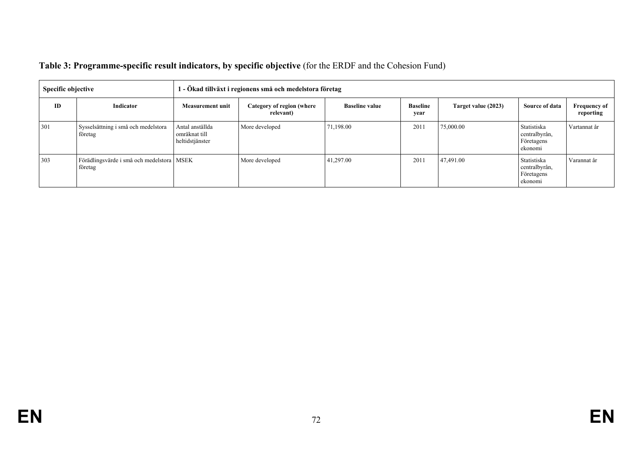| <b>Specific objective</b> |                                                        | 1 - Ökad tillväxt i regionens små och medelstora företag |                |                       |                         |                     |                                                       |                                  |  |  |
|---------------------------|--------------------------------------------------------|----------------------------------------------------------|----------------|-----------------------|-------------------------|---------------------|-------------------------------------------------------|----------------------------------|--|--|
| ID                        | Indicator                                              | <b>Measurement unit</b>                                  |                | <b>Baseline value</b> | <b>Baseline</b><br>year | Target value (2023) | Source of data                                        | <b>Frequency of</b><br>reporting |  |  |
| 301                       | Sysselsättning i små och medelstora<br>företag         | Antal anställda<br>omräknat till<br>heltidstjänster      | More developed | 71,198.00             | 2011                    | 75,000.00           | Statistiska<br>centralbyrån,<br>Företagens<br>ekonomi | Vartannat år                     |  |  |
| 303                       | Förädlingsvärde i små och medelstora   MSEK<br>företag |                                                          | More developed | 41,297.00             | 2011                    | 47,491.00           | Statistiska<br>centralbyrån,<br>Företagens<br>ekonomi | Varannat år                      |  |  |

# **Table 3: Programme-specific result indicators, by specific objective** (for the ERDF and the Cohesion Fund)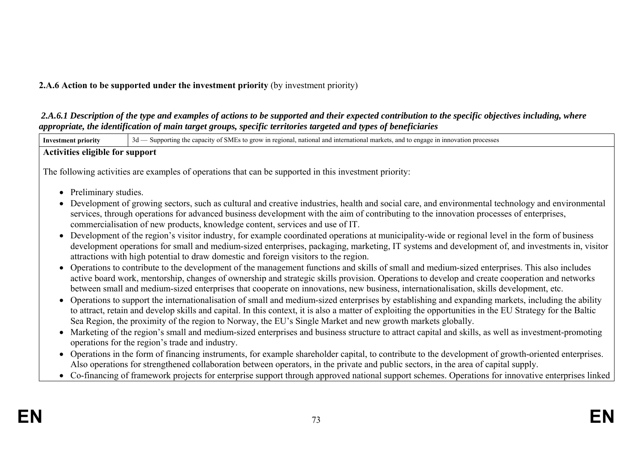## **2.A.6 Action to be supported under the investment priority** (by investment priority)

 *2.A.6.1 Description of the type and examples of actions to be supported and their expected contribution to the specific objectives including, where appropriate, the identification of main target groups, specific territories targeted and types of beneficiaries* 

| <b>Investment priority</b> | 3d — Supporting the capacity of SMEs to grow in regional, national and international markets, and to engage in innovation processes                                                                                                                                                                                                                                                                                                       |  |  |  |  |  |  |  |  |  |
|----------------------------|-------------------------------------------------------------------------------------------------------------------------------------------------------------------------------------------------------------------------------------------------------------------------------------------------------------------------------------------------------------------------------------------------------------------------------------------|--|--|--|--|--|--|--|--|--|
|                            | <b>Activities eligible for support</b>                                                                                                                                                                                                                                                                                                                                                                                                    |  |  |  |  |  |  |  |  |  |
|                            | The following activities are examples of operations that can be supported in this investment priority:                                                                                                                                                                                                                                                                                                                                    |  |  |  |  |  |  |  |  |  |
| • Preliminary studies.     |                                                                                                                                                                                                                                                                                                                                                                                                                                           |  |  |  |  |  |  |  |  |  |
|                            | • Development of growing sectors, such as cultural and creative industries, health and social care, and environmental technology and environmental<br>services, through operations for advanced business development with the aim of contributing to the innovation processes of enterprises,<br>commercialisation of new products, knowledge content, services and use of IT.                                                            |  |  |  |  |  |  |  |  |  |
|                            | • Development of the region's visitor industry, for example coordinated operations at municipality-wide or regional level in the form of business<br>development operations for small and medium-sized enterprises, packaging, marketing, IT systems and development of, and investments in, visitor<br>attractions with high potential to draw domestic and foreign visitors to the region.                                              |  |  |  |  |  |  |  |  |  |
|                            | • Operations to contribute to the development of the management functions and skills of small and medium-sized enterprises. This also includes<br>active board work, mentorship, changes of ownership and strategic skills provision. Operations to develop and create cooperation and networks<br>between small and medium-sized enterprises that cooperate on innovations, new business, internationalisation, skills development, etc. |  |  |  |  |  |  |  |  |  |
|                            | • Operations to support the internationalisation of small and medium-sized enterprises by establishing and expanding markets, including the ability<br>to attract, retain and develop skills and capital. In this context, it is also a matter of exploiting the opportunities in the EU Strategy for the Baltic<br>Sea Region, the proximity of the region to Norway, the EU's Single Market and new growth markets globally.            |  |  |  |  |  |  |  |  |  |
|                            | • Marketing of the region's small and medium-sized enterprises and business structure to attract capital and skills, as well as investment-promoting<br>operations for the region's trade and industry.                                                                                                                                                                                                                                   |  |  |  |  |  |  |  |  |  |
|                            | • Operations in the form of financing instruments, for example shareholder capital, to contribute to the development of growth-oriented enterprises.<br>Also operations for strengthened collaboration between operators, in the private and public sectors, in the area of capital supply.                                                                                                                                               |  |  |  |  |  |  |  |  |  |
|                            | • Co-financing of framework projects for enterprise support through approved national support schemes. Operations for innovative enterprises linked                                                                                                                                                                                                                                                                                       |  |  |  |  |  |  |  |  |  |
|                            |                                                                                                                                                                                                                                                                                                                                                                                                                                           |  |  |  |  |  |  |  |  |  |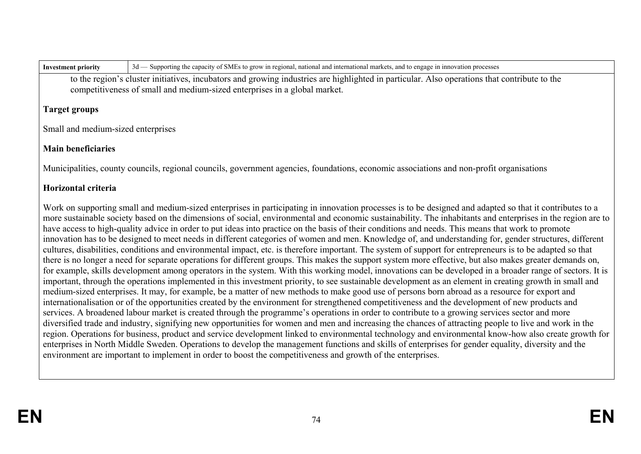**Investment priority** 3d — Supporting the capacity of SMEs to grow in regional, national and international markets, and to engage in innovation processes

to the region's cluster initiatives, incubators and growing industries are highlighted in particular. Also operations that contribute to the competitiveness of small and medium-sized enterprises in a global market.

### **Target groups**

Small and medium-sized enterprises

# **Main beneficiaries**

Municipalities, county councils, regional councils, government agencies, foundations, economic associations and non-profit organisations

# **Horizontal criteria**

Work on supporting small and medium-sized enterprises in participating in innovation processes is to be designed and adapted so that it contributes to a more sustainable society based on the dimensions of social, environmental and economic sustainability. The inhabitants and enterprises in the region are to have access to high-quality advice in order to put ideas into practice on the basis of their conditions and needs. This means that work to promote innovation has to be designed to meet needs in different categories of women and men. Knowledge of, and understanding for, gender structures, different cultures, disabilities, conditions and environmental impact, etc. is therefore important. The system of support for entrepreneurs is to be adapted so that there is no longer a need for separate operations for different groups. This makes the support system more effective, but also makes greater demands on, for example, skills development among operators in the system. With this working model, innovations can be developed in a broader range of sectors. It is important, through the operations implemented in this investment priority, to see sustainable development as an element in creating growth in small and medium-sized enterprises. It may, for example, be a matter of new methods to make good use of persons born abroad as a resource for export and internationalisation or of the opportunities created by the environment for strengthened competitiveness and the development of new products and services. A broadened labour market is created through the programme's operations in order to contribute to a growing services sector and more diversified trade and industry, signifying new opportunities for women and men and increasing the chances of attracting people to live and work in the region. Operations for business, product and service development linked to environmental technology and environmental know-how also create growth for enterprises in North Middle Sweden. Operations to develop the management functions and skills of enterprises for gender equality, diversity and the environment are important to implement in order to boost the competitiveness and growth of the enterprises.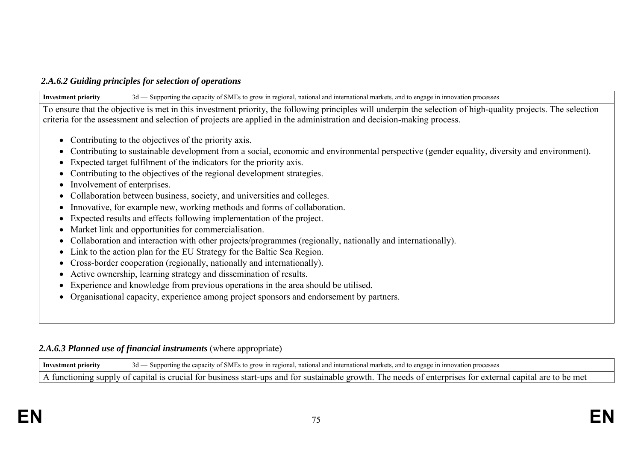### *2.A.6.2 Guiding principles for selection of operations*

**Investment priority** 3d — Supporting the capacity of SMEs to grow in regional, national and international markets, and to engage in innovation processes To ensure that the objective is met in this investment priority, the following principles will underpin the selection of high-quality projects. The selection criteria for the assessment and selection of projects are applied in the administration and decision-making process. • Contributing to the objectives of the priority axis. Contributing to sustainable development from a social, economic and environmental perspective (gender equality, diversity and environment). Expected target fulfilment of the indicators for the priority axis. Contributing to the objectives of the regional development strategies. • Involvement of enterprises. Collaboration between business, society, and universities and colleges. • Innovative, for example new, working methods and forms of collaboration. Expected results and effects following implementation of the project. Market link and opportunities for commercialisation. • Collaboration and interaction with other projects/programmes (regionally, nationally and internationally). Link to the action plan for the EU Strategy for the Baltic Sea Region. Cross-border cooperation (regionally, nationally and internationally). Active ownership, learning strategy and dissemination of results. Experience and knowledge from previous operations in the area should be utilised. Organisational capacity, experience among project sponsors and endorsement by partners.

## 2.A.6.3 Planned use of financial instruments (where appropriate)

**Investment priority** 3d — Supporting the capacity of SMEs to grow in regional, national and international markets, and to engage in innovation processes A functioning supply of capital is crucial for business start-ups and for sustainable growth. The needs of enterprises for external capital are to be met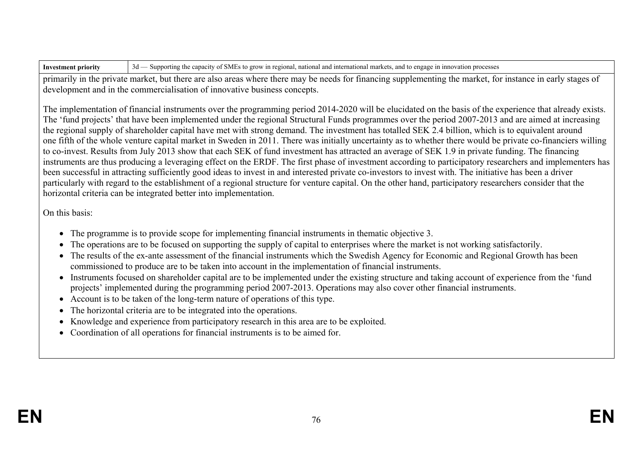primarily in the private market, but there are also areas where there may be needs for financing supplementing the market, for instance in early stages of development and in the commercialisation of innovative business concepts.

The implementation of financial instruments over the programming period 2014-2020 will be elucidated on the basis of the experience that already exists. The 'fund projects' that have been implemented under the regional Structural Funds programmes over the period 2007-2013 and are aimed at increasing the regional supply of shareholder capital have met with strong demand. The investment has totalled SEK 2.4 billion, which is to equivalent around one fifth of the whole venture capital market in Sweden in 2011. There was initially uncertainty as to whether there would be private co-financiers willing to co-invest. Results from July 2013 show that each SEK of fund investment has attracted an average of SEK 1.9 in private funding. The financing instruments are thus producing a leveraging effect on the ERDF. The first phase of investment according to participatory researchers and implementers has been successful in attracting sufficiently good ideas to invest in and interested private co-investors to invest with. The initiative has been a driver particularly with regard to the establishment of a regional structure for venture capital. On the other hand, participatory researchers consider that the horizontal criteria can be integrated better into implementation.

On this basis:

- The programme is to provide scope for implementing financial instruments in thematic objective 3.
- The operations are to be focused on supporting the supply of capital to enterprises where the market is not working satisfactorily.
- The results of the ex-ante assessment of the financial instruments which the Swedish Agency for Economic and Regional Growth has been commissioned to produce are to be taken into account in the implementation of financial instruments.
- Instruments focused on shareholder capital are to be implemented under the existing structure and taking account of experience from the 'fund projects' implemented during the programming period 2007-2013. Operations may also cover other financial instruments.
- Account is to be taken of the long-term nature of operations of this type.
- The horizontal criteria are to be integrated into the operations.
- Knowledge and experience from participatory research in this area are to be exploited.
- Coordination of all operations for financial instruments is to be aimed for.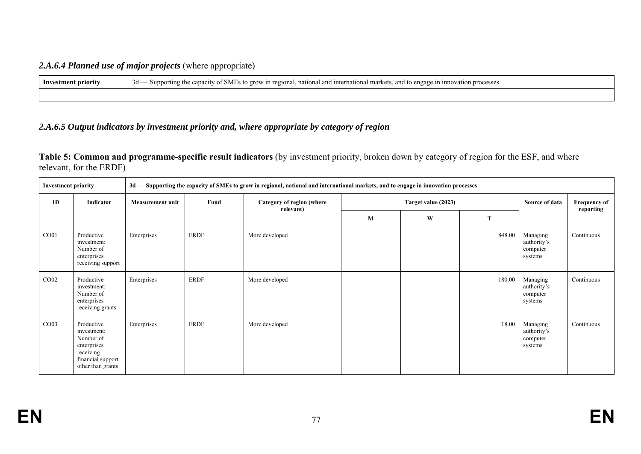## *2.A.6.4 Planned use of major projects* (where appropriate)

| - Inv<br>stment priority | `SMF<br>umnovation processes<br>a and international market.<br>Supt<br>. to ørow in<br>. and to<br>، regional, nation<br>engag.<br>: 1N<br>capacity /<br>orting<br>3a<br>$\sim$ |
|--------------------------|---------------------------------------------------------------------------------------------------------------------------------------------------------------------------------|
|                          |                                                                                                                                                                                 |

## *2.A.6.5 Output indicators by investment priority and, where appropriate by category of region*

**Table 5: Common and programme-specific result indicators** (by investment priority, broken down by category of region for the ESF, and where relevant, for the ERDF)

| <b>Investment priority</b> |                                                                                                              |                         |             | 3d - Supporting the capacity of SMEs to grow in regional, national and international markets, and to engage in innovation processes |  |                     |        |                                                |            |                |                                  |
|----------------------------|--------------------------------------------------------------------------------------------------------------|-------------------------|-------------|-------------------------------------------------------------------------------------------------------------------------------------|--|---------------------|--------|------------------------------------------------|------------|----------------|----------------------------------|
| ID                         | Indicator                                                                                                    | <b>Measurement unit</b> | Fund        | Category of region (where<br>relevant)                                                                                              |  | Target value (2023) |        |                                                |            | Source of data | <b>Frequency of</b><br>reporting |
|                            |                                                                                                              |                         |             | $\bf M$                                                                                                                             |  | W                   | T      |                                                |            |                |                                  |
| CO <sub>01</sub>           | Productive<br>investment:<br>Number of<br>enterprises<br>receiving support                                   | Enterprises             | ERDF        | More developed                                                                                                                      |  |                     | 848.00 | Managing<br>authority's<br>computer<br>systems | Continuous |                |                                  |
| CO <sub>02</sub>           | Productive<br>investment:<br>Number of<br>enterprises<br>receiving grants                                    | Enterprises             | <b>ERDF</b> | More developed                                                                                                                      |  |                     | 180.00 | Managing<br>authority's<br>computer<br>systems | Continuous |                |                                  |
| CO <sub>03</sub>           | Productive<br>investment:<br>Number of<br>enterprises<br>receiving<br>financial support<br>other than grants | Enterprises             | <b>ERDF</b> | More developed                                                                                                                      |  |                     | 18.00  | Managing<br>authority's<br>computer<br>systems | Continuous |                |                                  |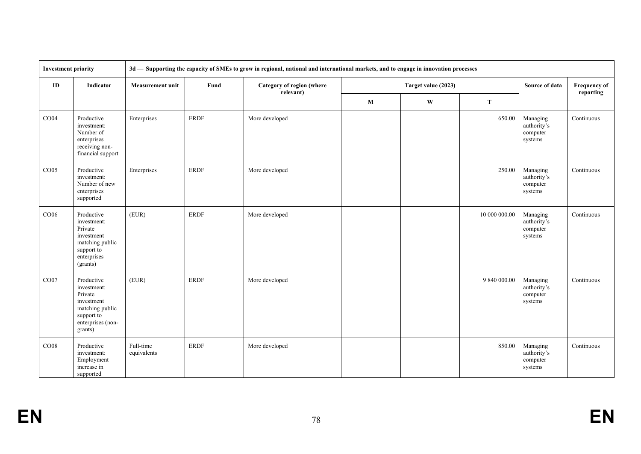| <b>Investment priority</b> |                                                                                                                     | 3d — Supporting the capacity of SMEs to grow in regional, national and international markets, and to engage in innovation processes |             |                                        |              |                     |               |                                                |                     |
|----------------------------|---------------------------------------------------------------------------------------------------------------------|-------------------------------------------------------------------------------------------------------------------------------------|-------------|----------------------------------------|--------------|---------------------|---------------|------------------------------------------------|---------------------|
| ID                         | Indicator                                                                                                           | <b>Measurement unit</b>                                                                                                             | Fund        | Category of region (where<br>relevant) |              | Target value (2023) |               | Source of data                                 | <b>Frequency of</b> |
|                            |                                                                                                                     |                                                                                                                                     |             |                                        | $\mathbf{M}$ | W                   |               |                                                | reporting           |
| CO04                       | Productive<br>investment:<br>Number of<br>enterprises<br>receiving non-<br>financial support                        | Enterprises                                                                                                                         | <b>ERDF</b> | More developed                         |              |                     | 650.00        | Managing<br>authority's<br>computer<br>systems | Continuous          |
| CO <sub>05</sub>           | Productive<br>investment:<br>Number of new<br>enterprises<br>supported                                              | Enterprises                                                                                                                         | <b>ERDF</b> | More developed                         |              |                     | 250.00        | Managing<br>authority's<br>computer<br>systems | Continuous          |
| CO06                       | Productive<br>investment:<br>Private<br>investment<br>matching public<br>support to<br>enterprises<br>(grants)      | (EUR)                                                                                                                               | <b>ERDF</b> | More developed                         |              |                     | 10 000 000.00 | Managing<br>authority's<br>computer<br>systems | Continuous          |
| CO07                       | Productive<br>investment:<br>Private<br>investment<br>matching public<br>support to<br>enterprises (non-<br>grants) | (EUR)                                                                                                                               | <b>ERDF</b> | More developed                         |              |                     | 9 840 000.00  | Managing<br>authority's<br>computer<br>systems | Continuous          |
| CO <sub>08</sub>           | Productive<br>investment:<br>Employment<br>increase in<br>supported                                                 | Full-time<br>equivalents                                                                                                            | <b>ERDF</b> | More developed                         |              |                     | 850.00        | Managing<br>authority's<br>computer<br>systems | Continuous          |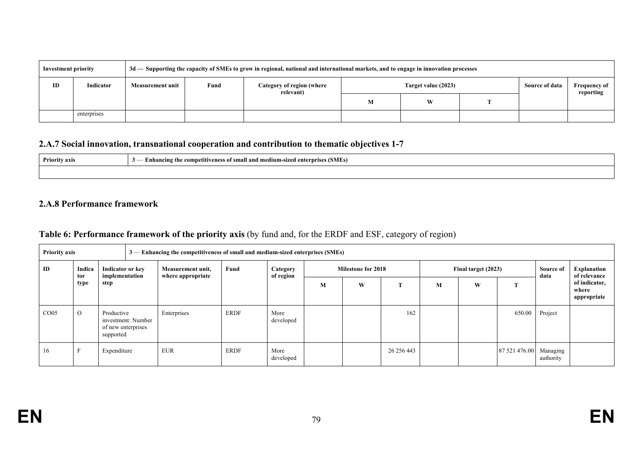| <b>Investment priority</b> |             |                         |      | 3d — Supporting the capacity of SMEs to grow in regional, national and international markets, and to engage in innovation processes |                          |  |  |                |                                  |
|----------------------------|-------------|-------------------------|------|-------------------------------------------------------------------------------------------------------------------------------------|--------------------------|--|--|----------------|----------------------------------|
| ID                         | Indicator   | <b>Measurement unit</b> | Fund | Category of region (where<br>relevant)                                                                                              | Target value (2023)<br>W |  |  | Source of data | <b>Frequency of</b><br>reporting |
|                            |             |                         |      |                                                                                                                                     |                          |  |  |                |                                  |
|                            | enterprises |                         |      |                                                                                                                                     |                          |  |  |                |                                  |

# **2.A.7 Social innovation, transnational cooperation and contribution to thematic objectives 1-7**

| Priority axis | - Enhancing the competitiveness of small and medium-sized enterprises (SMEs)<br>$\mathbf{r}$ |
|---------------|----------------------------------------------------------------------------------------------|
|               |                                                                                              |

#### **2.A.8 Performance framework**

# **Table 6: Performance framework of the priority axis** (by fund and, for the ERDF and ESF, category of region)

| <b>Priority axis</b> |          |                                                                     | $3$ —Enhancing the competitiveness of small and medium-sized enterprises (SMEs) |                                        |             |                       |                           |   |             |                     |   |               |                       |                                       |
|----------------------|----------|---------------------------------------------------------------------|---------------------------------------------------------------------------------|----------------------------------------|-------------|-----------------------|---------------------------|---|-------------|---------------------|---|---------------|-----------------------|---------------------------------------|
| ID                   | Indica   | Indicator or key<br>implementation<br>tor<br>type<br>step           |                                                                                 | Measurement unit,<br>where appropriate | Fund        | Category<br>of region | <b>Milestone for 2018</b> |   |             | Final target (2023) |   |               | Source of<br>data     | Explanation<br>of relevance           |
|                      |          |                                                                     |                                                                                 |                                        |             |                       | M                         | W |             | М                   | W | m             |                       | of indicator,<br>where<br>appropriate |
| CO <sub>05</sub>     | $\Omega$ | Productive<br>investment: Number<br>of new enterprises<br>supported |                                                                                 | Enterprises                            | <b>ERDF</b> | More<br>developed     |                           |   | 162         |                     |   | 650.00        | Project               |                                       |
| -16                  |          | Expenditure                                                         |                                                                                 | <b>EUR</b>                             | <b>ERDF</b> | More<br>developed     |                           |   | 26 25 6 443 |                     |   | 87 521 476.00 | Managing<br>authority |                                       |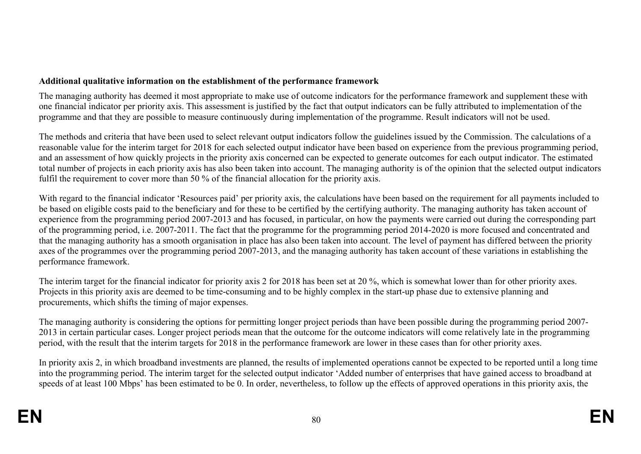## **Additional qualitative information on the establishment of the performance framework**

The managing authority has deemed it most appropriate to make use of outcome indicators for the performance framework and supplement these with one financial indicator per priority axis. This assessment is justified by the fact that output indicators can be fully attributed to implementation of the programme and that they are possible to measure continuously during implementation of the programme. Result indicators will not be used.

The methods and criteria that have been used to select relevant output indicators follow the guidelines issued by the Commission. The calculations of a reasonable value for the interim target for 2018 for each selected output indicator have been based on experience from the previous programming period, and an assessment of how quickly projects in the priority axis concerned can be expected to generate outcomes for each output indicator. The estimated total number of projects in each priority axis has also been taken into account. The managing authority is of the opinion that the selected output indicators fulfil the requirement to cover more than 50 % of the financial allocation for the priority axis.

With regard to the financial indicator 'Resources paid' per priority axis, the calculations have been based on the requirement for all payments included to be based on eligible costs paid to the beneficiary and for these to be certified by the certifying authority. The managing authority has taken account of experience from the programming period 2007-2013 and has focused, in particular, on how the payments were carried out during the corresponding part of the programming period, i.e. 2007-2011. The fact that the programme for the programming period 2014-2020 is more focused and concentrated and that the managing authority has a smooth organisation in place has also been taken into account. The level of payment has differed between the priority axes of the programmes over the programming period 2007-2013, and the managing authority has taken account of these variations in establishing the performance framework.

The interim target for the financial indicator for priority axis 2 for 2018 has been set at 20 %, which is somewhat lower than for other priority axes. Projects in this priority axis are deemed to be time-consuming and to be highly complex in the start-up phase due to extensive planning and procurements, which shifts the timing of major expenses.

The managing authority is considering the options for permitting longer project periods than have been possible during the programming period 2007- 2013 in certain particular cases. Longer project periods mean that the outcome for the outcome indicators will come relatively late in the programming period, with the result that the interim targets for 2018 in the performance framework are lower in these cases than for other priority axes.

In priority axis 2, in which broadband investments are planned, the results of implemented operations cannot be expected to be reported until a long time into the programming period. The interim target for the selected output indicator 'Added number of enterprises that have gained access to broadband at speeds of at least 100 Mbps' has been estimated to be 0. In order, nevertheless, to follow up the effects of approved operations in this priority axis, the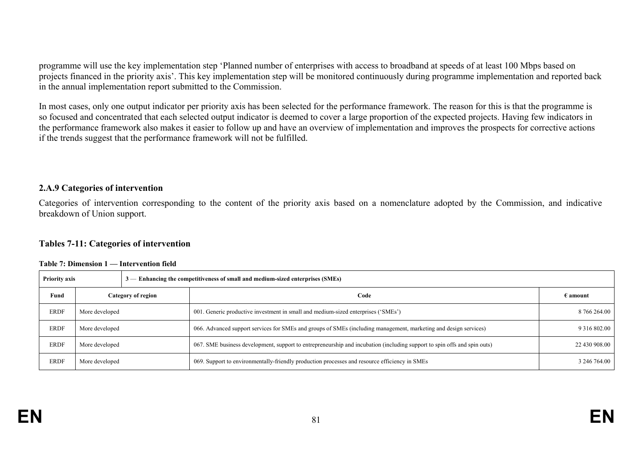programme will use the key implementation step 'Planned number of enterprises with access to broadband at speeds of at least 100 Mbps based on projects financed in the priority axis'. This key implementation step will be monitored continuously during programme implementation and reported back in the annual implementation report submitted to the Commission.

In most cases, only one output indicator per priority axis has been selected for the performance framework. The reason for this is that the programme is so focused and concentrated that each selected output indicator is deemed to cover a large proportion of the expected projects. Having few indicators in the performance framework also makes it easier to follow up and have an overview of implementation and improves the prospects for corrective actions if the trends suggest that the performance framework will not be fulfilled.

#### **2.A.9 Categories of intervention**

Categories of intervention corresponding to the content of the priority axis based on a nomenclature adopted by the Commission, and indicative breakdown of Union support.

#### **Tables 7-11: Categories of intervention**

| <b>Priority axis</b> |                |                    | $3$ — Enhancing the competitiveness of small and medium-sized enterprises (SMEs)                                         |                     |
|----------------------|----------------|--------------------|--------------------------------------------------------------------------------------------------------------------------|---------------------|
| Fund                 |                | Category of region | Code                                                                                                                     | $\epsilon$ amount   |
| <b>ERDF</b>          | More developed |                    | 001. Generic productive investment in small and medium-sized enterprises ('SMEs')                                        | 8 766 264.00        |
| <b>ERDF</b>          | More developed |                    | 066. Advanced support services for SMEs and groups of SMEs (including management, marketing and design services)         | 9 3 1 6 8 0 2 . 0 0 |
| <b>ERDF</b>          | More developed |                    | 067. SME business development, support to entrepreneurship and incubation (including support to spin offs and spin outs) | 22 430 908.00       |
| <b>ERDF</b>          | More developed |                    | 069. Support to environmentally-friendly production processes and resource efficiency in SMEs                            | 3 246 764.00        |

#### **Table 7: Dimension 1 — Intervention field**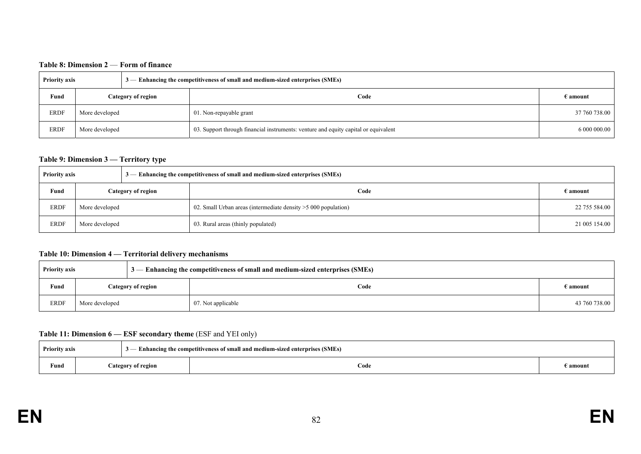#### **Table 8: Dimension 2** — **Form of finance**

| <b>Priority axis</b> |                |                    | $3$ — Enhancing the competitiveness of small and medium-sized enterprises (SMEs)    |                        |
|----------------------|----------------|--------------------|-------------------------------------------------------------------------------------|------------------------|
| Fund                 |                | Category of region | Code                                                                                | $\bm{\epsilon}$ amount |
| <b>ERDF</b>          | More developed |                    | 01. Non-repayable grant                                                             | 37 760 738.00          |
| <b>ERDF</b>          | More developed |                    | 03. Support through financial instruments: venture and equity capital or equivalent | 6 000 000.00           |

#### **Table 9: Dimension 3 — Territory type**

| <b>Priority axis</b> |                |                    | $3$ — Enhancing the competitiveness of small and medium-sized enterprises (SMEs) |                   |
|----------------------|----------------|--------------------|----------------------------------------------------------------------------------|-------------------|
| Fund                 |                | Category of region | Code                                                                             | $\epsilon$ amount |
| <b>ERDF</b>          | More developed |                    | 02. Small Urban areas (intermediate density > 5000 population)                   | 22 755 584.00     |
| <b>ERDF</b>          | More developed |                    | 03. Rural areas (thinly populated)                                               | 21 005 154.00     |

#### **Table 10: Dimension 4 — Territorial delivery mechanisms**

| <b>Priority axis</b> |                    |  | $3$ — Enhancing the competitiveness of small and medium-sized enterprises (SMEs) |                   |
|----------------------|--------------------|--|----------------------------------------------------------------------------------|-------------------|
| Fund                 | Category of region |  | Code                                                                             | $\epsilon$ amount |
| <b>ERDF</b>          | More developed     |  | 07. Not applicable                                                               | 43 760 738.00     |

#### **Table 11: Dimension 6 — ESF secondary theme** (ESF and YEI only)

| <b>Priority axis</b> |  |                    | - Enhancing the competitiveness of small and medium-sized enterprises (SMEs) |          |
|----------------------|--|--------------------|------------------------------------------------------------------------------|----------|
| Fund                 |  | Category of region | Code                                                                         | amount : |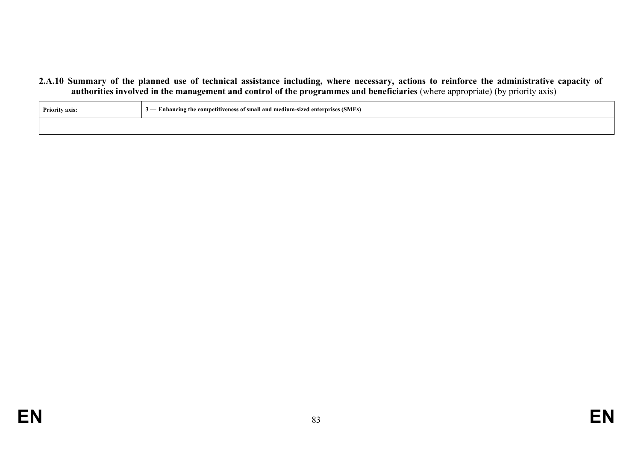**2.A.10 Summary of the planned use of technical assistance including, where necessary, actions to reinforce the administrative capacity of authorities involved in the management and control of the programmes and beneficiaries** (where appropriate) (by priority axis)

| <b>Priority axis:</b> | 3 - Enhancing the competitiveness of small and medium-sized enterprises (SMEs) |
|-----------------------|--------------------------------------------------------------------------------|
|                       |                                                                                |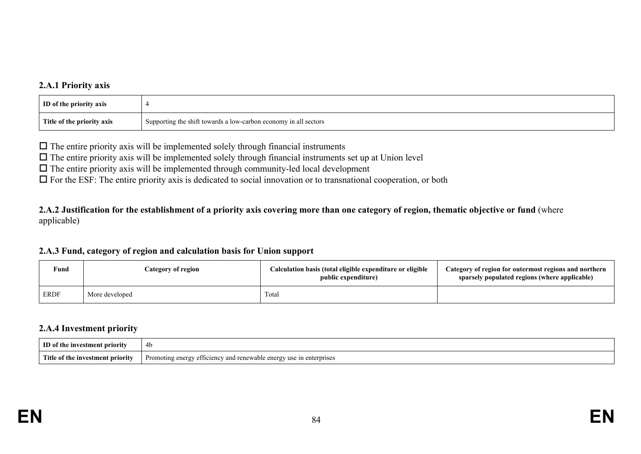### **2.A.1 Priority axis**

| ID of the priority axis    |                                                                    |
|----------------------------|--------------------------------------------------------------------|
| Title of the priority axis | I Supporting the shift towards a low-carbon economy in all sectors |

 $\Box$  The entire priority axis will be implemented solely through financial instruments

 $\Box$  The entire priority axis will be implemented solely through financial instruments set up at Union level

 $\Box$  The entire priority axis will be implemented through community-led local development

 $\Box$  For the ESF: The entire priority axis is dedicated to social innovation or to transnational cooperation, or both

**2.A.2 Justification for the establishment of a priority axis covering more than one category of region, thematic objective or fund** (where applicable)

#### **2.A.3 Fund, category of region and calculation basis for Union support**

| Fund        | Category of region | Calculation basis (total eligible expenditure or eligible<br>public expenditure) | Category of region for outermost regions and northern<br>sparsely populated regions (where applicable) |
|-------------|--------------------|----------------------------------------------------------------------------------|--------------------------------------------------------------------------------------------------------|
| <b>ERDF</b> | More developed     | Total                                                                            |                                                                                                        |

#### **2.A.4 Investment priority**

| ID of the investment priorit              | 4b                                                                                                                                                                        |
|-------------------------------------------|---------------------------------------------------------------------------------------------------------------------------------------------------------------------------|
| -Titk<br>… of t∽<br>: investment priority | r <sub>0</sub> n <sub>0</sub><br>$\text{error}$<br>enterprises<br>Promo<br>efficiency<br>and<br>$_{\mathbf{a}n}$<br>11 C.<br>erav<br>1n<br>$\sim$ vv $\epsilon$<br>C11C1E |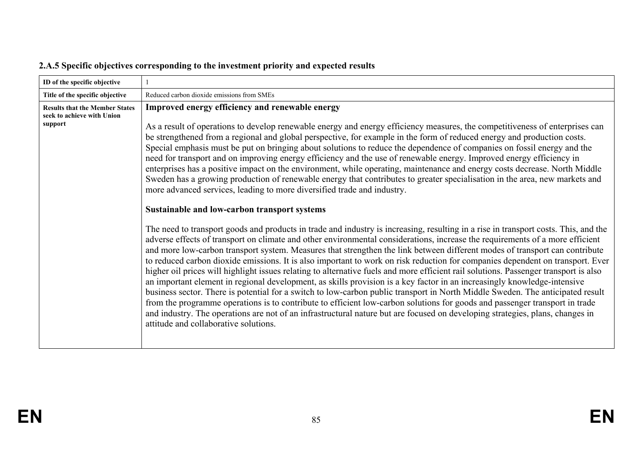| ID of the specific objective                                                   |                                                                                                                                                                                                                                                                                                                                                                                                                                                                                                                                                                                                                                                                                                                                                                                                                                                                                                                                                                                                                                                                                                                                                                                                                                                                                                                                                                                                                                                                                                                                                                                                                                                                                                                                                                                                                                                                                                                                                                                                                                                                                                                                                                                                               |
|--------------------------------------------------------------------------------|---------------------------------------------------------------------------------------------------------------------------------------------------------------------------------------------------------------------------------------------------------------------------------------------------------------------------------------------------------------------------------------------------------------------------------------------------------------------------------------------------------------------------------------------------------------------------------------------------------------------------------------------------------------------------------------------------------------------------------------------------------------------------------------------------------------------------------------------------------------------------------------------------------------------------------------------------------------------------------------------------------------------------------------------------------------------------------------------------------------------------------------------------------------------------------------------------------------------------------------------------------------------------------------------------------------------------------------------------------------------------------------------------------------------------------------------------------------------------------------------------------------------------------------------------------------------------------------------------------------------------------------------------------------------------------------------------------------------------------------------------------------------------------------------------------------------------------------------------------------------------------------------------------------------------------------------------------------------------------------------------------------------------------------------------------------------------------------------------------------------------------------------------------------------------------------------------------------|
| Title of the specific objective                                                | Reduced carbon dioxide emissions from SMEs                                                                                                                                                                                                                                                                                                                                                                                                                                                                                                                                                                                                                                                                                                                                                                                                                                                                                                                                                                                                                                                                                                                                                                                                                                                                                                                                                                                                                                                                                                                                                                                                                                                                                                                                                                                                                                                                                                                                                                                                                                                                                                                                                                    |
| <b>Results that the Member States</b><br>seek to achieve with Union<br>support | Improved energy efficiency and renewable energy<br>As a result of operations to develop renewable energy and energy efficiency measures, the competitiveness of enterprises can<br>be strengthened from a regional and global perspective, for example in the form of reduced energy and production costs.<br>Special emphasis must be put on bringing about solutions to reduce the dependence of companies on fossil energy and the<br>need for transport and on improving energy efficiency and the use of renewable energy. Improved energy efficiency in<br>enterprises has a positive impact on the environment, while operating, maintenance and energy costs decrease. North Middle<br>Sweden has a growing production of renewable energy that contributes to greater specialisation in the area, new markets and<br>more advanced services, leading to more diversified trade and industry.<br>Sustainable and low-carbon transport systems<br>The need to transport goods and products in trade and industry is increasing, resulting in a rise in transport costs. This, and the<br>adverse effects of transport on climate and other environmental considerations, increase the requirements of a more efficient<br>and more low-carbon transport system. Measures that strengthen the link between different modes of transport can contribute<br>to reduced carbon dioxide emissions. It is also important to work on risk reduction for companies dependent on transport. Ever<br>higher oil prices will highlight issues relating to alternative fuels and more efficient rail solutions. Passenger transport is also<br>an important element in regional development, as skills provision is a key factor in an increasingly knowledge-intensive<br>business sector. There is potential for a switch to low-carbon public transport in North Middle Sweden. The anticipated result<br>from the programme operations is to contribute to efficient low-carbon solutions for goods and passenger transport in trade<br>and industry. The operations are not of an infrastructural nature but are focused on developing strategies, plans, changes in<br>attitude and collaborative solutions. |

# **2.A.5 Specific objectives corresponding to the investment priority and expected results**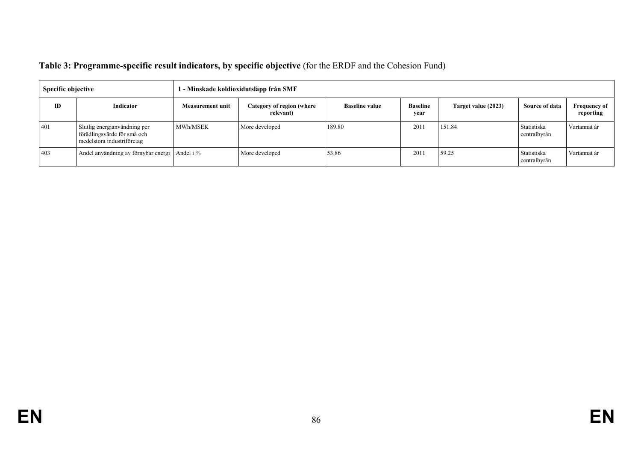| Table 3: Programme-specific result indicators, by specific objective (for the ERDF and the Cohesion Fund) |  |  |
|-----------------------------------------------------------------------------------------------------------|--|--|
|                                                                                                           |  |  |

| Specific objective |                                                                                           | 1 - Minskade koldioxidutsläpp från SMF |                                        |                       |                         |                     |                             |                                  |
|--------------------|-------------------------------------------------------------------------------------------|----------------------------------------|----------------------------------------|-----------------------|-------------------------|---------------------|-----------------------------|----------------------------------|
| <b>ID</b>          | Indicator                                                                                 | <b>Measurement unit</b>                | Category of region (where<br>relevant) | <b>Baseline value</b> | <b>Baseline</b><br>year | Target value (2023) | Source of data              | <b>Frequency of</b><br>reporting |
| 401                | Slutlig energianvändning per<br>förädlingsvärde för små och<br>medelstora industriföretag | <b>MWh/MSEK</b>                        | More developed                         | 189.80                | 2011                    | 151.84              | Statistiska<br>centralbyrån | Vartannat år                     |
| 403                | Andel användning av förnybar energi Andel i %                                             |                                        | More developed                         | 53.86                 | 2011                    | 59.25               | Statistiska<br>centralbyrån | Vartannat år                     |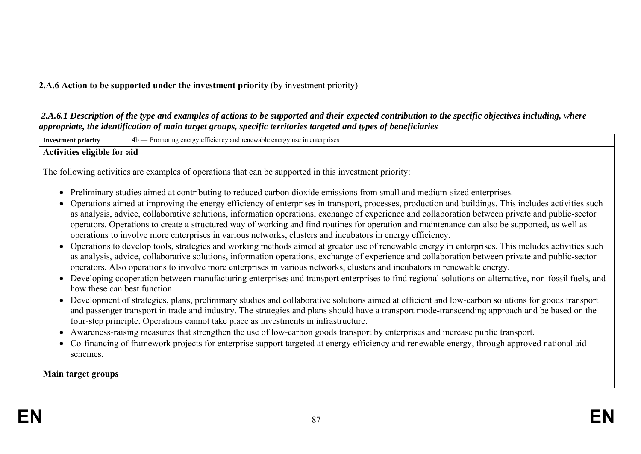## **2.A.6 Action to be supported under the investment priority** (by investment priority)

 *2.A.6.1 Description of the type and examples of actions to be supported and their expected contribution to the specific objectives including, where appropriate, the identification of main target groups, specific territories targeted and types of beneficiaries* 

| approprate, the attinguation of main at See Sroups, speegle territories at Selea and types of beneficial les |                                                                                                                                                                                                                                                                                                                                                                                                                                                                                                                                                                                                                                                                                                                                                                                                                                                                                                                                                                                                                                                                                                                                                                                                                                                                                              |  |  |  |  |  |  |
|--------------------------------------------------------------------------------------------------------------|----------------------------------------------------------------------------------------------------------------------------------------------------------------------------------------------------------------------------------------------------------------------------------------------------------------------------------------------------------------------------------------------------------------------------------------------------------------------------------------------------------------------------------------------------------------------------------------------------------------------------------------------------------------------------------------------------------------------------------------------------------------------------------------------------------------------------------------------------------------------------------------------------------------------------------------------------------------------------------------------------------------------------------------------------------------------------------------------------------------------------------------------------------------------------------------------------------------------------------------------------------------------------------------------|--|--|--|--|--|--|
| <b>Investment priority</b>                                                                                   | 4b — Promoting energy efficiency and renewable energy use in enterprises                                                                                                                                                                                                                                                                                                                                                                                                                                                                                                                                                                                                                                                                                                                                                                                                                                                                                                                                                                                                                                                                                                                                                                                                                     |  |  |  |  |  |  |
| Activities eligible for aid                                                                                  |                                                                                                                                                                                                                                                                                                                                                                                                                                                                                                                                                                                                                                                                                                                                                                                                                                                                                                                                                                                                                                                                                                                                                                                                                                                                                              |  |  |  |  |  |  |
|                                                                                                              | The following activities are examples of operations that can be supported in this investment priority:                                                                                                                                                                                                                                                                                                                                                                                                                                                                                                                                                                                                                                                                                                                                                                                                                                                                                                                                                                                                                                                                                                                                                                                       |  |  |  |  |  |  |
| $\bullet$                                                                                                    | Preliminary studies aimed at contributing to reduced carbon dioxide emissions from small and medium-sized enterprises.<br>Operations aimed at improving the energy efficiency of enterprises in transport, processes, production and buildings. This includes activities such<br>as analysis, advice, collaborative solutions, information operations, exchange of experience and collaboration between private and public-sector<br>operators. Operations to create a structured way of working and find routines for operation and maintenance can also be supported, as well as<br>operations to involve more enterprises in various networks, clusters and incubators in energy efficiency.<br>Operations to develop tools, strategies and working methods aimed at greater use of renewable energy in enterprises. This includes activities such<br>as analysis, advice, collaborative solutions, information operations, exchange of experience and collaboration between private and public-sector<br>operators. Also operations to involve more enterprises in various networks, clusters and incubators in renewable energy.<br>Developing cooperation between manufacturing enterprises and transport enterprises to find regional solutions on alternative, non-fossil fuels, and |  |  |  |  |  |  |
| how these can best function.<br>schemes.                                                                     | • Development of strategies, plans, preliminary studies and collaborative solutions aimed at efficient and low-carbon solutions for goods transport<br>and passenger transport in trade and industry. The strategies and plans should have a transport mode-transcending approach and be based on the<br>four-step principle. Operations cannot take place as investments in infrastructure.<br>Awareness-raising measures that strengthen the use of low-carbon goods transport by enterprises and increase public transport.<br>• Co-financing of framework projects for enterprise support targeted at energy efficiency and renewable energy, through approved national aid                                                                                                                                                                                                                                                                                                                                                                                                                                                                                                                                                                                                              |  |  |  |  |  |  |
| Main target groups                                                                                           |                                                                                                                                                                                                                                                                                                                                                                                                                                                                                                                                                                                                                                                                                                                                                                                                                                                                                                                                                                                                                                                                                                                                                                                                                                                                                              |  |  |  |  |  |  |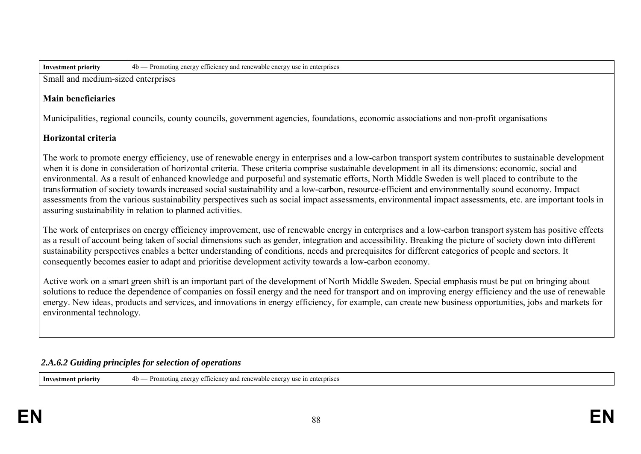| lnv<br>.nent nrıorıtv<br>estm. | 4b<br>Prome<br>ernrises<br>able<br>$\mu$ erg $\nu$<br>ene<br>ente<br>етпетепс<br>newai<br>ำก•า<br>-41 I<br>. |
|--------------------------------|--------------------------------------------------------------------------------------------------------------|

Small and medium-sized enterprises

#### **Main beneficiaries**

Municipalities, regional councils, county councils, government agencies, foundations, economic associations and non-profit organisations

### **Horizontal criteria**

The work to promote energy efficiency, use of renewable energy in enterprises and a low-carbon transport system contributes to sustainable development when it is done in consideration of horizontal criteria. These criteria comprise sustainable development in all its dimensions: economic, social and environmental. As a result of enhanced knowledge and purposeful and systematic efforts, North Middle Sweden is well placed to contribute to the transformation of society towards increased social sustainability and a low-carbon, resource-efficient and environmentally sound economy. Impact assessments from the various sustainability perspectives such as social impact assessments, environmental impact assessments, etc. are important tools in assuring sustainability in relation to planned activities.

The work of enterprises on energy efficiency improvement, use of renewable energy in enterprises and a low-carbon transport system has positive effects as a result of account being taken of social dimensions such as gender, integration and accessibility. Breaking the picture of society down into different sustainability perspectives enables a better understanding of conditions, needs and prerequisites for different categories of people and sectors. It consequently becomes easier to adapt and prioritise development activity towards a low-carbon economy.

Active work on a smart green shift is an important part of the development of North Middle Sweden. Special emphasis must be put on bringing about solutions to reduce the dependence of companies on fossil energy and the need for transport and on improving energy efficiency and the use of renewable energy. New ideas, products and services, and innovations in energy efficiency, for example, can create new business opportunities, jobs and markets for environmental technology.

#### *2.A.6.2 Guiding principles for selection of operations*

| Investment priority | 4b<br>$\vee$ and renewable energy<br>enterpris<br>$ct$ to the function $ct$<br>anoting :<br>.: 1n<br>nerov<br>orise<br>וצו<br><b>VIIVI</b> |
|---------------------|--------------------------------------------------------------------------------------------------------------------------------------------|
|                     |                                                                                                                                            |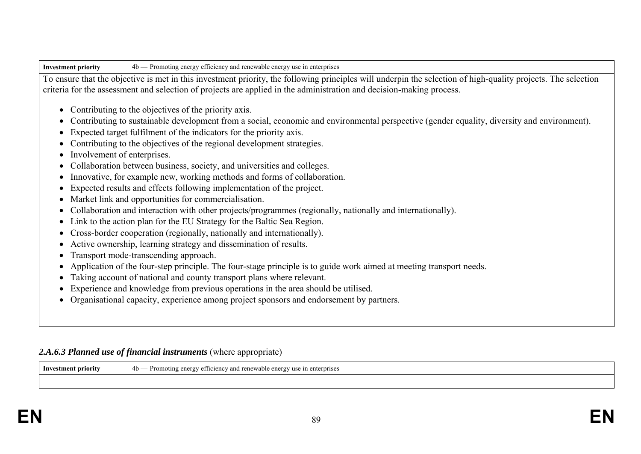| <b>Investment priority</b> |  |
|----------------------------|--|
|----------------------------|--|

**Investment priority** 4b — Promoting energy efficiency and renewable energy use in enterprises

To ensure that the objective is met in this investment priority, the following principles will underpin the selection of high-quality projects. The selection criteria for the assessment and selection of projects are applied in the administration and decision-making process.

- Contributing to the objectives of the priority axis.
- Contributing to sustainable development from a social, economic and environmental perspective (gender equality, diversity and environment).
- Expected target fulfilment of the indicators for the priority axis.
- Contributing to the objectives of the regional development strategies.
- Involvement of enterprises.
- Collaboration between business, society, and universities and colleges.
- Innovative, for example new, working methods and forms of collaboration.
- Expected results and effects following implementation of the project.
- Market link and opportunities for commercialisation.
- Collaboration and interaction with other projects/programmes (regionally, nationally and internationally).
- Link to the action plan for the EU Strategy for the Baltic Sea Region.
- Cross-border cooperation (regionally, nationally and internationally).
- Active ownership, learning strategy and dissemination of results.
- Transport mode-transcending approach.
- Application of the four-step principle. The four-stage principle is to guide work aimed at meeting transport needs.
- Taking account of national and county transport plans where relevant.
- Experience and knowledge from previous operations in the area should be utilised.
- Organisational capacity, experience among project sponsors and endorsement by partners.

## 2.A.6.3 Planned use of financial instruments (where appropriate)

**Investment priority**  $4b$  — Promoting energy efficiency and renewable energy use in enterprises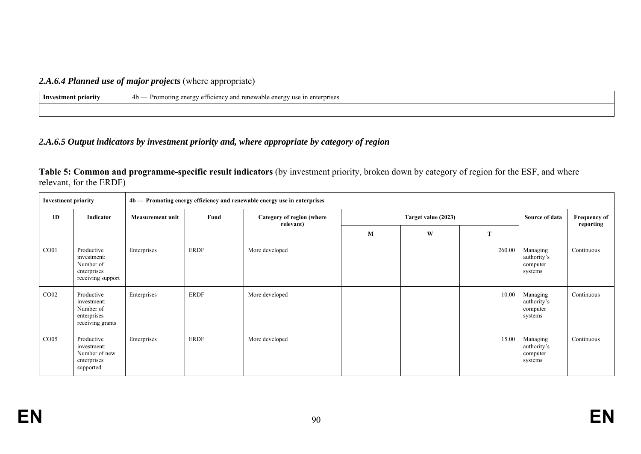# *2.A.6.4 Planned use of major projects* (where appropriate)

| Investment priority | renewable<br>Promot <sub>1</sub><br>ciency,<br>use<br>enterprises<br>: enerov<br>$-$ rov<br>1n<br>4b<br>-<br>ັ |
|---------------------|----------------------------------------------------------------------------------------------------------------|
|                     |                                                                                                                |

# *2.A.6.5 Output indicators by investment priority and, where appropriate by category of region*

| Table 5: Common and programme-specific result indicators (by investment priority, broken down by category of region for the ESF, and where |  |  |
|--------------------------------------------------------------------------------------------------------------------------------------------|--|--|
| relevant, for the ERDF)                                                                                                                    |  |  |

| 4b - Promoting energy efficiency and renewable energy use in enterprises<br><b>Investment priority</b> |                                                                            |                         |                                                                       |                |                |                                  |        |                                                |            |
|--------------------------------------------------------------------------------------------------------|----------------------------------------------------------------------------|-------------------------|-----------------------------------------------------------------------|----------------|----------------|----------------------------------|--------|------------------------------------------------|------------|
| ID                                                                                                     | Indicator                                                                  | <b>Measurement unit</b> | Fund<br>Target value (2023)<br>Category of region (where<br>relevant) |                | Source of data | <b>Frequency of</b><br>reporting |        |                                                |            |
|                                                                                                        |                                                                            |                         |                                                                       |                | M              | W                                | T      |                                                |            |
| CO <sub>01</sub>                                                                                       | Productive<br>investment:<br>Number of<br>enterprises<br>receiving support | Enterprises             | <b>ERDF</b>                                                           | More developed |                |                                  | 260.00 | Managing<br>authority's<br>computer<br>systems | Continuous |
| CO <sub>02</sub>                                                                                       | Productive<br>investment:<br>Number of<br>enterprises<br>receiving grants  | Enterprises             | <b>ERDF</b>                                                           | More developed |                |                                  | 10.00  | Managing<br>authority's<br>computer<br>systems | Continuous |
| CO <sub>05</sub>                                                                                       | Productive<br>investment:<br>Number of new<br>enterprises<br>supported     | Enterprises             | <b>ERDF</b>                                                           | More developed |                |                                  | 15.00  | Managing<br>authority's<br>computer<br>systems | Continuous |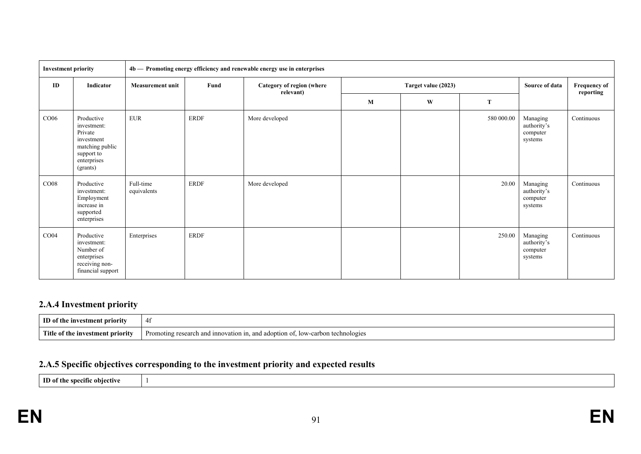| <b>Investment priority</b> |                                                                                                                |                          |                                                | 4b - Promoting energy efficiency and renewable energy use in enterprises |   |                     |            |                                                |                                  |
|----------------------------|----------------------------------------------------------------------------------------------------------------|--------------------------|------------------------------------------------|--------------------------------------------------------------------------|---|---------------------|------------|------------------------------------------------|----------------------------------|
| ID                         | Indicator                                                                                                      | <b>Measurement unit</b>  | Fund<br>Category of region (where<br>relevant) |                                                                          |   | Target value (2023) |            |                                                | <b>Frequency of</b><br>reporting |
|                            |                                                                                                                |                          |                                                |                                                                          | M | W                   | T          |                                                |                                  |
| CO06                       | Productive<br>investment:<br>Private<br>investment<br>matching public<br>support to<br>enterprises<br>(grants) | <b>EUR</b>               | <b>ERDF</b>                                    | More developed                                                           |   |                     | 580 000.00 | Managing<br>authority's<br>computer<br>systems | Continuous                       |
| CO08                       | Productive<br>investment:<br>Employment<br>increase in<br>supported<br>enterprises                             | Full-time<br>equivalents | <b>ERDF</b>                                    | More developed                                                           |   |                     | 20.00      | Managing<br>authority's<br>computer<br>systems | Continuous                       |
| CO <sub>04</sub>           | Productive<br>investment:<br>Number of<br>enterprises<br>receiving non-<br>financial support                   | Enterprises              | <b>ERDF</b>                                    |                                                                          |   |                     | 250.00     | Managing<br>authority's<br>computer<br>systems | Continuous                       |

# **2.A.4 Investment priority**

| ID of<br>ent nrıo<br>.the<br>1nv                 | . .<br>ᆩ                                                                              |
|--------------------------------------------------|---------------------------------------------------------------------------------------|
| <b>Titl</b><br>1111<br>nriority –<br>- estment - | $low-6$<br>arbon<br>noting<br>tion in.<br>adoption o<br>ennok<br>and<br>resear<br>ınr |

# **2.A.5 Specific objectives corresponding to the investment priority and expected results**

**ID** of the specific objective 1

**EN**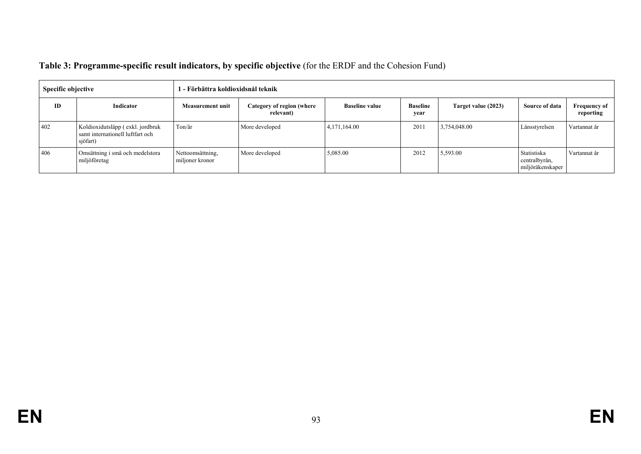| Table 3: Programme-specific result indicators, by specific objective (for the ERDF and the Cohesion Fund) |
|-----------------------------------------------------------------------------------------------------------|
|-----------------------------------------------------------------------------------------------------------|

| Specific objective |                                                                                  | 1 - Förbättra koldioxidsnål teknik  |                                        |                       |                         |                     |                                                  |                                  |  |
|--------------------|----------------------------------------------------------------------------------|-------------------------------------|----------------------------------------|-----------------------|-------------------------|---------------------|--------------------------------------------------|----------------------------------|--|
| ID                 | Indicator                                                                        | Measurement unit                    | Category of region (where<br>relevant) | <b>Baseline value</b> | <b>Baseline</b><br>vear | Target value (2023) | <b>Source of data</b>                            | <b>Frequency of</b><br>reporting |  |
| 402                | Koldioxidutsläpp (exkl. jordbruk<br>samt internationell luftfart och<br>sjöfart) | Ton/år                              | More developed                         | 4,171,164.00          | 2011                    | 3,754,048.00        | Länsstyrelsen                                    | Vartannat år                     |  |
| 406                | Omsättning i små och medelstora<br>miljöföretag                                  | Nettoomsättning,<br>miljoner kronor | More developed                         | 5,085.00              | 2012                    | 5,593.00            | Statistiska<br>centralbyrån,<br>miljöräkenskaper | Vartannat år                     |  |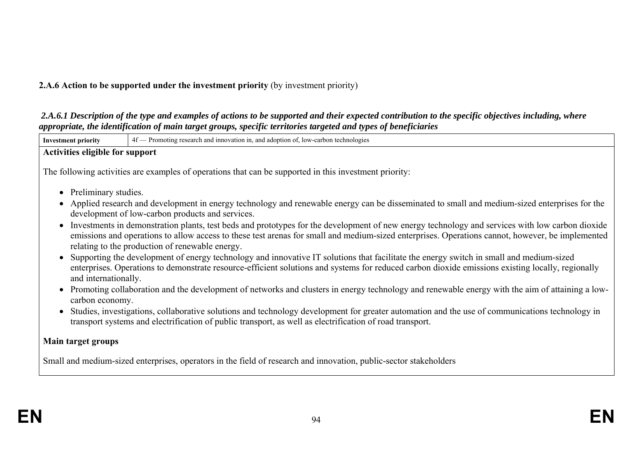## **2.A.6 Action to be supported under the investment priority** (by investment priority)

 *2.A.6.1 Description of the type and examples of actions to be supported and their expected contribution to the specific objectives including, where appropriate, the identification of main target groups, specific territories targeted and types of beneficiaries* 

| <b>Investment priority</b>      | 4f - Promoting research and innovation in, and adoption of, low-carbon technologies                                                                                                                                                                                                                                                                      |
|---------------------------------|----------------------------------------------------------------------------------------------------------------------------------------------------------------------------------------------------------------------------------------------------------------------------------------------------------------------------------------------------------|
| Activities eligible for support |                                                                                                                                                                                                                                                                                                                                                          |
|                                 | The following activities are examples of operations that can be supported in this investment priority:                                                                                                                                                                                                                                                   |
| • Preliminary studies.          | • Applied research and development in energy technology and renewable energy can be disseminated to small and medium-sized enterprises for the                                                                                                                                                                                                           |
|                                 | development of low-carbon products and services.                                                                                                                                                                                                                                                                                                         |
|                                 | • Investments in demonstration plants, test beds and prototypes for the development of new energy technology and services with low carbon dioxide<br>emissions and operations to allow access to these test arenas for small and medium-sized enterprises. Operations cannot, however, be implemented<br>relating to the production of renewable energy. |
| and internationally.            | Supporting the development of energy technology and innovative IT solutions that facilitate the energy switch in small and medium-sized<br>enterprises. Operations to demonstrate resource-efficient solutions and systems for reduced carbon dioxide emissions existing locally, regionally                                                             |
| carbon economy.                 | • Promoting collaboration and the development of networks and clusters in energy technology and renewable energy with the aim of attaining a low-                                                                                                                                                                                                        |
|                                 | Studies, investigations, collaborative solutions and technology development for greater automation and the use of communications technology in<br>transport systems and electrification of public transport, as well as electrification of road transport.                                                                                               |
| Main target groups              |                                                                                                                                                                                                                                                                                                                                                          |
|                                 | Small and medium-sized enterprises, operators in the field of research and innovation, public-sector stakeholders                                                                                                                                                                                                                                        |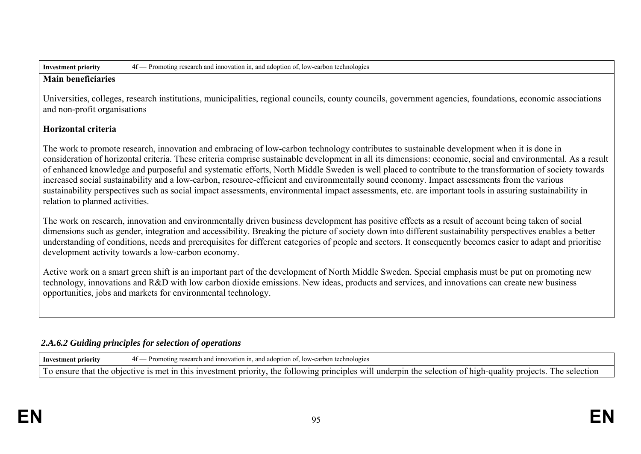**Investment priority** 4f — Promoting research and innovation in, and adoption of, low-carbon technologies

#### **Main beneficiaries**

Universities, colleges, research institutions, municipalities, regional councils, county councils, government agencies, foundations, economic associations and non-profit organisations

# **Horizontal criteria**

The work to promote research, innovation and embracing of low-carbon technology contributes to sustainable development when it is done in consideration of horizontal criteria. These criteria comprise sustainable development in all its dimensions: economic, social and environmental. As a result of enhanced knowledge and purposeful and systematic efforts, North Middle Sweden is well placed to contribute to the transformation of society towards increased social sustainability and a low-carbon, resource-efficient and environmentally sound economy. Impact assessments from the various sustainability perspectives such as social impact assessments, environmental impact assessments, etc. are important tools in assuring sustainability in relation to planned activities.

The work on research, innovation and environmentally driven business development has positive effects as a result of account being taken of social dimensions such as gender, integration and accessibility. Breaking the picture of society down into different sustainability perspectives enables a better understanding of conditions, needs and prerequisites for different categories of people and sectors. It consequently becomes easier to adapt and prioritise development activity towards a low-carbon economy.

Active work on a smart green shift is an important part of the development of North Middle Sweden. Special emphasis must be put on promoting new technology, innovations and R&D with low carbon dioxide emissions. New ideas, products and services, and innovations can create new business opportunities, jobs and markets for environmental technology.

# *2.A.6.2 Guiding principles for selection of operations*

| Investment priority                     | and innovation in<br>. and adoption of.<br>. Iow-carbon technologies<br>aoting research                                                                 |
|-----------------------------------------|---------------------------------------------------------------------------------------------------------------------------------------------------------|
| To ensure<br>-that<br>t the objective t | t in this investment priority.<br>the following<br>f principles will underpin the selection of high-<br>: 1s met<br>-quality projects.<br>the selection |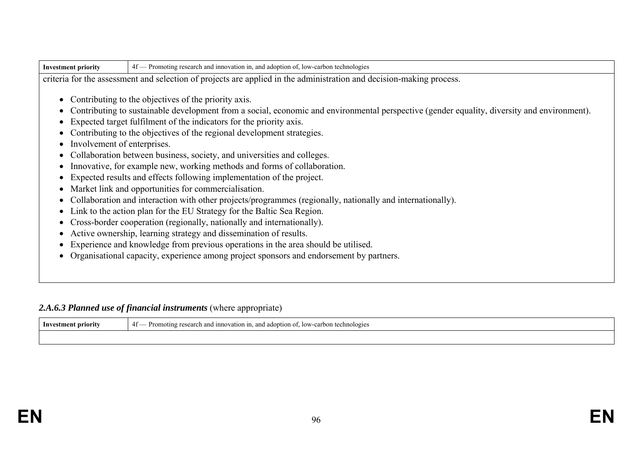| $\Lambda$<br>chnologie:<br>anc<br>ation<br><b>JOW</b><br>adopti<br>carbon<br>search<br>.,<br>…vestmer"<br>- Inv<br>1nnoy<br>rıt<br>and<br>1111 J<br>ነግ ()լ.<br>70<br><br>. .<br>.<br>. |
|----------------------------------------------------------------------------------------------------------------------------------------------------------------------------------------|
|                                                                                                                                                                                        |

criteria for the assessment and selection of projects are applied in the administration and decision-making process.

- Contributing to the objectives of the priority axis.
- Contributing to sustainable development from a social, economic and environmental perspective (gender equality, diversity and environment).
- Expected target fulfilment of the indicators for the priority axis.
- Contributing to the objectives of the regional development strategies.
- Involvement of enterprises.
- Collaboration between business, society, and universities and colleges.
- Innovative, for example new, working methods and forms of collaboration.
- Expected results and effects following implementation of the project.
- Market link and opportunities for commercialisation.
- Collaboration and interaction with other projects/programmes (regionally, nationally and internationally).
- Link to the action plan for the EU Strategy for the Baltic Sea Region.
- Cross-border cooperation (regionally, nationally and internationally).
- Active ownership, learning strategy and dissemination of results.
- Experience and knowledge from previous operations in the area should be utilised.
- Organisational capacity, experience among project sponsors and endorsement by partners.

## 2.A.6.3 Planned use of financial instruments (where appropriate)

| <b>Investment priority</b> | $10W - 6$<br>$\alpha$<br>Prom.<br>technologies<br>vation<br>and innova<br>- 11า<br>.doptior<br>one<br>ി<br>arcn<br>rac<br>.<br>. . |
|----------------------------|------------------------------------------------------------------------------------------------------------------------------------|
|                            |                                                                                                                                    |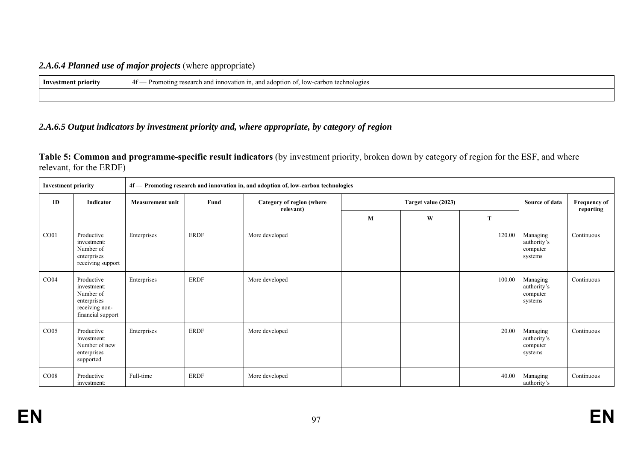## *2.A.6.4 Planned use of major projects* (where appropriate)

| Investmer<br>norit | $\Lambda$<br>d adoption of.<br>and innovation in<br>IOW-<br>/-carbon technologies<br>Promotin<br>ാന്<br>$+1$ |
|--------------------|--------------------------------------------------------------------------------------------------------------|
|                    |                                                                                                              |

## *2.A.6.5 Output indicators by investment priority and, where appropriate, by category of region*

**Table 5: Common and programme-specific result indicators** (by investment priority, broken down by category of region for the ESF, and where relevant, for the ERDF)

| <b>Investment priority</b> |                                                                                              | 4f — Promoting research and innovation in, and adoption of, low-carbon technologies |             |                                        |   |                     |        |                                                |                           |
|----------------------------|----------------------------------------------------------------------------------------------|-------------------------------------------------------------------------------------|-------------|----------------------------------------|---|---------------------|--------|------------------------------------------------|---------------------------|
| ID                         | Indicator                                                                                    | <b>Measurement unit</b>                                                             | Fund        | Category of region (where<br>relevant) |   | Target value (2023) |        | Source of data                                 | Frequency of<br>reporting |
|                            |                                                                                              |                                                                                     |             |                                        | M | W                   | T      |                                                |                           |
| CO <sub>01</sub>           | Productive<br>investment:<br>Number of<br>enterprises<br>receiving support                   | Enterprises                                                                         | <b>ERDF</b> | More developed                         |   |                     | 120.00 | Managing<br>authority's<br>computer<br>systems | Continuous                |
| CO <sub>04</sub>           | Productive<br>investment:<br>Number of<br>enterprises<br>receiving non-<br>financial support | Enterprises                                                                         | <b>ERDF</b> | More developed                         |   |                     | 100.00 | Managing<br>authority's<br>computer<br>systems | Continuous                |
| CO <sub>05</sub>           | Productive<br>investment:<br>Number of new<br>enterprises<br>supported                       | Enterprises                                                                         | <b>ERDF</b> | More developed                         |   |                     | 20.00  | Managing<br>authority's<br>computer<br>systems | Continuous                |
| CO <sub>08</sub>           | Productive<br>investment:                                                                    | Full-time                                                                           | <b>ERDF</b> | More developed                         |   |                     | 40.00  | Managing<br>authority's                        | Continuous                |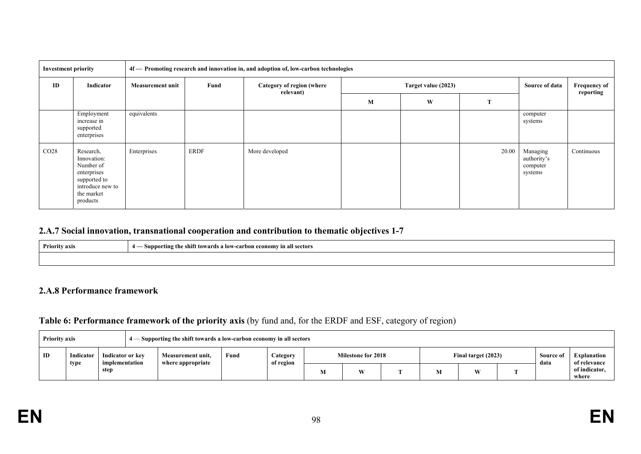| <b>Investment priority</b> |                                                                                                                    |                         | 4f — Promoting research and innovation in, and adoption of, low-carbon technologies |                                        |   |                     |       |                                                |                                  |  |  |
|----------------------------|--------------------------------------------------------------------------------------------------------------------|-------------------------|-------------------------------------------------------------------------------------|----------------------------------------|---|---------------------|-------|------------------------------------------------|----------------------------------|--|--|
| ID                         | Indicator                                                                                                          | <b>Measurement unit</b> | Fund                                                                                | Category of region (where<br>relevant) |   | Target value (2023) |       | Source of data                                 | <b>Frequency of</b><br>reporting |  |  |
|                            |                                                                                                                    |                         |                                                                                     |                                        | M | W                   | m,    |                                                |                                  |  |  |
|                            | Employment<br>increase in<br>supported<br>enterprises                                                              | equivalents             |                                                                                     |                                        |   |                     |       | computer<br>systems                            |                                  |  |  |
| CO <sub>28</sub>           | Research,<br>Innovation:<br>Number of<br>enterprises<br>supported to<br>introduce new to<br>the market<br>products | Enterprises             | <b>ERDF</b>                                                                         | More developed                         |   |                     | 20.00 | Managing<br>authority's<br>computer<br>systems | Continuous                       |  |  |

#### **2.A.7 Social innovation, transnational cooperation and contribution to thematic objectives 1-7**

| <b>Priority axis</b> | – Supporting the shift towards a low-carbon economy in all sectors<br>-- |
|----------------------|--------------------------------------------------------------------------|
|                      |                                                                          |

#### **2.A.8 Performance framework**

### **Table 6: Performance framework of the priority axis** (by fund and, for the ERDF and ESF, category of region)

|    | 4 — Supporting the shift towards a low-carbon economy in all sectors<br><b>Priority axis</b> |      |  |                                        |      |                       |                           |   |  |                     |  |  |                   |                                    |
|----|----------------------------------------------------------------------------------------------|------|--|----------------------------------------|------|-----------------------|---------------------------|---|--|---------------------|--|--|-------------------|------------------------------------|
| ID | Indicator or key<br>Indicator<br>mplementation*<br>type                                      |      |  | Measurement unit.<br>where appropriate | Fund | Category<br>of region | <b>Milestone for 2018</b> |   |  | Final target (2023) |  |  | Source of<br>data | <b>Explanation</b><br>of relevance |
|    |                                                                                              | step |  |                                        |      |                       | V.                        | W |  | IVI.                |  |  |                   | of indicator,<br>where             |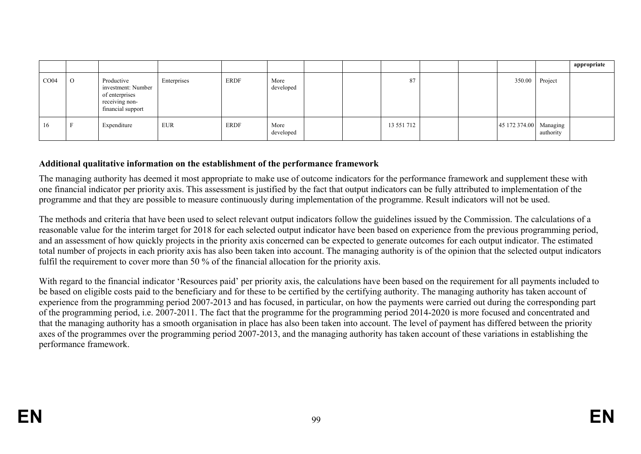|      |              |                                                                                           |             |             |                   |  |            |  |                        |           | appropriate |
|------|--------------|-------------------------------------------------------------------------------------------|-------------|-------------|-------------------|--|------------|--|------------------------|-----------|-------------|
| CO04 | $\mathbf{O}$ | Productive<br>investment: Number<br>of enterprises<br>receiving non-<br>financial support | Enterprises | ERDF        | More<br>developed |  | 87         |  | 350.00                 | Project   |             |
| 16   |              | Expenditure                                                                               | EUR         | <b>ERDF</b> | More<br>developed |  | 13 551 712 |  | 45 172 374.00 Managing | authority |             |

### **Additional qualitative information on the establishment of the performance framework**

The managing authority has deemed it most appropriate to make use of outcome indicators for the performance framework and supplement these with one financial indicator per priority axis. This assessment is justified by the fact that output indicators can be fully attributed to implementation of the programme and that they are possible to measure continuously during implementation of the programme. Result indicators will not be used.

The methods and criteria that have been used to select relevant output indicators follow the guidelines issued by the Commission. The calculations of a reasonable value for the interim target for 2018 for each selected output indicator have been based on experience from the previous programming period, and an assessment of how quickly projects in the priority axis concerned can be expected to generate outcomes for each output indicator. The estimated total number of projects in each priority axis has also been taken into account. The managing authority is of the opinion that the selected output indicators fulfil the requirement to cover more than 50 % of the financial allocation for the priority axis.

With regard to the financial indicator 'Resources paid' per priority axis, the calculations have been based on the requirement for all payments included to be based on eligible costs paid to the beneficiary and for these to be certified by the certifying authority. The managing authority has taken account of experience from the programming period 2007-2013 and has focused, in particular, on how the payments were carried out during the corresponding part of the programming period, i.e. 2007-2011. The fact that the programme for the programming period 2014-2020 is more focused and concentrated and that the managing authority has a smooth organisation in place has also been taken into account. The level of payment has differed between the priority axes of the programmes over the programming period 2007-2013, and the managing authority has taken account of these variations in establishing the performance framework.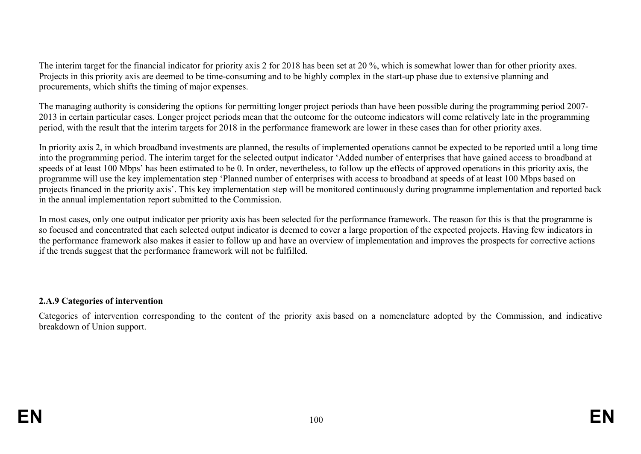The interim target for the financial indicator for priority axis 2 for 2018 has been set at 20 %, which is somewhat lower than for other priority axes. Projects in this priority axis are deemed to be time-consuming and to be highly complex in the start-up phase due to extensive planning and procurements, which shifts the timing of major expenses.

The managing authority is considering the options for permitting longer project periods than have been possible during the programming period 2007- 2013 in certain particular cases. Longer project periods mean that the outcome for the outcome indicators will come relatively late in the programming period, with the result that the interim targets for 2018 in the performance framework are lower in these cases than for other priority axes.

In priority axis 2, in which broadband investments are planned, the results of implemented operations cannot be expected to be reported until a long time into the programming period. The interim target for the selected output indicator 'Added number of enterprises that have gained access to broadband at speeds of at least 100 Mbps' has been estimated to be 0. In order, nevertheless, to follow up the effects of approved operations in this priority axis, the programme will use the key implementation step 'Planned number of enterprises with access to broadband at speeds of at least 100 Mbps based on projects financed in the priority axis'. This key implementation step will be monitored continuously during programme implementation and reported back in the annual implementation report submitted to the Commission.

In most cases, only one output indicator per priority axis has been selected for the performance framework. The reason for this is that the programme is so focused and concentrated that each selected output indicator is deemed to cover a large proportion of the expected projects. Having few indicators in the performance framework also makes it easier to follow up and have an overview of implementation and improves the prospects for corrective actions if the trends suggest that the performance framework will not be fulfilled.

## **2.A.9 Categories of intervention**

Categories of intervention corresponding to the content of the priority axis based on a nomenclature adopted by the Commission, and indicative breakdown of Union support.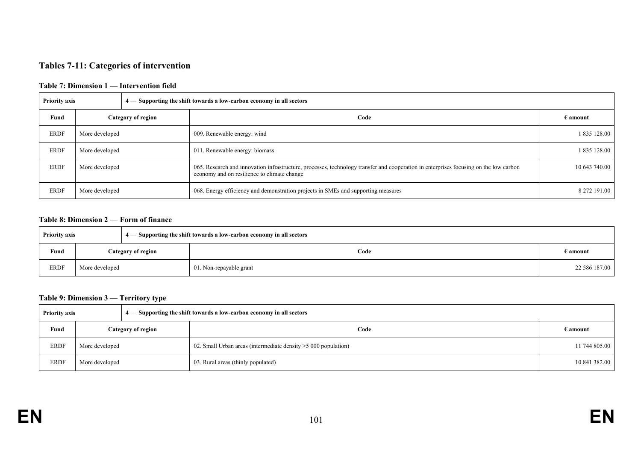## **Tables 7-11: Categories of intervention**

#### **Table 7: Dimension 1 — Intervention field**

| <b>Priority axis</b> |                |                    | $4$ — Supporting the shift towards a low-carbon economy in all sectors                                                                                                               |                   |
|----------------------|----------------|--------------------|--------------------------------------------------------------------------------------------------------------------------------------------------------------------------------------|-------------------|
| Fund                 |                | Category of region | Code                                                                                                                                                                                 | $\epsilon$ amount |
| <b>ERDF</b>          | More developed |                    | 009. Renewable energy: wind                                                                                                                                                          | 1 835 128.00      |
| <b>ERDF</b>          | More developed |                    | 011. Renewable energy: biomass                                                                                                                                                       | 1 835 128.00      |
| <b>ERDF</b>          | More developed |                    | 065. Research and innovation infrastructure, processes, technology transfer and cooperation in enterprises focusing on the low carbon<br>economy and on resilience to climate change | 10 643 740.00     |
| <b>ERDF</b>          | More developed |                    | 068. Energy efficiency and demonstration projects in SMEs and supporting measures                                                                                                    | 8 272 191.00      |

#### **Table 8: Dimension 2** — **Form of finance**

| <b>Priority axis</b> |                    |  | 4 - Supporting the shift towards a low-carbon economy in all sectors |                   |
|----------------------|--------------------|--|----------------------------------------------------------------------|-------------------|
| Fund                 | Category of region |  | Code                                                                 | $\epsilon$ amount |
| ERDF                 | More developed     |  | 01. Non-repayable grant                                              | 22 586 187.00     |

#### **Table 9: Dimension 3 — Territory type**

| 4 — Supporting the shift towards a low-carbon economy in all sectors<br><b>Priority axis</b> |                |                    |                                                                 |                   |
|----------------------------------------------------------------------------------------------|----------------|--------------------|-----------------------------------------------------------------|-------------------|
| Fund                                                                                         |                | Category of region | Code                                                            | $\epsilon$ amount |
| ERDF                                                                                         | More developed |                    | 02. Small Urban areas (intermediate density $>5000$ population) | 11 744 805.00     |
| <b>ERDF</b>                                                                                  | More developed |                    | 03. Rural areas (thinly populated)                              | 10 841 382.00     |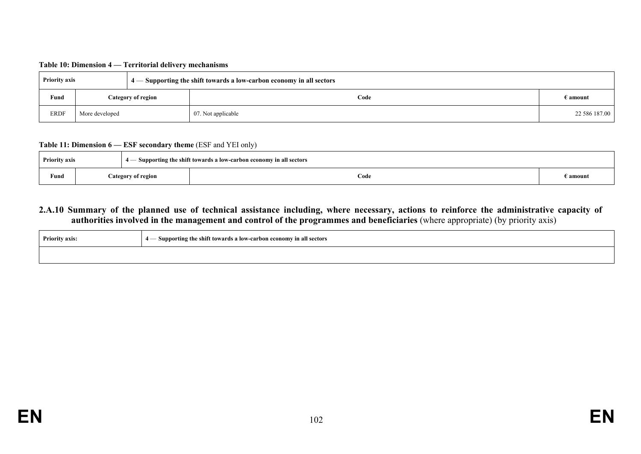| Table 10: Dimension 4 — Territorial delivery mechanisms |  |  |
|---------------------------------------------------------|--|--|
|---------------------------------------------------------|--|--|

| <b>Priority axis</b> |                    |  | 4 — Supporting the shift towards a low-carbon economy in all sectors |                   |
|----------------------|--------------------|--|----------------------------------------------------------------------|-------------------|
| Fund                 | Category of region |  | Code                                                                 | $\epsilon$ amount |
| <b>ERDF</b>          | More developed     |  | 07. Not applicable                                                   | 22 586 187.00     |

#### **Table 11: Dimension 6 — ESF secondary theme** (ESF and YEI only)

| <b>Priority axis</b> |  |                    | - Supporting the shift towards a low-carbon economy in all sectors |                   |
|----------------------|--|--------------------|--------------------------------------------------------------------|-------------------|
| Fund                 |  | Category of region | Code                                                               | $\epsilon$ amount |

## **2.A.10 Summary of the planned use of technical assistance including, where necessary, actions to reinforce the administrative capacity of authorities involved in the management and control of the programmes and beneficiaries** (where appropriate) (by priority axis)

| <b>Priority axis:</b> | - Supporting the shift towards a low-carbon economy in all sectors<br>д. |
|-----------------------|--------------------------------------------------------------------------|
|                       |                                                                          |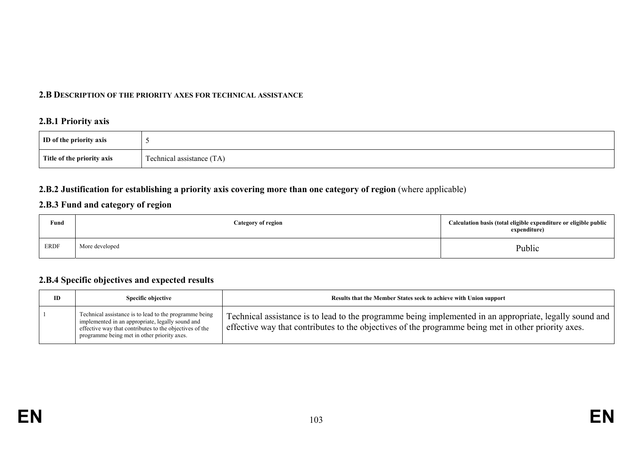#### **2.B DESCRIPTION OF THE PRIORITY AXES FOR TECHNICAL ASSISTANCE**

### **2.B.1 Priority axis**

| ID of the priority axis    |                                     |
|----------------------------|-------------------------------------|
| Title of the priority axis | $\sim$<br>Technical assistance (TA) |

## **2.B.2 Justification for establishing a priority axis covering more than one category of region** (where applicable)

## **2.B.3 Fund and category of region**

| Fund<br>$\sim$ $\sim$ | <b>Category of region</b> | Calculation basis (total eligible expenditure or eligible public<br>expenditure) |
|-----------------------|---------------------------|----------------------------------------------------------------------------------|
| <b>ERDF</b>           | More developed            | Public                                                                           |

#### **2.B.4 Specific objectives and expected results**

| ID | <b>Specific objective</b>                                                                                                                                                                                            | Results that the Member States seek to achieve with Union support                                                                                                                                              |
|----|----------------------------------------------------------------------------------------------------------------------------------------------------------------------------------------------------------------------|----------------------------------------------------------------------------------------------------------------------------------------------------------------------------------------------------------------|
|    | Technical assistance is to lead to the programme being<br>implemented in an appropriate, legally sound and<br>effective way that contributes to the objectives of the<br>programme being met in other priority axes. | Technical assistance is to lead to the programme being implemented in an appropriate, legally sound and<br>effective way that contributes to the objectives of the programme being met in other priority axes. |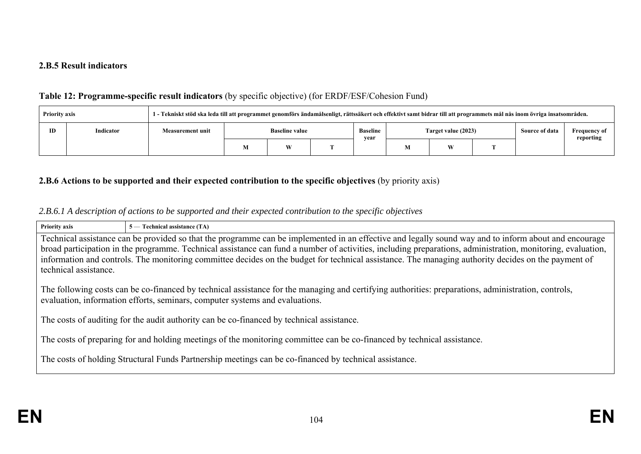#### **2.B.5 Result indicators**

## **Table 12: Programme-specific result indicators** (by specific objective) (for ERDF/ESF/Cohesion Fund)

| <b>Priority axis</b> |           |                         | 1 - Tekniskt stöd ska leda till att programmet genomförs ändamålsenligt, rättssäkert och effektivt samt bidrar till att programmets mål nås inom övriga insatsområden. |  |                  |                     |   |  |                |                                  |
|----------------------|-----------|-------------------------|------------------------------------------------------------------------------------------------------------------------------------------------------------------------|--|------------------|---------------------|---|--|----------------|----------------------------------|
| ID                   | Indicator | <b>Measurement unit</b> | <b>Baseline value</b>                                                                                                                                                  |  | Baseline<br>vear | Target value (2023) |   |  | Source of data | <b>Frequency of</b><br>reporting |
|                      |           |                         | W                                                                                                                                                                      |  |                  |                     | W |  |                |                                  |

## **2.B.6 Actions to be supported and their expected contribution to the specific objectives** (by priority axis)

## *2.B.6.1 A description of actions to be supported and their expected contribution to the specific objectives*

| <b>Priority axis</b>                                                                                                                                                                                                                | 5 — Technical assistance (TA)                                                                                                                               |  |  |  |  |
|-------------------------------------------------------------------------------------------------------------------------------------------------------------------------------------------------------------------------------------|-------------------------------------------------------------------------------------------------------------------------------------------------------------|--|--|--|--|
|                                                                                                                                                                                                                                     | Technical assistance can be provided so that the programme can be implemented in an effective and legally sound way and to inform about and encourage       |  |  |  |  |
|                                                                                                                                                                                                                                     | broad participation in the programme. Technical assistance can fund a number of activities, including preparations, administration, monitoring, evaluation, |  |  |  |  |
|                                                                                                                                                                                                                                     | information and controls. The monitoring committee decides on the budget for technical assistance. The managing authority decides on the payment of         |  |  |  |  |
| technical assistance.                                                                                                                                                                                                               |                                                                                                                                                             |  |  |  |  |
| The following costs can be co-financed by technical assistance for the managing and certifying authorities: preparations, administration, controls,<br>evaluation, information efforts, seminars, computer systems and evaluations. |                                                                                                                                                             |  |  |  |  |
| The costs of auditing for the audit authority can be co-financed by technical assistance.                                                                                                                                           |                                                                                                                                                             |  |  |  |  |
| The costs of preparing for and holding meetings of the monitoring committee can be co-financed by technical assistance.                                                                                                             |                                                                                                                                                             |  |  |  |  |
|                                                                                                                                                                                                                                     | The costs of holding Structural Funds Partnership meetings can be co-financed by technical assistance.                                                      |  |  |  |  |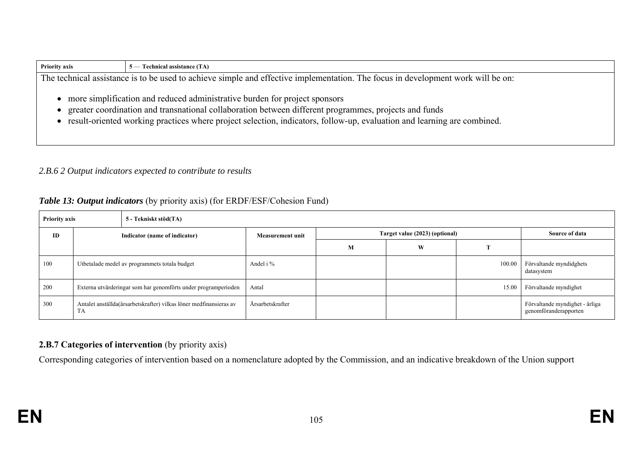| The technical assistance is to be used to achieve simple and effective implementation. The focus in development work will be on:<br>• more simplification and reduced administrative burden for project sponsors<br>greater coordination and transnational collaboration between different programmes, projects and funds | <b>Priority axis</b> | $5$ — Technical assistance (TA)                                                                                           |  |  |  |  |  |
|---------------------------------------------------------------------------------------------------------------------------------------------------------------------------------------------------------------------------------------------------------------------------------------------------------------------------|----------------------|---------------------------------------------------------------------------------------------------------------------------|--|--|--|--|--|
|                                                                                                                                                                                                                                                                                                                           |                      |                                                                                                                           |  |  |  |  |  |
|                                                                                                                                                                                                                                                                                                                           |                      | • result-oriented working practices where project selection, indicators, follow-up, evaluation and learning are combined. |  |  |  |  |  |

## *2.B.6 2 Output indicators expected to contribute to results*

# *Table 13: Output indicators* (by priority axis) (for ERDF/ESF/Cohesion Fund)

| <b>Priority axis</b> |                                                                                 | 5 - Tekniskt stöd(TA)         |                  |   |                                |        |                                                         |  |  |  |
|----------------------|---------------------------------------------------------------------------------|-------------------------------|------------------|---|--------------------------------|--------|---------------------------------------------------------|--|--|--|
| ID                   |                                                                                 | Indicator (name of indicator) |                  |   | Target value (2023) (optional) |        |                                                         |  |  |  |
|                      |                                                                                 |                               |                  | M | W                              |        |                                                         |  |  |  |
| 100                  | Utbetalade medel av programmets totala budget                                   |                               | Andel i %        |   |                                | 100.00 | Förvaltande myndidghets<br>datasystem                   |  |  |  |
| 200                  | Externa utvärderingar som har genomförts under programperioden                  |                               | Antal            |   |                                | 15.00  | Förvaltande myndighet                                   |  |  |  |
| 300                  | Antalet anställda(årsarbetskrafter) vilkas löner medfinansieras av<br><b>TA</b> |                               | Årsarbetskrafter |   |                                |        | Förvaltande myndighet - årliga<br>genomföranderapporten |  |  |  |

# **2.B.7 Categories of intervention** (by priority axis)

Corresponding categories of intervention based on a nomenclature adopted by the Commission, and an indicative breakdown of the Union support

г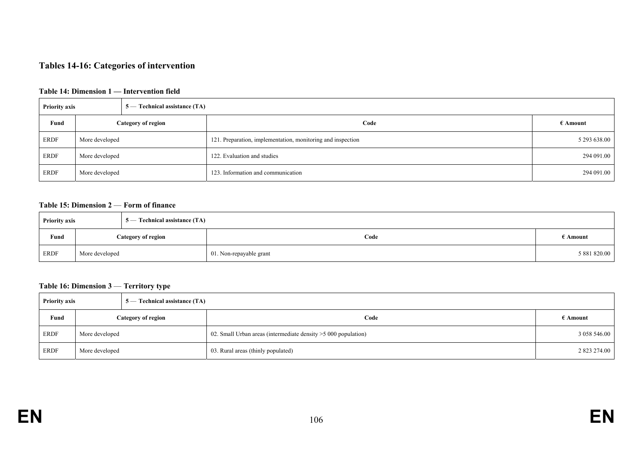# **Tables 14-16: Categories of intervention**

#### **Table 14: Dimension 1 — Intervention field**

| <b>Priority axis</b><br>5 — Technical assistance (TA) |                    |  |                                                             |                   |
|-------------------------------------------------------|--------------------|--|-------------------------------------------------------------|-------------------|
| Fund                                                  | Category of region |  | Code                                                        | $\epsilon$ Amount |
| ERDF                                                  | More developed     |  | 121. Preparation, implementation, monitoring and inspection | 5 293 638.00      |
| <b>ERDF</b>                                           | More developed     |  | 122. Evaluation and studies                                 | 294 091.00        |
| ERDF                                                  | More developed     |  | 123. Information and communication                          | 294 091.00        |

#### **Table 15: Dimension 2** — **Form of finance**

| 5 — Technical assistance (TA)<br><b>Priority axis</b> |                           |  |                         |              |
|-------------------------------------------------------|---------------------------|--|-------------------------|--------------|
| Fund                                                  | <b>Category of region</b> |  | Code                    | ∄ Amount     |
| <b>ERDF</b>                                           | More developed            |  | 01. Non-repayable grant | 5 881 820.00 |

#### **Table 16: Dimension 3** — **Territory type**

| <b>Priority axis</b> |                           | 5 — Technical assistance (TA) |                                                                |                   |  |
|----------------------|---------------------------|-------------------------------|----------------------------------------------------------------|-------------------|--|
| Fund                 | <b>Category of region</b> |                               | Code                                                           | $\epsilon$ Amount |  |
| ERDF                 | More developed            |                               | 02. Small Urban areas (intermediate density > 5000 population) | 3 058 546.00      |  |
| ERDF                 | More developed            |                               | 03. Rural areas (thinly populated)                             | 2 823 274.00      |  |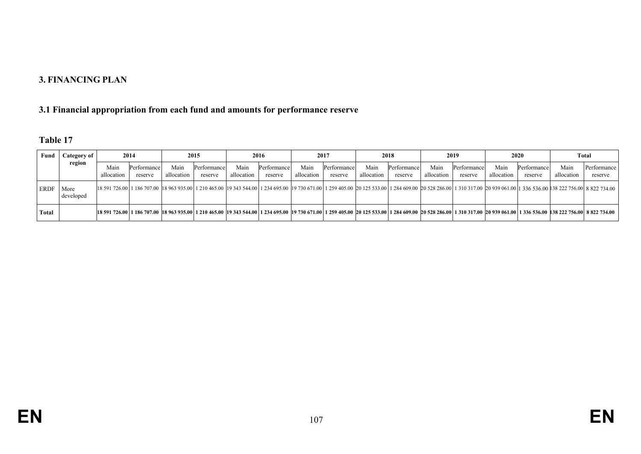### **3. FINANCING PLAN**

# **3.1 Financial appropriation from each fund and amounts for performance reserve**

| Fund        | Category of<br>region | 2014               |                        | 2015               |                        | 2016               |                        | 2017               |                        | 2018               |                        | 2019               |                        | 2020               |                        | Total              |                                                                                                                                                                                                                           |
|-------------|-----------------------|--------------------|------------------------|--------------------|------------------------|--------------------|------------------------|--------------------|------------------------|--------------------|------------------------|--------------------|------------------------|--------------------|------------------------|--------------------|---------------------------------------------------------------------------------------------------------------------------------------------------------------------------------------------------------------------------|
|             |                       | Main<br>allocation | Performance<br>reserve | Main<br>allocation | Performance<br>reserve | Main<br>allocation | Performance<br>reserve | Main<br>allocation | Performance<br>reserve | Main<br>allocation | Performance<br>reserve | Main<br>allocation | Performance<br>reserve | Main<br>allocation | Performance<br>reserve | Main<br>allocation | Performance<br>reserve                                                                                                                                                                                                    |
| <b>ERDF</b> | More<br>developed     |                    |                        |                    |                        |                    |                        |                    |                        |                    |                        |                    |                        |                    |                        |                    | 18 591 726.00 1 186 707.00 18 963 935.00 1 210 465.00 19 343 544.00 1 234 695.00 19 730 671.00 1 259 405.00 20 125 533.00 1 284 609.00 20 528 286.00 1 310 317.00 20 939 061.00 1 336 536.00 138 222 756.00 8 822 734.00  |
| Total       |                       |                    |                        |                    |                        |                    |                        |                    |                        |                    |                        |                    |                        |                    |                        |                    | 18 591 726.00 1 186 707.00 18 963 935.00 1 210 465.00 19 343 544.00 1 234 695.00 19 730 671.00 1 259 405.00 20 125 533.00 1 284 609.00 20 528 286.00 1 310 317.00 20 939 061.00 1 336 536.00 138 222 756.00 18 822 734.00 |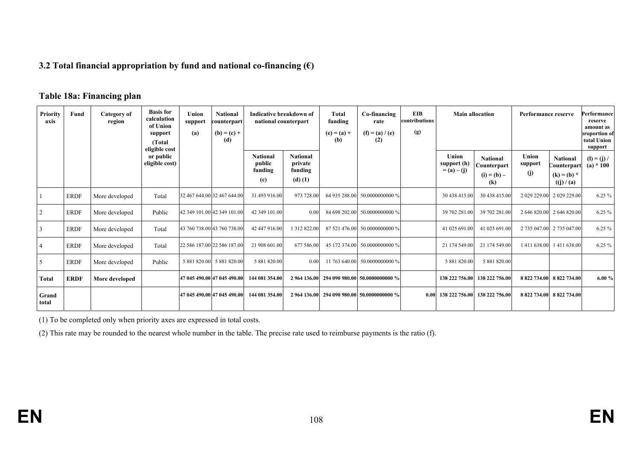### **3.2 Total financial appropriation by fund and national co-financing (€)**

## **Table 18a: Financing plan**

| <b>Priority</b><br>axis | Fund        | Category of<br>region | <b>Basis</b> for<br>calculation<br>of Union<br>support<br>(Total)<br>eligible cost | Union<br>support<br>(a) | <b>National</b><br>counterpart<br>$(b) = (c) +$<br>(d) | Indicative breakdown of<br>national counterpart |                                                    | <b>Total</b><br>funding<br>$(e) = (a) +$<br>(b) | Co-financing<br>rate<br>$(f) = (a) / (e)$<br>(2) | <b>EIB</b><br>contributions<br>(g) | <b>Main allocation</b>                |                                                                  | Performance reserve     |                                                                     | Performance<br>reserve<br>amount as<br>proportion of<br>total Union<br>support |
|-------------------------|-------------|-----------------------|------------------------------------------------------------------------------------|-------------------------|--------------------------------------------------------|-------------------------------------------------|----------------------------------------------------|-------------------------------------------------|--------------------------------------------------|------------------------------------|---------------------------------------|------------------------------------------------------------------|-------------------------|---------------------------------------------------------------------|--------------------------------------------------------------------------------|
|                         |             |                       | or public<br>eligible cost)                                                        |                         |                                                        | <b>National</b><br>public<br>funding<br>(c)     | <b>National</b><br>private<br>funding<br>$(d)$ (1) |                                                 |                                                  |                                    | Union<br>support (h)<br>$= (a) - (j)$ | <b>National</b><br>Counterpart<br>$(i) = (b) -$<br>$\mathbf (k)$ | Union<br>support<br>(i) | <b>National</b><br><b>Counterpart</b><br>$(k) = (b) *$<br>((j)/(a)) | $(I) = (j) /$<br>(a) $*100$                                                    |
|                         | <b>ERDF</b> | More developed        | Total                                                                              |                         | 32 467 644.00 32 467 644.00                            | 31 493 916.00                                   | 973 728.00                                         |                                                 | 64 935 288.00 50.0000000000 %                    |                                    | 30 438 415.00                         | 30 438 415.00                                                    | 2 029 229.00            | 2 029 229.00                                                        | $6.25\%$                                                                       |
|                         | <b>ERDF</b> | More developed        | Public                                                                             |                         | 42 349 101.00 42 349 101.00                            | 42 349 101.00                                   | 0.00                                               |                                                 | 84 698 202.00 50.0000000000 %                    |                                    | 39 702 281.00                         | 39 702 281.00                                                    |                         | 2 646 820.00 2 646 820.00                                           | $6.25\%$                                                                       |
| 3                       | <b>ERDF</b> | More developed        | Total                                                                              |                         | 43 760 738.00 43 760 738.00                            | 42 447 916.00                                   | 1 312 822.00                                       |                                                 | 87 521 476.00 50.0000000000 %                    |                                    | 41 025 691.00                         | 41 025 691.00                                                    |                         | 2 735 047.00 2 735 047.00                                           | 6.25%                                                                          |
|                         | <b>ERDF</b> | More developed        | Total                                                                              |                         | 22 586 187.00 22 586 187.00                            | 21 908 601.00                                   | 677 586.00                                         |                                                 | 45 172 374.00 50.0000000000 %                    |                                    | 21 174 549.00                         | 21 174 549.00                                                    | 1411638.00              | 1411638.00                                                          | $6.25\%$                                                                       |
| 5                       | <b>ERDF</b> | More developed        | Public                                                                             |                         | 5 881 820.00 5 881 820.00                              | 5 881 820.00                                    | 0.00                                               |                                                 | 11 763 640.00 50.0000000000 %                    |                                    | 5 881 820.00                          | 5 881 820.00                                                     |                         |                                                                     |                                                                                |
| Total                   | <b>ERDF</b> | More developed        |                                                                                    |                         | 47 045 490.00 47 045 490.00                            | 144 081 354.00                                  |                                                    |                                                 | 2 964 136.00 294 090 980.00 50.0000000000 %      |                                    | 138 222 756.00                        | 138 222 756.00                                                   | 8 822 734.00            | 8 822 734.00                                                        | 6.00%                                                                          |
| Grand<br>total          |             |                       |                                                                                    |                         | 47 045 490.00 47 045 490.00                            | 144 081 354.00                                  |                                                    |                                                 | 2 964 136.00 294 090 980.00 50.0000000000 %      | 0.00                               | 138 222 756.00                        | 138 222 756.00                                                   |                         | 8 822 734.00 8 822 734.00                                           |                                                                                |

(1) To be completed only when priority axes are expressed in total costs.

(2) This rate may be rounded to the nearest whole number in the table. The precise rate used to reimburse payments is the ratio (f).

**EN**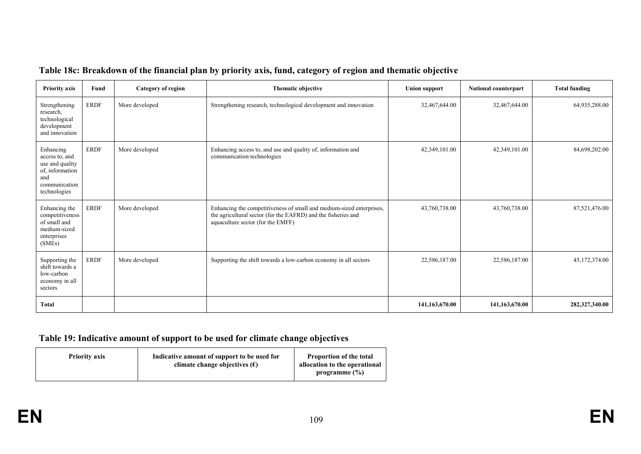| <b>Priority axis</b>                                                                                      | Fund        | <b>Category of region</b> | Thematic objective                                                                                                                                                         | <b>Union support</b> | National counterpart | <b>Total funding</b> |
|-----------------------------------------------------------------------------------------------------------|-------------|---------------------------|----------------------------------------------------------------------------------------------------------------------------------------------------------------------------|----------------------|----------------------|----------------------|
| Strengthening<br>research,<br>technological<br>development<br>and innovation                              | <b>ERDF</b> | More developed            | Strengthening research, technological development and innovation                                                                                                           | 32,467,644.00        | 32,467,644.00        | 64,935,288.00        |
| Enhancing<br>access to, and<br>use and quality<br>of, information<br>and<br>communication<br>technologies | <b>ERDF</b> | More developed            | Enhancing access to, and use and quality of, information and<br>communication technologies                                                                                 | 42,349,101.00        | 42,349,101.00        | 84,698,202.00        |
| Enhancing the<br>competitiveness<br>of small and<br>medium-sized<br>enterprises<br>(SMEs)                 | <b>ERDF</b> | More developed            | Enhancing the competitiveness of small and medium-sized enterprises,<br>the agricultural sector (for the EAFRD) and the fisheries and<br>aquaculture sector (for the EMFF) | 43,760,738.00        | 43,760,738.00        | 87,521,476.00        |
| Supporting the<br>shift towards a<br>low-carbon<br>economy in all<br>sectors                              | <b>ERDF</b> | More developed            | Supporting the shift towards a low-carbon economy in all sectors                                                                                                           | 22,586,187.00        | 22,586,187.00        | 45,172,374.00        |
| Total                                                                                                     |             |                           |                                                                                                                                                                            | 141,163,670.00       | 141,163,670.00       | 282,327,340.00       |

## **Table 18c: Breakdown of the financial plan by priority axis, fund, category of region and thematic objective**

# **Table 19: Indicative amount of support to be used for climate change objectives**

| <b>Priority axis</b> | Indicative amount of support to be used for<br>climate change objectives $(\epsilon)$ | <b>Proportion of the total</b><br>allocation to the operational<br>programme $(\% )$ |
|----------------------|---------------------------------------------------------------------------------------|--------------------------------------------------------------------------------------|
|----------------------|---------------------------------------------------------------------------------------|--------------------------------------------------------------------------------------|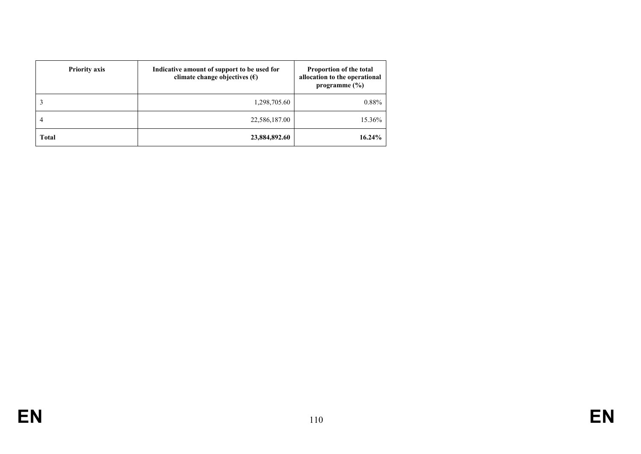| <b>Priority axis</b> | Indicative amount of support to be used for<br>climate change objectives $(\epsilon)$ | Proportion of the total<br>allocation to the operational<br>programme $(\% )$ |
|----------------------|---------------------------------------------------------------------------------------|-------------------------------------------------------------------------------|
|                      | 1,298,705.60                                                                          | 0.88%                                                                         |
| 4                    | 22,586,187.00                                                                         | 15.36%                                                                        |
| <b>Total</b>         | 23,884,892.60                                                                         | $16.24\%$                                                                     |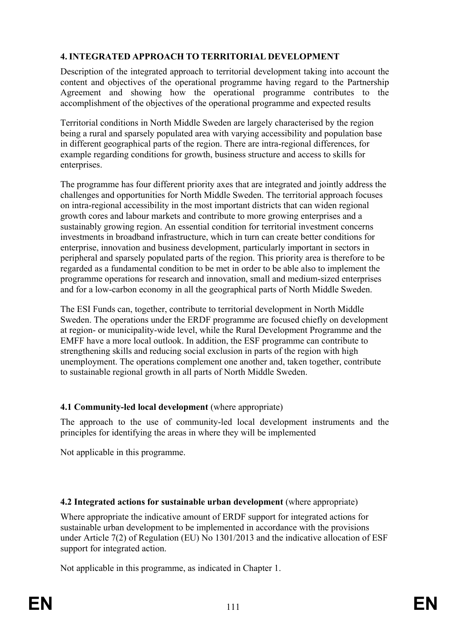# **4. INTEGRATED APPROACH TO TERRITORIAL DEVELOPMENT**

Description of the integrated approach to territorial development taking into account the content and objectives of the operational programme having regard to the Partnership Agreement and showing how the operational programme contributes to the accomplishment of the objectives of the operational programme and expected results

Territorial conditions in North Middle Sweden are largely characterised by the region being a rural and sparsely populated area with varying accessibility and population base in different geographical parts of the region. There are intra-regional differences, for example regarding conditions for growth, business structure and access to skills for enterprises.

The programme has four different priority axes that are integrated and jointly address the challenges and opportunities for North Middle Sweden. The territorial approach focuses on intra-regional accessibility in the most important districts that can widen regional growth cores and labour markets and contribute to more growing enterprises and a sustainably growing region. An essential condition for territorial investment concerns investments in broadband infrastructure, which in turn can create better conditions for enterprise, innovation and business development, particularly important in sectors in peripheral and sparsely populated parts of the region. This priority area is therefore to be regarded as a fundamental condition to be met in order to be able also to implement the programme operations for research and innovation, small and medium-sized enterprises and for a low-carbon economy in all the geographical parts of North Middle Sweden.

The ESI Funds can, together, contribute to territorial development in North Middle Sweden. The operations under the ERDF programme are focused chiefly on development at region- or municipality-wide level, while the Rural Development Programme and the EMFF have a more local outlook. In addition, the ESF programme can contribute to strengthening skills and reducing social exclusion in parts of the region with high unemployment. The operations complement one another and, taken together, contribute to sustainable regional growth in all parts of North Middle Sweden.

# **4.1 Community-led local development** (where appropriate)

The approach to the use of community-led local development instruments and the principles for identifying the areas in where they will be implemented

Not applicable in this programme.

# **4.2 Integrated actions for sustainable urban development** (where appropriate)

Where appropriate the indicative amount of ERDF support for integrated actions for sustainable urban development to be implemented in accordance with the provisions under Article 7(2) of Regulation (EU) No 1301/2013 and the indicative allocation of ESF support for integrated action.

Not applicable in this programme, as indicated in Chapter 1.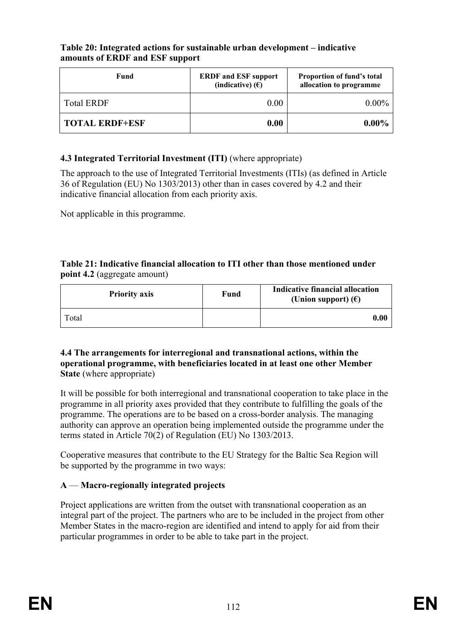### **Table 20: Integrated actions for sustainable urban development – indicative amounts of ERDF and ESF support**

| Fund              | <b>ERDF</b> and ESF support<br>(indicative) $(E)$ | Proportion of fund's total<br>allocation to programme |  |
|-------------------|---------------------------------------------------|-------------------------------------------------------|--|
| <b>Total ERDF</b> | 0.00                                              | $0.00\%$                                              |  |
| TOTAL ERDF+ESF    | 0.00                                              | $0.00\%$                                              |  |

## **4.3 Integrated Territorial Investment (ITI)** (where appropriate)

The approach to the use of Integrated Territorial Investments (ITIs) (as defined in Article 36 of Regulation (EU) No 1303/2013) other than in cases covered by 4.2 and their indicative financial allocation from each priority axis.

Not applicable in this programme.

#### **Table 21: Indicative financial allocation to ITI other than those mentioned under point 4.2** (aggregate amount)

| <b>Priority axis</b> | Fund | Indicative financial allocation<br>(Union support) $(\epsilon)$ |
|----------------------|------|-----------------------------------------------------------------|
| Total                |      | $\boldsymbol{0.00}$                                             |

#### **4.4 The arrangements for interregional and transnational actions, within the operational programme, with beneficiaries located in at least one other Member State** (where appropriate)

It will be possible for both interregional and transnational cooperation to take place in the programme in all priority axes provided that they contribute to fulfilling the goals of the programme. The operations are to be based on a cross-border analysis. The managing authority can approve an operation being implemented outside the programme under the terms stated in Article 70(2) of Regulation (EU) No 1303/2013.

Cooperative measures that contribute to the EU Strategy for the Baltic Sea Region will be supported by the programme in two ways:

# **A** — **Macro-regionally integrated projects**

Project applications are written from the outset with transnational cooperation as an integral part of the project. The partners who are to be included in the project from other Member States in the macro-region are identified and intend to apply for aid from their particular programmes in order to be able to take part in the project.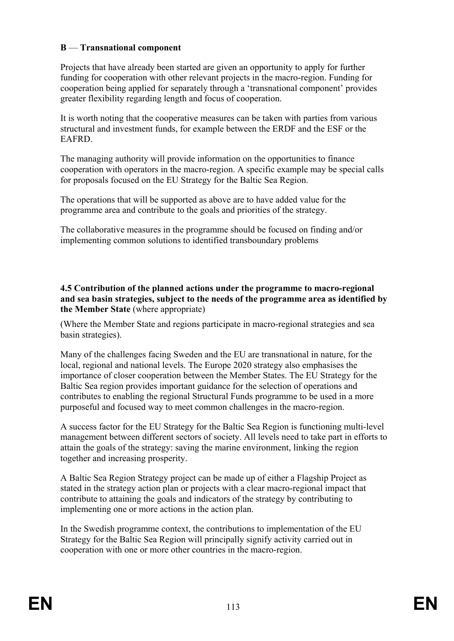### **B** — **Transnational component**

Projects that have already been started are given an opportunity to apply for further funding for cooperation with other relevant projects in the macro-region. Funding for cooperation being applied for separately through a 'transnational component' provides greater flexibility regarding length and focus of cooperation.

It is worth noting that the cooperative measures can be taken with parties from various structural and investment funds, for example between the ERDF and the ESF or the EAFRD.

The managing authority will provide information on the opportunities to finance cooperation with operators in the macro-region. A specific example may be special calls for proposals focused on the EU Strategy for the Baltic Sea Region.

The operations that will be supported as above are to have added value for the programme area and contribute to the goals and priorities of the strategy.

The collaborative measures in the programme should be focused on finding and/or implementing common solutions to identified transboundary problems

**4.5 Contribution of the planned actions under the programme to macro-regional and sea basin strategies, subject to the needs of the programme area as identified by the Member State** (where appropriate)

(Where the Member State and regions participate in macro-regional strategies and sea basin strategies).

Many of the challenges facing Sweden and the EU are transnational in nature, for the local, regional and national levels. The Europe 2020 strategy also emphasises the importance of closer cooperation between the Member States. The EU Strategy for the Baltic Sea region provides important guidance for the selection of operations and contributes to enabling the regional Structural Funds programme to be used in a more purposeful and focused way to meet common challenges in the macro-region.

A success factor for the EU Strategy for the Baltic Sea Region is functioning multi-level management between different sectors of society. All levels need to take part in efforts to attain the goals of the strategy: saving the marine environment, linking the region together and increasing prosperity.

A Baltic Sea Region Strategy project can be made up of either a Flagship Project as stated in the strategy action plan or projects with a clear macro-regional impact that contribute to attaining the goals and indicators of the strategy by contributing to implementing one or more actions in the action plan.

In the Swedish programme context, the contributions to implementation of the EU Strategy for the Baltic Sea Region will principally signify activity carried out in cooperation with one or more other countries in the macro-region.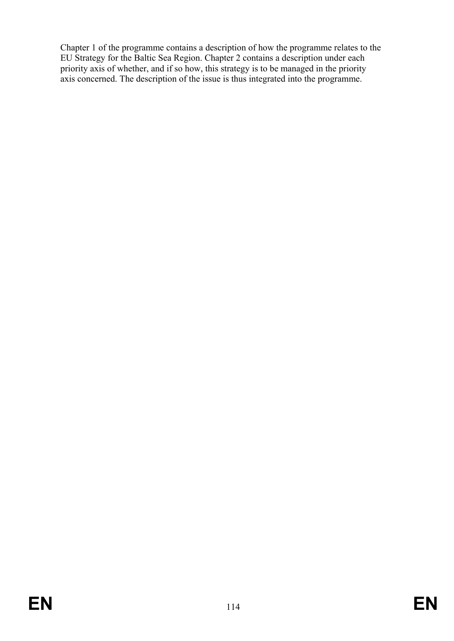Chapter 1 of the programme contains a description of how the programme relates to the EU Strategy for the Baltic Sea Region. Chapter 2 contains a description under each priority axis of whether, and if so how, this strategy is to be managed in the priority axis concerned. The description of the issue is thus integrated into the programme.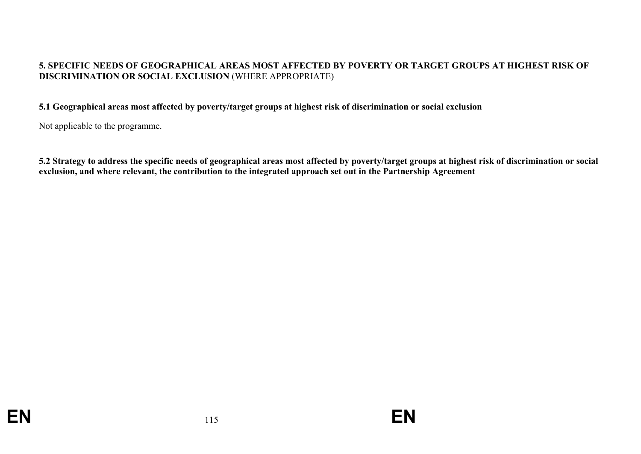### **5. SPECIFIC NEEDS OF GEOGRAPHICAL AREAS MOST AFFECTED BY POVERTY OR TARGET GROUPS AT HIGHEST RISK OF DISCRIMINATION OR SOCIAL EXCLUSION** (WHERE APPROPRIATE)

#### **5.1 Geographical areas most affected by poverty/target groups at highest risk of discrimination or social exclusion**

Not applicable to the programme.

**5.2 Strategy to address the specific needs of geographical areas most affected by poverty/target groups at highest risk of discrimination or social exclusion, and where relevant, the contribution to the integrated approach set out in the Partnership Agreement**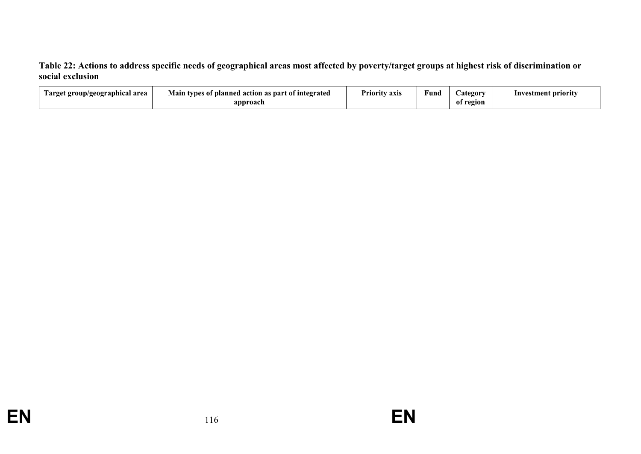**Table 22: Actions to address specific needs of geographical areas most affected by poverty/target groups at highest risk of discrimination or social exclusion** 

| l'arget group/geographical area | Main<br>s of planned action as part of integrated<br>types<br>$\cdot$ | $\blacksquare$<br>Priority axis | Fund | <b>Lategory</b> | stment priority<br>Inve: |
|---------------------------------|-----------------------------------------------------------------------|---------------------------------|------|-----------------|--------------------------|
|                                 | approach                                                              |                                 |      | region<br>-01   |                          |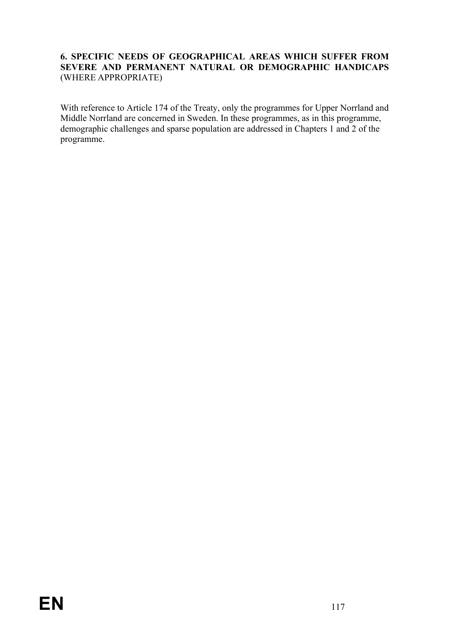### **6. SPECIFIC NEEDS OF GEOGRAPHICAL AREAS WHICH SUFFER FROM SEVERE AND PERMANENT NATURAL OR DEMOGRAPHIC HANDICAPS** (WHERE APPROPRIATE)

With reference to Article 174 of the Treaty, only the programmes for Upper Norrland and Middle Norrland are concerned in Sweden. In these programmes, as in this programme, demographic challenges and sparse population are addressed in Chapters 1 and 2 of the programme.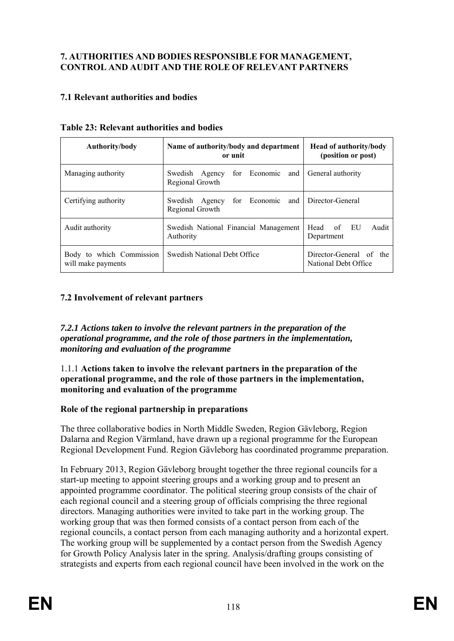## **7. AUTHORITIES AND BODIES RESPONSIBLE FOR MANAGEMENT, CONTROL AND AUDIT AND THE ROLE OF RELEVANT PARTNERS**

## **7.1 Relevant authorities and bodies**

| Authority/body                                 | Name of authority/body and department<br>or unit                    | <b>Head of authority/body</b><br>(position or post) |
|------------------------------------------------|---------------------------------------------------------------------|-----------------------------------------------------|
| Managing authority                             | Swedish Agency for Economic and<br>Regional Growth                  | General authority                                   |
| Certifying authority                           | Swedish Agency for Economic and Director-General<br>Regional Growth |                                                     |
| Audit authority                                | Swedish National Financial Management<br>Authority                  | Audit<br>Head of EU<br>Department                   |
| Body to which Commission<br>will make payments | Swedish National Debt Office                                        | Director-General of the<br>National Debt Office     |

### **Table 23: Relevant authorities and bodies**

## **7.2 Involvement of relevant partners**

*7.2.1 Actions taken to involve the relevant partners in the preparation of the operational programme, and the role of those partners in the implementation, monitoring and evaluation of the programme* 

1.1.1 **Actions taken to involve the relevant partners in the preparation of the operational programme, and the role of those partners in the implementation, monitoring and evaluation of the programme**

### **Role of the regional partnership in preparations**

The three collaborative bodies in North Middle Sweden, Region Gävleborg, Region Dalarna and Region Värmland, have drawn up a regional programme for the European Regional Development Fund. Region Gävleborg has coordinated programme preparation.

In February 2013, Region Gävleborg brought together the three regional councils for a start-up meeting to appoint steering groups and a working group and to present an appointed programme coordinator. The political steering group consists of the chair of each regional council and a steering group of officials comprising the three regional directors. Managing authorities were invited to take part in the working group. The working group that was then formed consists of a contact person from each of the regional councils, a contact person from each managing authority and a horizontal expert. The working group will be supplemented by a contact person from the Swedish Agency for Growth Policy Analysis later in the spring. Analysis/drafting groups consisting of strategists and experts from each regional council have been involved in the work on the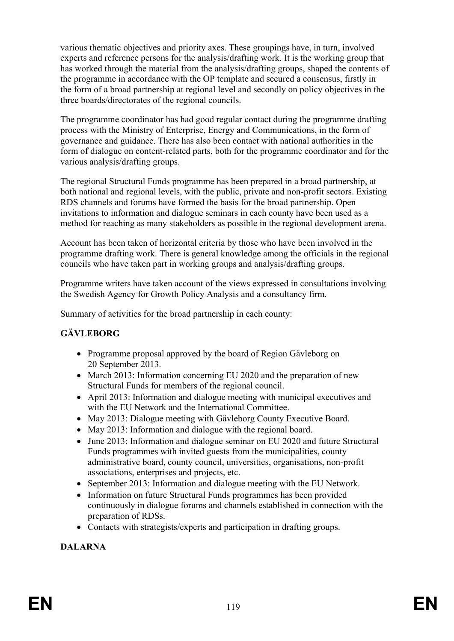various thematic objectives and priority axes. These groupings have, in turn, involved experts and reference persons for the analysis/drafting work. It is the working group that has worked through the material from the analysis/drafting groups, shaped the contents of the programme in accordance with the OP template and secured a consensus, firstly in the form of a broad partnership at regional level and secondly on policy objectives in the three boards/directorates of the regional councils.

The programme coordinator has had good regular contact during the programme drafting process with the Ministry of Enterprise, Energy and Communications, in the form of governance and guidance. There has also been contact with national authorities in the form of dialogue on content-related parts, both for the programme coordinator and for the various analysis/drafting groups.

The regional Structural Funds programme has been prepared in a broad partnership, at both national and regional levels, with the public, private and non-profit sectors. Existing RDS channels and forums have formed the basis for the broad partnership. Open invitations to information and dialogue seminars in each county have been used as a method for reaching as many stakeholders as possible in the regional development arena.

Account has been taken of horizontal criteria by those who have been involved in the programme drafting work. There is general knowledge among the officials in the regional councils who have taken part in working groups and analysis/drafting groups.

Programme writers have taken account of the views expressed in consultations involving the Swedish Agency for Growth Policy Analysis and a consultancy firm.

Summary of activities for the broad partnership in each county:

# **GÄVLEBORG**

- Programme proposal approved by the board of Region Gävleborg on 20 September 2013.
- March 2013: Information concerning EU 2020 and the preparation of new Structural Funds for members of the regional council.
- April 2013: Information and dialogue meeting with municipal executives and with the EU Network and the International Committee.
- May 2013: Dialogue meeting with Gävleborg County Executive Board.
- May 2013: Information and dialogue with the regional board.
- June 2013: Information and dialogue seminar on EU 2020 and future Structural Funds programmes with invited guests from the municipalities, county administrative board, county council, universities, organisations, non-profit associations, enterprises and projects, etc.
- September 2013: Information and dialogue meeting with the EU Network.
- Information on future Structural Funds programmes has been provided continuously in dialogue forums and channels established in connection with the preparation of RDSs.
- Contacts with strategists/experts and participation in drafting groups.

**DALARNA**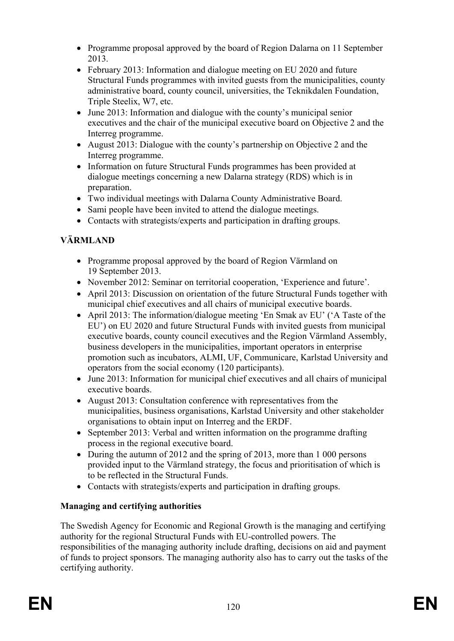- Programme proposal approved by the board of Region Dalarna on 11 September 2013.
- February 2013: Information and dialogue meeting on EU 2020 and future Structural Funds programmes with invited guests from the municipalities, county administrative board, county council, universities, the Teknikdalen Foundation, Triple Steelix, W7, etc.
- June 2013: Information and dialogue with the county's municipal senior executives and the chair of the municipal executive board on Objective 2 and the Interreg programme.
- August 2013: Dialogue with the county's partnership on Objective 2 and the Interreg programme.
- Information on future Structural Funds programmes has been provided at dialogue meetings concerning a new Dalarna strategy (RDS) which is in preparation.
- Two individual meetings with Dalarna County Administrative Board.
- Sami people have been invited to attend the dialogue meetings.
- Contacts with strategists/experts and participation in drafting groups.

# **VÄRMLAND**

- Programme proposal approved by the board of Region Värmland on 19 September 2013.
- November 2012: Seminar on territorial cooperation, 'Experience and future'.
- April 2013: Discussion on orientation of the future Structural Funds together with municipal chief executives and all chairs of municipal executive boards.
- April 2013: The information/dialogue meeting 'En Smak av EU' ('A Taste of the EU') on EU 2020 and future Structural Funds with invited guests from municipal executive boards, county council executives and the Region Värmland Assembly, business developers in the municipalities, important operators in enterprise promotion such as incubators, ALMI, UF, Communicare, Karlstad University and operators from the social economy (120 participants).
- June 2013: Information for municipal chief executives and all chairs of municipal executive boards.
- August 2013: Consultation conference with representatives from the municipalities, business organisations, Karlstad University and other stakeholder organisations to obtain input on Interreg and the ERDF.
- September 2013: Verbal and written information on the programme drafting process in the regional executive board.
- During the autumn of 2012 and the spring of 2013, more than 1 000 persons provided input to the Värmland strategy, the focus and prioritisation of which is to be reflected in the Structural Funds.
- Contacts with strategists/experts and participation in drafting groups.

# **Managing and certifying authorities**

The Swedish Agency for Economic and Regional Growth is the managing and certifying authority for the regional Structural Funds with EU-controlled powers. The responsibilities of the managing authority include drafting, decisions on aid and payment of funds to project sponsors. The managing authority also has to carry out the tasks of the certifying authority.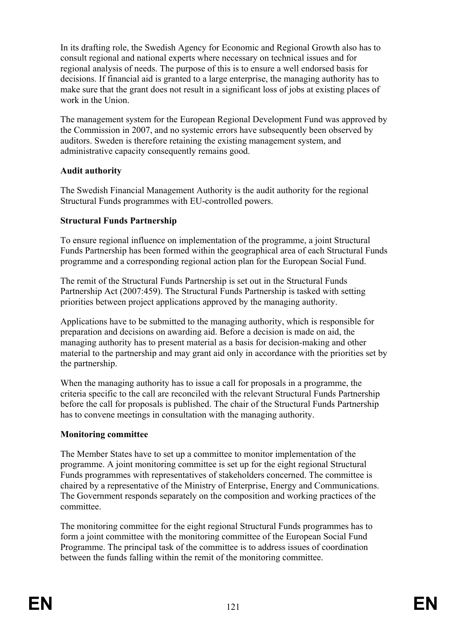In its drafting role, the Swedish Agency for Economic and Regional Growth also has to consult regional and national experts where necessary on technical issues and for regional analysis of needs. The purpose of this is to ensure a well endorsed basis for decisions. If financial aid is granted to a large enterprise, the managing authority has to make sure that the grant does not result in a significant loss of jobs at existing places of work in the Union.

The management system for the European Regional Development Fund was approved by the Commission in 2007, and no systemic errors have subsequently been observed by auditors. Sweden is therefore retaining the existing management system, and administrative capacity consequently remains good.

### **Audit authority**

The Swedish Financial Management Authority is the audit authority for the regional Structural Funds programmes with EU-controlled powers.

# **Structural Funds Partnership**

To ensure regional influence on implementation of the programme, a joint Structural Funds Partnership has been formed within the geographical area of each Structural Funds programme and a corresponding regional action plan for the European Social Fund.

The remit of the Structural Funds Partnership is set out in the Structural Funds Partnership Act (2007:459). The Structural Funds Partnership is tasked with setting priorities between project applications approved by the managing authority.

Applications have to be submitted to the managing authority, which is responsible for preparation and decisions on awarding aid. Before a decision is made on aid, the managing authority has to present material as a basis for decision-making and other material to the partnership and may grant aid only in accordance with the priorities set by the partnership.

When the managing authority has to issue a call for proposals in a programme, the criteria specific to the call are reconciled with the relevant Structural Funds Partnership before the call for proposals is published. The chair of the Structural Funds Partnership has to convene meetings in consultation with the managing authority.

# **Monitoring committee**

The Member States have to set up a committee to monitor implementation of the programme. A joint monitoring committee is set up for the eight regional Structural Funds programmes with representatives of stakeholders concerned. The committee is chaired by a representative of the Ministry of Enterprise, Energy and Communications. The Government responds separately on the composition and working practices of the committee.

The monitoring committee for the eight regional Structural Funds programmes has to form a joint committee with the monitoring committee of the European Social Fund Programme. The principal task of the committee is to address issues of coordination between the funds falling within the remit of the monitoring committee.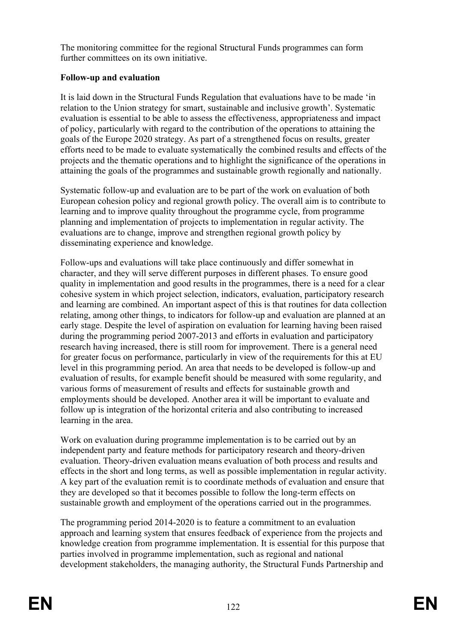The monitoring committee for the regional Structural Funds programmes can form further committees on its own initiative.

## **Follow-up and evaluation**

It is laid down in the Structural Funds Regulation that evaluations have to be made 'in relation to the Union strategy for smart, sustainable and inclusive growth'. Systematic evaluation is essential to be able to assess the effectiveness, appropriateness and impact of policy, particularly with regard to the contribution of the operations to attaining the goals of the Europe 2020 strategy. As part of a strengthened focus on results, greater efforts need to be made to evaluate systematically the combined results and effects of the projects and the thematic operations and to highlight the significance of the operations in attaining the goals of the programmes and sustainable growth regionally and nationally.

Systematic follow-up and evaluation are to be part of the work on evaluation of both European cohesion policy and regional growth policy. The overall aim is to contribute to learning and to improve quality throughout the programme cycle, from programme planning and implementation of projects to implementation in regular activity. The evaluations are to change, improve and strengthen regional growth policy by disseminating experience and knowledge.

Follow-ups and evaluations will take place continuously and differ somewhat in character, and they will serve different purposes in different phases. To ensure good quality in implementation and good results in the programmes, there is a need for a clear cohesive system in which project selection, indicators, evaluation, participatory research and learning are combined. An important aspect of this is that routines for data collection relating, among other things, to indicators for follow-up and evaluation are planned at an early stage. Despite the level of aspiration on evaluation for learning having been raised during the programming period 2007-2013 and efforts in evaluation and participatory research having increased, there is still room for improvement. There is a general need for greater focus on performance, particularly in view of the requirements for this at EU level in this programming period. An area that needs to be developed is follow-up and evaluation of results, for example benefit should be measured with some regularity, and various forms of measurement of results and effects for sustainable growth and employments should be developed. Another area it will be important to evaluate and follow up is integration of the horizontal criteria and also contributing to increased learning in the area.

Work on evaluation during programme implementation is to be carried out by an independent party and feature methods for participatory research and theory-driven evaluation. Theory-driven evaluation means evaluation of both process and results and effects in the short and long terms, as well as possible implementation in regular activity. A key part of the evaluation remit is to coordinate methods of evaluation and ensure that they are developed so that it becomes possible to follow the long-term effects on sustainable growth and employment of the operations carried out in the programmes.

The programming period 2014-2020 is to feature a commitment to an evaluation approach and learning system that ensures feedback of experience from the projects and knowledge creation from programme implementation. It is essential for this purpose that parties involved in programme implementation, such as regional and national development stakeholders, the managing authority, the Structural Funds Partnership and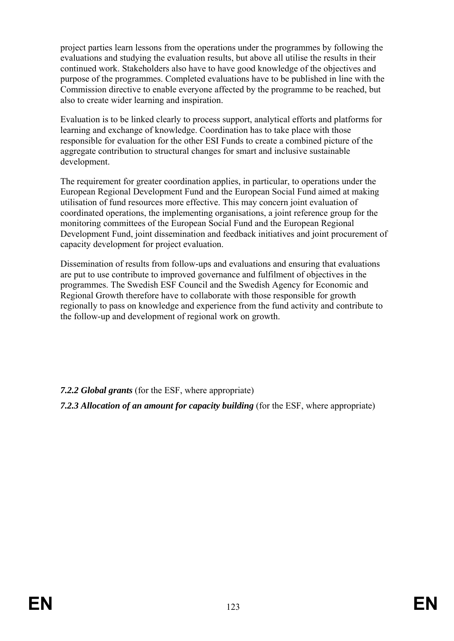project parties learn lessons from the operations under the programmes by following the evaluations and studying the evaluation results, but above all utilise the results in their continued work. Stakeholders also have to have good knowledge of the objectives and purpose of the programmes. Completed evaluations have to be published in line with the Commission directive to enable everyone affected by the programme to be reached, but also to create wider learning and inspiration.

Evaluation is to be linked clearly to process support, analytical efforts and platforms for learning and exchange of knowledge. Coordination has to take place with those responsible for evaluation for the other ESI Funds to create a combined picture of the aggregate contribution to structural changes for smart and inclusive sustainable development.

The requirement for greater coordination applies, in particular, to operations under the European Regional Development Fund and the European Social Fund aimed at making utilisation of fund resources more effective. This may concern joint evaluation of coordinated operations, the implementing organisations, a joint reference group for the monitoring committees of the European Social Fund and the European Regional Development Fund, joint dissemination and feedback initiatives and joint procurement of capacity development for project evaluation.

Dissemination of results from follow-ups and evaluations and ensuring that evaluations are put to use contribute to improved governance and fulfilment of objectives in the programmes. The Swedish ESF Council and the Swedish Agency for Economic and Regional Growth therefore have to collaborate with those responsible for growth regionally to pass on knowledge and experience from the fund activity and contribute to the follow-up and development of regional work on growth.

*7.2.2 Global grants* (for the ESF, where appropriate)

*7.2.3 Allocation of an amount for capacity building* (for the ESF, where appropriate)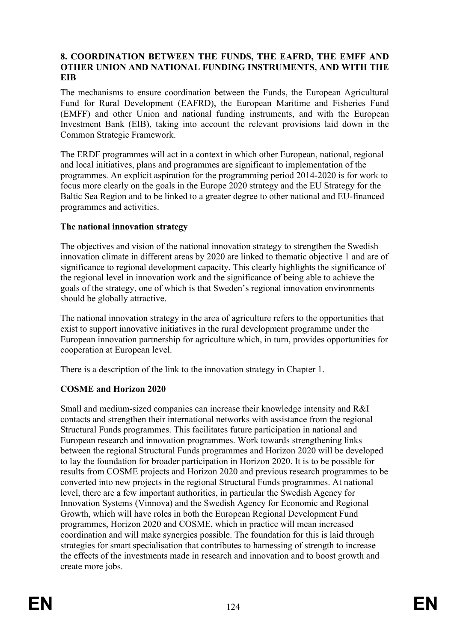### **8. COORDINATION BETWEEN THE FUNDS, THE EAFRD, THE EMFF AND OTHER UNION AND NATIONAL FUNDING INSTRUMENTS, AND WITH THE EIB**

The mechanisms to ensure coordination between the Funds, the European Agricultural Fund for Rural Development (EAFRD), the European Maritime and Fisheries Fund (EMFF) and other Union and national funding instruments, and with the European Investment Bank (EIB), taking into account the relevant provisions laid down in the Common Strategic Framework.

The ERDF programmes will act in a context in which other European, national, regional and local initiatives, plans and programmes are significant to implementation of the programmes. An explicit aspiration for the programming period 2014-2020 is for work to focus more clearly on the goals in the Europe 2020 strategy and the EU Strategy for the Baltic Sea Region and to be linked to a greater degree to other national and EU-financed programmes and activities.

### **The national innovation strategy**

The objectives and vision of the national innovation strategy to strengthen the Swedish innovation climate in different areas by 2020 are linked to thematic objective 1 and are of significance to regional development capacity. This clearly highlights the significance of the regional level in innovation work and the significance of being able to achieve the goals of the strategy, one of which is that Sweden's regional innovation environments should be globally attractive.

The national innovation strategy in the area of agriculture refers to the opportunities that exist to support innovative initiatives in the rural development programme under the European innovation partnership for agriculture which, in turn, provides opportunities for cooperation at European level.

There is a description of the link to the innovation strategy in Chapter 1.

# **COSME and Horizon 2020**

Small and medium-sized companies can increase their knowledge intensity and R&I contacts and strengthen their international networks with assistance from the regional Structural Funds programmes. This facilitates future participation in national and European research and innovation programmes. Work towards strengthening links between the regional Structural Funds programmes and Horizon 2020 will be developed to lay the foundation for broader participation in Horizon 2020. It is to be possible for results from COSME projects and Horizon 2020 and previous research programmes to be converted into new projects in the regional Structural Funds programmes. At national level, there are a few important authorities, in particular the Swedish Agency for Innovation Systems (Vinnova) and the Swedish Agency for Economic and Regional Growth, which will have roles in both the European Regional Development Fund programmes, Horizon 2020 and COSME, which in practice will mean increased coordination and will make synergies possible. The foundation for this is laid through strategies for smart specialisation that contributes to harnessing of strength to increase the effects of the investments made in research and innovation and to boost growth and create more jobs.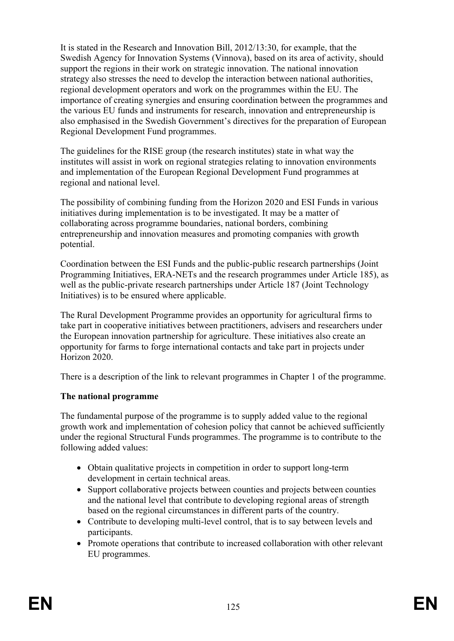It is stated in the Research and Innovation Bill, 2012/13:30, for example, that the Swedish Agency for Innovation Systems (Vinnova), based on its area of activity, should support the regions in their work on strategic innovation. The national innovation strategy also stresses the need to develop the interaction between national authorities, regional development operators and work on the programmes within the EU. The importance of creating synergies and ensuring coordination between the programmes and the various EU funds and instruments for research, innovation and entrepreneurship is also emphasised in the Swedish Government's directives for the preparation of European Regional Development Fund programmes.

The guidelines for the RISE group (the research institutes) state in what way the institutes will assist in work on regional strategies relating to innovation environments and implementation of the European Regional Development Fund programmes at regional and national level.

The possibility of combining funding from the Horizon 2020 and ESI Funds in various initiatives during implementation is to be investigated. It may be a matter of collaborating across programme boundaries, national borders, combining entrepreneurship and innovation measures and promoting companies with growth potential.

Coordination between the ESI Funds and the public-public research partnerships (Joint Programming Initiatives, ERA-NETs and the research programmes under Article 185), as well as the public-private research partnerships under Article 187 (Joint Technology Initiatives) is to be ensured where applicable.

The Rural Development Programme provides an opportunity for agricultural firms to take part in cooperative initiatives between practitioners, advisers and researchers under the European innovation partnership for agriculture. These initiatives also create an opportunity for farms to forge international contacts and take part in projects under Horizon 2020.

There is a description of the link to relevant programmes in Chapter 1 of the programme.

### **The national programme**

The fundamental purpose of the programme is to supply added value to the regional growth work and implementation of cohesion policy that cannot be achieved sufficiently under the regional Structural Funds programmes. The programme is to contribute to the following added values:

- Obtain qualitative projects in competition in order to support long-term development in certain technical areas.
- Support collaborative projects between counties and projects between counties and the national level that contribute to developing regional areas of strength based on the regional circumstances in different parts of the country.
- Contribute to developing multi-level control, that is to say between levels and participants.
- Promote operations that contribute to increased collaboration with other relevant EU programmes.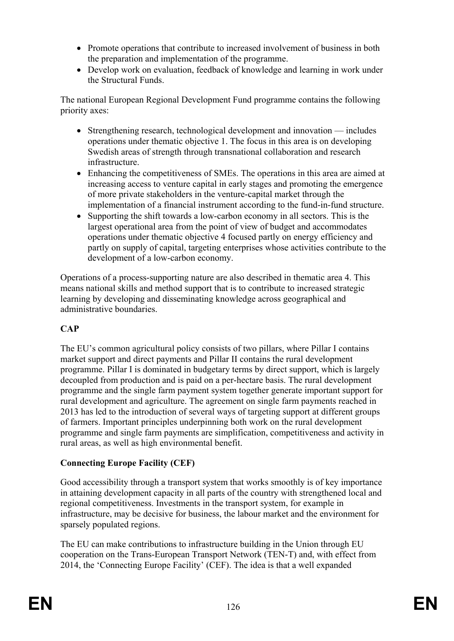- Promote operations that contribute to increased involvement of business in both the preparation and implementation of the programme.
- Develop work on evaluation, feedback of knowledge and learning in work under the Structural Funds.

The national European Regional Development Fund programme contains the following priority axes:

- Strengthening research, technological development and innovation includes operations under thematic objective 1. The focus in this area is on developing Swedish areas of strength through transnational collaboration and research infrastructure.
- Enhancing the competitiveness of SMEs. The operations in this area are aimed at increasing access to venture capital in early stages and promoting the emergence of more private stakeholders in the venture-capital market through the implementation of a financial instrument according to the fund-in-fund structure.
- Supporting the shift towards a low-carbon economy in all sectors. This is the largest operational area from the point of view of budget and accommodates operations under thematic objective 4 focused partly on energy efficiency and partly on supply of capital, targeting enterprises whose activities contribute to the development of a low-carbon economy.

Operations of a process-supporting nature are also described in thematic area 4. This means national skills and method support that is to contribute to increased strategic learning by developing and disseminating knowledge across geographical and administrative boundaries.

# **CAP**

The EU's common agricultural policy consists of two pillars, where Pillar I contains market support and direct payments and Pillar II contains the rural development programme. Pillar I is dominated in budgetary terms by direct support, which is largely decoupled from production and is paid on a per-hectare basis. The rural development programme and the single farm payment system together generate important support for rural development and agriculture. The agreement on single farm payments reached in 2013 has led to the introduction of several ways of targeting support at different groups of farmers. Important principles underpinning both work on the rural development programme and single farm payments are simplification, competitiveness and activity in rural areas, as well as high environmental benefit.

### **Connecting Europe Facility (CEF)**

Good accessibility through a transport system that works smoothly is of key importance in attaining development capacity in all parts of the country with strengthened local and regional competitiveness. Investments in the transport system, for example in infrastructure, may be decisive for business, the labour market and the environment for sparsely populated regions.

The EU can make contributions to infrastructure building in the Union through EU cooperation on the Trans-European Transport Network (TEN-T) and, with effect from 2014, the 'Connecting Europe Facility' (CEF). The idea is that a well expanded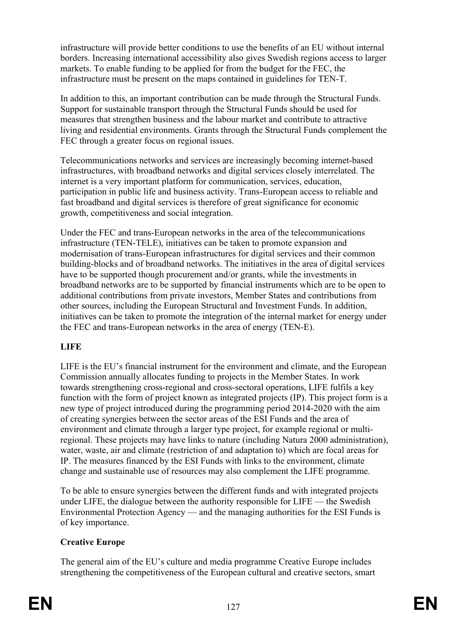infrastructure will provide better conditions to use the benefits of an EU without internal borders. Increasing international accessibility also gives Swedish regions access to larger markets. To enable funding to be applied for from the budget for the FEC, the infrastructure must be present on the maps contained in guidelines for TEN-T.

In addition to this, an important contribution can be made through the Structural Funds. Support for sustainable transport through the Structural Funds should be used for measures that strengthen business and the labour market and contribute to attractive living and residential environments. Grants through the Structural Funds complement the FEC through a greater focus on regional issues.

Telecommunications networks and services are increasingly becoming internet-based infrastructures, with broadband networks and digital services closely interrelated. The internet is a very important platform for communication, services, education, participation in public life and business activity. Trans-European access to reliable and fast broadband and digital services is therefore of great significance for economic growth, competitiveness and social integration.

Under the FEC and trans-European networks in the area of the telecommunications infrastructure (TEN-TELE), initiatives can be taken to promote expansion and modernisation of trans-European infrastructures for digital services and their common building-blocks and of broadband networks. The initiatives in the area of digital services have to be supported though procurement and/or grants, while the investments in broadband networks are to be supported by financial instruments which are to be open to additional contributions from private investors, Member States and contributions from other sources, including the European Structural and Investment Funds. In addition, initiatives can be taken to promote the integration of the internal market for energy under the FEC and trans-European networks in the area of energy (TEN-E).

# **LIFE**

LIFE is the EU's financial instrument for the environment and climate, and the European Commission annually allocates funding to projects in the Member States. In work towards strengthening cross-regional and cross-sectoral operations, LIFE fulfils a key function with the form of project known as integrated projects (IP). This project form is a new type of project introduced during the programming period 2014-2020 with the aim of creating synergies between the sector areas of the ESI Funds and the area of environment and climate through a larger type project, for example regional or multiregional. These projects may have links to nature (including Natura 2000 administration), water, waste, air and climate (restriction of and adaptation to) which are focal areas for IP. The measures financed by the ESI Funds with links to the environment, climate change and sustainable use of resources may also complement the LIFE programme.

To be able to ensure synergies between the different funds and with integrated projects under LIFE, the dialogue between the authority responsible for LIFE — the Swedish Environmental Protection Agency — and the managing authorities for the ESI Funds is of key importance.

### **Creative Europe**

The general aim of the EU's culture and media programme Creative Europe includes strengthening the competitiveness of the European cultural and creative sectors, smart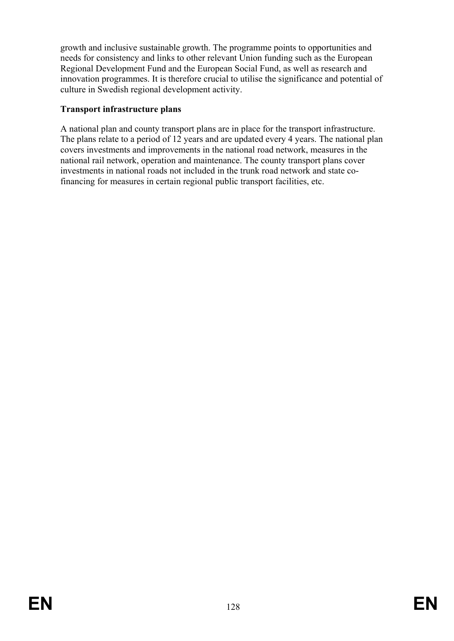growth and inclusive sustainable growth. The programme points to opportunities and needs for consistency and links to other relevant Union funding such as the European Regional Development Fund and the European Social Fund, as well as research and innovation programmes. It is therefore crucial to utilise the significance and potential of culture in Swedish regional development activity.

## **Transport infrastructure plans**

A national plan and county transport plans are in place for the transport infrastructure. The plans relate to a period of 12 years and are updated every 4 years. The national plan covers investments and improvements in the national road network, measures in the national rail network, operation and maintenance. The county transport plans cover investments in national roads not included in the trunk road network and state cofinancing for measures in certain regional public transport facilities, etc.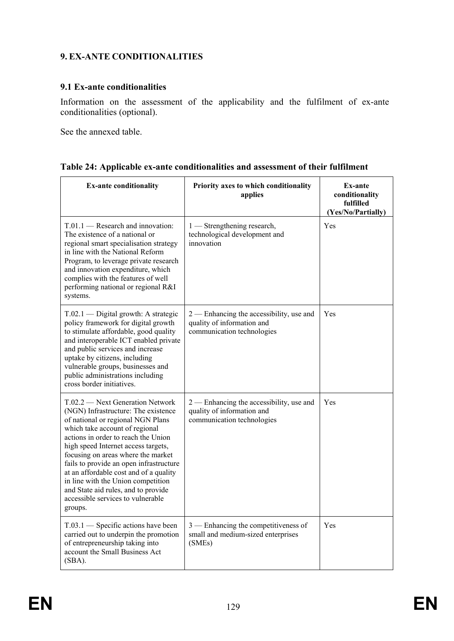# **9. EX-ANTE CONDITIONALITIES**

### **9.1 Ex-ante conditionalities**

Information on the assessment of the applicability and the fulfilment of ex-ante conditionalities (optional).

See the annexed table.

|  | Table 24: Applicable ex-ante conditionalities and assessment of their fulfilment |  |  |
|--|----------------------------------------------------------------------------------|--|--|
|  |                                                                                  |  |  |

| <b>Ex-ante conditionality</b>                                                                                                                                                                                                                                                                                                                                                                                                                                                        | Priority axes to which conditionality<br>applies                                                     | Ex-ante<br>conditionality<br>fulfilled<br>(Yes/No/Partially) |
|--------------------------------------------------------------------------------------------------------------------------------------------------------------------------------------------------------------------------------------------------------------------------------------------------------------------------------------------------------------------------------------------------------------------------------------------------------------------------------------|------------------------------------------------------------------------------------------------------|--------------------------------------------------------------|
| $T.01.1$ - Research and innovation:<br>The existence of a national or<br>regional smart specialisation strategy<br>in line with the National Reform<br>Program, to leverage private research<br>and innovation expenditure, which<br>complies with the features of well<br>performing national or regional R&I<br>systems.                                                                                                                                                           | 1 — Strengthening research,<br>technological development and<br>innovation                           | Yes                                                          |
| T.02.1 - Digital growth: A strategic<br>policy framework for digital growth<br>to stimulate affordable, good quality<br>and interoperable ICT enabled private<br>and public services and increase<br>uptake by citizens, including<br>vulnerable groups, businesses and<br>public administrations including<br>cross border initiatives.                                                                                                                                             | 2 — Enhancing the accessibility, use and<br>quality of information and<br>communication technologies | Yes                                                          |
| T.02.2 — Next Generation Network<br>(NGN) Infrastructure: The existence<br>of national or regional NGN Plans<br>which take account of regional<br>actions in order to reach the Union<br>high speed Internet access targets,<br>focusing on areas where the market<br>fails to provide an open infrastructure<br>at an affordable cost and of a quality<br>in line with the Union competition<br>and State aid rules, and to provide<br>accessible services to vulnerable<br>groups. | 2 - Enhancing the accessibility, use and<br>quality of information and<br>communication technologies | Yes                                                          |
| $T.03.1$ — Specific actions have been<br>carried out to underpin the promotion<br>of entrepreneurship taking into<br>account the Small Business Act<br>(SBA).                                                                                                                                                                                                                                                                                                                        | $3$ — Enhancing the competitiveness of<br>small and medium-sized enterprises<br>(SMEs)               | Yes                                                          |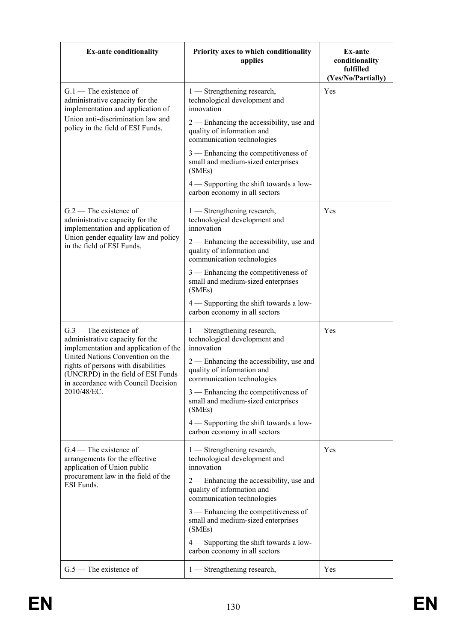| <b>Ex-ante conditionality</b>                                                                                                                        | Priority axes to which conditionality<br>applies                                                       | Ex-ante<br>conditionality<br>fulfilled<br>(Yes/No/Partially) |
|------------------------------------------------------------------------------------------------------------------------------------------------------|--------------------------------------------------------------------------------------------------------|--------------------------------------------------------------|
| $G.1$ – The existence of<br>administrative capacity for the<br>implementation and application of                                                     | $1$ — Strengthening research,<br>technological development and<br>innovation                           | Yes                                                          |
| Union anti-discrimination law and<br>policy in the field of ESI Funds.                                                                               | 2 — Enhancing the accessibility, use and<br>quality of information and<br>communication technologies   |                                                              |
|                                                                                                                                                      | 3 — Enhancing the competitiveness of<br>small and medium-sized enterprises<br>(SMEs)                   |                                                              |
|                                                                                                                                                      | 4 — Supporting the shift towards a low-<br>carbon economy in all sectors                               |                                                              |
| $G.2$ – The existence of<br>administrative capacity for the<br>implementation and application of                                                     | 1 — Strengthening research,<br>technological development and<br>innovation                             | Yes                                                          |
| Union gender equality law and policy<br>in the field of ESI Funds.                                                                                   | 2 — Enhancing the accessibility, use and<br>quality of information and<br>communication technologies   |                                                              |
|                                                                                                                                                      | 3 — Enhancing the competitiveness of<br>small and medium-sized enterprises<br>(SMEs)                   |                                                              |
|                                                                                                                                                      | 4 — Supporting the shift towards a low-<br>carbon economy in all sectors                               |                                                              |
| $G.3$ — The existence of<br>administrative capacity for the<br>implementation and application of the                                                 | 1 - Strengthening research,<br>technological development and<br>innovation                             | Yes                                                          |
| United Nations Convention on the<br>rights of persons with disabilities<br>(UNCRPD) in the field of ESI Funds<br>in accordance with Council Decision | 2 — Enhancing the accessibility, use and<br>quality of information and<br>communication technologies   |                                                              |
| 2010/48/EC.                                                                                                                                          | 3 — Enhancing the competitiveness of<br>small and medium-sized enterprises<br>(SMEs)                   |                                                              |
|                                                                                                                                                      | 4 — Supporting the shift towards a low-<br>carbon economy in all sectors                               |                                                              |
| $G.4$ — The existence of<br>arrangements for the effective<br>application of Union public                                                            | $1$ — Strengthening research,<br>technological development and<br>innovation                           | Yes                                                          |
| procurement law in the field of the<br>ESI Funds.                                                                                                    | $2$ — Enhancing the accessibility, use and<br>quality of information and<br>communication technologies |                                                              |
|                                                                                                                                                      | 3 — Enhancing the competitiveness of<br>small and medium-sized enterprises<br>(SMEs)                   |                                                              |
|                                                                                                                                                      | 4 - Supporting the shift towards a low-<br>carbon economy in all sectors                               |                                                              |
| $G.5$ — The existence of                                                                                                                             | 1 — Strengthening research,                                                                            | Yes                                                          |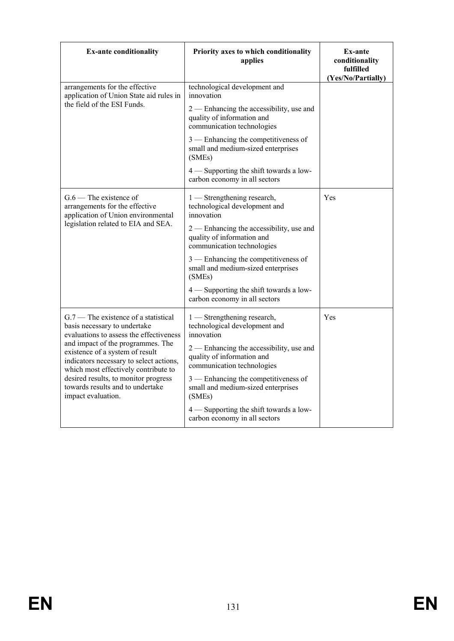| <b>Ex-ante conditionality</b>                                                                                                                           | Priority axes to which conditionality<br>applies                                                     | Ex-ante<br>conditionality<br>fulfilled<br>(Yes/No/Partially) |
|---------------------------------------------------------------------------------------------------------------------------------------------------------|------------------------------------------------------------------------------------------------------|--------------------------------------------------------------|
| arrangements for the effective<br>application of Union State aid rules in                                                                               | technological development and<br>innovation                                                          |                                                              |
| the field of the ESI Funds.                                                                                                                             | 2 — Enhancing the accessibility, use and<br>quality of information and<br>communication technologies |                                                              |
|                                                                                                                                                         | 3 — Enhancing the competitiveness of<br>small and medium-sized enterprises<br>(SMEs)                 |                                                              |
|                                                                                                                                                         | 4 — Supporting the shift towards a low-<br>carbon economy in all sectors                             |                                                              |
| $G.6$ — The existence of<br>arrangements for the effective<br>application of Union environmental                                                        | 1 — Strengthening research,<br>technological development and<br>innovation                           | Yes                                                          |
| legislation related to EIA and SEA.                                                                                                                     | 2 — Enhancing the accessibility, use and<br>quality of information and<br>communication technologies |                                                              |
|                                                                                                                                                         | 3 — Enhancing the competitiveness of<br>small and medium-sized enterprises<br>(SMEs)                 |                                                              |
|                                                                                                                                                         | 4 — Supporting the shift towards a low-<br>carbon economy in all sectors                             |                                                              |
| $G.7$ – The existence of a statistical<br>basis necessary to undertake<br>evaluations to assess the effectiveness                                       | 1 — Strengthening research,<br>technological development and<br>innovation                           | Yes                                                          |
| and impact of the programmes. The<br>existence of a system of result<br>indicators necessary to select actions,<br>which most effectively contribute to | 2 — Enhancing the accessibility, use and<br>quality of information and<br>communication technologies |                                                              |
| desired results, to monitor progress<br>towards results and to undertake<br>impact evaluation.                                                          | 3 — Enhancing the competitiveness of<br>small and medium-sized enterprises<br>(SMEs)                 |                                                              |
|                                                                                                                                                         | $4$ — Supporting the shift towards a low-<br>carbon economy in all sectors                           |                                                              |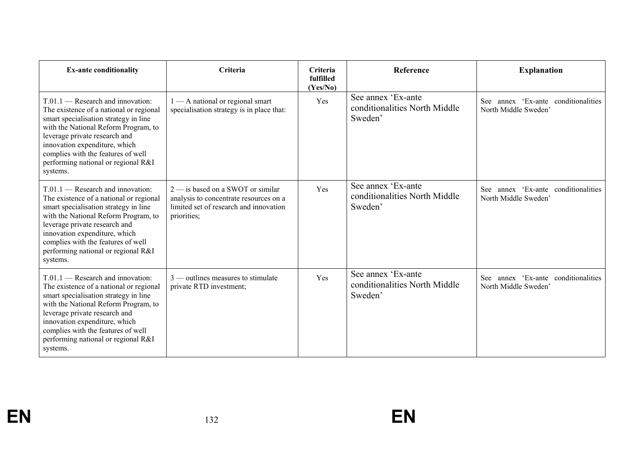| <b>Ex-ante conditionality</b>                                                                                                                                                                                                                                                                                              | <b>Criteria</b>                                                                                                                        | Criteria<br>fulfilled<br>(Yes/No) | <b>Reference</b>                                               | <b>Explanation</b>                                             |
|----------------------------------------------------------------------------------------------------------------------------------------------------------------------------------------------------------------------------------------------------------------------------------------------------------------------------|----------------------------------------------------------------------------------------------------------------------------------------|-----------------------------------|----------------------------------------------------------------|----------------------------------------------------------------|
| $T.01.1$ — Research and innovation:<br>The existence of a national or regional<br>smart specialisation strategy in line<br>with the National Reform Program, to<br>leverage private research and<br>innovation expenditure, which<br>complies with the features of well<br>performing national or regional R&I<br>systems. | $1 - A$ national or regional smart<br>specialisation strategy is in place that:                                                        | Yes                               | See annex 'Ex-ante<br>conditionalities North Middle<br>Sweden' | annex 'Ex-ante conditionalities<br>See<br>North Middle Sweden' |
| $T.01.1$ — Research and innovation:<br>The existence of a national or regional<br>smart specialisation strategy in line<br>with the National Reform Program, to<br>leverage private research and<br>innovation expenditure, which<br>complies with the features of well<br>performing national or regional R&I<br>systems. | $2$ — is based on a SWOT or similar<br>analysis to concentrate resources on a<br>limited set of research and innovation<br>priorities; | Yes                               | See annex 'Ex-ante<br>conditionalities North Middle<br>Sweden' | annex 'Ex-ante conditionalities<br>See<br>North Middle Sweden' |
| $T.01.1$ - Research and innovation:<br>The existence of a national or regional<br>smart specialisation strategy in line<br>with the National Reform Program, to<br>leverage private research and<br>innovation expenditure, which<br>complies with the features of well<br>performing national or regional R&I<br>systems. | $3$ — outlines measures to stimulate<br>private RTD investment;                                                                        | Yes                               | See annex 'Ex-ante<br>conditionalities North Middle<br>Sweden' | annex 'Ex-ante conditionalities<br>See<br>North Middle Sweden' |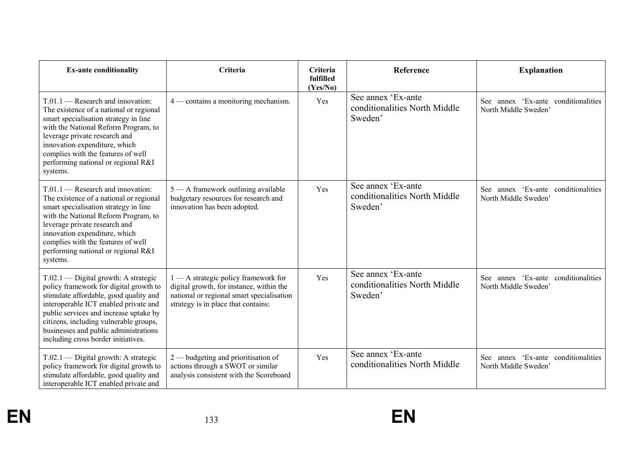| <b>Ex-ante conditionality</b>                                                                                                                                                                                                                                                                                                           | Criteria                                                                                                                                                             | Criteria<br>fulfilled<br>(Yes/No) | Reference                                                      | <b>Explanation</b>                                          |
|-----------------------------------------------------------------------------------------------------------------------------------------------------------------------------------------------------------------------------------------------------------------------------------------------------------------------------------------|----------------------------------------------------------------------------------------------------------------------------------------------------------------------|-----------------------------------|----------------------------------------------------------------|-------------------------------------------------------------|
| $T.01.1$ — Research and innovation:<br>The existence of a national or regional<br>smart specialisation strategy in line<br>with the National Reform Program, to<br>leverage private research and<br>innovation expenditure, which<br>complies with the features of well<br>performing national or regional R&I<br>systems.              | $4$ — contains a monitoring mechanism.                                                                                                                               | Yes                               | See annex 'Ex-ante<br>conditionalities North Middle<br>Sweden' | See annex 'Ex-ante conditionalities<br>North Middle Sweden' |
| $T.01.1$ - Research and innovation:<br>The existence of a national or regional<br>smart specialisation strategy in line<br>with the National Reform Program, to<br>leverage private research and<br>innovation expenditure, which<br>complies with the features of well<br>performing national or regional R&I<br>systems.              | 5 - A framework outlining available<br>budgetary resources for research and<br>innovation has been adopted.                                                          | Yes                               | See annex 'Ex-ante<br>conditionalities North Middle<br>Sweden' | See annex 'Ex-ante conditionalities<br>North Middle Sweden' |
| $T.02.1$ — Digital growth: A strategic<br>policy framework for digital growth to<br>stimulate affordable, good quality and<br>interoperable ICT enabled private and<br>public services and increase uptake by<br>citizens, including vulnerable groups,<br>businesses and public administrations<br>including cross border initiatives. | 1 - A strategic policy framework for<br>digital growth, for instance, within the<br>national or regional smart specialisation<br>strategy is in place that contains: | Yes                               | See annex 'Ex-ante<br>conditionalities North Middle<br>Sweden' | See annex 'Ex-ante conditionalities<br>North Middle Sweden' |
| T.02.1 — Digital growth: A strategic<br>policy framework for digital growth to<br>stimulate affordable, good quality and<br>interoperable ICT enabled private and                                                                                                                                                                       | $2$ — budgeting and prioritisation of<br>actions through a SWOT or similar<br>analysis consistent with the Scoreboard                                                | Yes                               | See annex 'Ex-ante<br>conditionalities North Middle            | See annex 'Ex-ante conditionalities<br>North Middle Sweden' |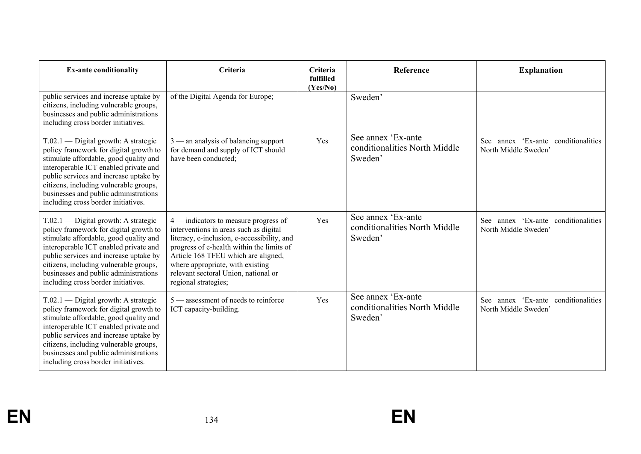| <b>Ex-ante conditionality</b>                                                                                                                                                                                                                                                                                                           | Criteria                                                                                                                                                                                                                                                                                                                 | Criteria<br>fulfilled<br>(Yes/No) | <b>Reference</b>                                               | <b>Explanation</b>                                                    |
|-----------------------------------------------------------------------------------------------------------------------------------------------------------------------------------------------------------------------------------------------------------------------------------------------------------------------------------------|--------------------------------------------------------------------------------------------------------------------------------------------------------------------------------------------------------------------------------------------------------------------------------------------------------------------------|-----------------------------------|----------------------------------------------------------------|-----------------------------------------------------------------------|
| public services and increase uptake by<br>citizens, including vulnerable groups,<br>businesses and public administrations<br>including cross border initiatives.                                                                                                                                                                        | of the Digital Agenda for Europe;                                                                                                                                                                                                                                                                                        |                                   | Sweden'                                                        |                                                                       |
| T.02.1 — Digital growth: A strategic<br>policy framework for digital growth to<br>stimulate affordable, good quality and<br>interoperable ICT enabled private and<br>public services and increase uptake by<br>citizens, including vulnerable groups,<br>businesses and public administrations<br>including cross border initiatives.   | $3$ — an analysis of balancing support<br>for demand and supply of ICT should<br>have been conducted;                                                                                                                                                                                                                    | Yes                               | See annex 'Ex-ante<br>conditionalities North Middle<br>Sweden' | annex 'Ex-ante conditionalities<br><b>See</b><br>North Middle Sweden' |
| $T.02.1$ — Digital growth: A strategic<br>policy framework for digital growth to<br>stimulate affordable, good quality and<br>interoperable ICT enabled private and<br>public services and increase uptake by<br>citizens, including vulnerable groups,<br>businesses and public administrations<br>including cross border initiatives. | $4$ — indicators to measure progress of<br>interventions in areas such as digital<br>literacy, e-inclusion, e-accessibility, and<br>progress of e-health within the limits of<br>Article 168 TFEU which are aligned,<br>where appropriate, with existing<br>relevant sectoral Union, national or<br>regional strategies; | Yes                               | See annex 'Ex-ante<br>conditionalities North Middle<br>Sweden' | See annex 'Ex-ante conditionalities<br>North Middle Sweden'           |
| $T.02.1$ — Digital growth: A strategic<br>policy framework for digital growth to<br>stimulate affordable, good quality and<br>interoperable ICT enabled private and<br>public services and increase uptake by<br>citizens, including vulnerable groups,<br>businesses and public administrations<br>including cross border initiatives. | $5$ — assessment of needs to reinforce<br>ICT capacity-building.                                                                                                                                                                                                                                                         | Yes                               | See annex 'Ex-ante<br>conditionalities North Middle<br>Sweden' | annex 'Ex-ante<br>conditionalities<br>See<br>North Middle Sweden'     |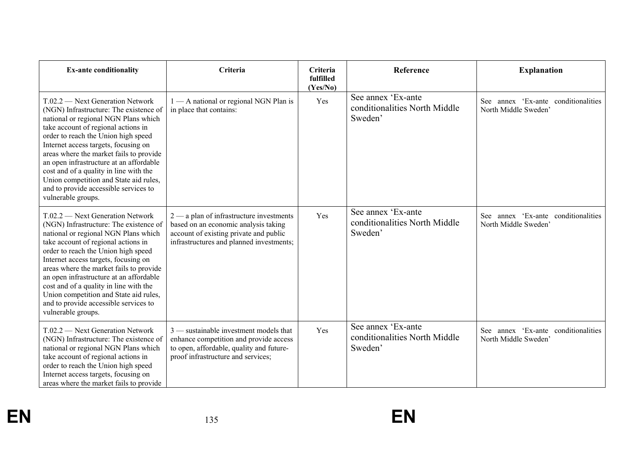| <b>Ex-ante conditionality</b>                                                                                                                                                                                                                                                                                                                                                                                                                                                       | Criteria                                                                                                                                                                 | Criteria<br>fulfilled<br>(Yes/No) | Reference                                                      | <b>Explanation</b>                                          |
|-------------------------------------------------------------------------------------------------------------------------------------------------------------------------------------------------------------------------------------------------------------------------------------------------------------------------------------------------------------------------------------------------------------------------------------------------------------------------------------|--------------------------------------------------------------------------------------------------------------------------------------------------------------------------|-----------------------------------|----------------------------------------------------------------|-------------------------------------------------------------|
| T.02.2 - Next Generation Network<br>(NGN) Infrastructure: The existence of<br>national or regional NGN Plans which<br>take account of regional actions in<br>order to reach the Union high speed<br>Internet access targets, focusing on<br>areas where the market fails to provide<br>an open infrastructure at an affordable<br>cost and of a quality in line with the<br>Union competition and State aid rules,<br>and to provide accessible services to<br>vulnerable groups.   | 1 - A national or regional NGN Plan is<br>in place that contains:                                                                                                        | Yes                               | See annex 'Ex-ante<br>conditionalities North Middle<br>Sweden' | See annex 'Ex-ante conditionalities<br>North Middle Sweden' |
| $T.02.2$ — Next Generation Network<br>(NGN) Infrastructure: The existence of<br>national or regional NGN Plans which<br>take account of regional actions in<br>order to reach the Union high speed<br>Internet access targets, focusing on<br>areas where the market fails to provide<br>an open infrastructure at an affordable<br>cost and of a quality in line with the<br>Union competition and State aid rules,<br>and to provide accessible services to<br>vulnerable groups. | $2$ — a plan of infrastructure investments<br>based on an economic analysis taking<br>account of existing private and public<br>infrastructures and planned investments; | Yes                               | See annex 'Ex-ante<br>conditionalities North Middle<br>Sweden' | See annex 'Ex-ante conditionalities<br>North Middle Sweden' |
| $T.02.2$ — Next Generation Network<br>(NGN) Infrastructure: The existence of<br>national or regional NGN Plans which<br>take account of regional actions in<br>order to reach the Union high speed<br>Internet access targets, focusing on<br>areas where the market fails to provide                                                                                                                                                                                               | $3$ — sustainable investment models that<br>enhance competition and provide access<br>to open, affordable, quality and future-<br>proof infrastructure and services;     | Yes                               | See annex 'Ex-ante<br>conditionalities North Middle<br>Sweden' | See annex 'Ex-ante conditionalities<br>North Middle Sweden' |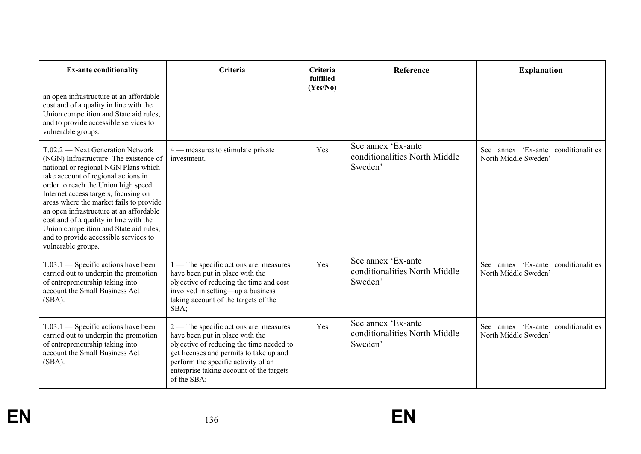| <b>Ex-ante conditionality</b>                                                                                                                                                                                                                                                                                                                                                                                                                                                       | Criteria                                                                                                                                                                                                                                                             | Criteria<br>fulfilled<br>(Yes/No) | Reference                                                      | <b>Explanation</b>                                              |
|-------------------------------------------------------------------------------------------------------------------------------------------------------------------------------------------------------------------------------------------------------------------------------------------------------------------------------------------------------------------------------------------------------------------------------------------------------------------------------------|----------------------------------------------------------------------------------------------------------------------------------------------------------------------------------------------------------------------------------------------------------------------|-----------------------------------|----------------------------------------------------------------|-----------------------------------------------------------------|
| an open infrastructure at an affordable<br>cost and of a quality in line with the<br>Union competition and State aid rules,<br>and to provide accessible services to<br>vulnerable groups.                                                                                                                                                                                                                                                                                          |                                                                                                                                                                                                                                                                      |                                   |                                                                |                                                                 |
| $T.02.2$ — Next Generation Network<br>(NGN) Infrastructure: The existence of<br>national or regional NGN Plans which<br>take account of regional actions in<br>order to reach the Union high speed<br>Internet access targets, focusing on<br>areas where the market fails to provide<br>an open infrastructure at an affordable<br>cost and of a quality in line with the<br>Union competition and State aid rules,<br>and to provide accessible services to<br>vulnerable groups. | $4$ — measures to stimulate private<br>investment.                                                                                                                                                                                                                   | Yes                               | See annex 'Ex-ante<br>conditionalities North Middle<br>Sweden' | annex 'Ex-ante conditionalities<br>See<br>North Middle Sweden   |
| $T.03.1$ — Specific actions have been<br>carried out to underpin the promotion<br>of entrepreneurship taking into<br>account the Small Business Act<br>$(SBA)$ .                                                                                                                                                                                                                                                                                                                    | 1 — The specific actions are: measures<br>have been put in place with the<br>objective of reducing the time and cost<br>involved in setting—up a business<br>taking account of the targets of the<br>SBA;                                                            | Yes                               | See annex 'Ex-ante<br>conditionalities North Middle<br>Sweden' | annex 'Ex-ante conditionalities<br>See -<br>North Middle Sweden |
| $T.03.1$ — Specific actions have been<br>carried out to underpin the promotion<br>of entrepreneurship taking into<br>account the Small Business Act<br>$(SBA)$ .                                                                                                                                                                                                                                                                                                                    | $2$ — The specific actions are: measures<br>have been put in place with the<br>objective of reducing the time needed to<br>get licenses and permits to take up and<br>perform the specific activity of an<br>enterprise taking account of the targets<br>of the SBA; | Yes                               | See annex 'Ex-ante<br>conditionalities North Middle<br>Sweden' | See annex 'Ex-ante conditionalities<br>North Middle Sweden      |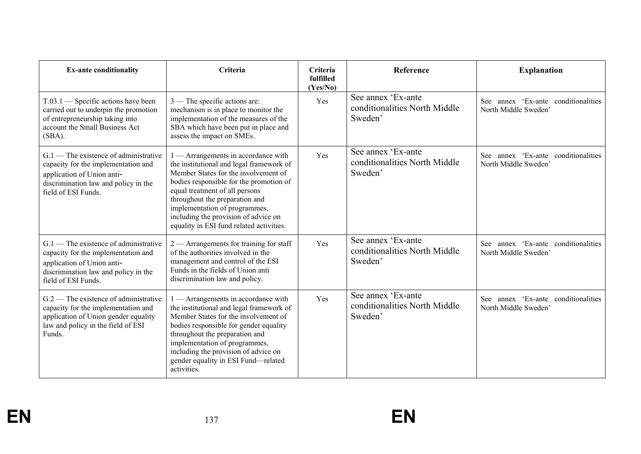| <b>Ex-ante conditionality</b>                                                                                                                                               | Criteria                                                                                                                                                                                                                                                                                                                                                         | Criteria<br>fulfilled<br>(Yes/No) | Reference                                                      | <b>Explanation</b>                                                |
|-----------------------------------------------------------------------------------------------------------------------------------------------------------------------------|------------------------------------------------------------------------------------------------------------------------------------------------------------------------------------------------------------------------------------------------------------------------------------------------------------------------------------------------------------------|-----------------------------------|----------------------------------------------------------------|-------------------------------------------------------------------|
| $T.03.1$ — Specific actions have been<br>carried out to underpin the promotion<br>of entrepreneurship taking into<br>account the Small Business Act<br>(SBA).               | $3$ — The specific actions are:<br>mechanism is in place to monitor the<br>implementation of the measures of the<br>SBA which have been put in place and<br>assess the impact on SMEs.                                                                                                                                                                           | Yes                               | See annex 'Ex-ante<br>conditionalities North Middle<br>Sweden' | annex 'Ex-ante conditionalities<br>See -<br>North Middle Sweden'  |
| $G.1$ — The existence of administrative<br>capacity for the implementation and<br>application of Union anti-<br>discrimination law and policy in the<br>field of ESI Funds. | $\Box$ - Arrangements in accordance with<br>the institutional and legal framework of<br>Member States for the involvement of<br>bodies responsible for the promotion of<br>equal treatment of all persons<br>throughout the preparation and<br>implementation of programmes,<br>including the provision of advice on<br>equality in ESI fund related activities. | Yes                               | See annex 'Ex-ante<br>conditionalities North Middle<br>Sweden' | annex 'Ex-ante conditionalities<br>See:<br>North Middle Sweden'   |
| $G.1$ — The existence of administrative<br>capacity for the implementation and<br>application of Union anti-<br>discrimination law and policy in the<br>field of ESI Funds. | $2$ — Arrangements for training for staff<br>of the authorities involved in the<br>management and control of the ESI<br>Funds in the fields of Union anti<br>discrimination law and policy.                                                                                                                                                                      | Yes                               | See annex 'Ex-ante<br>conditionalities North Middle<br>Sweden' | See annex 'Ex-ante conditionalities<br>North Middle Sweden'       |
| $G.2$ – The existence of administrative<br>capacity for the implementation and<br>application of Union gender equality<br>law and policy in the field of ESI<br>Funds.      | - Arrangements in accordance with<br>the institutional and legal framework of<br>Member States for the involvement of<br>bodies responsible for gender equality<br>throughout the preparation and<br>implementation of programmes,<br>including the provision of advice on<br>gender equality in ESI Fund-related<br>activities.                                 | Yes                               | See annex 'Ex-ante<br>conditionalities North Middle<br>Sweden' | annex 'Ex-ante<br>conditionalities<br>See<br>North Middle Sweden' |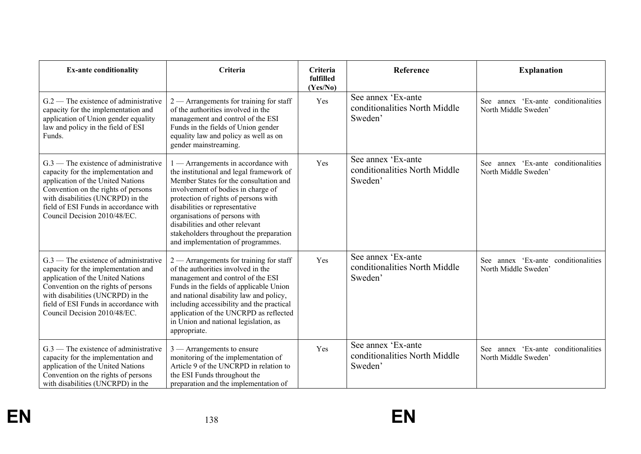| <b>Ex-ante conditionality</b>                                                                                                                                                                                                                                            | Criteria                                                                                                                                                                                                                                                                                                                                                                                      | Criteria<br>fulfilled<br>(Yes/No) | Reference                                                      | <b>Explanation</b>                                          |
|--------------------------------------------------------------------------------------------------------------------------------------------------------------------------------------------------------------------------------------------------------------------------|-----------------------------------------------------------------------------------------------------------------------------------------------------------------------------------------------------------------------------------------------------------------------------------------------------------------------------------------------------------------------------------------------|-----------------------------------|----------------------------------------------------------------|-------------------------------------------------------------|
| $G.2$ – The existence of administrative<br>capacity for the implementation and<br>application of Union gender equality<br>law and policy in the field of ESI<br>Funds.                                                                                                   | $2$ — Arrangements for training for staff<br>of the authorities involved in the<br>management and control of the ESI<br>Funds in the fields of Union gender<br>equality law and policy as well as on<br>gender mainstreaming.                                                                                                                                                                 | Yes                               | See annex 'Ex-ante<br>conditionalities North Middle<br>Sweden' | See annex 'Ex-ante conditionalities<br>North Middle Sweden' |
| $G.3$ — The existence of administrative<br>capacity for the implementation and<br>application of the United Nations<br>Convention on the rights of persons<br>with disabilities (UNCRPD) in the<br>field of ESI Funds in accordance with<br>Council Decision 2010/48/EC. | 1 - Arrangements in accordance with<br>the institutional and legal framework of<br>Member States for the consultation and<br>involvement of bodies in charge of<br>protection of rights of persons with<br>disabilities or representative<br>organisations of persons with<br>disabilities and other relevant<br>stakeholders throughout the preparation<br>and implementation of programmes. | Yes                               | See annex 'Ex-ante<br>conditionalities North Middle<br>Sweden' | See annex 'Ex-ante conditionalities<br>North Middle Sweden' |
| $G.3$ — The existence of administrative<br>capacity for the implementation and<br>application of the United Nations<br>Convention on the rights of persons<br>with disabilities (UNCRPD) in the<br>field of ESI Funds in accordance with<br>Council Decision 2010/48/EC. | $2$ — Arrangements for training for staff<br>of the authorities involved in the<br>management and control of the ESI<br>Funds in the fields of applicable Union<br>and national disability law and policy,<br>including accessibility and the practical<br>application of the UNCRPD as reflected<br>in Union and national legislation, as<br>appropriate.                                    | Yes                               | See annex 'Ex-ante<br>conditionalities North Middle<br>Sweden' | See annex 'Ex-ante conditionalities<br>North Middle Sweden' |
| $G.3$ — The existence of administrative<br>capacity for the implementation and<br>application of the United Nations<br>Convention on the rights of persons<br>with disabilities (UNCRPD) in the                                                                          | $3$ — Arrangements to ensure<br>monitoring of the implementation of<br>Article 9 of the UNCRPD in relation to<br>the ESI Funds throughout the<br>preparation and the implementation of                                                                                                                                                                                                        | Yes                               | See annex 'Ex-ante<br>conditionalities North Middle<br>Sweden' | See annex 'Ex-ante conditionalities<br>North Middle Sweden' |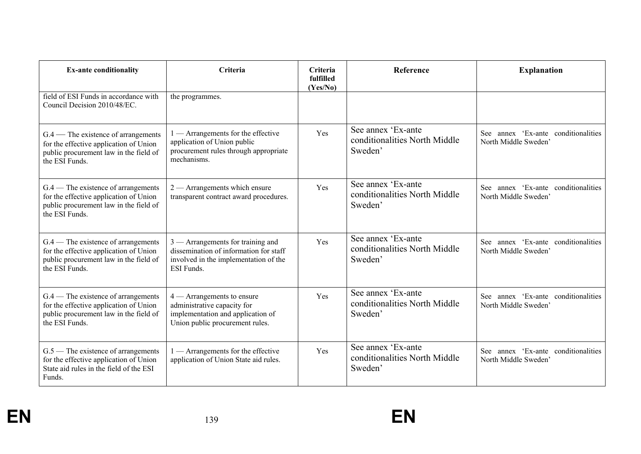| <b>Ex-ante conditionality</b>                                                                                                               | Criteria                                                                                                                             | <b>Criteria</b><br>fulfilled<br>(Yes/No) | <b>Reference</b>                                               | <b>Explanation</b>                                              |
|---------------------------------------------------------------------------------------------------------------------------------------------|--------------------------------------------------------------------------------------------------------------------------------------|------------------------------------------|----------------------------------------------------------------|-----------------------------------------------------------------|
| field of ESI Funds in accordance with<br>Council Decision 2010/48/EC.                                                                       | the programmes.                                                                                                                      |                                          |                                                                |                                                                 |
| $G.4$ – The existence of arrangements<br>for the effective application of Union<br>public procurement law in the field of<br>the ESI Funds. | — Arrangements for the effective<br>application of Union public<br>procurement rules through appropriate<br>mechanisms.              | Yes                                      | See annex 'Ex-ante<br>conditionalities North Middle<br>Sweden' | annex 'Ex-ante conditionalities<br>See:<br>North Middle Sweden  |
| $G.4$ – The existence of arrangements<br>for the effective application of Union<br>public procurement law in the field of<br>the ESI Funds. | $2$ — Arrangements which ensure<br>transparent contract award procedures.                                                            | Yes                                      | See annex 'Ex-ante<br>conditionalities North Middle<br>Sweden' | See annex 'Ex-ante conditionalities<br>North Middle Sweden'     |
| $G.4$ – The existence of arrangements<br>for the effective application of Union<br>public procurement law in the field of<br>the ESI Funds. | $3$ — Arrangements for training and<br>dissemination of information for staff<br>involved in the implementation of the<br>ESI Funds. | Yes                                      | See annex 'Ex-ante<br>conditionalities North Middle<br>Sweden' | annex 'Ex-ante conditionalities<br>See<br>North Middle Sweden'  |
| $G.4$ – The existence of arrangements<br>for the effective application of Union<br>public procurement law in the field of<br>the ESI Funds. | $4 -$ Arrangements to ensure<br>administrative capacity for<br>implementation and application of<br>Union public procurement rules.  | Yes                                      | See annex 'Ex-ante<br>conditionalities North Middle<br>Sweden' | annex 'Ex-ante conditionalities<br>See:<br>North Middle Sweden' |
| $G.5$ — The existence of arrangements<br>for the effective application of Union<br>State aid rules in the field of the ESI<br>Funds.        | $1 -$ Arrangements for the effective<br>application of Union State aid rules.                                                        | Yes                                      | See annex 'Ex-ante<br>conditionalities North Middle<br>Sweden' | See annex 'Ex-ante conditionalities<br>North Middle Sweden      |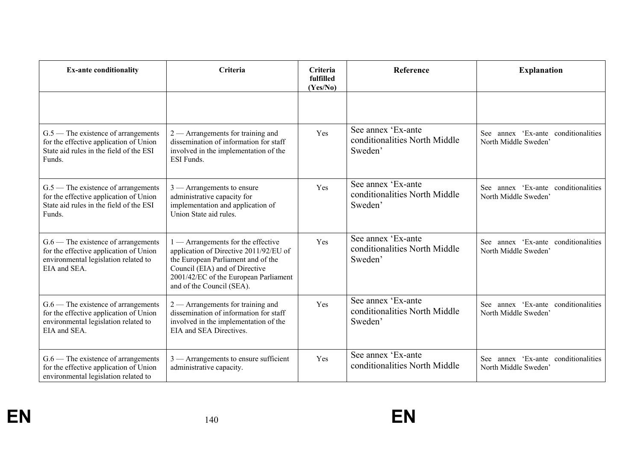| <b>Ex-ante conditionality</b>                                                                                                           | Criteria                                                                                                                                                                                                                   | Criteria<br>fulfilled<br>(Yes/No) | <b>Reference</b>                                               | <b>Explanation</b>                                             |
|-----------------------------------------------------------------------------------------------------------------------------------------|----------------------------------------------------------------------------------------------------------------------------------------------------------------------------------------------------------------------------|-----------------------------------|----------------------------------------------------------------|----------------------------------------------------------------|
|                                                                                                                                         |                                                                                                                                                                                                                            |                                   |                                                                |                                                                |
| $G.5$ — The existence of arrangements<br>for the effective application of Union<br>State aid rules in the field of the ESI<br>Funds.    | $2$ — Arrangements for training and<br>dissemination of information for staff<br>involved in the implementation of the<br><b>ESI</b> Funds.                                                                                | Yes                               | See annex 'Ex-ante<br>conditionalities North Middle<br>Sweden' | See annex 'Ex-ante conditionalities<br>North Middle Sweden'    |
| $G.5$ — The existence of arrangements<br>for the effective application of Union<br>State aid rules in the field of the ESI<br>Funds.    | $3$ — Arrangements to ensure<br>administrative capacity for<br>implementation and application of<br>Union State aid rules.                                                                                                 | Yes                               | See annex 'Ex-ante<br>conditionalities North Middle<br>Sweden' | See annex 'Ex-ante conditionalities<br>North Middle Sweden'    |
| $G.6$ — The existence of arrangements<br>for the effective application of Union<br>environmental legislation related to<br>EIA and SEA. | 1 — Arrangements for the effective<br>application of Directive 2011/92/EU of<br>the European Parliament and of the<br>Council (EIA) and of Directive<br>2001/42/EC of the European Parliament<br>and of the Council (SEA). | Yes                               | See annex 'Ex-ante<br>conditionalities North Middle<br>Sweden' | See annex 'Ex-ante conditionalities<br>North Middle Sweden'    |
| $G.6$ — The existence of arrangements<br>for the effective application of Union<br>environmental legislation related to<br>EIA and SEA. | $2$ — Arrangements for training and<br>dissemination of information for staff<br>involved in the implementation of the<br>EIA and SEA Directives.                                                                          | Yes                               | See annex 'Ex-ante<br>conditionalities North Middle<br>Sweden' | annex 'Ex-ante conditionalities<br>See<br>North Middle Sweden' |
| $G.6$ — The existence of arrangements<br>for the effective application of Union<br>environmental legislation related to                 | $3$ — Arrangements to ensure sufficient<br>administrative capacity.                                                                                                                                                        | Yes                               | See annex 'Ex-ante<br>conditionalities North Middle            | See annex 'Ex-ante conditionalities<br>North Middle Sweden'    |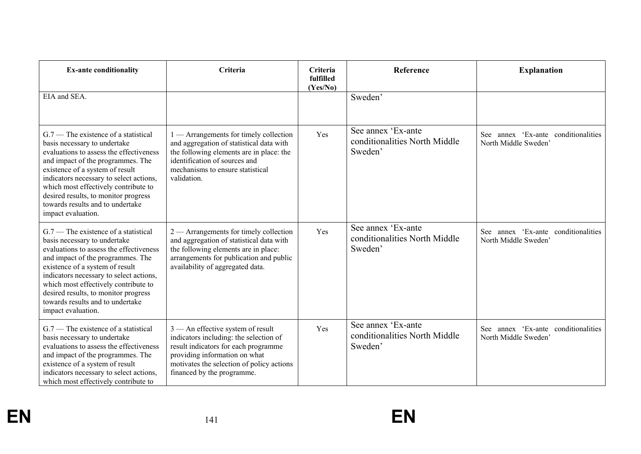| <b>Ex-ante conditionality</b>                                                                                                                                                                                                                                                                                                                                                  | Criteria                                                                                                                                                                                                                          | Criteria<br>fulfilled<br>(Yes/No) | <b>Reference</b>                                               | <b>Explanation</b>                                          |
|--------------------------------------------------------------------------------------------------------------------------------------------------------------------------------------------------------------------------------------------------------------------------------------------------------------------------------------------------------------------------------|-----------------------------------------------------------------------------------------------------------------------------------------------------------------------------------------------------------------------------------|-----------------------------------|----------------------------------------------------------------|-------------------------------------------------------------|
| EIA and SEA.                                                                                                                                                                                                                                                                                                                                                                   |                                                                                                                                                                                                                                   |                                   | Sweden'                                                        |                                                             |
| $G.7$ – The existence of a statistical<br>basis necessary to undertake<br>evaluations to assess the effectiveness<br>and impact of the programmes. The<br>existence of a system of result<br>indicators necessary to select actions,<br>which most effectively contribute to<br>desired results, to monitor progress<br>towards results and to undertake<br>impact evaluation. | $1$ — Arrangements for timely collection<br>and aggregation of statistical data with<br>the following elements are in place: the<br>identification of sources and<br>mechanisms to ensure statistical<br>validation.              | Yes                               | See annex 'Ex-ante<br>conditionalities North Middle<br>Sweden' | See annex 'Ex-ante conditionalities<br>North Middle Sweden' |
| $G.7$ — The existence of a statistical<br>basis necessary to undertake<br>evaluations to assess the effectiveness<br>and impact of the programmes. The<br>existence of a system of result<br>indicators necessary to select actions,<br>which most effectively contribute to<br>desired results, to monitor progress<br>towards results and to undertake<br>impact evaluation. | $2$ — Arrangements for timely collection<br>and aggregation of statistical data with<br>the following elements are in place:<br>arrangements for publication and public<br>availability of aggregated data.                       | Yes                               | See annex 'Ex-ante<br>conditionalities North Middle<br>Sweden' | See annex 'Ex-ante conditionalities<br>North Middle Sweden' |
| $G.7$ – The existence of a statistical<br>basis necessary to undertake<br>evaluations to assess the effectiveness<br>and impact of the programmes. The<br>existence of a system of result<br>indicators necessary to select actions,<br>which most effectively contribute to                                                                                                   | $3$ — An effective system of result<br>indicators including: the selection of<br>result indicators for each programme<br>providing information on what<br>motivates the selection of policy actions<br>financed by the programme. | Yes                               | See annex 'Ex-ante<br>conditionalities North Middle<br>Sweden' | See annex 'Ex-ante conditionalities<br>North Middle Sweden  |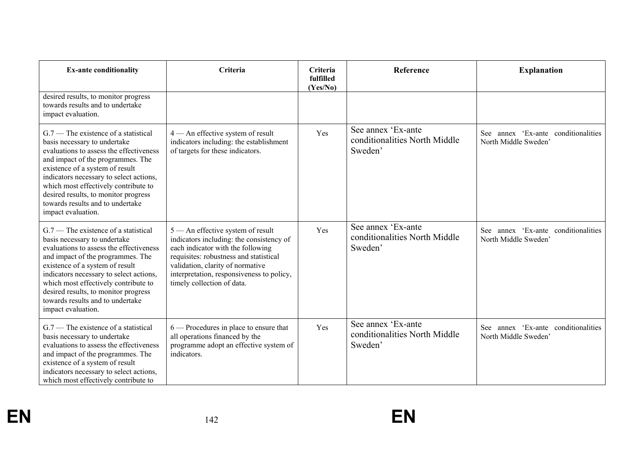| <b>Ex-ante conditionality</b>                                                                                                                                                                                                                                                                                                                                                  | Criteria                                                                                                                                                                                                                                                                      | Criteria<br>fulfilled<br>(Yes/No) | Reference                                                      | <b>Explanation</b>                                             |
|--------------------------------------------------------------------------------------------------------------------------------------------------------------------------------------------------------------------------------------------------------------------------------------------------------------------------------------------------------------------------------|-------------------------------------------------------------------------------------------------------------------------------------------------------------------------------------------------------------------------------------------------------------------------------|-----------------------------------|----------------------------------------------------------------|----------------------------------------------------------------|
| desired results, to monitor progress<br>towards results and to undertake<br>impact evaluation.                                                                                                                                                                                                                                                                                 |                                                                                                                                                                                                                                                                               |                                   |                                                                |                                                                |
| $G.7$ – The existence of a statistical<br>basis necessary to undertake<br>evaluations to assess the effectiveness<br>and impact of the programmes. The<br>existence of a system of result<br>indicators necessary to select actions,<br>which most effectively contribute to<br>desired results, to monitor progress<br>towards results and to undertake<br>impact evaluation. | 4 - An effective system of result<br>indicators including: the establishment<br>of targets for these indicators.                                                                                                                                                              | Yes                               | See annex 'Ex-ante<br>conditionalities North Middle<br>Sweden' | annex 'Ex-ante conditionalities<br>See<br>North Middle Sweden' |
| $G.7$ — The existence of a statistical<br>basis necessary to undertake<br>evaluations to assess the effectiveness<br>and impact of the programmes. The<br>existence of a system of result<br>indicators necessary to select actions,<br>which most effectively contribute to<br>desired results, to monitor progress<br>towards results and to undertake<br>impact evaluation. | $5$ — An effective system of result<br>indicators including: the consistency of<br>each indicator with the following<br>requisites: robustness and statistical<br>validation, clarity of normative<br>interpretation, responsiveness to policy,<br>timely collection of data. | Yes                               | See annex 'Ex-ante<br>conditionalities North Middle<br>Sweden' | See annex 'Ex-ante conditionalities<br>North Middle Sweden     |
| $G.7$ – The existence of a statistical<br>basis necessary to undertake<br>evaluations to assess the effectiveness<br>and impact of the programmes. The<br>existence of a system of result<br>indicators necessary to select actions,<br>which most effectively contribute to                                                                                                   | 6 — Procedures in place to ensure that<br>all operations financed by the<br>programme adopt an effective system of<br>indicators.                                                                                                                                             | Yes                               | See annex 'Ex-ante<br>conditionalities North Middle<br>Sweden' | annex 'Ex-ante conditionalities<br>See<br>North Middle Sweden' |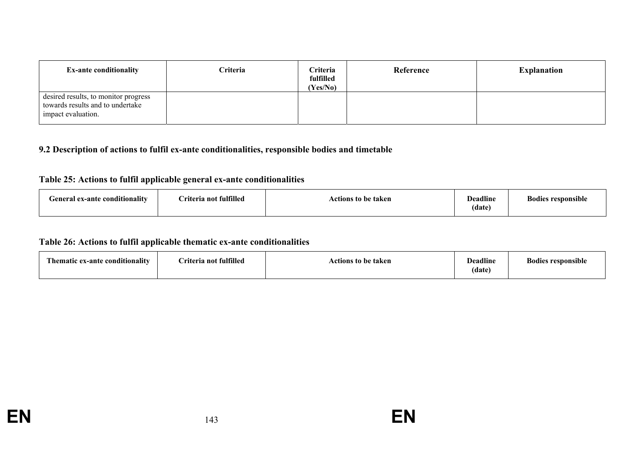| <b>Ex-ante conditionality</b>                                                                  | <b>Criteria</b> | Criteria<br>fulfilled<br>(Yes/No) | Reference | <b>Explanation</b> |
|------------------------------------------------------------------------------------------------|-----------------|-----------------------------------|-----------|--------------------|
| desired results, to monitor progress<br>towards results and to undertake<br>impact evaluation. |                 |                                   |           |                    |

## **9.2 Description of actions to fulfil ex-ante conditionalities, responsible bodies and timetable**

## **Table 25: Actions to fulfil applicable general ex-ante conditionalities**

| $\bullet$ .<br>$\cdots$<br>General ex-ante conditionality | Criteria not fulfilled | Actions to be taken | <b>Deadline</b><br>$\blacksquare$<br>(date | $\cdots$<br>Bodies responsible |
|-----------------------------------------------------------|------------------------|---------------------|--------------------------------------------|--------------------------------|
|                                                           |                        |                     |                                            |                                |

### **Table 26: Actions to fulfil applicable thematic ex-ante conditionalities**

| Thematic ex-ante conditionality | Criteria not fulfilled | Actions to be taken | <b>Deadline</b><br>(data) | <b>Bodies responsible</b> |
|---------------------------------|------------------------|---------------------|---------------------------|---------------------------|
|---------------------------------|------------------------|---------------------|---------------------------|---------------------------|

**EN**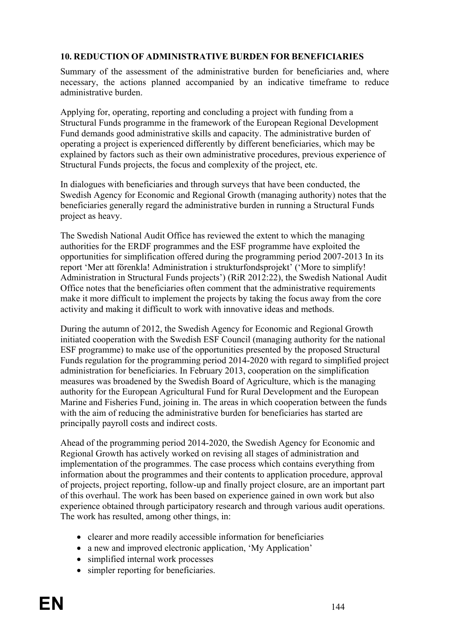#### **10. REDUCTION OF ADMINISTRATIVE BURDEN FOR BENEFICIARIES**

Summary of the assessment of the administrative burden for beneficiaries and, where necessary, the actions planned accompanied by an indicative timeframe to reduce administrative burden.

Applying for, operating, reporting and concluding a project with funding from a Structural Funds programme in the framework of the European Regional Development Fund demands good administrative skills and capacity. The administrative burden of operating a project is experienced differently by different beneficiaries, which may be explained by factors such as their own administrative procedures, previous experience of Structural Funds projects, the focus and complexity of the project, etc.

In dialogues with beneficiaries and through surveys that have been conducted, the Swedish Agency for Economic and Regional Growth (managing authority) notes that the beneficiaries generally regard the administrative burden in running a Structural Funds project as heavy.

The Swedish National Audit Office has reviewed the extent to which the managing authorities for the ERDF programmes and the ESF programme have exploited the opportunities for simplification offered during the programming period 2007-2013 In its report 'Mer att förenkla! Administration i strukturfondsprojekt' ('More to simplify! Administration in Structural Funds projects') (RiR 2012:22), the Swedish National Audit Office notes that the beneficiaries often comment that the administrative requirements make it more difficult to implement the projects by taking the focus away from the core activity and making it difficult to work with innovative ideas and methods.

During the autumn of 2012, the Swedish Agency for Economic and Regional Growth initiated cooperation with the Swedish ESF Council (managing authority for the national ESF programme) to make use of the opportunities presented by the proposed Structural Funds regulation for the programming period 2014-2020 with regard to simplified project administration for beneficiaries. In February 2013, cooperation on the simplification measures was broadened by the Swedish Board of Agriculture, which is the managing authority for the European Agricultural Fund for Rural Development and the European Marine and Fisheries Fund, joining in. The areas in which cooperation between the funds with the aim of reducing the administrative burden for beneficiaries has started are principally payroll costs and indirect costs.

Ahead of the programming period 2014-2020, the Swedish Agency for Economic and Regional Growth has actively worked on revising all stages of administration and implementation of the programmes. The case process which contains everything from information about the programmes and their contents to application procedure, approval of projects, project reporting, follow-up and finally project closure, are an important part of this overhaul. The work has been based on experience gained in own work but also experience obtained through participatory research and through various audit operations. The work has resulted, among other things, in:

- clearer and more readily accessible information for beneficiaries
- a new and improved electronic application, 'My Application'
- simplified internal work processes
- simpler reporting for beneficiaries.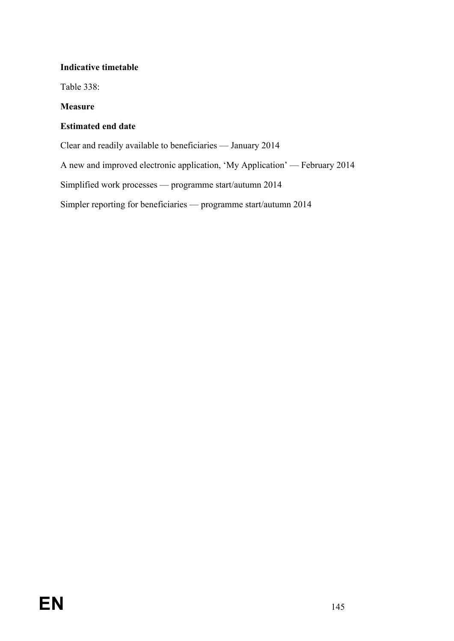#### **Indicative timetable**

Table 338:

#### **Measure**

#### **Estimated end date**

Clear and readily available to beneficiaries — January 2014

A new and improved electronic application, 'My Application' — February 2014

Simplified work processes — programme start/autumn 2014

Simpler reporting for beneficiaries — programme start/autumn 2014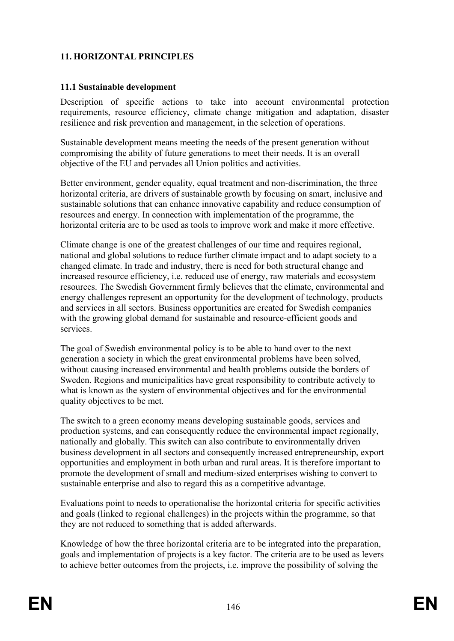# **11. HORIZONTAL PRINCIPLES**

#### **11.1 Sustainable development**

Description of specific actions to take into account environmental protection requirements, resource efficiency, climate change mitigation and adaptation, disaster resilience and risk prevention and management, in the selection of operations.

Sustainable development means meeting the needs of the present generation without compromising the ability of future generations to meet their needs. It is an overall objective of the EU and pervades all Union politics and activities.

Better environment, gender equality, equal treatment and non-discrimination, the three horizontal criteria, are drivers of sustainable growth by focusing on smart, inclusive and sustainable solutions that can enhance innovative capability and reduce consumption of resources and energy. In connection with implementation of the programme, the horizontal criteria are to be used as tools to improve work and make it more effective.

Climate change is one of the greatest challenges of our time and requires regional, national and global solutions to reduce further climate impact and to adapt society to a changed climate. In trade and industry, there is need for both structural change and increased resource efficiency, i.e. reduced use of energy, raw materials and ecosystem resources. The Swedish Government firmly believes that the climate, environmental and energy challenges represent an opportunity for the development of technology, products and services in all sectors. Business opportunities are created for Swedish companies with the growing global demand for sustainable and resource-efficient goods and services.

The goal of Swedish environmental policy is to be able to hand over to the next generation a society in which the great environmental problems have been solved, without causing increased environmental and health problems outside the borders of Sweden. Regions and municipalities have great responsibility to contribute actively to what is known as the system of environmental objectives and for the environmental quality objectives to be met.

The switch to a green economy means developing sustainable goods, services and production systems, and can consequently reduce the environmental impact regionally, nationally and globally. This switch can also contribute to environmentally driven business development in all sectors and consequently increased entrepreneurship, export opportunities and employment in both urban and rural areas. It is therefore important to promote the development of small and medium-sized enterprises wishing to convert to sustainable enterprise and also to regard this as a competitive advantage.

Evaluations point to needs to operationalise the horizontal criteria for specific activities and goals (linked to regional challenges) in the projects within the programme, so that they are not reduced to something that is added afterwards.

Knowledge of how the three horizontal criteria are to be integrated into the preparation, goals and implementation of projects is a key factor. The criteria are to be used as levers to achieve better outcomes from the projects, i.e. improve the possibility of solving the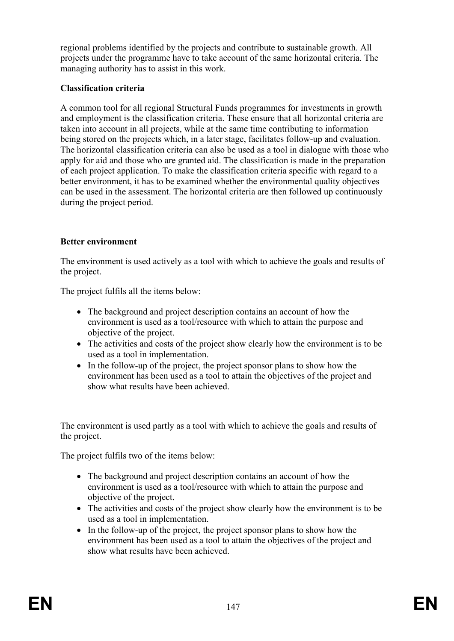regional problems identified by the projects and contribute to sustainable growth. All projects under the programme have to take account of the same horizontal criteria. The managing authority has to assist in this work.

#### **Classification criteria**

A common tool for all regional Structural Funds programmes for investments in growth and employment is the classification criteria. These ensure that all horizontal criteria are taken into account in all projects, while at the same time contributing to information being stored on the projects which, in a later stage, facilitates follow-up and evaluation. The horizontal classification criteria can also be used as a tool in dialogue with those who apply for aid and those who are granted aid. The classification is made in the preparation of each project application. To make the classification criteria specific with regard to a better environment, it has to be examined whether the environmental quality objectives can be used in the assessment. The horizontal criteria are then followed up continuously during the project period.

## **Better environment**

The environment is used actively as a tool with which to achieve the goals and results of the project.

The project fulfils all the items below:

- The background and project description contains an account of how the environment is used as a tool/resource with which to attain the purpose and objective of the project.
- The activities and costs of the project show clearly how the environment is to be used as a tool in implementation.
- In the follow-up of the project, the project sponsor plans to show how the environment has been used as a tool to attain the objectives of the project and show what results have been achieved.

The environment is used partly as a tool with which to achieve the goals and results of the project.

The project fulfils two of the items below:

- The background and project description contains an account of how the environment is used as a tool/resource with which to attain the purpose and objective of the project.
- The activities and costs of the project show clearly how the environment is to be used as a tool in implementation.
- In the follow-up of the project, the project sponsor plans to show how the environment has been used as a tool to attain the objectives of the project and show what results have been achieved.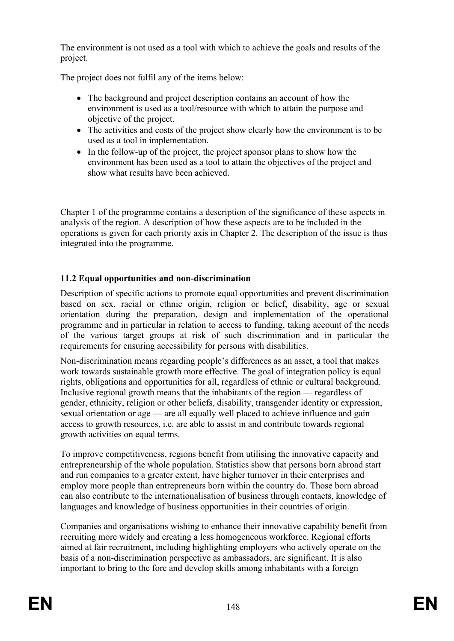The environment is not used as a tool with which to achieve the goals and results of the project.

The project does not fulfil any of the items below:

- The background and project description contains an account of how the environment is used as a tool/resource with which to attain the purpose and objective of the project.
- The activities and costs of the project show clearly how the environment is to be used as a tool in implementation.
- In the follow-up of the project, the project sponsor plans to show how the environment has been used as a tool to attain the objectives of the project and show what results have been achieved.

Chapter 1 of the programme contains a description of the significance of these aspects in analysis of the region. A description of how these aspects are to be included in the operations is given for each priority axis in Chapter 2. The description of the issue is thus integrated into the programme.

# **11.2 Equal opportunities and non-discrimination**

Description of specific actions to promote equal opportunities and prevent discrimination based on sex, racial or ethnic origin, religion or belief, disability, age or sexual orientation during the preparation, design and implementation of the operational programme and in particular in relation to access to funding, taking account of the needs of the various target groups at risk of such discrimination and in particular the requirements for ensuring accessibility for persons with disabilities.

Non-discrimination means regarding people's differences as an asset, a tool that makes work towards sustainable growth more effective. The goal of integration policy is equal rights, obligations and opportunities for all, regardless of ethnic or cultural background. Inclusive regional growth means that the inhabitants of the region — regardless of gender, ethnicity, religion or other beliefs, disability, transgender identity or expression, sexual orientation or age — are all equally well placed to achieve influence and gain access to growth resources, i.e. are able to assist in and contribute towards regional growth activities on equal terms.

To improve competitiveness, regions benefit from utilising the innovative capacity and entrepreneurship of the whole population. Statistics show that persons born abroad start and run companies to a greater extent, have higher turnover in their enterprises and employ more people than entrepreneurs born within the country do. Those born abroad can also contribute to the internationalisation of business through contacts, knowledge of languages and knowledge of business opportunities in their countries of origin.

Companies and organisations wishing to enhance their innovative capability benefit from recruiting more widely and creating a less homogeneous workforce. Regional efforts aimed at fair recruitment, including highlighting employers who actively operate on the basis of a non-discrimination perspective as ambassadors, are significant. It is also important to bring to the fore and develop skills among inhabitants with a foreign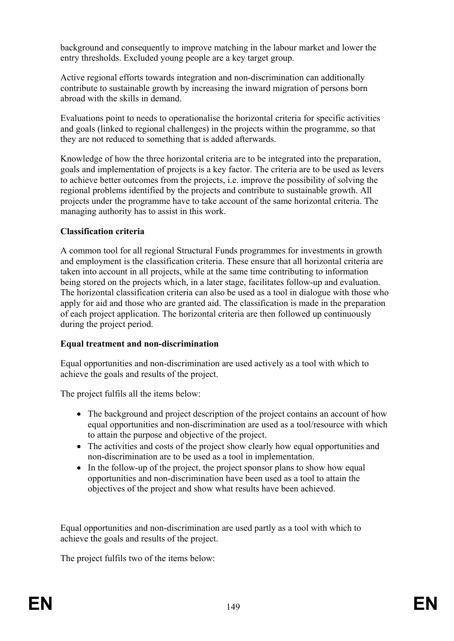background and consequently to improve matching in the labour market and lower the entry thresholds. Excluded young people are a key target group.

Active regional efforts towards integration and non-discrimination can additionally contribute to sustainable growth by increasing the inward migration of persons born abroad with the skills in demand.

Evaluations point to needs to operationalise the horizontal criteria for specific activities and goals (linked to regional challenges) in the projects within the programme, so that they are not reduced to something that is added afterwards.

Knowledge of how the three horizontal criteria are to be integrated into the preparation, goals and implementation of projects is a key factor. The criteria are to be used as levers to achieve better outcomes from the projects, i.e. improve the possibility of solving the regional problems identified by the projects and contribute to sustainable growth. All projects under the programme have to take account of the same horizontal criteria. The managing authority has to assist in this work.

#### **Classification criteria**

A common tool for all regional Structural Funds programmes for investments in growth and employment is the classification criteria. These ensure that all horizontal criteria are taken into account in all projects, while at the same time contributing to information being stored on the projects which, in a later stage, facilitates follow-up and evaluation. The horizontal classification criteria can also be used as a tool in dialogue with those who apply for aid and those who are granted aid. The classification is made in the preparation of each project application. The horizontal criteria are then followed up continuously during the project period.

#### **Equal treatment and non-discrimination**

Equal opportunities and non-discrimination are used actively as a tool with which to achieve the goals and results of the project.

The project fulfils all the items below:

- The background and project description of the project contains an account of how equal opportunities and non-discrimination are used as a tool/resource with which to attain the purpose and objective of the project.
- The activities and costs of the project show clearly how equal opportunities and non-discrimination are to be used as a tool in implementation.
- In the follow-up of the project, the project sponsor plans to show how equal opportunities and non-discrimination have been used as a tool to attain the objectives of the project and show what results have been achieved.

Equal opportunities and non-discrimination are used partly as a tool with which to achieve the goals and results of the project.

The project fulfils two of the items below: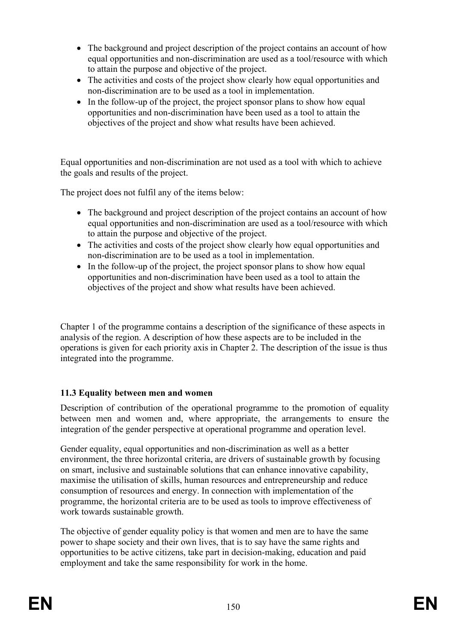- The background and project description of the project contains an account of how equal opportunities and non-discrimination are used as a tool/resource with which to attain the purpose and objective of the project.
- The activities and costs of the project show clearly how equal opportunities and non-discrimination are to be used as a tool in implementation.
- In the follow-up of the project, the project sponsor plans to show how equal opportunities and non-discrimination have been used as a tool to attain the objectives of the project and show what results have been achieved.

Equal opportunities and non-discrimination are not used as a tool with which to achieve the goals and results of the project.

The project does not fulfil any of the items below:

- The background and project description of the project contains an account of how equal opportunities and non-discrimination are used as a tool/resource with which to attain the purpose and objective of the project.
- The activities and costs of the project show clearly how equal opportunities and non-discrimination are to be used as a tool in implementation.
- In the follow-up of the project, the project sponsor plans to show how equal opportunities and non-discrimination have been used as a tool to attain the objectives of the project and show what results have been achieved.

Chapter 1 of the programme contains a description of the significance of these aspects in analysis of the region. A description of how these aspects are to be included in the operations is given for each priority axis in Chapter 2. The description of the issue is thus integrated into the programme.

#### **11.3 Equality between men and women**

Description of contribution of the operational programme to the promotion of equality between men and women and, where appropriate, the arrangements to ensure the integration of the gender perspective at operational programme and operation level.

Gender equality, equal opportunities and non-discrimination as well as a better environment, the three horizontal criteria, are drivers of sustainable growth by focusing on smart, inclusive and sustainable solutions that can enhance innovative capability, maximise the utilisation of skills, human resources and entrepreneurship and reduce consumption of resources and energy. In connection with implementation of the programme, the horizontal criteria are to be used as tools to improve effectiveness of work towards sustainable growth.

The objective of gender equality policy is that women and men are to have the same power to shape society and their own lives, that is to say have the same rights and opportunities to be active citizens, take part in decision-making, education and paid employment and take the same responsibility for work in the home.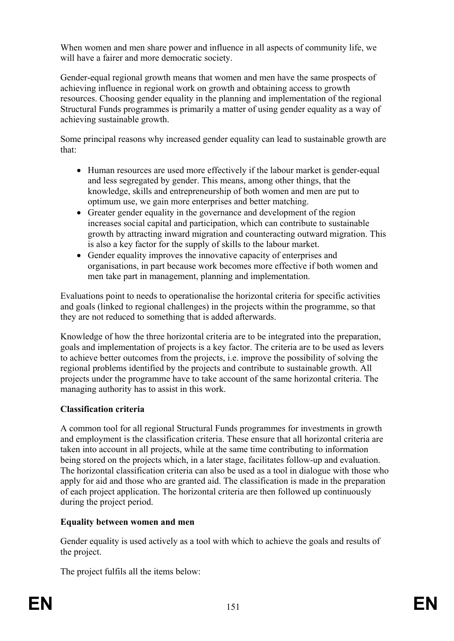When women and men share power and influence in all aspects of community life, we will have a fairer and more democratic society.

Gender-equal regional growth means that women and men have the same prospects of achieving influence in regional work on growth and obtaining access to growth resources. Choosing gender equality in the planning and implementation of the regional Structural Funds programmes is primarily a matter of using gender equality as a way of achieving sustainable growth.

Some principal reasons why increased gender equality can lead to sustainable growth are that:

- Human resources are used more effectively if the labour market is gender-equal and less segregated by gender. This means, among other things, that the knowledge, skills and entrepreneurship of both women and men are put to optimum use, we gain more enterprises and better matching.
- Greater gender equality in the governance and development of the region increases social capital and participation, which can contribute to sustainable growth by attracting inward migration and counteracting outward migration. This is also a key factor for the supply of skills to the labour market.
- Gender equality improves the innovative capacity of enterprises and organisations, in part because work becomes more effective if both women and men take part in management, planning and implementation.

Evaluations point to needs to operationalise the horizontal criteria for specific activities and goals (linked to regional challenges) in the projects within the programme, so that they are not reduced to something that is added afterwards.

Knowledge of how the three horizontal criteria are to be integrated into the preparation, goals and implementation of projects is a key factor. The criteria are to be used as levers to achieve better outcomes from the projects, i.e. improve the possibility of solving the regional problems identified by the projects and contribute to sustainable growth. All projects under the programme have to take account of the same horizontal criteria. The managing authority has to assist in this work.

#### **Classification criteria**

A common tool for all regional Structural Funds programmes for investments in growth and employment is the classification criteria. These ensure that all horizontal criteria are taken into account in all projects, while at the same time contributing to information being stored on the projects which, in a later stage, facilitates follow-up and evaluation. The horizontal classification criteria can also be used as a tool in dialogue with those who apply for aid and those who are granted aid. The classification is made in the preparation of each project application. The horizontal criteria are then followed up continuously during the project period.

#### **Equality between women and men**

Gender equality is used actively as a tool with which to achieve the goals and results of the project.

The project fulfils all the items below: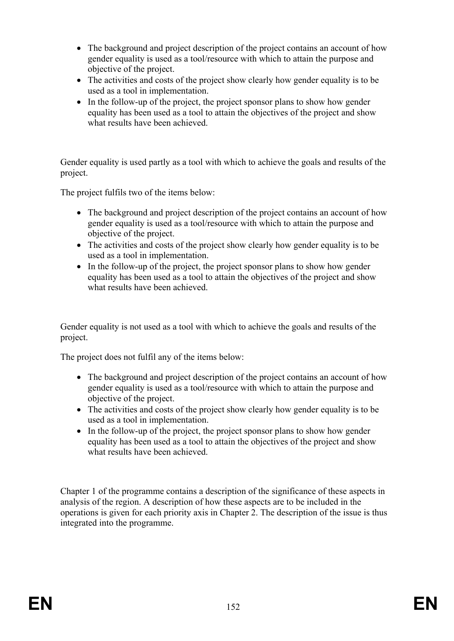- The background and project description of the project contains an account of how gender equality is used as a tool/resource with which to attain the purpose and objective of the project.
- The activities and costs of the project show clearly how gender equality is to be used as a tool in implementation.
- In the follow-up of the project, the project sponsor plans to show how gender equality has been used as a tool to attain the objectives of the project and show what results have been achieved.

Gender equality is used partly as a tool with which to achieve the goals and results of the project.

The project fulfils two of the items below:

- The background and project description of the project contains an account of how gender equality is used as a tool/resource with which to attain the purpose and objective of the project.
- The activities and costs of the project show clearly how gender equality is to be used as a tool in implementation.
- In the follow-up of the project, the project sponsor plans to show how gender equality has been used as a tool to attain the objectives of the project and show what results have been achieved.

Gender equality is not used as a tool with which to achieve the goals and results of the project.

The project does not fulfil any of the items below:

- The background and project description of the project contains an account of how gender equality is used as a tool/resource with which to attain the purpose and objective of the project.
- The activities and costs of the project show clearly how gender equality is to be used as a tool in implementation.
- In the follow-up of the project, the project sponsor plans to show how gender equality has been used as a tool to attain the objectives of the project and show what results have been achieved.

Chapter 1 of the programme contains a description of the significance of these aspects in analysis of the region. A description of how these aspects are to be included in the operations is given for each priority axis in Chapter 2. The description of the issue is thus integrated into the programme.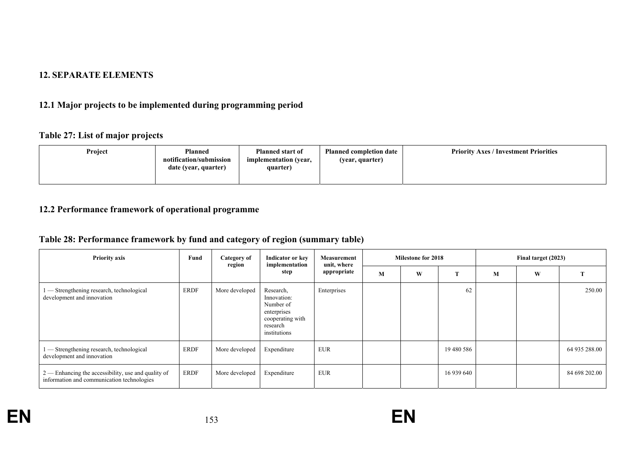#### **12. SEPARATE ELEMENTS**

# **12.1 Major projects to be implemented during programming period**

#### **Table 27: List of major projects**

| Project<br><b>Planned</b><br>notification/submission<br>date (year, quarter) | <b>Planned start of</b><br>implementation (year,<br>quarter) | <b>Planned completion date</b><br>(year, quarter) | <b>Priority Axes / Investment Priorities</b> |
|------------------------------------------------------------------------------|--------------------------------------------------------------|---------------------------------------------------|----------------------------------------------|
|------------------------------------------------------------------------------|--------------------------------------------------------------|---------------------------------------------------|----------------------------------------------|

## **12.2 Performance framework of operational programme**

# **Table 28: Performance framework by fund and category of region (summary table)**

| <b>Priority axis</b>                                                                                | Fund | Category of<br>region | Indicator or key<br>implementation<br>step                                                           | Measurement<br>unit, where<br>appropriate | <b>Milestone for 2018</b> |   |            | Final target (2023) |   |               |
|-----------------------------------------------------------------------------------------------------|------|-----------------------|------------------------------------------------------------------------------------------------------|-------------------------------------------|---------------------------|---|------------|---------------------|---|---------------|
|                                                                                                     |      |                       |                                                                                                      |                                           | M                         | W | m          | M                   | W |               |
| - Strengthening research, technological<br>development and innovation                               | ERDF | More developed        | Research,<br>Innovation:<br>Number of<br>enterprises<br>cooperating with<br>research<br>institutions | Enterprises                               |                           |   | 62         |                     |   | 250.00        |
| - Strengthening research, technological<br>development and innovation                               | ERDF | More developed        | Expenditure                                                                                          | <b>EUR</b>                                |                           |   | 19 480 586 |                     |   | 64 935 288.00 |
| $2$ — Enhancing the accessibility, use and quality of<br>information and communication technologies | ERDF | More developed        | Expenditure                                                                                          | <b>EUR</b>                                |                           |   | 16 939 640 |                     |   | 84 698 202.00 |

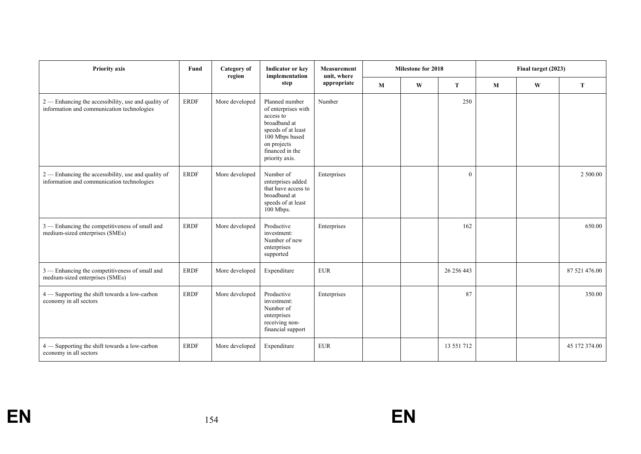| Priority axis                                                                                     | Fund        | <b>Category</b> of<br>region | Indicator or key<br>implementation                                                                                                                             | Measurement<br>unit, where | <b>Milestone for 2018</b> |   |             | Final target (2023) |   |               |
|---------------------------------------------------------------------------------------------------|-------------|------------------------------|----------------------------------------------------------------------------------------------------------------------------------------------------------------|----------------------------|---------------------------|---|-------------|---------------------|---|---------------|
|                                                                                                   |             |                              | step                                                                                                                                                           | appropriate                | M                         | W | T           | M                   | W | T             |
| 2 — Enhancing the accessibility, use and quality of<br>information and communication technologies | <b>ERDF</b> | More developed               | Planned number<br>of enterprises with<br>access to<br>broadband at<br>speeds of at least<br>100 Mbps based<br>on projects<br>financed in the<br>priority axis. | Number                     |                           |   | 250         |                     |   |               |
| 2 — Enhancing the accessibility, use and quality of<br>information and communication technologies | <b>ERDF</b> | More developed               | Number of<br>enterprises added<br>that have access to<br>broadband at<br>speeds of at least<br>100 Mbps.                                                       | Enterprises                |                           |   | $\theta$    |                     |   | 2 500.00      |
| 3 — Enhancing the competitiveness of small and<br>medium-sized enterprises (SMEs)                 | <b>ERDF</b> | More developed               | Productive<br>investment:<br>Number of new<br>enterprises<br>supported                                                                                         | Enterprises                |                           |   | 162         |                     |   | 650.00        |
| 3 - Enhancing the competitiveness of small and<br>medium-sized enterprises (SMEs)                 | <b>ERDF</b> | More developed               | Expenditure                                                                                                                                                    | <b>EUR</b>                 |                           |   | 26 25 6 443 |                     |   | 87 521 476.00 |
| 4 - Supporting the shift towards a low-carbon<br>economy in all sectors                           | <b>ERDF</b> | More developed               | Productive<br>investment:<br>Number of<br>enterprises<br>receiving non-<br>financial support                                                                   | Enterprises                |                           |   | 87          |                     |   | 350.00        |
| 4 — Supporting the shift towards a low-carbon<br>economy in all sectors                           | <b>ERDF</b> | More developed               | Expenditure                                                                                                                                                    | <b>EUR</b>                 |                           |   | 13 551 712  |                     |   | 45 172 374.00 |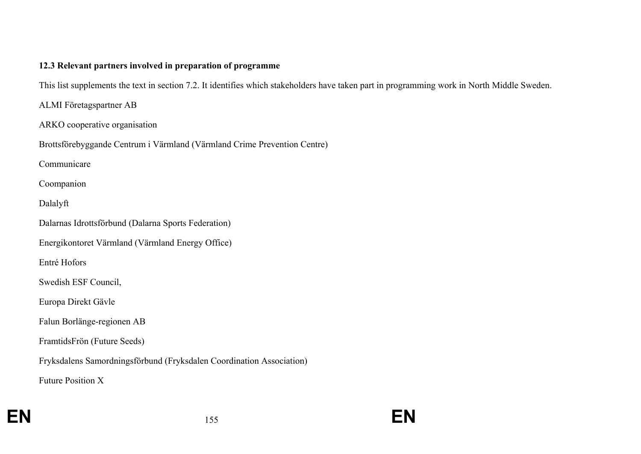#### **12.3 Relevant partners involved in preparation of programme**

This list supplements the text in section 7.2. It identifies which stakeholders have taken part in programming work in North Middle Sweden.

ALMI Företagspartner AB

ARKO cooperative organisation

Brottsförebyggande Centrum i Värmland (Värmland Crime Prevention Centre)

Communicare

Coompanion

Dalalyft

Dalarnas Idrottsförbund (Dalarna Sports Federation)

Energikontoret Värmland (Värmland Energy Office)

Entré Hofors

Swedish ESF Council,

Europa Direkt Gävle

Falun Borlänge-regionen AB

FramtidsFrön (Future Seeds)

Fryksdalens Samordningsförbund (Fryksdalen Coordination Association)

Future Position X

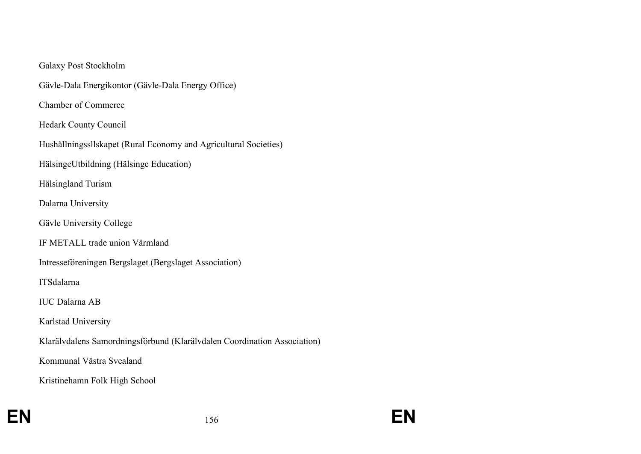#### Galaxy Post Stockholm

Gävle-Dala Energikontor (Gävle-Dala Energy Office)

Chamber of Commerce

Hedark County Council

Hushållningssllskapet (Rural Economy and Agricultural Societies)

HälsingeUtbildning (Hälsinge Education)

Hälsingland Turism

Dalarna University

Gävle University College

IF METALL trade union Värmland

Intresseföreningen Bergslaget (Bergslaget Association)

ITSdalarna

IUC Dalarna AB

Karlstad University

Klarälvdalens Samordningsförbund (Klarälvdalen Coordination Association)

Kommunal Västra Svealand

Kristinehamn Folk High School

**EN**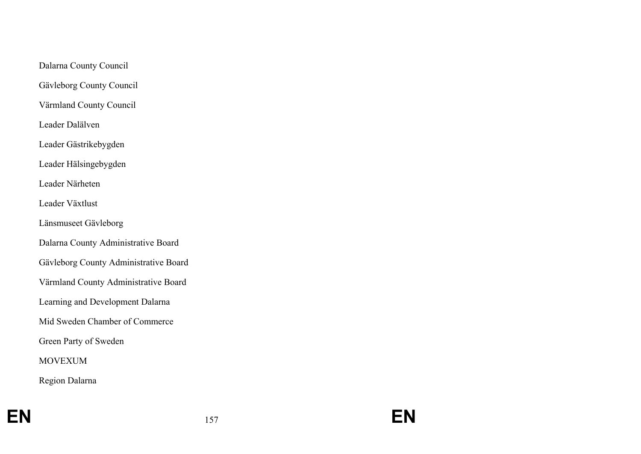Dalarna County Council

Gävleborg County Council

Värmland County Council

Leader Dalälven

Leader Gästrikebygden

Leader Hälsingebygden

Leader Närheten

Leader Växtlust

Länsmuseet Gävleborg

Dalarna County Administrative Board

Gävleborg County Administrative Board

Värmland County Administrative Board

Learning and Development Dalarna

Mid Sweden Chamber of Commerce

Green Party of Sweden

MOVEXUM

Region Dalarna

**EN**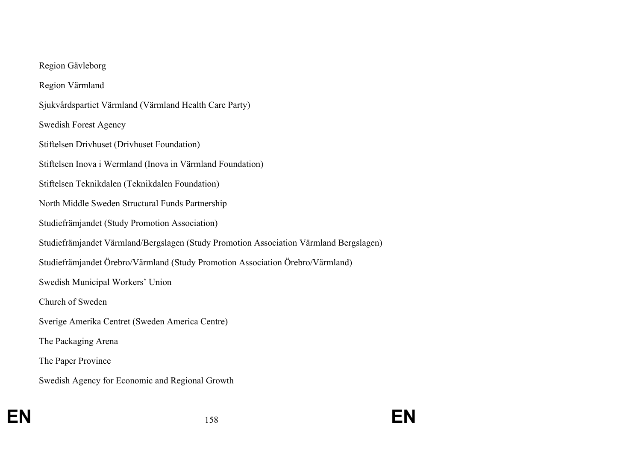#### Region Gävleborg

Region Värmland

Sjukvårdspartiet Värmland (Värmland Health Care Party)

Swedish Forest Agency

Stiftelsen Drivhuset (Drivhuset Foundation)

Stiftelsen Inova i Wermland (Inova in Värmland Foundation)

Stiftelsen Teknikdalen (Teknikdalen Foundation)

North Middle Sweden Structural Funds Partnership

Studiefrämjandet (Study Promotion Association)

Studiefrämjandet Värmland/Bergslagen (Study Promotion Association Värmland Bergslagen)

Studiefrämjandet Örebro/Värmland (Study Promotion Association Örebro/Värmland)

Swedish Municipal Workers' Union

Church of Sweden

Sverige Amerika Centret (Sweden America Centre)

The Packaging Arena

The Paper Province

Swedish Agency for Economic and Regional Growth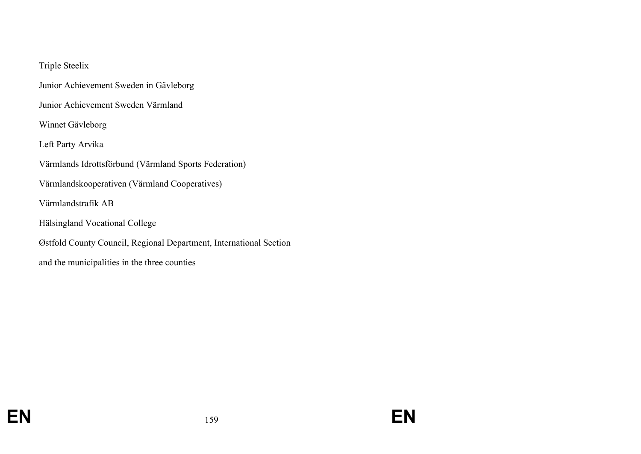## Triple Steelix

Junior Achievement Sweden in Gävleborg

Junior Achievement Sweden Värmland

Winnet Gävleborg

Left Party Arvika

Värmlands Idrottsförbund (Värmland Sports Federation)

Värmlandskooperativen (Värmland Cooperatives)

Värmlandstrafik AB

Hälsingland Vocational College

Østfold County Council, Regional Department, International Section

and the municipalities in the three counties